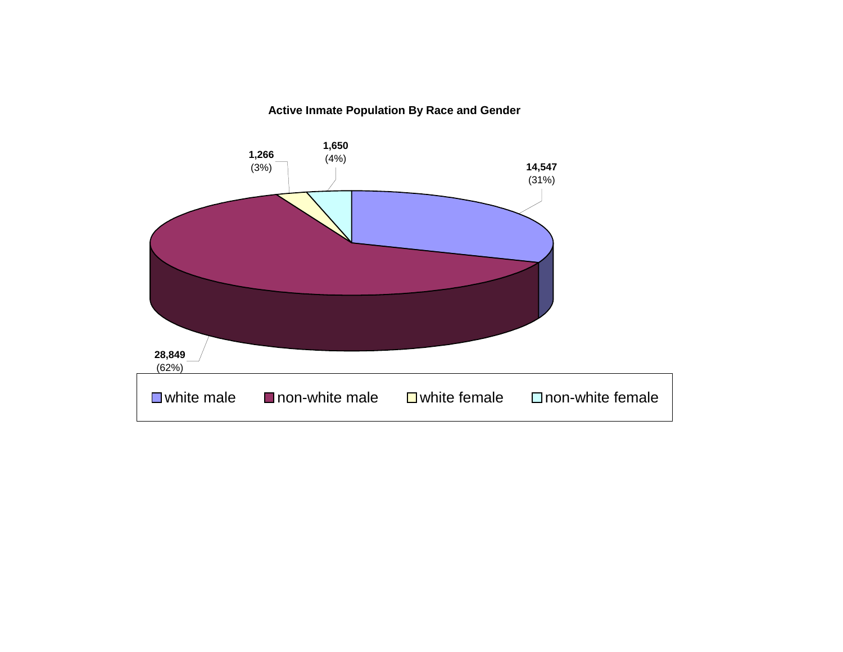**Active Inmate Population By Race and Gender**

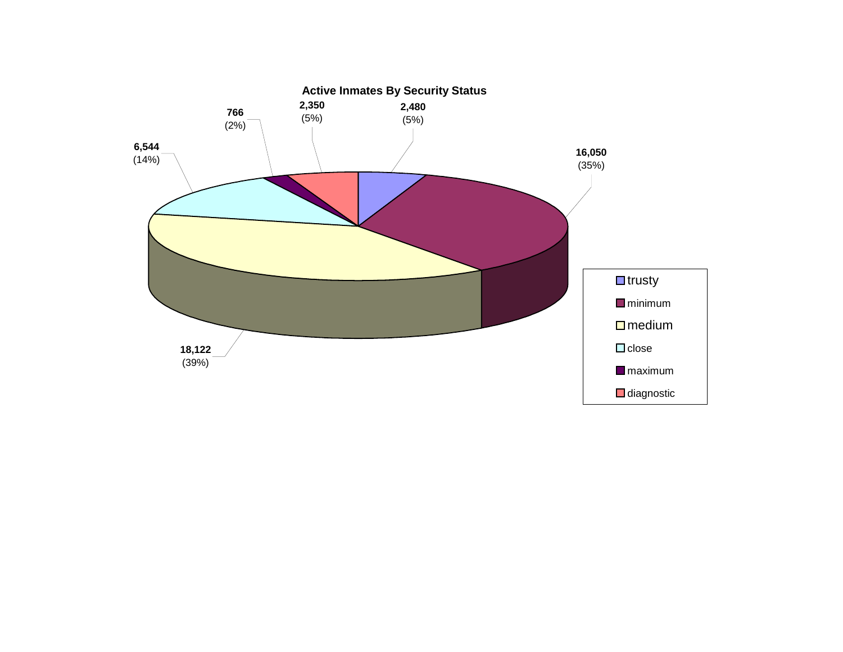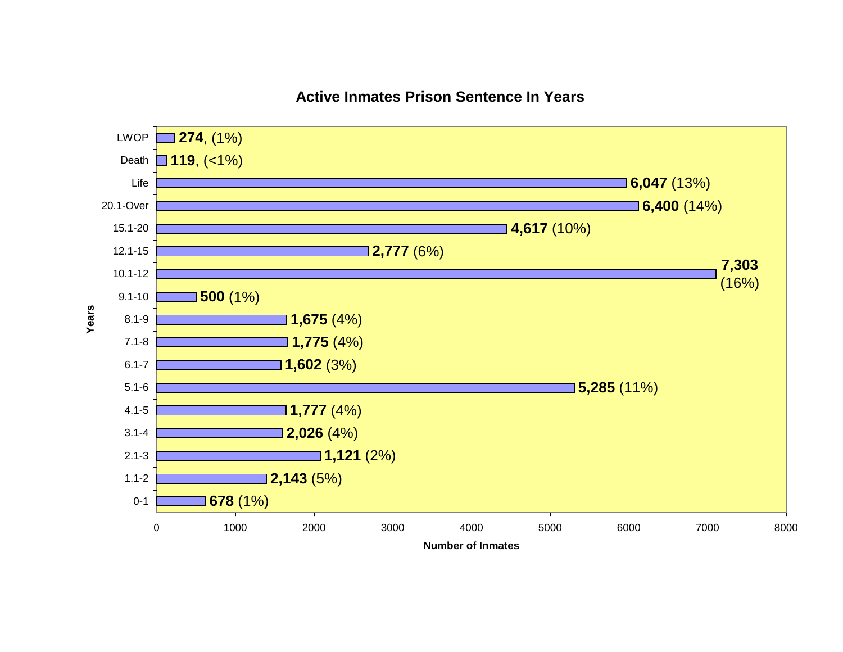#### **Active Inmates Prison Sentence In Years**

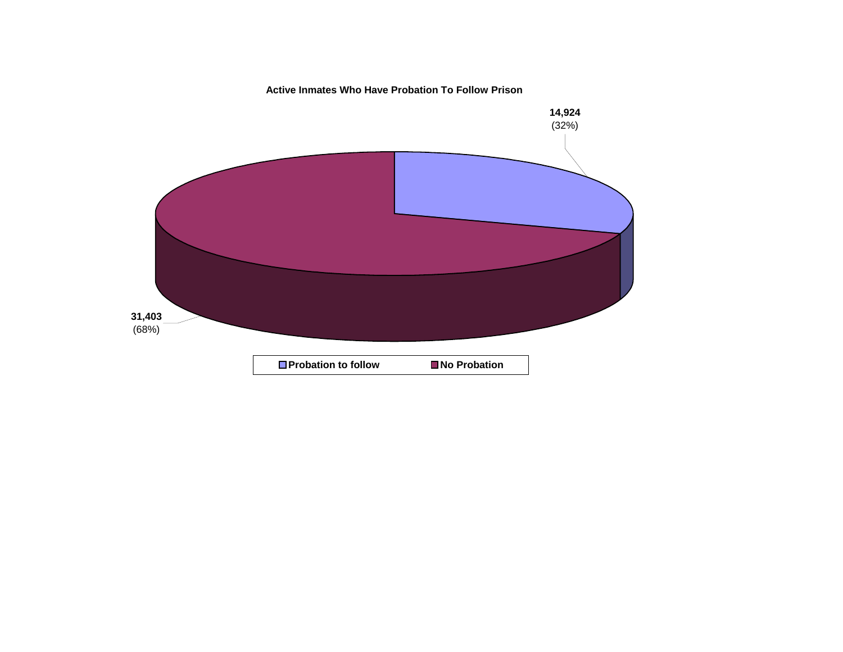**Active Inmates Who Have Probation To Follow Prison**

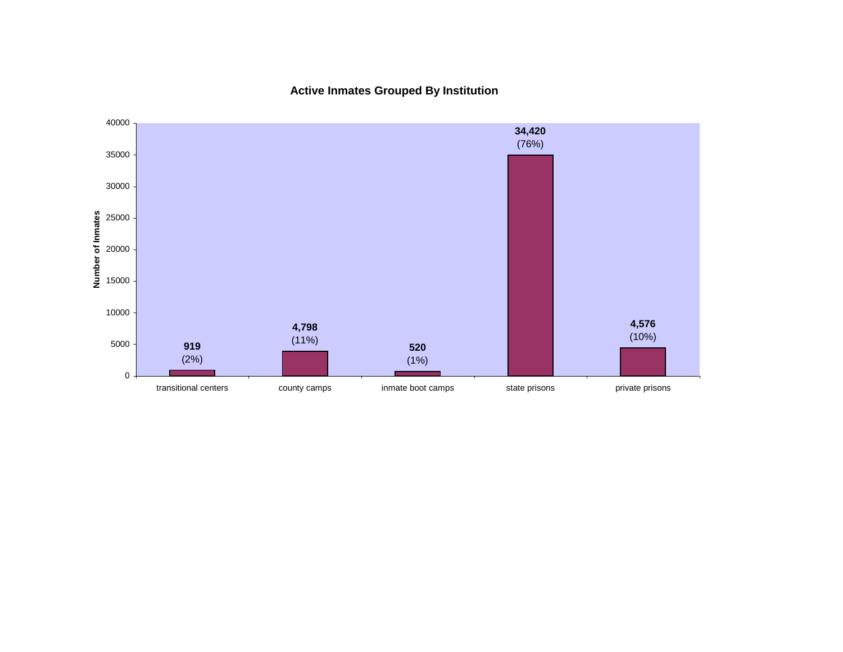**Active Inmates Grouped By Institution**

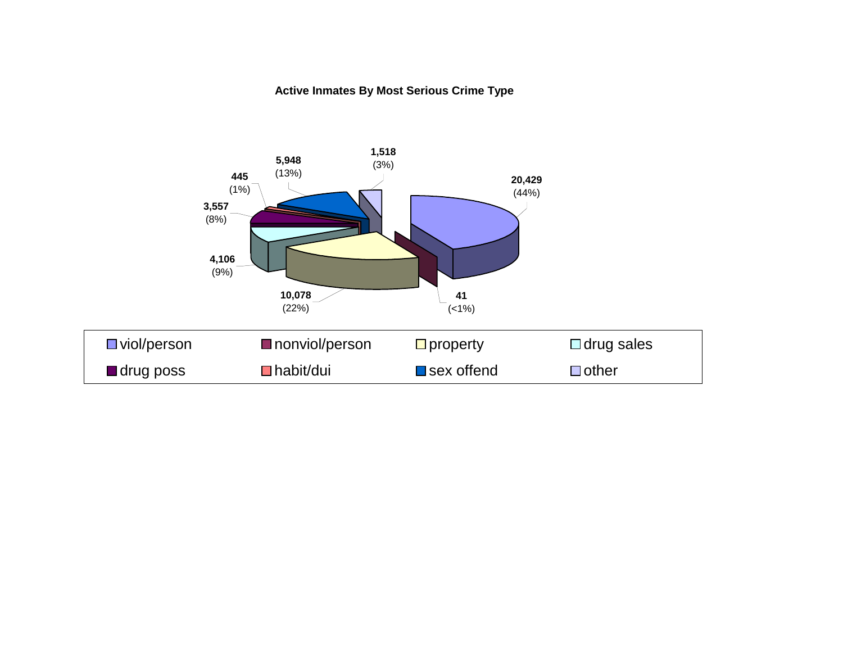#### **Active Inmates By Most Serious Crime Type**

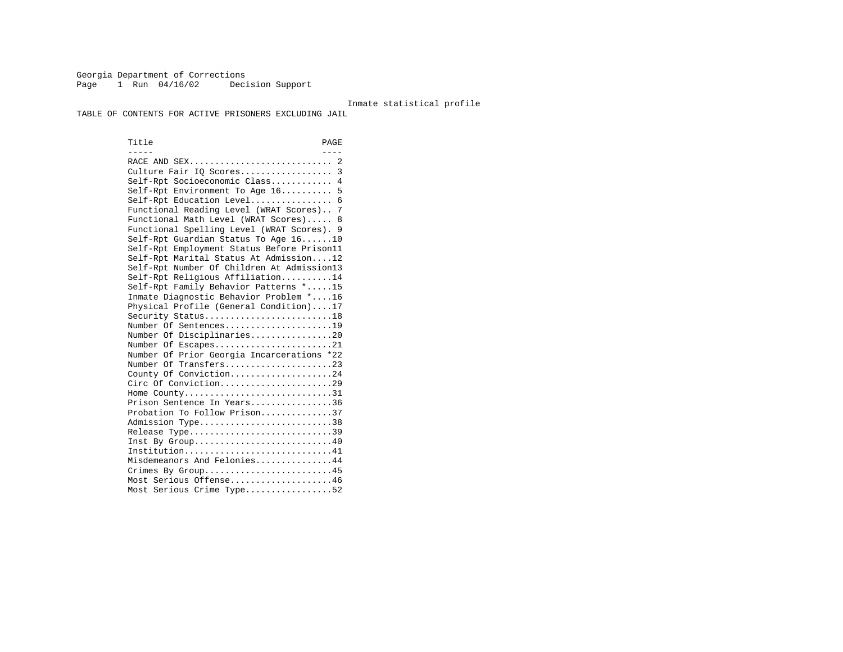Georgia Department of Corrections Page 1 Run 04/16/02 Decision Support

#### Inmate statistical profile

TABLE OF CONTENTS FOR ACTIVE PRISONERS EXCLUDING JAIL

Title PAGE ----- ---- RACE AND SEX............................ 2 Culture Fair IQ Scores.................. 3 Self-Rpt Socioeconomic Class............ 4 Self-Rpt Environment To Age 16.......... 5 Self-Rpt Education Level................ 6 Functional Reading Level (WRAT Scores).. 7 Functional Math Level (WRAT Scores)..... 8 Functional Spelling Level (WRAT Scores). 9 Self-Rpt Guardian Status To Age 16......10 Self-Rpt Employment Status Before Prison11 Self-Rpt Marital Status At Admission....12 Self-Rpt Number Of Children At Admission13 Self-Rpt Religious Affiliation..........14 Self-Rpt Family Behavior Patterns \*.....15 Inmate Diagnostic Behavior Problem \*....16 Physical Profile (General Condition)....17 Security Status...........................18 Number Of Sentences.....................19 Number Of Disciplinaries................20 Number Of Escapes........................21 Number Of Prior Georgia Incarcerations \*22 Number Of Transfers.....................23 County Of Conviction....................24 Circ Of Conviction......................29 Home County................................31 Prison Sentence In Years................36 Probation To Follow Prison..............37Admission Type.............................38 Release Type...............................39 Inst By Group.............................40 Institution...............................41 Misdemeanors And Felonies...............44 Crimes By Group...........................45 Most Serious Offense....................46 Most Serious Crime Type.................52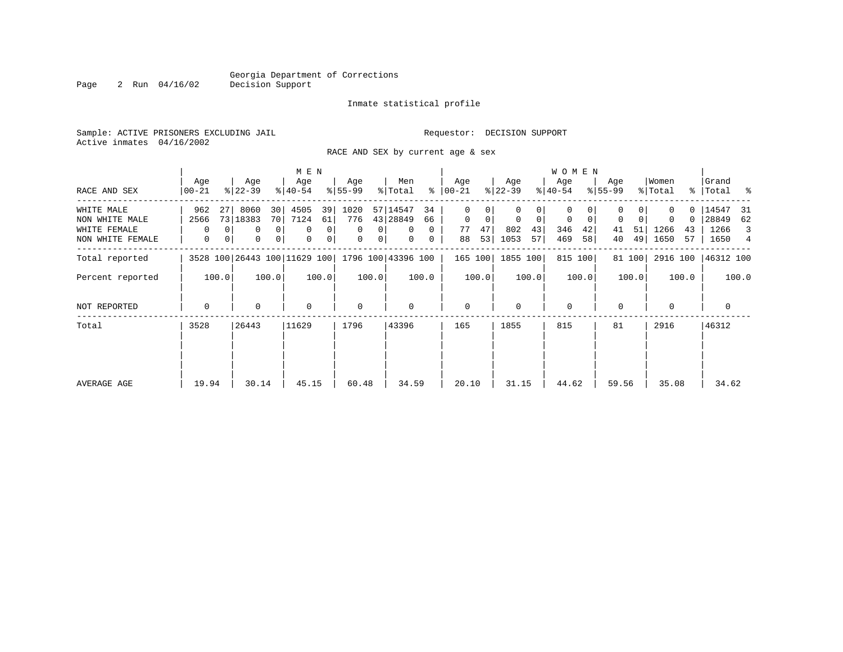Page 2 Run 04/16/02

#### Inmate statistical profile

Sample: ACTIVE PRISONERS EXCLUDING JAIL **Requestor: DECISION SUPPORT** Active inmates 04/16/2002

RACE AND SEX by current age & sex

|                  |                  |                              | M E N                      |                  |                |                    |          |                |         |                  |             | <b>WOMEN</b>     |       |                  |        |                  |          |                      |       |
|------------------|------------------|------------------------------|----------------------------|------------------|----------------|--------------------|----------|----------------|---------|------------------|-------------|------------------|-------|------------------|--------|------------------|----------|----------------------|-------|
| RACE AND SEX     | Age<br>$00 - 21$ | Age<br>$ 22-39 $             | Age<br>$ 40-54 $           | Age<br>$8 55-99$ |                | Men<br>% Total     | ႜ        | Age<br>  00-21 |         | Age<br>$ 22-39 $ |             | Age<br>$ 40-54 $ |       | Age<br>$8 55-99$ |        | Women<br>% Total |          | Grand<br>%   Total % |       |
| WHITE MALE       | 962              | 8060<br>27                   | 30<br>4505                 | 39<br>1020       |                | 57 14547           | 34       | 0              |         |                  |             | 0                |       |                  |        |                  | $\Omega$ | 14547                | -31   |
| NON WHITE MALE   | 2566             | 73 18383                     | 70 <br>7124                | 776<br>61        |                | 43 28849           | 66       | $\mathbf 0$    | 0       | $\mathbf 0$      | $\mathbf 0$ | 0                | 0     | 0                | 0      | $\Omega$         | 0        | 28849                | 62    |
| WHITE FEMALE     | $\Omega$         | 0                            | 0 <sup>1</sup><br>$\Omega$ | 0<br>$\Omega$    | 0              | $\Omega$           | $\Omega$ | 77             | 47      | 802              | 43          | 346              | 42    | 41               | 51     | 1266             | 43       | 1266                 | 3     |
| NON WHITE FEMALE | 0                | 0<br>0                       | 0 <br>$\mathbf 0$          | 0<br>0           | 0 <sup>1</sup> | $\mathbf{0}$       | 0        | 88             | 53      | 1053             | 57          | 469              | 58    | 40               | 49     | 1650             | 57       | 1650                 | 4     |
| Total reported   |                  | 3528 100 26443 100 11629 100 |                            |                  |                | 1796 100 43396 100 |          |                | 165 100 | 1855 100         |             | 815 100          |       |                  | 81 100 | 2916 100         |          | 46312 100            |       |
| Percent reported | 100.0            | 100.0                        |                            | 100.0            | 100.0          |                    | 100.0    |                | 100.0   |                  | 100.0       |                  | 100.0 |                  | 100.0  |                  | 100.0    |                      | 100.0 |
| NOT REPORTED     | $\mathbf 0$      | 0                            | $\mathbf 0$                | $\mathbf 0$      |                | 0                  |          | $\mathbf 0$    |         | $\Omega$         |             | $\mathbf 0$      |       | $\Omega$         |        | $\Omega$         |          | 0                    |       |
| Total            | 3528             | 26443                        | 11629                      | 1796             |                | 43396              |          | 165            |         | 1855             |             | 815              |       | 81               |        | 2916             |          | 46312                |       |
|                  |                  |                              |                            |                  |                |                    |          |                |         |                  |             |                  |       |                  |        |                  |          |                      |       |
| AVERAGE AGE      | 19.94            | 30.14                        | 45.15                      | 60.48            |                | 34.59              |          | 20.10          |         | 31.15            |             | 44.62            |       | 59.56            |        | 35.08            |          | 34.62                |       |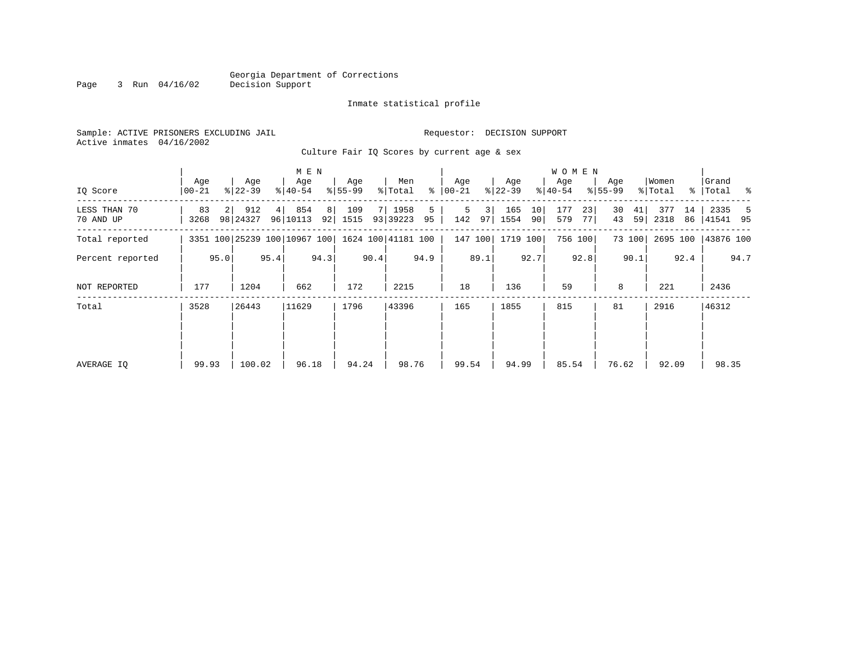Inmate statistical profile

Sample: ACTIVE PRISONERS EXCLUDING JAIL **Requestor: DECISION SUPPORT** Active inmates 04/16/2002

Culture Fair IQ Scores by current age & sex

|                           |                |                |                  | M E N |                              |      |                  |      |                    |         |                  |         |                  | W O M E N             |                  |            |                  |          |                  |          |                      |      |
|---------------------------|----------------|----------------|------------------|-------|------------------------------|------|------------------|------|--------------------|---------|------------------|---------|------------------|-----------------------|------------------|------------|------------------|----------|------------------|----------|----------------------|------|
| IQ Score                  | Age<br>  00-21 |                | Age<br>$ 22-39 $ |       | Age<br>$8 40-54$             |      | Age<br>$8 55-99$ |      | Men<br>% Total     | ွေ      | Age<br>$ 00-21 $ |         | Age<br>$ 22-39 $ |                       | Age<br>$ 40-54 $ |            | Age<br>$8 55-99$ |          | Women<br>% Total |          | Grand<br>%   Total % |      |
| LESS THAN 70<br>70 AND UP | 83<br>3268     | 2 <sup>1</sup> | 912<br>98 24327  | 4     | 854<br>96 10113              | 8    | 109<br>92 1515   |      | 7 1958<br>93 39223 | 5<br>95 | 5<br>142         | 3<br>97 | 165<br>1554      | 10<br>90 <sub>1</sub> | 177<br>579       | 23<br>77 I | 30<br>43         | 41<br>59 | 377<br>2318      | 14<br>86 | 2335<br> 41541 95    | -5   |
| Total reported            |                |                |                  |       | 3351 100 25239 100 10967 100 |      |                  |      | 1624 100 41181 100 |         |                  | 147 100 | 1719 100         |                       |                  | 756 100    |                  | 73 100   | 2695 100         |          | 43876 100            |      |
| Percent reported          |                | 95.0           |                  | 95.4  |                              | 94.3 |                  | 90.4 |                    | 94.9    |                  | 89.1    |                  | 92.7                  |                  | 92.8       |                  | 90.1     |                  | 92.4     |                      | 94.7 |
| NOT REPORTED              | 177            |                | 1204             |       | 662                          |      | 172              |      | 2215               |         | 18               |         | 136              |                       | 59               |            | 8                |          | 221              |          | 2436                 |      |
| Total                     | 3528           |                | 26443            |       | 11629                        |      | 1796             |      | 43396              |         | 165              |         | 1855             |                       | 815              |            | 81               |          | 2916             |          | 46312                |      |
|                           |                |                |                  |       |                              |      |                  |      |                    |         |                  |         |                  |                       |                  |            |                  |          |                  |          |                      |      |
| AVERAGE IQ                | 99.93          |                | 100.02           |       | 96.18                        |      | 94.24            |      | 98.76              |         | 99.54            |         | 94.99            |                       | 85.54            |            | 76.62            |          | 92.09            |          | 98.35                |      |
|                           |                |                |                  |       |                              |      |                  |      |                    |         |                  |         |                  |                       |                  |            |                  |          |                  |          |                      |      |

Page 3 Run 04/16/02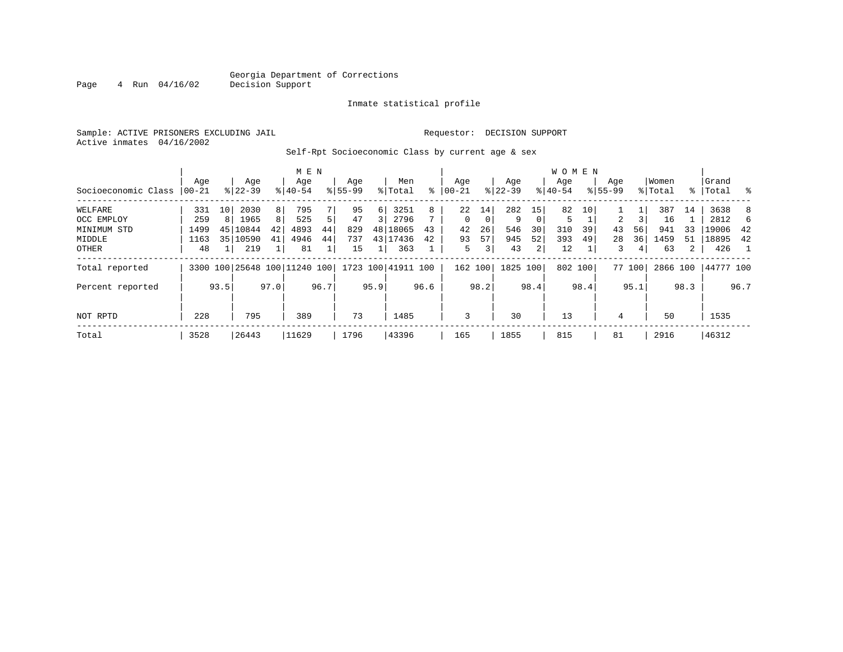#### Georgia Department of Corrections<br>4 Run 04/16/02 Decision Support Page 4 Run 04/16/02 Decision Support

#### Inmate statistical profile

Sample: ACTIVE PRISONERS EXCLUDING JAIL Requestor: DECISION SUPPORT Active inmates 04/16/2002

Self-Rpt Socioeconomic Class by current age & sex

|                     |          |      |                              |      | M E N     |      |             |      |                    |      |           |      |           |          | <b>WOMEN</b> |         |                |        |          |      |           |                  |
|---------------------|----------|------|------------------------------|------|-----------|------|-------------|------|--------------------|------|-----------|------|-----------|----------|--------------|---------|----------------|--------|----------|------|-----------|------------------|
|                     | Aqe      |      | Age                          |      | Age       |      | Age         |      | Men                |      | Age       |      | Age       |          | Aqe          |         | Age            |        | Women    |      | Grand     |                  |
| Socioeconomic Class | $ 00-21$ |      | $8 22-39$                    |      | $8 40-54$ |      | $8155 - 99$ |      | % Total            | ి    | $00 - 21$ | န္   | $22 - 39$ |          | $8 40-54$    |         | $8155 - 99$    |        | % Total  |      | %   Total | $\sim$ $\approx$ |
| WELFARE             | 331      | 10   | 2030                         | 8    | 795       |      | 95          | 6    | 3251               | 8    | 22        | 14   | 282       | 15       | 82           | 10      |                |        | 387      | 14   | 3638      | 8                |
| OCC EMPLOY          | 259      | 8    | 1965                         | 8    | 525       | 5    | 47          | 3    | 2796               |      | $\Omega$  | 0    | 9         | $\Omega$ | 5            |         | $\overline{2}$ |        | 16       |      | 2812      | 6                |
| MINIMUM STD         | 1499     | 45   | 10844                        | 42   | 4893      | 44   | 829         |      | 48 18065           | 43   | 42        | 26   | 546       | 30       | 310          | 39      | 43             | 56     | 941      | 33   | 19006     | 42               |
| MIDDLE              | 1163     | 35   | 10590                        | 41   | 4946      | 44   | 737         |      | 43 17436           | 42   | 93        | 57   | 945       | 52       | 393          | 49      | 28             | 36     | 1459     | 51   | 18895     | 42               |
| OTHER               | 48       |      | 219                          |      | 81        |      | 15          |      | 363                |      | 5         | 3    | 43        | 2        | 12           |         | 3              | 4      | 63       | 2    | 426       | $\overline{1}$   |
| Total reported      |          |      | 3300 100 25648 100 11240 100 |      |           |      |             |      | 1723 100 41911 100 |      | 162 100   |      | 1825      | 100      |              | 802 100 |                | 77 100 | 2866 100 |      | 44777 100 |                  |
| Percent reported    |          | 93.5 |                              | 97.0 |           | 96.7 |             | 95.9 |                    | 96.6 |           | 98.2 |           | 98.4     |              | 98.4    |                | 95.1   |          | 98.3 |           | 96.7             |
| NOT RPTD            | 228      |      | 795                          |      | 389       |      | 73          |      | 1485               |      | 3         |      | 30        |          | 13           |         | 4              |        | 50       |      | 1535      |                  |
| Total               | 3528     |      | 26443                        |      | 11629     |      | 1796        |      | 43396              |      | 165       |      | 1855      |          | 815          |         | 81             |        | 2916     |      | 46312     |                  |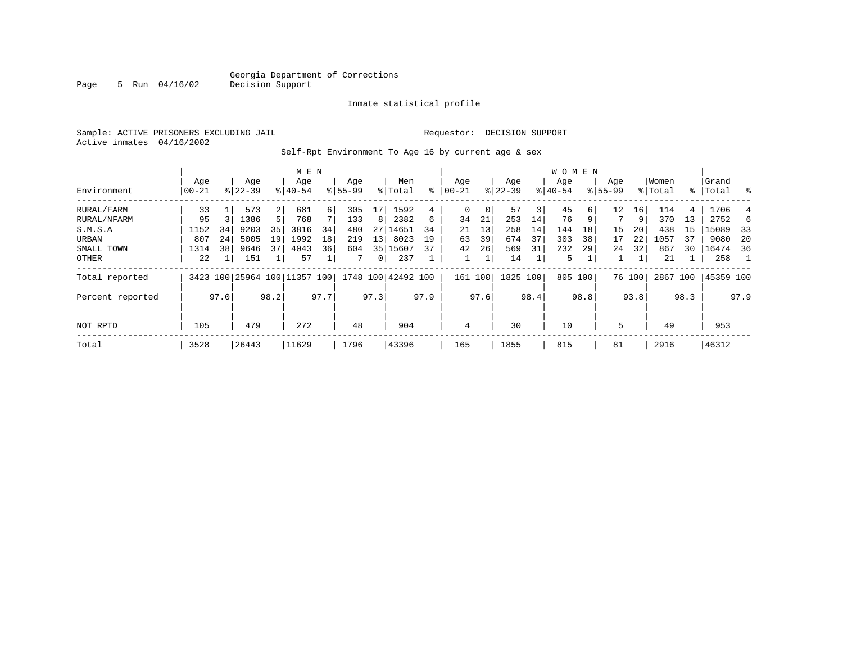Page 5 Run 04/16/02

#### Inmate statistical profile

Sample: ACTIVE PRISONERS EXCLUDING JAIL **Requestor: DECISION SUPPORT** Active inmates 04/16/2002

Self-Rpt Environment To Age 16 by current age & sex

|                  |           |      |             |      | M E N                   |      |          |              |                    |      |          |      |           |      | WOMEN     |      |             |        |         |      |           |      |
|------------------|-----------|------|-------------|------|-------------------------|------|----------|--------------|--------------------|------|----------|------|-----------|------|-----------|------|-------------|--------|---------|------|-----------|------|
|                  | Age       |      | Age         |      | Age                     |      | Age      |              | Men                |      | Age      |      | Age       |      | Age       |      | Age         |        | Women   |      | Grand     |      |
| Environment      | $00 - 21$ |      | $8122 - 39$ |      | $8140 - 54$             |      | $ 55-99$ |              | % Total            | ႜ    | $ 00-21$ |      | $ 22-39 $ |      | $8 40-54$ |      | $8155 - 99$ |        | % Total | ႜ    | Total     | ွေ   |
| RURAL/FARM       | 33        |      | 573         | 2    | 681                     | 6    | 305      | 17           | 1592               | 4    | $\Omega$ | 0    | 57        | 3    | 45        | 6 I  | 12          | 16     | 114     | 4    | 1706      |      |
| RURAL/NFARM      | 95        |      | 1386        |      | 768                     |      | 133      | 8            | 2382               | 6    | 34       | 21   | 253       | 14   | 76        | 9    |             | 9      | 370     | 13   | 2752      |      |
| S.M.S.A          | 1152      | 34   | 9203        | 35   | 3816                    | 34   | 480      | 27           | 14651              | 34   | 21       | 13   | 258       | 14   | 144       | 18   | 15          | 20     | 438     | 15   | 15089     | -33  |
| URBAN            | 807       | 24   | 5005        | 19   | 1992                    | 18   | 219      | 13           | 8023               | 19   | 63       | 39   | 674       | 37   | 303       | 38   | 17          | 22     | 1057    | 37   | 9080      | -20  |
| SMALL TOWN       | 1314      | 38   | 9646        | 37   | 4043                    | 36   | 604      | 35           | 15607              | 37   | 42       | 26   | 569       | 31   | 232       | 29   | 24          | 32     | 867     | 30   | 16474     | 36   |
| OTHER            | 22        |      | 151         |      | 57                      |      |          | $\mathbf{0}$ | 237                |      |          |      | 14        |      | 5         |      |             |        | 21      |      | 258       |      |
| Total reported   | 3423      |      |             |      | 100 25964 100 11357 100 |      |          |              | 1748 100 42492 100 |      | 161 100  |      | 1825 100  |      | 805       | 100  |             | 76 100 | 2867    | 100  | 45359 100 |      |
| Percent reported |           | 97.0 |             | 98.2 |                         | 97.7 |          | 97.3         |                    | 97.9 |          | 97.6 |           | 98.4 |           | 98.8 |             | 93.8   |         | 98.3 |           | 97.9 |
| NOT RPTD         | 105       |      | 479         |      | 272                     |      | 48       |              | 904                |      | 4        |      | 30        |      | 10        |      | 5           |        | 49      |      | 953       |      |
| Total            | 3528      |      | 26443       |      | 11629                   |      | 1796     |              | 43396              |      | 165      |      | 1855      |      | 815       |      | 81          |        | 2916    |      | 46312     |      |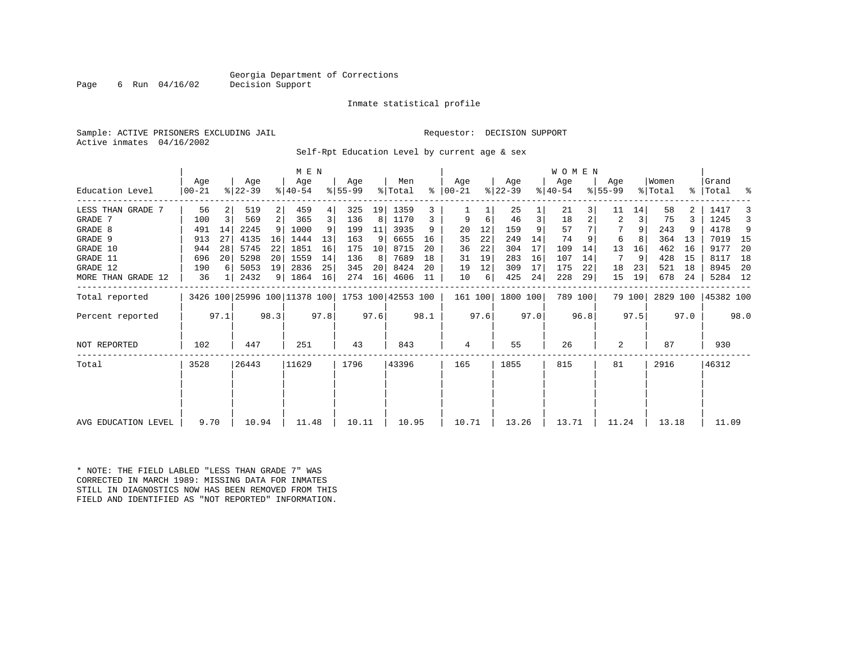#### Georgia Department of Corrections<br>Decision Support

Page 6 Run  $04/16/02$ 

#### Inmate statistical profile

Sample: ACTIVE PRISONERS EXCLUDING JAIL Requestor: DECISION SUPPORT Active inmates 04/16/2002

Self-Rpt Education Level by current age & sex

|                     |                  |      |                              |                 | M E N            |      |                 |      |                    |      |                  |      |                  |      | <b>WOMEN</b>     |         |                  |        |                  |      |                    |      |
|---------------------|------------------|------|------------------------------|-----------------|------------------|------|-----------------|------|--------------------|------|------------------|------|------------------|------|------------------|---------|------------------|--------|------------------|------|--------------------|------|
| Education Level     | Aqe<br>$00 - 21$ |      | Age<br>$ 22-39 $             |                 | Aqe<br>$ 40-54 $ |      | Aqe<br>$ 55-99$ |      | Men<br>% Total     | ွေ   | Aqe<br>$ 00-21 $ |      | Aqe<br>$ 22-39 $ |      | Aqe<br>$ 40-54 $ |         | Aqe<br>$8 55-99$ |        | Women<br>% Total |      | Grand<br>%   Total | နွ   |
|                     |                  |      |                              |                 |                  |      |                 |      |                    |      |                  |      |                  |      |                  |         |                  |        |                  |      |                    |      |
| LESS THAN GRADE 7   | 56               |      | 519                          | 2               | 459              | 4    | 325             | 19   | 1359               |      |                  |      | 25               |      | 21               |         | 11               | 14     | 58               | 2    | 1417               |      |
| GRADE 7             | 100              | 3    | 569                          | 2 <sup>1</sup>  | 365              | 3    | 136             | 8    | 1170               |      | 9                | 6    | 46               | 3    | 18               |         | 2                | 3      | 75               |      | 1245               | 3    |
| GRADE 8             | 491              | 14   | 2245                         | 9               | 1000             | 9    | 199             | 11   | 3935               | 9    | 20               | 12   | 159              |      | 57               |         |                  |        | 243              |      | 4178               | 9    |
| GRADE 9             | 913              | 27   | 4135                         | 16              | 1444             | 13   | 163             | 9    | 6655               | 16   | 35               | 22   | 249              | 14   | 74               |         | 6                |        | 364              | 13   | 7019               | - 15 |
| GRADE 10            | 944              | 28   | 5745                         | 22              | 1851             | 16   | 175             | 10   | 8715               | 20   | 36               | 22   | 304              | 17   | 109              | 14      | 13               | 16     | 462              | 16   | 9177               | -20  |
| GRADE 11            | 696              | 20   | 5298                         | 20 <sup>1</sup> | 1559             | 14   | 136             | 8    | 7689               | 18   | 31               | 19   | 283              | 16   | 107              | 14      | 7                | 9      | 428              | 15   | 8117               | 18   |
| GRADE 12            | 190              | 6    | 5053                         | 19              | 2836             | 25   | 345             | 20   | 8424               | 20   | 19               | 12   | 309              | 17   | 175              | 22      | 18               | 23     | 521              | 18   | 8945               | -20  |
| MORE THAN GRADE 12  | 36               |      | 2432                         | 9 <sup>1</sup>  | 1864             | 16   | 274             | 16   | 4606               | 11   | 10               | 6    | 425              | 24   | 228              | 29      | 15               | 19     | 678              | 24   | 5284 12            |      |
| Total reported      |                  |      | 3426 100 25996 100 11378 100 |                 |                  |      |                 |      | 1753 100 42553 100 |      | 161 100          |      | 1800 100         |      |                  | 789 100 |                  | 79 100 | 2829 100         |      | 45382 100          |      |
| Percent reported    |                  | 97.1 |                              | 98.3            |                  | 97.8 |                 | 97.6 |                    | 98.1 |                  | 97.6 |                  | 97.0 |                  | 96.8    |                  | 97.5   |                  | 97.0 |                    | 98.0 |
| NOT REPORTED        | 102              |      | 447                          |                 | 251              |      | 43              |      | 843                |      | 4                |      | 55               |      | 26               |         | 2                |        | 87               |      | 930                |      |
| Total               | 3528             |      | 26443                        |                 | 11629            |      | 1796            |      | 43396              |      | 165              |      | 1855             |      | 815              |         | 81               |        | 2916             |      | 46312              |      |
|                     |                  |      |                              |                 |                  |      |                 |      |                    |      |                  |      |                  |      |                  |         |                  |        |                  |      |                    |      |
|                     |                  |      |                              |                 |                  |      |                 |      |                    |      |                  |      |                  |      |                  |         |                  |        |                  |      |                    |      |
| AVG EDUCATION LEVEL | 9.70             |      | 10.94                        |                 | 11.48            |      | 10.11           |      | 10.95              |      | 10.71            |      | 13.26            |      | 13.71            |         | 11.24            |        | 13.18            |      | 11.09              |      |

\* NOTE: THE FIELD LABLED "LESS THAN GRADE 7" WAS CORRECTED IN MARCH 1989: MISSING DATA FOR INMATES STILL IN DIAGNOSTICS NOW HAS BEEN REMOVED FROM THIS FIELD AND IDENTIFIED AS "NOT REPORTED" INFORMATION.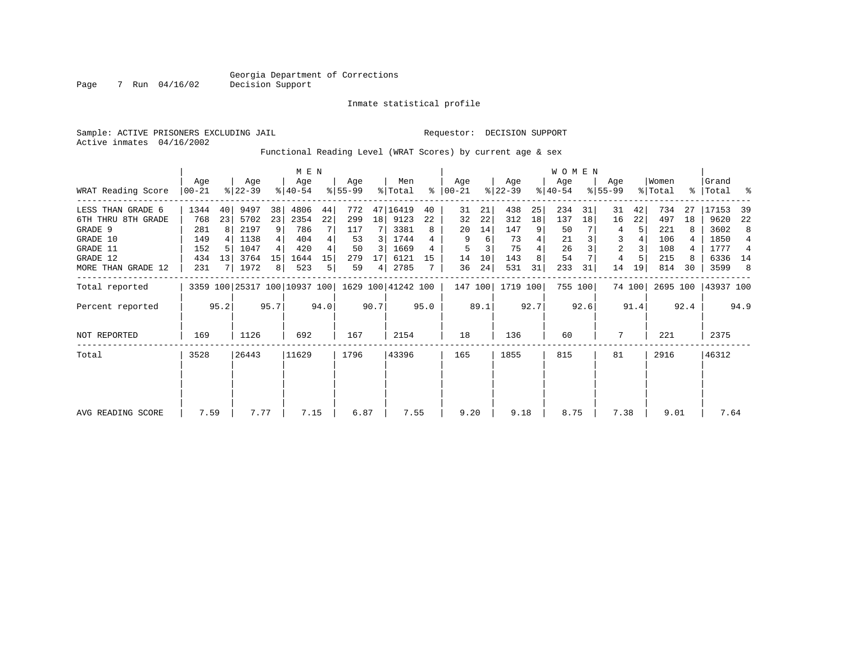Inmate statistical profile

Active inmates 04/16/2002

#### Sample: ACTIVE PRISONERS EXCLUDING JAIL Requestor: DECISION SUPPORT

Functional Reading Level (WRAT Scores) by current age & sex

|                    |                  |       |                  |      |                              |                |                  |      |                    |      |                 |      |                  |      | <b>WOMEN</b>     |         |                    |        |                  |      |                    |      |
|--------------------|------------------|-------|------------------|------|------------------------------|----------------|------------------|------|--------------------|------|-----------------|------|------------------|------|------------------|---------|--------------------|--------|------------------|------|--------------------|------|
| WRAT Reading Score | Age<br>$00 - 21$ |       | Age<br>$ 22-39 $ |      | Age<br>$ 40-54 $             |                | Aqe<br>$ 55-99 $ |      | Men<br>% Total     | ႜ    | Aqe<br>$ 00-21$ |      | Age<br>$ 22-39 $ |      | Age<br>$ 40-54 $ |         | Aqe<br>$8155 - 99$ |        | Women<br>% Total |      | Grand<br>%   Total | ႜ    |
| LESS THAN GRADE 6  | 1344             | 40    | 9497             | 38   | 4806                         | 44             | 772              |      | 47 16419           | 40   | 31              | 21   | 438              | 25   | 234              | 31      | 31                 | 42     | 734              | 27   | 17153              | 39   |
| 6TH THRU 8TH GRADE | 768              | 23    | 5702             | 23   | 2354                         | 22             | 299              | 18   | 9123               | 22   | 32              | 22   | 312              | 18   | 137              | 18      | 16                 | 22     | 497              | 18   | 9620               | 22   |
| GRADE 9            | 281              | 8     | 2197             | 9    | 786                          |                | 117              |      | 3381               | 8    | 20              | 14   | 147              | 9    | 50               |         | 4                  | 5      | 221              |      | 3602               | 8    |
| GRADE 10           | 149              |       | 1138             |      | 404                          | 4              | 53               | 3    | 1744               |      | 9               | 6    | 73               | 4    | 21               |         | 3                  |        | 106              |      | 1850               | 4    |
| GRADE 11           | 152              | .5    | 1047             |      | 420                          | 4              | 50               | 3    | 1669               |      | 5               |      | 75               |      | 26               |         | 2                  |        | 108              |      | 1777               | 4    |
| GRADE 12           | 434              | 13    | 3764             | 15   | 1644                         | 15             | 279              | 17   | 6121               | 15   | 14              | 10   | 143              | 8    | 54               |         | 4                  |        | 215              |      | 6336               | 14   |
| MORE THAN GRADE 12 | 231              |       | 1972             | 8    | 523                          | 5 <sub>1</sub> | 59               | 4    | 2785               |      | 36              | 24   | 531              | 31   | 233              | 31      | 14                 | 19     | 814              | 30   | 3599               | 8    |
| Total reported     |                  |       |                  |      | 3359 100 25317 100 10937 100 |                |                  |      | 1629 100 41242 100 |      | 147 100         |      | 1719 100         |      |                  | 755 100 |                    | 74 100 | 2695 100         |      | 43937 100          |      |
| Percent reported   |                  | 95.2  |                  | 95.7 |                              | 94.0           |                  | 90.7 |                    | 95.0 |                 | 89.1 |                  | 92.7 |                  | 92.6    |                    | 91.4   |                  | 92.4 |                    | 94.9 |
| NOT REPORTED       | 169              |       | 1126             |      | 692                          |                | 167              |      | 2154               |      | 18              |      | 136              |      | 60               |         | 7                  |        | 221              |      | 2375               |      |
| Total              | 3528             | 26443 |                  |      | 11629                        |                | 1796             |      | 43396              |      | 165             |      | 1855             |      | 815              |         | 81                 |        | 2916             |      | 46312              |      |
|                    |                  |       |                  |      |                              |                |                  |      |                    |      |                 |      |                  |      |                  |         |                    |        |                  |      |                    |      |
|                    |                  |       |                  |      |                              |                |                  |      |                    |      |                 |      |                  |      |                  |         |                    |        |                  |      |                    |      |
| AVG READING SCORE  | 7.59             |       | 7.77             |      | 7.15                         |                | 6.87             |      | 7.55               |      | 9.20            |      | 9.18             |      | 8.75             |         | 7.38               |        | 9.01             |      | 7.64               |      |

Page 7 Run 04/16/02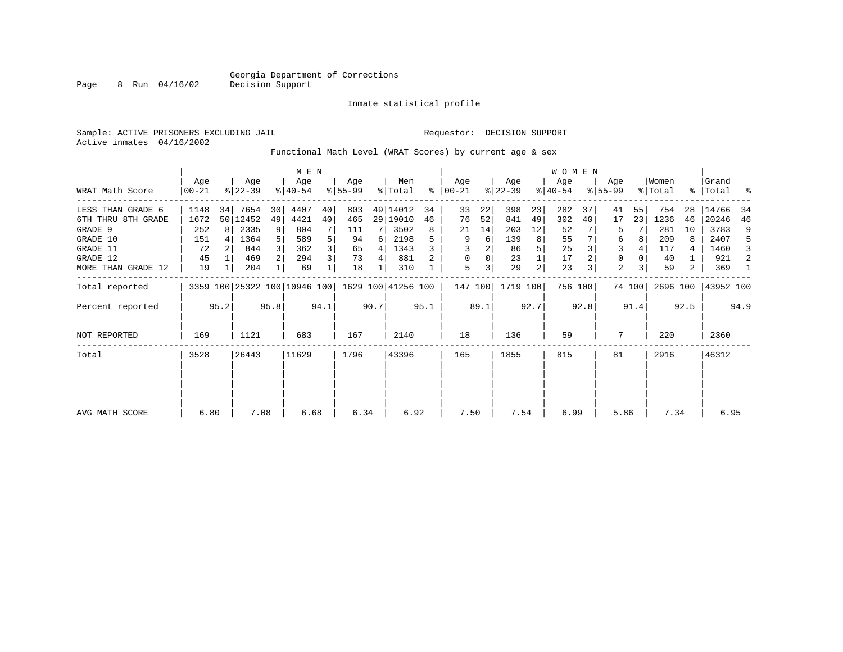Page 8 Run 04/16/02

#### Inmate statistical profile

Sample: ACTIVE PRISONERS EXCLUDING JAIL **Requestor: DECISION SUPPORT** Active inmates 04/16/2002

Functional Math Level (WRAT Scores) by current age & sex

|                     | M E N           |      |                  |      |                                                 |      |                 |      |                |      | W O M E N          |      |                  |      |                  |         |                  |        |                  |      |                      |      |
|---------------------|-----------------|------|------------------|------|-------------------------------------------------|------|-----------------|------|----------------|------|--------------------|------|------------------|------|------------------|---------|------------------|--------|------------------|------|----------------------|------|
| WRAT Math Score     | Age<br>$ 00-21$ |      | Age<br>$ 22-39 $ |      | Age<br>$ 40-54 $                                |      | Age<br>$ 55-99$ |      | Men<br>% Total | ွေ   | Aqe<br>$ 00 - 21 $ |      | Age<br>$ 22-39 $ |      | Age<br>$ 40-54 $ |         | Age<br>$8 55-99$ |        | Women<br>% Total |      | Grand<br>%   Total % |      |
| LESS THAN GRADE 6   | 1148            | 34   | 7654             | 30   | 4407                                            | 40   | 803             |      | 49 14012       | 34   | 33                 | 22   | 398              | 23   | 282              | 37      | 41               | 55     | 754              | 28   | 14766                | 34   |
| 6TH THRU 8TH GRADE  | 1672            |      | 50 12452         | 49   | 4421                                            | 40   | 465             |      | 29 19010       | 46   | 76                 | 52   | 841              | 49   | 302              | 40      | 17               | 23     | 1236             | 46   | 20246                | 46   |
| GRADE 9             | 252             | 8 I  | 2335             | 9    | 804                                             |      | 111             |      | 3502           | 8    | 21                 | 14   | 203              | 12   | 52               |         | 5                |        | 281              | 10   | 3783                 | 9    |
| GRADE 10            | 151             |      | 1364             |      | 589                                             |      | 94              | 6    | 2198           |      | 9                  | 6    | 139              | 8    | 55               |         | 6                |        | 209              | 8    | 2407                 | 5    |
| GRADE 11            | 72              |      | 844              |      | 362                                             |      | 65              | 4    | 1343           |      |                    |      | 86               |      | 25               |         | 3                |        | 117              | 4    | 1460                 | 3    |
| GRADE 12            | 45              |      | 469              |      | 294                                             |      | 73              | 4    | 881            |      | 0                  |      | 23               |      | 17               |         | 0                |        | 40               |      | 921                  | 2    |
| MORE THAN GRADE 12  | 19              |      | 204              |      | 69                                              |      | 18              |      | 310            |      | 5                  | 3    | 29               | 2    | 23               |         | 2                |        | 59               | 2    | 369                  | -1   |
| Total reported      |                 |      |                  |      | 3359 100 25322 100 10946 100 1629 100 41256 100 |      |                 |      |                |      | 147 100            |      | 1719 100         |      |                  | 756 100 |                  | 74 100 | 2696 100         |      | 43952 100            |      |
| Percent reported    |                 | 95.2 |                  | 95.8 |                                                 | 94.1 |                 | 90.7 |                | 95.1 |                    | 89.1 |                  | 92.7 |                  | 92.8    |                  | 91.4   |                  | 92.5 |                      | 94.9 |
| <b>NOT REPORTED</b> | 169             |      | 1121             |      | 683                                             |      | 167             |      | 2140           |      | 18                 |      | 136              |      | 59               |         | 7                |        | 220              |      | 2360                 |      |
| Total               | 3528            |      | 26443            |      | 11629                                           |      | 1796            |      | 43396          |      | 165                |      | 1855             |      | 815              |         | 81               |        | 2916             |      | 46312                |      |
|                     |                 |      |                  |      |                                                 |      |                 |      |                |      |                    |      |                  |      |                  |         |                  |        |                  |      |                      |      |
| AVG MATH SCORE      | 6.80            |      | 7.08             |      | 6.68                                            |      | 6.34            |      | 6.92           |      | 7.50               |      | 7.54             |      | 6.99             |         | 5.86             |        | 7.34             |      | 6.95                 |      |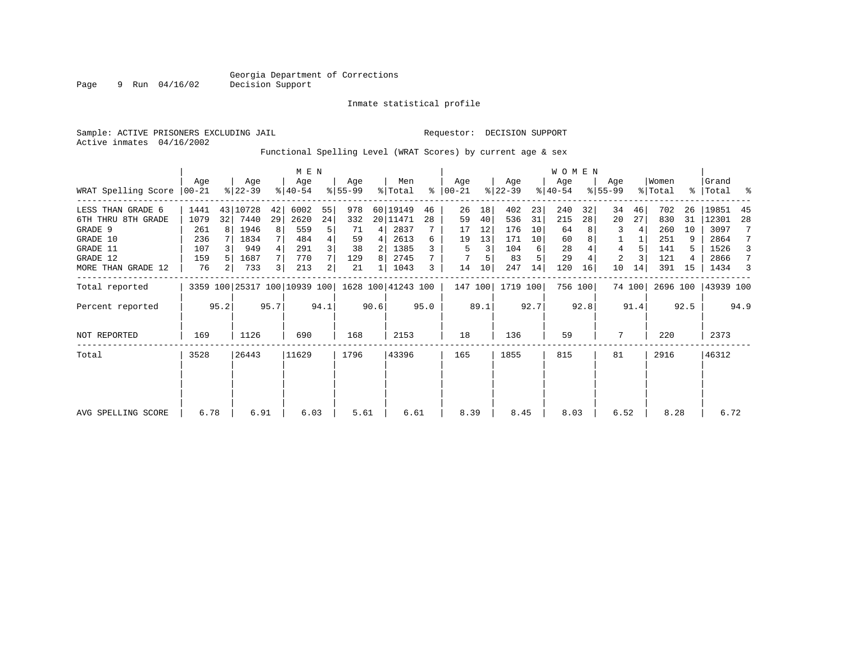Inmate statistical profile

Sample: ACTIVE PRISONERS EXCLUDING JAIL **Requestor: DECISION SUPPORT** 

Active inmates 04/16/2002

Page 9 Run 04/16/02

#### Functional Spelling Level (WRAT Scores) by current age & sex

|                     |                  |      | M E N            |      |                              |      |                 |      |                    |      |                 |      | W O M E N        |      |                  |                 |                    |        |                  |      |                    |      |
|---------------------|------------------|------|------------------|------|------------------------------|------|-----------------|------|--------------------|------|-----------------|------|------------------|------|------------------|-----------------|--------------------|--------|------------------|------|--------------------|------|
| WRAT Spelling Score | Aqe<br>$00 - 21$ |      | Age<br>$ 22-39 $ |      | Age<br>$ 40-54 $             |      | Age<br>$ 55-99$ |      | Men<br>% Total     | ွေ   | Age<br>$ 00-21$ |      | Age<br>$ 22-39 $ |      | Age<br>$ 40-54 $ |                 | Age<br>$8155 - 99$ |        | Women<br>% Total |      | Grand<br>%   Total | း    |
| LESS THAN GRADE 6   | 1441             | 43   | 10728            | 42   | 6002                         | 55   | 978             |      | 60 19149           | 46   | 26              | 18   | 402              | 23   | 240              | 32              | 34                 | 46     | 702              | 26   | 19851              | 45   |
| 6TH THRU 8TH GRADE  | 1079             | 32   | 7440             | 29   | 2620                         | 24   | 332             |      | 20 11471           | 28   | 59              | 40   | 536              | 31   | 215              | 28 <sup>1</sup> | 20                 | 27     | 830              | 31   | 12301              | 28   |
| GRADE 9             | 261              |      | 1946             | 8    | 559                          | 5    | 71              | 4    | 2837               |      | 17              | 12   | 176              | 10   | 64               |                 |                    | 4      | 260              | 10   | 3097               | 7    |
| GRADE 10            | 236              |      | 1834             |      | 484                          | 4    | 59              | 4    | 2613               | 6    | 19              | 13   | 171              | 10   | 60               |                 |                    |        | 251              |      | 2864               | 7    |
| GRADE 11            | 107              |      | 949              |      | 291                          | 3    | 38              | 2    | 1385               |      | 5               | 3    | 104              | 6    | 28               |                 | 4                  |        | 141              |      | 1526               | 3    |
| GRADE 12            | 159              |      | 1687             |      | 770                          |      | 129             | 8    | 2745               |      |                 |      | 83               |      | 29               |                 | $\overline{2}$     |        | 121              |      | 2866               | 7    |
| MORE THAN GRADE 12  | 76               | 2    | 733              | 3    | 213                          | 2    | 21              |      | 1043               | 3    | 14              | 10   | 247              | 14   | 120              | 16              | 10                 | 14     | 391              | 15   | 1434               | 3    |
| Total reported      |                  |      |                  |      | 3359 100 25317 100 10939 100 |      |                 |      | 1628 100 41243 100 |      | 147 100         |      | 1719 100         |      |                  | 756 100         |                    | 74 100 | 2696 100         |      | 43939 100          |      |
| Percent reported    |                  | 95.2 |                  | 95.7 |                              | 94.1 |                 | 90.6 |                    | 95.0 |                 | 89.1 |                  | 92.7 |                  | 92.8            |                    | 91.4   |                  | 92.5 |                    | 94.9 |
| NOT REPORTED        | 169              |      | 1126             |      | 690                          |      | 168             |      | 2153               |      | 18              |      | 136              |      | 59               |                 | 7                  |        | 220              |      | 2373               |      |
| Total               | 3528             |      | 26443            |      | 11629                        |      | 1796            |      | 43396              |      | 165             |      | 1855             |      | 815              |                 | 81                 |        | 2916             |      | 46312              |      |
|                     |                  |      |                  |      |                              |      |                 |      |                    |      |                 |      |                  |      |                  |                 |                    |        |                  |      |                    |      |
|                     |                  |      |                  |      |                              |      |                 |      |                    |      |                 |      |                  |      |                  |                 |                    |        |                  |      |                    |      |
| AVG SPELLING SCORE  | 6.78             |      | 6.91             |      | 6.03                         |      | 5.61            |      | 6.61               |      | 8.39            |      | 8.45             |      | 8.03             |                 | 6.52               |        | 8.28             |      | 6.72               |      |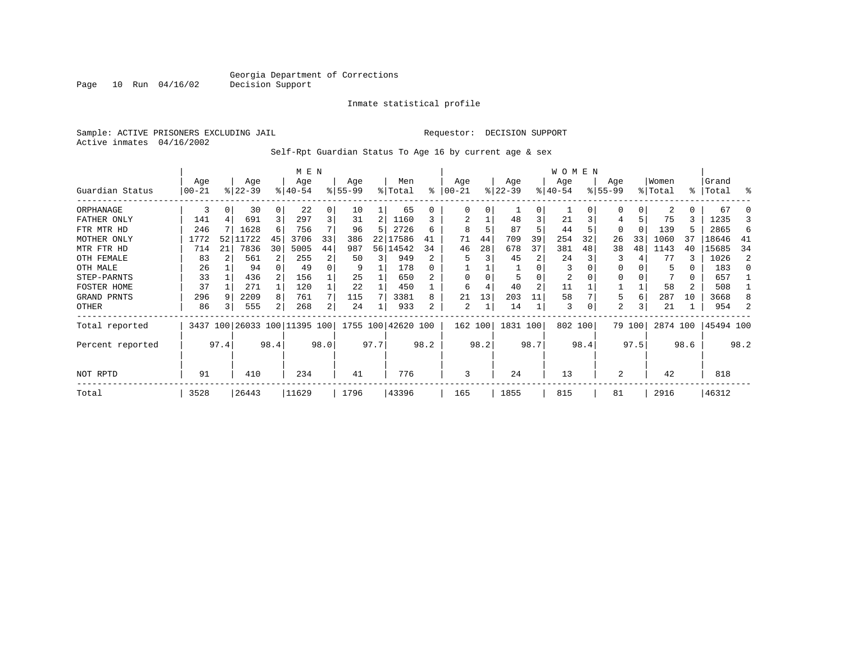Inmate statistical profile

Sample: ACTIVE PRISONERS EXCLUDING JAIL Requestor: DECISION SUPPORT Active inmates 04/16/2002

Self-Rpt Guardian Status To Age 16 by current age & sex

|                  |            |      |          |          | M E N                        |                |           |      |                    |      |          |      |           |                | WOMEN     |      |             |          |          |      |           |      |
|------------------|------------|------|----------|----------|------------------------------|----------------|-----------|------|--------------------|------|----------|------|-----------|----------------|-----------|------|-------------|----------|----------|------|-----------|------|
|                  | Age        |      | Age      |          | Age                          |                | Age       |      | Men                |      | Age      |      | Age       |                | Age       |      | Age         |          | Women    |      | Grand     |      |
| Guardian Status  | $ 00 - 21$ |      | $ 22-39$ |          | $8 40-54$                    |                | $8 55-99$ |      | % Total            | ⊱    | $ 00-21$ |      | $ 22-39 $ |                | $ 40-54 $ |      | $8155 - 99$ |          | % Total  | န္   | Total     | ႜ    |
| ORPHANAGE        | 3          |      | 30       | $\Omega$ | 22                           | 0              | 10        |      | 65                 | 0    | $\Omega$ | 0    |           | <sup>0</sup>   |           |      |             | $\Omega$ | 2        | 0    | 67        |      |
| FATHER ONLY      | 141        |      | 691      |          | 297                          | $\overline{3}$ | 31        | 2    | 1160               |      |          |      | 48        |                | 21        |      |             |          | 75       |      | 1235      |      |
| FTR MTR HD       | 246        |      | 1628     | 6        | 756                          | 7              | 96        | 5    | 2726               | 6    | 8        |      | 87        |                | 44        |      | 0           | $\Omega$ | 139      |      | 2865      | 6    |
| MOTHER ONLY      | 1772       |      | 52 11722 | 45       | 3706                         | 33             | 386       | 22   | .7586              | 41   | 71       | 44   | 709       | 39             | 254       | 32   | 26          | 33       | 1060     | 37   | 18646     | -41  |
| MTR FTR HD       | 714        | 21   | 7836     | 30       | 5005                         | 44             | 987       | 56   | 14542              | 34   | 46       | 28   | 678       | 37             | 381       | 48   | 38          | 48       | 1143     | 40   | 15685     | 34   |
| OTH FEMALE       | 83         |      | 561      |          | 255                          | 2              | 50        | 3    | 949                | 2    |          |      | 45        | 2              | 24        |      | 3           |          | 77       | 3    | 1026      | 2    |
| OTH MALE         | 26         |      | 94       |          | 49                           | 0              | 9         |      | 178                |      |          |      |           |                | 3         |      |             |          | 5        | 0    | 183       | n    |
| STEP-PARNTS      | 33         |      | 436      |          | 156                          |                | 25        |      | 650                |      | $\Omega$ |      |           |                | 2         |      | 0           |          |          | 0    | 657       |      |
| FOSTER HOME      | 37         |      | 271      |          | 120                          |                | 22        |      | 450                |      | 6        |      | 40        | $\overline{2}$ | 11        |      |             |          | 58       | 2    | 508       |      |
| GRAND PRNTS      | 296        |      | 2209     | 8        | 761                          | 7 <sup>1</sup> | 115       |      | 3381               | 8    | 21       | 13   | 203       | 11             | 58        |      | 5           | 6        | 287      | 10   | 3668      |      |
| OTHER            | 86         |      | 555      | 2        | 268                          | $\overline{2}$ | 24        |      | 933                | 2    | 2        |      | 14        |                | 3         |      | 2           | 3        | 21       |      | 954       |      |
| Total reported   |            |      |          |          | 3437 100 26033 100 11395 100 |                |           |      | 1755 100 42620 100 |      | 162 100  |      | 1831 100  |                | 802 100   |      |             | 79 100   | 2874 100 |      | 45494 100 |      |
| Percent reported |            | 97.4 |          | 98.4     |                              | 98.0           |           | 97.7 |                    | 98.2 |          | 98.2 |           | 98.7           |           | 98.4 |             | 97.5     |          | 98.6 |           | 98.2 |
| NOT RPTD         | 91         |      | 410      |          | 234                          |                | 41        |      | 776                |      | 3        |      | 24        |                | 13        |      | 2           |          | 42       |      | 818       |      |
| Total            | 3528       |      | 26443    |          | 11629                        |                | 1796      |      | 43396              |      | 165      |      | 1855      |                | 815       |      | 81          |          | 2916     |      | 46312     |      |

Page 10 Run 04/16/02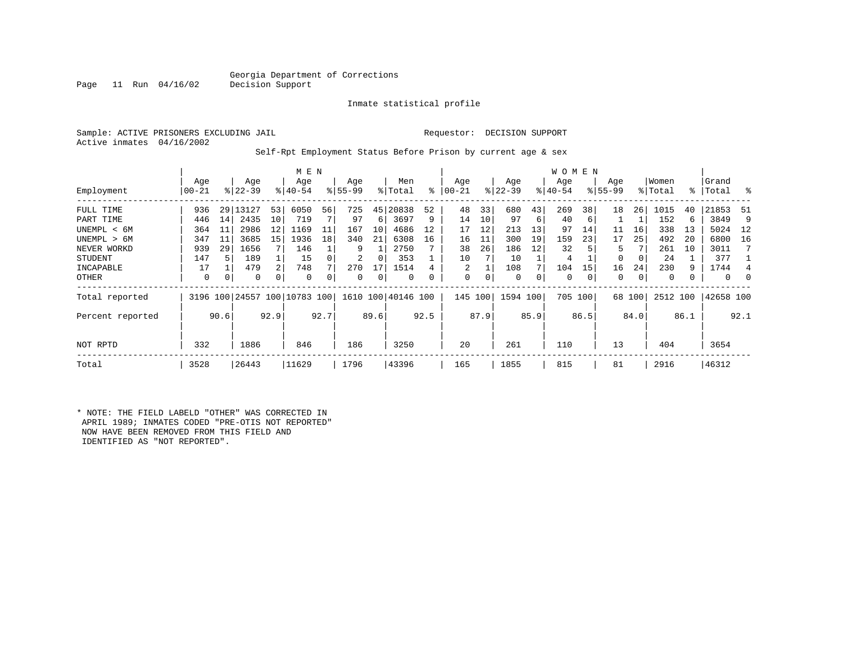#### Georgia Department of Corrections<br>Decision Support

Inmate statistical profile

Active inmates 04/16/2002

#### Sample: ACTIVE PRISONERS EXCLUDING JAIL Requestor: DECISION SUPPORT

Self-Rpt Employment Status Before Prison by current age & sex

|                  |           |      |             |                | M E N                        |      |           |      |                    |      |          |      |           |      | W O M E N |         |             |        |          |      |           |          |
|------------------|-----------|------|-------------|----------------|------------------------------|------|-----------|------|--------------------|------|----------|------|-----------|------|-----------|---------|-------------|--------|----------|------|-----------|----------|
|                  | Age       |      | Age         |                | Age                          |      | Age       |      | Men                |      | Age      |      | Age       |      | Age       |         | Age         |        | Women    |      | Grand     | ွေ       |
| Employment       | $00 - 21$ |      | $8122 - 39$ |                | $8 40-54$                    |      | $8 55-99$ |      | % Total            | ႜ    | $ 00-21$ |      | $ 22-39 $ |      | $ 40-54 $ |         | $8155 - 99$ |        | % Total  |      | %   Total |          |
| FULL TIME        | 936       | 29   | 13127       | 53             | 6050                         | 56   | 725       | 45   | 20838              | 52   | 48       | 33   | 680       | 43   | 269       | 38      | 18          | 26     | 1015     | 40   | 21853     | -51      |
| PART TIME        | 446       | 14   | 2435        | 10             | 719                          |      | 97        | 6    | 3697               | 9    | 14       | 10   | 97        | 6    | 40        | 6       |             |        | 152      | 6    | 3849      | 9        |
| UNEMPL < 6M      | 364       | 11   | 2986        | 12             | 1169                         | 11   | 167       | 10   | 4686               | 12   | 17       | 12   | 213       | 13   | 97        | 14      | 11          | 16     | 338      | 13   | 5024      | - 12     |
| UNEMPL > 6M      | 347       | 11   | 3685        | 15             | 1936                         | 18   | 340       | 21   | 6308               | 16   | 16       | 11   | 300       | 19   | 159       | 23      | 17          | 25     | 492      | 20   | 6800      | 16       |
| NEVER WORKD      | 939       | 29   | 1656        |                | 146                          |      | 9         |      | 2750               |      | 38       | 26   | 186       | 12   | 32        |         | 5           |        | 261      | 10   | 3011      |          |
| STUDENT          | 147       |      | 189         |                | 15                           |      | 2         | 0    | 353                |      | 10       |      | 10        |      | 4         |         | $\Omega$    | 0      | 24       |      | 377       |          |
| INCAPABLE        | 17        |      | 479         | $\overline{2}$ | 748                          |      | 270       | 17   | 1514               |      | 2        |      | 108       |      | 104       | 15      | 16          | 24     | 230      | 9    | 1744      |          |
| OTHER            | 0         | 0    | 0           | 0              | 0                            |      | 0         | 0    | 0                  | 0    | 0        | 0    | $\circ$   | 0    | 0         | 0       | 0           | 0      | 0        |      | 0         | $\Omega$ |
| Total reported   |           |      |             |                | 3196 100 24557 100 10783 100 |      |           |      | 1610 100 40146 100 |      | 145      | 100  | 1594 100  |      |           | 705 100 |             | 68 100 | 2512 100 |      | 42658 100 |          |
| Percent reported |           | 90.6 |             | 92.9           |                              | 92.7 |           | 89.6 |                    | 92.5 |          | 87.9 |           | 85.9 |           | 86.5    |             | 84.0   |          | 86.1 |           | 92.1     |
| NOT RPTD         | 332       |      | 1886        |                | 846                          |      | 186       |      | 3250               |      | 20       |      | 261       |      | 110       |         | 13          |        | 404      |      | 3654      |          |
| Total            | 3528      |      | 26443       |                | 11629                        |      | 1796      |      | 43396              |      | 165      |      | 1855      |      | 815       |         | 81          |        | 2916     |      | 46312     |          |

\* NOTE: THE FIELD LABELD "OTHER" WAS CORRECTED IN APRIL 1989; INMATES CODED "PRE-OTIS NOT REPORTED" NOW HAVE BEEN REMOVED FROM THIS FIELD AND IDENTIFIED AS "NOT REPORTED".

Page 11 Run  $04/16/02$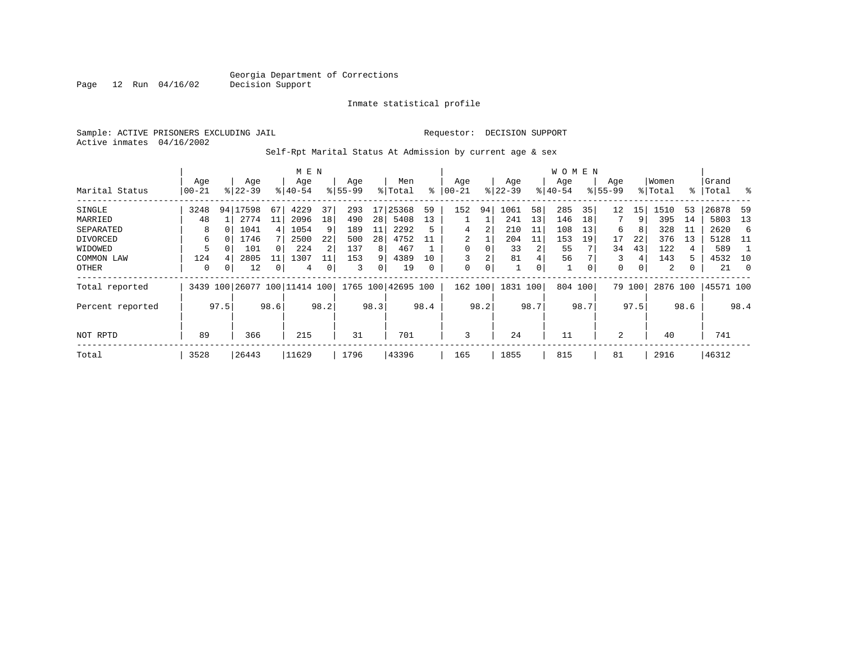Inmate statistical profile

Sample: ACTIVE PRISONERS EXCLUDING JAIL Requestor: DECISION SUPPORT Active inmates 04/16/2002

Self-Rpt Marital Status At Admission by current age & sex

|                  |           |                 |           |      | M E N               |      |          |      |               |      |          |      |           |      | W O M E N |      |             |        |          |      |           |                |
|------------------|-----------|-----------------|-----------|------|---------------------|------|----------|------|---------------|------|----------|------|-----------|------|-----------|------|-------------|--------|----------|------|-----------|----------------|
|                  | Age       |                 | Age       |      | Age                 |      | Age      |      | Men           |      | Age      |      | Age       |      | Age       |      | Age         |        | Women    |      | Grand     |                |
| Marital Status   | $00 - 21$ |                 | $ 22-39 $ |      | $8140 - 54$         |      | $ 55-99$ |      | % Total       | ႜ    | $ 00-21$ |      | $ 22-39 $ |      | $ 40-54 $ |      | $8155 - 99$ |        | % Total  | ွေ   | Total     | ႜ              |
| SINGLE           | 3248      | 94 <sub>1</sub> | 17598     | 67   | 4229                | 37   | 293      | 17   | 25368         | 59   | 152      | 94   | 1061      | 58   | 285       | 35   | 12          | 15     | 1510     | 53   | 26878     | 59             |
| MARRIED          | 48        |                 | 2774      | 11   | 2096                | 18   | 490      | 28   | 5408          | 13   |          |      | 241       | 13   | 146       | 18   | 7           | 9      | 395      | 14   | 5803      | 13             |
| SEPARATED        | 8         |                 | 1041      | 4    | 1054                | 9    | 189      | 11   | 2292          |      | 4        | 2    | 210       | 11   | 108       | 13   | 6           | 8      | 328      | 11   | 2620      | 6              |
| DIVORCED         | 6         |                 | 1746      |      | 2500                | 22   | 500      | 28   | 4752          |      | 2        |      | 204       | 11   | 153       | 19   | 17          | 22     | 376      | 13   | 5128      | - 11           |
| WIDOWED          | 5         |                 | 101       |      | 224                 | 2    | 137      | 8    | 467           |      | 0        | 0    | 33        | 2    | 55        |      | 34          | 43     | 122      | 4    | 589       |                |
| COMMON LAW       | 124       |                 | 2805      | 11   | 1307                | 11   | 153      | 9    | 4389          | 10   | 3        | 2    | 81        | 4    | 56        |      | 3           | 4      | 143      | 5    | 4532      | 10             |
| OTHER            | 0         |                 | 12        | 0    | 4                   | 0    | 3        | 0    | 19            |      | 0        | 0    |           | 0    |           |      | 0           | 0      | 2        | 0    | 21        | $\overline{0}$ |
| Total reported   | 3439      | 100             |           |      | 26077 100 11414 100 |      | 1765     |      | 100 42695 100 |      | 162 100  |      | 1831      | 100  | 804       | 100  |             | 79 100 | 2876 100 |      | 45571 100 |                |
| Percent reported |           | 97.5            |           | 98.6 |                     | 98.2 |          | 98.3 |               | 98.4 |          | 98.2 |           | 98.7 |           | 98.7 |             | 97.5   |          | 98.6 |           | 98.4           |
| NOT RPTD         | 89        |                 | 366       |      | 215                 |      | 31       |      | 701           |      | 3        |      | 24        |      | 11        |      | 2           |        | 40       |      | 741       |                |
| Total            | 3528      |                 | 26443     |      | 11629               |      | 1796     |      | 43396         |      | 165      |      | 1855      |      | 815       |      | 81          |        | 2916     |      | 46312     |                |

Page 12 Run 04/16/02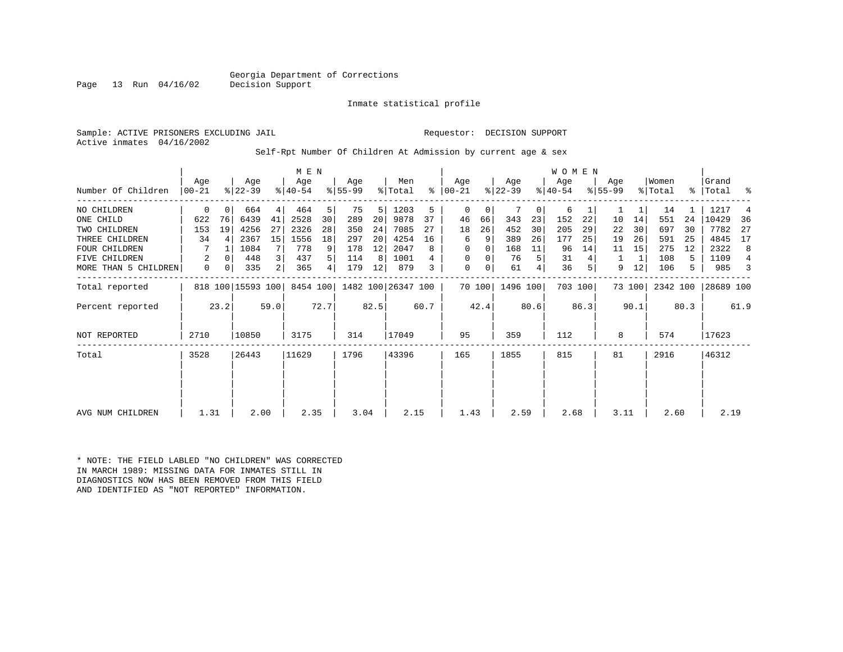#### Georgia Department of Corrections<br>Decision Support

Inmate statistical profile

Sample: ACTIVE PRISONERS EXCLUDING JAIL Requestor: DECISION SUPPORT Active inmates 04/16/2002

Self-Rpt Number Of Children At Admission by current age & sex

|                      |                 | M E N    |                   |                |                  |      |                  |      |                    |      |                 | W O M E N      |                  |                |                  |         |                  |        |                  |      |                |                |
|----------------------|-----------------|----------|-------------------|----------------|------------------|------|------------------|------|--------------------|------|-----------------|----------------|------------------|----------------|------------------|---------|------------------|--------|------------------|------|----------------|----------------|
| Number Of Children   | Age<br>$ 00-21$ |          | Age<br>$ 22-39 $  |                | Age<br>$ 40-54 $ |      | Age<br>$ 55-99 $ |      | Men<br>% Total     | ⊱    | Age<br>$ 00-21$ |                | Age<br>$ 22-39 $ |                | Age<br>$ 40-54 $ |         | Age<br>$ 55-99 $ |        | Women<br>% Total | န္   | Grand<br>Total | ႜ              |
| NO CHILDREN          | 0               | $\Omega$ | 664               | 4              | 464              | 5    | 75               | 5    | 1203               | 5    | $\Omega$        | 0              |                  | 0 <sup>1</sup> | 6                |         |                  | 1      | 14               |      | 1217           | $\overline{4}$ |
| ONE CHILD            | 622             | 76       | 6439              | 41             | 2528             | 30   | 289              | 20   | 9878               | 37   | 46              | 66             | 343              | 23             | 152              | 22      | 10               | 14     | 551              | 24   | 10429          | 36             |
| TWO CHILDREN         | 153             | 19       | 4256              | 27             | 2326             | 28   | 350              | 24   | 7085               | 27   | 18              | 26             | 452              | 30             | 205              | 29      | 22               | 30     | 697              | 30   | 7782           | 27             |
| THREE CHILDREN       | 34              | 4        | 2367              | 15             | 1556             | 18   | 297              | 20   | 4254               | 16   | 6               | 9              | 389              | 26             | 177              | 25      | 19               | 26     | 591              | 25   | 4845           | 17             |
| FOUR CHILDREN        |                 |          | 1084              | 7              | 778              | 9    | 178              | 12   | 2047               | 8    | 0               | 0              | 168              | 11             | 96               | 14      | 11               | 15     | 275              | 12   | 2322           | 8              |
| FIVE<br>CHILDREN     | 2               | 0        | 448               | 3              | 437              | 5    | 114              | 8    | 1001               |      | $\mathbf 0$     | 0              | 76               | 5              | 31               |         |                  | 1      | 108              | 5    | 1109           | 4              |
| MORE THAN 5 CHILDREN | 0               | 0        | 335               | $\overline{2}$ | 365              | 4    | 179              | 12   | 879                | 3    | 0               | 0 <sup>1</sup> | 61               |                | 36               |         | 9                | 12     | 106              | 5    | 985            | 3              |
| Total reported       |                 |          | 818 100 15593 100 |                | 8454 100         |      |                  |      | 1482 100 26347 100 |      |                 |                | 70 100 1496 100  |                |                  | 703 100 |                  | 73 100 | 2342 100         |      | 28689 100      |                |
| Percent reported     |                 | 23.2     |                   | 59.0           |                  | 72.7 |                  | 82.5 |                    | 60.7 |                 | 42.4           |                  | 80.6           |                  | 86.3    |                  | 90.1   |                  | 80.3 |                | 61.9           |
| NOT REPORTED         | 2710            |          | 10850             |                | 3175             |      | 314              |      | 17049              |      | 95              |                | 359              |                | 112              |         | 8                |        | 574              |      | 17623          |                |
| Total                | 3528            |          | 26443             |                | 11629            |      | 1796             |      | 43396              |      | 165             |                | 1855             |                | 815              |         | 81               |        | 2916             |      | 46312          |                |
| AVG NUM CHILDREN     | 1.31            |          | 2.00              |                | 2.35             |      | 3.04             |      | 2.15               |      | 1.43            |                | 2.59             |                | 2.68             |         | 3.11             |        | 2.60             |      | 2.19           |                |

\* NOTE: THE FIELD LABLED "NO CHILDREN" WAS CORRECTED IN MARCH 1989: MISSING DATA FOR INMATES STILL IN DIAGNOSTICS NOW HAS BEEN REMOVED FROM THIS FIELD AND IDENTIFIED AS "NOT REPORTED" INFORMATION.

Page 13 Run  $04/16/02$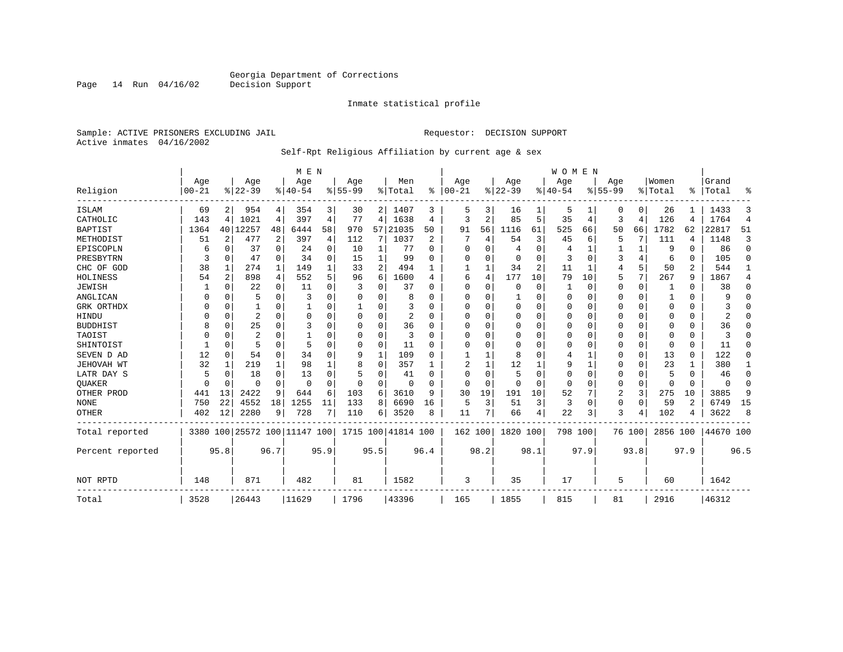Inmate statistical profile

Sample: ACTIVE PRISONERS EXCLUDING JAIL **Requestor: DECISION SUPPORT** Active inmates 04/16/2002

#### Self-Rpt Religious Affiliation by current age & sex

|                  |           |                |           |          | M E N                        |                |             |                |                    |          |            |                |           |      | <b>WOMEN</b> |          |                |                |          |          |           |                |
|------------------|-----------|----------------|-----------|----------|------------------------------|----------------|-------------|----------------|--------------------|----------|------------|----------------|-----------|------|--------------|----------|----------------|----------------|----------|----------|-----------|----------------|
|                  | Age       |                | Age       |          | Age                          |                | Age         |                | Men                |          | Age        |                | Age       |      | Aqe          |          | Age            |                | Women    |          | Grand     |                |
| Religion         | $00 - 21$ |                | $8 22-39$ |          | $8 40-54$                    |                | $8155 - 99$ |                | % Total            | ွေ       | $ 00 - 21$ |                | $8 22-39$ |      | $ 40-54$     |          | $8155 - 99$    |                | % Total  | ፠        | Total     | ዱ              |
| <b>ISLAM</b>     | 69        | 2 <sub>1</sub> | 954       | 4        | 354                          | $\overline{3}$ | 30          | 2              | 1407               | 3        | 5          | 3              | 16        | ı    | 5            |          | 0              | 0              | 26       |          | 1433      | 3              |
| CATHOLIC         | 143       | 4              | 1021      | 4        | 397                          | 4              | 77          | 4              | 1638               | 4        | 3          | $\overline{2}$ | 85        | 5    | 35           | 4        | 3              | $\overline{4}$ | 126      | 4        | 1764      | $\overline{4}$ |
| <b>BAPTIST</b>   | 1364      |                | 40 12257  | 48       | 6444                         | 58             | 970         | 57             | 21035              | 50       | 91         | 56             | 1116      | 61   | 525          | 66       | 50             | 66             | 1782     | 62       | 22817     | 51             |
| METHODIST        | 51        | 2              | 477       | 2        | 397                          | 4              | 112         | 7              | 1037               | 2        |            | 4              | 54        | 3    | 45           | 6        | 5              | 7              | 111      | 4        | 1148      | 3              |
| EPISCOPLN        | 6         | $\Omega$       | 37        | $\Omega$ | 24                           | 0              | 10          | 1              | 77                 | $\Omega$ |            | $\Omega$       | 4         | 0    | 4            |          |                | $\mathbf{1}$   | 9        | $\Omega$ | 86        | $\mathbf 0$    |
| PRESBYTRN        | 3         | $\Omega$       | 47        | $\Omega$ | 34                           | 0              | 15          | 1              | 99                 | O        | O          | $\Omega$       | $\Omega$  | 0    | 3            | $\Omega$ | 3              | 4              | 6        | $\Omega$ | 105       | $\Omega$       |
| CHC OF GOD       | 38        | 1              | 274       | 1        | 149                          | 1              | 33          | $\overline{2}$ | 494                |          |            |                | 34        | 2    | 11           | 1        | $\overline{4}$ | 5              | 50       | 2        | 544       | 1              |
| HOLINESS         | 54        | 2              | 898       | 4        | 552                          | 5              | 96          | 6              | 1600               | 4        | 6          | 4              | 177       | 10   | 79           | 10       | 5              | 7              | 267      | 9        | 1867      | 4              |
| <b>JEWISH</b>    |           | O              | 22        | 0        | 11                           | 0              | 3           | 0              | 37                 | U        | $\Omega$   | $\Omega$       | $\Omega$  | 0    |              | $\Omega$ | 0              | $\Omega$       |          | $\Omega$ | 38        | $\Omega$       |
| ANGLICAN         | U         | O              | 5         | 0        | 3                            | 0              | U           | U              | 8                  | U        | ∩          | ∩              |           | 0    | $\Omega$     | $\Omega$ | 0              | $\Omega$       |          | $\Omega$ | q         | $\Omega$       |
| GRK ORTHDX       |           | $\Omega$       |           | 0        |                              | U              |             | U              | 3                  | U        | O          |                | $\Omega$  | U    | $\Omega$     | $\Omega$ | 0              | $\Omega$       | $\Omega$ | $\Omega$ |           | O              |
| HINDU            |           | O              | 2         | O        | $\Omega$                     | 0              | U           | 0              | 2                  | O        |            | $\Omega$       | $\Omega$  | U    | $\Omega$     | $\Omega$ | U              | $\Omega$       | $\Omega$ | $\Omega$ |           | $\cap$         |
| <b>BUDDHIST</b>  |           | $\Omega$       | 25        | O        | 3                            | O              | U           | 0              | 36                 | O        |            |                | $\Omega$  | U    |              | $\Omega$ | Ω              | $\Omega$       | $\Omega$ | $\Omega$ | 36        | O              |
| TAOIST           |           | U              | 2         | U        |                              | 0              | 0           | 0              | 3                  | U        |            |                | $\Omega$  | 0    | 0            | $\Omega$ | 0              | $\Omega$       | $\Omega$ | $\Omega$ |           |                |
| SHINTOIST        |           | $\Omega$       | 5         | 0        | 5                            | $\Omega$       | U           | $\Omega$       | 11                 | U        | ∩          |                | $\Omega$  | U    | $\Omega$     | $\Omega$ | 0              | $\Omega$       | $\Omega$ | $\Omega$ | 11        | U              |
| SEVEN D AD       | 12        | $\Omega$       | 54        | $\Omega$ | 34                           | 0              | 9           | 1              | 109                | O        |            |                | 8         | U    |              |          | 0              | $\Omega$       | 13       | $\Omega$ | 122       | $\Omega$       |
| JEHOVAH WT       | 32        |                | 219       | 1        | 98                           |                | 8           | $\Omega$       | 357                |          |            |                | 12        |      | 9            |          | 0              | $\Omega$       | 23       |          | 380       | 1              |
| LATR DAY S       | 5         | 0              | 18        | $\Omega$ | 13                           | 0              | 5           | 0              | 41                 | U        | ∩          | $\Omega$       | 5         | 0    | $\Omega$     | $\Omega$ | 0              | $\Omega$       | 5        | $\Omega$ | 46        | 0              |
| <b>OUAKER</b>    | $\Omega$  | $\Omega$       | U         | $\Omega$ | $\Omega$                     | $\Omega$       | $\Omega$    | 0              | $\Omega$           | $\Omega$ | $\Omega$   | $\Omega$       | $\Omega$  | O    | $\Omega$     | $\Omega$ | 0              | 0              | $\Omega$ | $\Omega$ | $\Omega$  | $\Omega$       |
| OTHER PROD       | 441       | 13             | 2422      | 9        | 644                          | 6              | 103         | 6              | 3610               | 9        | 30         | 19             | 191       | 10   | 52           | 7        | 2              | 3              | 275      | 10       | 3885      | 9              |
| <b>NONE</b>      | 750       | 22             | 4552      | 18       | 1255                         | 11             | 133         | 8              | 6690               | 16       | 5          | 3              | 51        | 3    | 3            | $\Omega$ | 0              | $\Omega$       | 59       | 2        | 6749      | 15             |
| OTHER            | 402       | 12             | 2280      | 9        | 728                          | 7              | 110         | 6              | 3520               | 8        | 11         | 7              | 66        | 4    | 22           | 3        | 3              | 4              | 102      | 4        | 3622      | 8              |
| Total reported   |           |                |           |          | 3380 100 25572 100 11147 100 |                |             |                | 1715 100 41814 100 |          | 162 100    |                | 1820 100  |      | 798 100      |          |                | 76 100         | 2856 100 |          | 44670 100 |                |
| Percent reported |           | 95.8           |           | 96.7     |                              | 95.9           |             | 95.5           |                    | 96.4     |            | 98.2           |           | 98.1 |              | 97.9     |                | 93.8           |          | 97.9     |           | 96.5           |
| NOT RPTD         | 148       |                | 871       |          | 482                          |                | 81          |                | 1582               |          | 3          |                | 35        |      | 17           |          | 5              |                | 60       |          | 1642      |                |
| Total            | 3528      |                | 26443     |          | 11629                        |                | 1796        |                | 43396              |          | 165        |                | 1855      |      | 815          |          | 81             |                | 2916     |          | 46312     |                |

Page 14 Run 04/16/02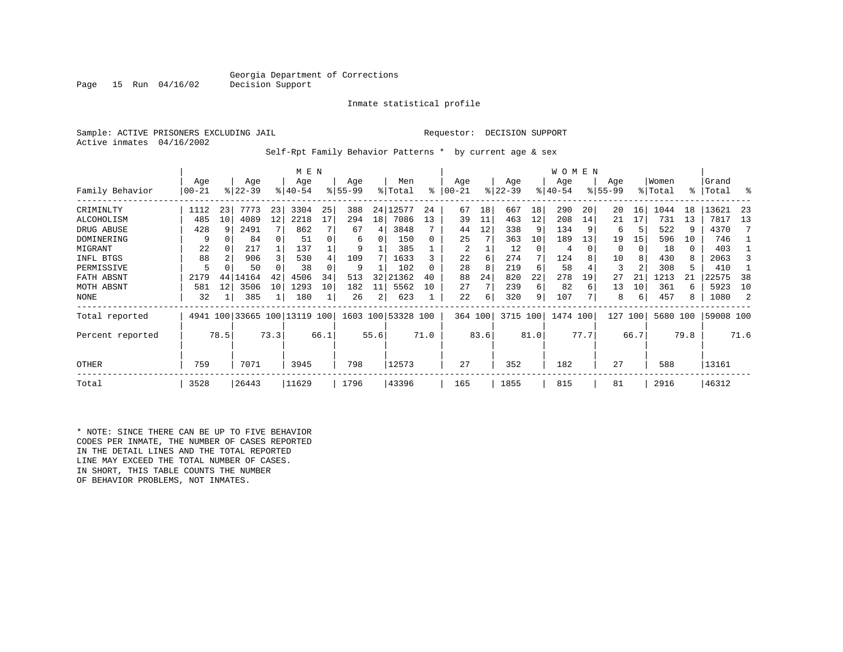#### Georgia Department of Corrections<br>Decision Support

#### Inmate statistical profile

|  |                           | Sample: ACTIVE PRISONERS EXCLUDING JAI |  |
|--|---------------------------|----------------------------------------|--|
|  | Active inmates 04/16/2002 |                                        |  |

Page 15 Run 04/16/02

IL Requestor: DECISION SUPPORT

Self-Rpt Family Behavior Patterns \* by current age & sex

|                   |                  |          |                  |         | M E N                        |      |                  |      |                    |      |                   |      |                  |          | W O M E N       |          |                 |      |                  |      |                    |      |
|-------------------|------------------|----------|------------------|---------|------------------------------|------|------------------|------|--------------------|------|-------------------|------|------------------|----------|-----------------|----------|-----------------|------|------------------|------|--------------------|------|
| Family Behavior   | Age<br>$00 - 21$ |          | Age<br>$ 22-39 $ |         | Age<br>$8140 - 54$           |      | Age<br>$8 55-99$ |      | Men<br>% Total     | ፠    | Age<br>$ 00 - 21$ |      | Age<br>$ 22-39 $ |          | Age<br>$ 40-54$ |          | Age<br>$ 55-99$ |      | Women<br>% Total |      | Grand<br>%   Total | ႜ    |
|                   |                  |          |                  |         |                              |      |                  |      |                    |      |                   |      |                  |          |                 |          |                 |      |                  |      |                    |      |
| CRIMINLTY         | 1112             | 23       | 7773             | 23      | 3304                         | 25   | 388              |      | 24 12577           | 24   | 67                | 18   | 667              | 18       | 290             | 20       | 20              | 16   | 1044             | 18   | 13621              | 23   |
| ALCOHOLISM        | 485              | 10       | 4089             | $12 \,$ | 2218                         | 17   | 294              | 18   | 7086               | 13   | 39                | 11   | 463              | 12       | 208             | 14       | 21              | 17   | 731              | 13   | 7817               | 13   |
| DRUG ABUSE        | 428              | q        | 2491             |         | 862                          |      | 67               | 4    | 3848               |      | 44                | 12   | 338              | 9        | 134             | -9       | 6               | 5    | 522              | 9    | 4370               |      |
| <b>DOMINERING</b> | 9                | $\Omega$ | 84               | 0       | 51                           |      | 6                | 0    | 150                | 0    | 25                |      | 363              | 10       | 189             | 13       | 19              | 15   | 596              | 10   | 746                |      |
| MIGRANT           | 22               | 0        | 217              |         | 137                          |      | 9                |      | 385                |      | 2                 |      | 12               | $\Omega$ | 4               | $\Omega$ | $\Omega$        |      | 18               | 0    | 403                |      |
| INFL BTGS         | 88               |          | 906              | 3       | 530                          |      | 109              |      | 1633               |      | 22                | 6    | 274              | 7        | 124             |          | 10              |      | 430              | 8    | 2063               |      |
| PERMISSIVE        | 5                |          | 50               |         | 38                           |      | 9                |      | 102                | 0    | 28                | 8    | 219              | 6        | 58              |          | 3               |      | 308              | 5    | 410                |      |
| FATH ABSNT        | 2179             | 44       | 14164            | 42      | 4506                         | 34   | 513              | 32   | 21362              | 40   | 88                | 24   | 820              | 22       | 278             | 19       | 27              | 21   | 1213             | 21   | 22575              | 38   |
| MOTH ABSNT        | 581              | 12       | 3506             | 10      | 1293                         | 10   | 182              | 11   | 5562               | 10   | 27                | 7    | 239              | 6        | 82              | 6        | 13              | 10   | 361              | 6    | 5923               | 10   |
| <b>NONE</b>       | 32               |          | 385              |         | 180                          |      | 26               | 2    | 623                |      | 22                | б.   | 320              | 9        | 107             |          | 8               | 6    | 457              | 8    | 1080               | 2    |
| Total reported    |                  |          |                  |         | 4941 100 33665 100 13119 100 |      |                  |      | 1603 100 53328 100 |      | 364 100           |      | 3715 100         |          | 1474 100        |          | 127             | 100  | 5680 100         |      | 59008 100          |      |
| Percent reported  |                  | 78.5     |                  | 73.3    |                              | 66.1 |                  | 55.6 |                    | 71.0 |                   | 83.6 |                  | 81.0     |                 | 77.7     |                 | 66.7 |                  | 79.8 |                    | 71.6 |
| OTHER             | 759              |          | 7071             |         | 3945                         |      | 798              |      | 12573              |      | 27                |      | 352              |          | 182             |          | 27              |      | 588              |      | 13161              |      |
| Total             | 3528             |          | 26443            |         | 11629                        |      | 1796             |      | 43396              |      | 165               |      | 1855             |          | 815             |          | 81              |      | 2916             |      | 46312              |      |

\* NOTE: SINCE THERE CAN BE UP TO FIVE BEHAVIOR CODES PER INMATE, THE NUMBER OF CASES REPORTED IN THE DETAIL LINES AND THE TOTAL REPORTED LINE MAY EXCEED THE TOTAL NUMBER OF CASES. IN SHORT, THIS TABLE COUNTS THE NUMBER OF BEHAVIOR PROBLEMS, NOT INMATES.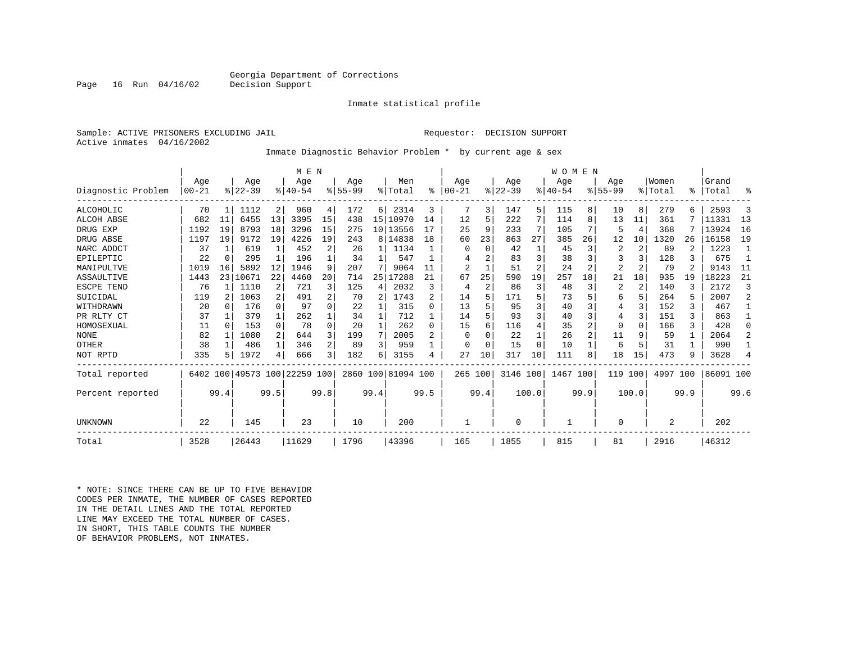#### Georgia Department of Corrections<br>Decision Support

Inmate statistical profile

Sample: ACTIVE PRISONERS EXCLUDING JAIL Requestor: DECISION SUPPORT Active inmates 04/16/2002

Page 16 Run 04/16/02

Inmate Diagnostic Behavior Problem \* by current age & sex

|                    |                  |      |                 |              | M E N                        |          |                    |              |                    |          |                  |                |                  |                | <b>WOMEN</b>     |      |                    |                |                  |               |                |                |
|--------------------|------------------|------|-----------------|--------------|------------------------------|----------|--------------------|--------------|--------------------|----------|------------------|----------------|------------------|----------------|------------------|------|--------------------|----------------|------------------|---------------|----------------|----------------|
| Diagnostic Problem | Age<br>$00 - 21$ |      | Age<br>$ 22-39$ |              | Age<br>$8 40-54$             |          | Age<br>$8155 - 99$ |              | Men<br>% Total     | ႜ        | Age<br>$00 - 21$ |                | Age<br>$ 22-39 $ |                | Age<br>$8 40-54$ |      | Age<br>$8155 - 99$ |                | Women<br>% Total | $\frac{1}{6}$ | Grand<br>Total | ៖              |
| ALCOHOLIC          | 70               |      | 1112            | 2            | 960                          | 4        | 172                | 6            | 2314               | 3        |                  | 3              | 147              | 5.             | 115              | 8    | 10                 | 8              | 279              |               | 2593           | 3              |
| <b>ALCOH ABSE</b>  | 682              | 11   | 6455            | 13           | 3395                         | 15       | 438                |              | 15 10970           | 14       | 12               | 5              | 222              | 7              | 114              | 8    | 13                 | 11             | 361              |               | 11331          | 13             |
| DRUG EXP           | 1192             | 19   | 8793            | 18           | 3296                         | 15       | 275                |              | 10 13556           |          | 25               | 9              | 233              | 7              | 105              |      | 5                  | 4              | 368              |               | 13924          | 16             |
| DRUG ABSE          | 1197             | 19   | 9172            | 19           | 4226                         | 19       | 243                |              | 8 14838            | 18       | 60               | 23             | 863              | 27             | 385              | 26   | 12                 | 10             | 1320             | 26            | 16158          | 19             |
| NARC ADDCT         | 37               |      | 619             | $\mathbf{1}$ | 452                          | 2        | 26                 | 1            | 1134               |          |                  | $\Omega$       | 42               |                | 45               |      | 2                  | 2              | 89               | 2             | 1223           |                |
| EPILEPTIC          | 22               |      | 295             | 1            | 196                          |          | 34                 | 1            | 547                |          |                  |                | 83               | 3              | 38               |      | 3                  |                | 128              | 3             | 675            | 1              |
| MANIPULTVE         | 1019             | 16   | 5892            | 12           | 1946                         | 9        | 207                |              | 9064               |          | 2                |                | 51               | $\overline{2}$ | 24               | 2    | 2                  |                | 79               |               | 9143           | -11            |
| ASSAULTIVE         | 1443             | 231  | 10671           | 22           | 4460                         | 20       | 714                | 25           | 17288              | 21       | 67               | 25             | 590              | 19             | 257              | 18   | 21                 | 18             | 935              | 19            | 18223          | 21             |
| ESCPE TEND         | 76               |      | 1110            | 2            | 721                          | 3        | 125                | 4            | 2032               | ζ        | 4                | $\mathfrak{D}$ | 86               | 3              | 48               |      | 2                  | $\overline{2}$ | 140              |               | 2172           | 3              |
| SUICIDAL           | 119              | 2    | 1063            | 2            | 491                          | 2        | 70                 | 2            | 1743               | 2        | 14               |                | 171              | 5              | 73               |      | 6                  | 5              | 264              |               | 2007           | $\overline{2}$ |
| WITHDRAWN          | 20               | 0    | 176             | $\Omega$     | 97                           | 0        | 22                 |              | 315                | $\Omega$ | 13               |                | 95               | ζ              | 40               |      | 4                  |                | 152              |               | 467            |                |
| PR RLTY CT         | 37               |      | 379             | 1            | 262                          |          | 34                 |              | 712                |          | 14               |                | 93               | 3              | 40               |      | 4                  | 3              | 151              |               | 863            |                |
| HOMOSEXUAL         | 11               | 0    | 153             | $\Omega$     | 78                           | $\Omega$ | 20                 | $\mathbf{1}$ | 262                | $\Omega$ | 15               |                | 116              | 4              | 35               |      | 0                  | 0              | 166              | 3             | 428            | $\Omega$       |
| <b>NONE</b>        | 82               |      | 1080            | 2            | 644                          | 3        | 199                | 7            | 2005               | 2        | 0                |                | 22               |                | 26               |      | 11                 | 9              | 59               |               | 2064           | 2              |
| OTHER              | 38               |      | 486             | 1            | 346                          | 2        | 89                 | 3            | 959                |          | <sup>0</sup>     | U              | 15               | $\Omega$       | 10               |      | 6                  | 5              | 31               |               | 990            |                |
| NOT RPTD           | 335              |      | 1972            | 4            | 666                          | 3        | 182                | 6            | 3155               | 4        | 27               | 10             | 317              | 10             | 111              | 8    | 18                 | 15             | 473              | 9             | 3628           | 4              |
| Total reported     |                  |      |                 |              | 6402 100 49573 100 22259 100 |          |                    |              | 2860 100 81094 100 |          | 265 100          |                | 3146 100         |                | 1467 100         |      | 119                | 100            | 4997             | 100           | 86091 100      |                |
| Percent reported   |                  | 99.4 |                 | 99.5         |                              | 99.8     |                    | 99.4         |                    | 99.5     |                  | 99.4           |                  | 100.0          |                  | 99.9 |                    | 100.0          |                  | 99.9          |                | 99.6           |
| UNKNOWN            | 22               |      | 145             |              | 23                           |          | 10                 |              | 200                |          |                  |                | $\Omega$         |                |                  |      | O                  |                | 2                |               | 202            |                |
| Total              | 3528             |      | 26443           |              | 11629                        |          | 1796               |              | 43396              |          | 165              |                | 1855             |                | 815              |      | 81                 |                | 2916             |               | 46312          |                |

\* NOTE: SINCE THERE CAN BE UP TO FIVE BEHAVIOR CODES PER INMATE, THE NUMBER OF CASES REPORTED IN THE DETAIL LINES AND THE TOTAL REPORTED LINE MAY EXCEED THE TOTAL NUMBER OF CASES.IN SHORT, THIS TABLE COUNTS THE NUMBER OF BEHAVIOR PROBLEMS, NOT INMATES.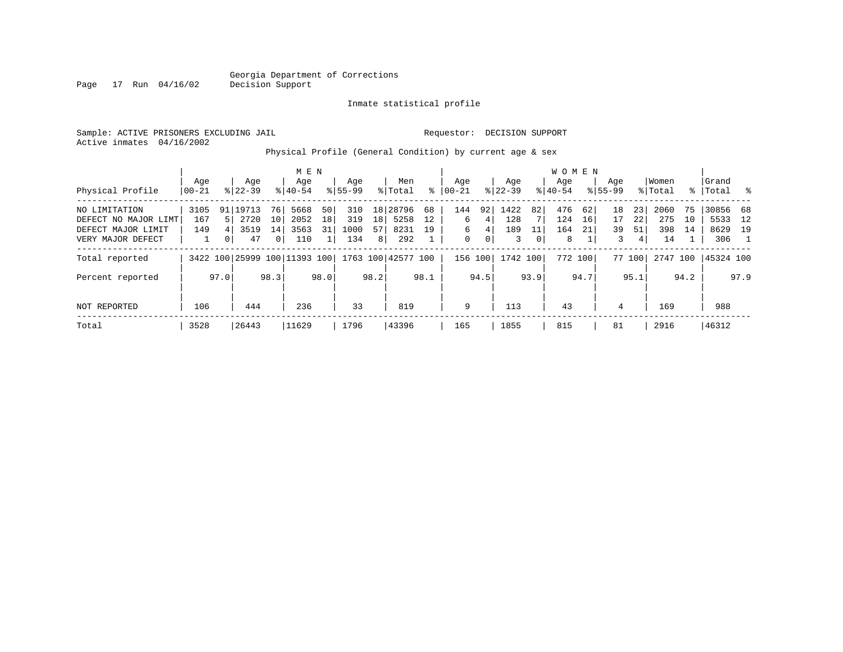Inmate statistical profile

Sample: ACTIVE PRISONERS EXCLUDING JAIL Requestor: DECISION SUPPORT Active inmates 04/16/2002

Physical Profile (General Condition) by current age & sex

|                      |          |      |           |              | M E N                        |      |                    |                |          |      |           |      |           |      | <b>WOMEN</b> |      |             |        |          |      |           |                |
|----------------------|----------|------|-----------|--------------|------------------------------|------|--------------------|----------------|----------|------|-----------|------|-----------|------|--------------|------|-------------|--------|----------|------|-----------|----------------|
|                      | Age      |      | Age       |              | Age                          |      | Age                |                | Men      |      | Aqe       |      | Aqe       |      | Aqe          |      | Age         |        | Women    |      | Grand     |                |
| Physical Profile     | $ 00-21$ |      | $8 22-39$ |              | $8 40-54$                    |      | $8155 - 99$        |                | % Total  | ⊱    | $00 - 21$ |      | $ 22-39 $ |      | $8 40-54$    |      | $8155 - 99$ |        | % Total  |      | %   Total | - 옹            |
| NO LIMITATION        | 3105     | 91   | 19713     | 76           | 5668                         | 50   | 310                |                | 18 28796 | 68   | 144       | 92   | 1422      | 82   | 476          | 62   | 18          | 23     | 2060     | 75   | 30856 68  |                |
| DEFECT NO MAJOR LIMT | 167      | 51   | 2720      | 10           | 2052                         | 18   | 319                | 18             | 5258     | 12   | 6         | 4    | 128       |      | 124          | 16   | 17          | 22     | 275      | 10   | 5533      | 12             |
| DEFECT MAJOR LIMIT   | 149      |      | 3519      | 14           | 3563                         | 31   | 1000               | 57             | 8231     | 19   | 6         | 4    | 189       | 11   | 164          | 21   | 39          | 51     | 398      | 14   | 8629      | 19             |
| VERY MAJOR DEFECT    |          |      | 47        | $\mathbf{0}$ | 110                          |      | 134                | 8 <sup>1</sup> | 292      |      | 0         | 0    | 3         | 0    | 8            |      | 3           | 4      | 14       |      | 306       | $\overline{1}$ |
| Total reported       |          |      |           |              | 3422 100 25999 100 11393 100 |      | 1763 100 42577 100 |                |          |      | 156 100   |      | 1742 100  |      | 772 100      |      |             | 77 100 | 2747 100 |      | 45324 100 |                |
| Percent reported     |          | 97.0 |           | 98.3         |                              | 98.0 |                    | 98.2           |          | 98.1 |           | 94.5 |           | 93.9 |              | 94.7 |             | 95.1   |          | 94.2 |           | 97.9           |
| NOT REPORTED         | 106      |      | 444       |              | 236                          |      | 33                 |                | 819      |      | 9         |      | 113       |      | 43           |      | 4           |        | 169      |      | 988       |                |
| Total                | 3528     |      | 26443     |              | 11629                        |      | 1796               |                | 43396    |      | 165       |      | 1855      |      | 815          |      | 81          |        | 2916     |      | 46312     |                |

Page 17 Run 04/16/02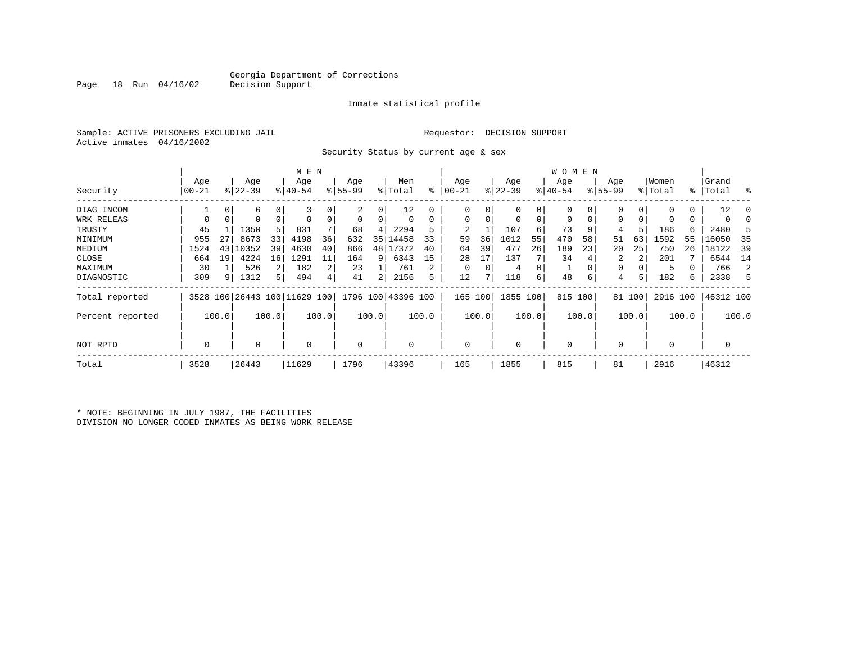Inmate statistical profile

Sample: ACTIVE PRISONERS EXCLUDING JAIL Requestor: DECISION SUPPORT Active inmates 04/16/2002

Security Status by current age & sex

|                  |          |             |           |             | M E N                        |                |             |       |                    |       |           |       |             |       | W O M E N   |       |             |        |             |       |           |       |
|------------------|----------|-------------|-----------|-------------|------------------------------|----------------|-------------|-------|--------------------|-------|-----------|-------|-------------|-------|-------------|-------|-------------|--------|-------------|-------|-----------|-------|
|                  | Age      |             | Age       |             | Age                          |                | Age         |       | Men                |       | Age       |       | Age         |       | Age         |       | Age         |        | Women       |       | Grand     |       |
| Security         | $ 00-21$ |             | $ 22-39 $ |             | $8 40-54$                    |                | $8155 - 99$ |       | % Total            | ႜ     | $00 - 21$ |       | $ 22-39 $   |       | $ 40-54 $   |       | $8155 - 99$ |        | % Total     |       | %   Total | ွေ    |
| DIAG INCOM       |          | 0           | 6         | 0           | 3                            |                | 2           | 0     | 12                 | 0     |           |       | $\mathbf 0$ | 0     | 0           | 0     | $\Omega$    |        |             | 0     | 12        | C     |
| WRK RELEAS       | 0        | $\mathbf 0$ | 0         | $\mathbf 0$ |                              | 0              | 0           | 0     | 0                  | 0     | 0         | 0     | 0           | 0     | $\mathbf 0$ | 0     | 0           |        | 0           | 0     |           |       |
| TRUSTY           | 45       |             | 1350      | 5           | 831                          |                | 68          | 4     | 2294               |       | 2         |       | 107         | 6     | 73          | 9     | 4           |        | 186         | 6     | 2480      | Е     |
| MINIMUM          | 955      | 27          | 8673      | 33          | 4198                         | 36             | 632         | 35    | 14458              | 33    | 59        | 36    | 1012        | 55    | 470         | 58    | 51          | 63     | 1592        | 55    | 16050     | 35    |
| MEDIUM           | 1524     | 43          | 10352     | 39          | 4630                         | 40             | 866         | 48    | 17372              | 40    | 64        | 39    | 477         | 26    | 189         | 23    | 20          | 25     | 750         | 26    | 18122     | -39   |
| CLOSE            | 664      | 19          | 4224      | 16          | 1291                         | 11             | 164         | 9     | 6343               | 15    | 28        | 17    | 137         |       | 34          |       | 2           | 2      | 201         |       | 6544      | 14    |
| MAXIMUM          | 30       |             | 526       | 2           | 182                          | 2              | 23          |       | 761                | 2     |           | 0     | 4           | 0     | <b>J</b>    |       | 0           |        | 5           |       | 766       | 2     |
| DIAGNOSTIC       | 309      | 9           | 1312      | 5           | 494                          | $\overline{4}$ | 41          | 2     | 2156               | 5     | 12        | 7     | 118         | 6     | 48          | 6     | 4           | 5      | 182         | 6     | 2338      | 5     |
| Total reported   |          |             |           |             | 3528 100 26443 100 11629 100 |                |             |       | 1796 100 43396 100 |       | 165       | 100   | 1855 100    |       | 815 100     |       |             | 81 100 | 2916 100    |       | 46312 100 |       |
| Percent reported |          | 100.0       |           | 100.0       |                              | 100.0          |             | 100.0 |                    | 100.0 |           | 100.0 |             | 100.0 |             | 100.0 |             | 100.0  |             | 100.0 |           | 100.0 |
| NOT RPTD         | 0        |             | 0         |             | $\Omega$                     |                | 0           |       | 0                  |       | $\Omega$  |       | 0           |       | $\mathbf 0$ |       | $\Omega$    |        | $\mathbf 0$ |       | 0         |       |
| Total            | 3528     |             | 26443     |             | 11629                        |                | 1796        |       | 43396              |       | 165       |       | 1855        |       | 815         |       | 81          |        | 2916        |       | 46312     |       |

\* NOTE: BEGINNING IN JULY 1987, THE FACILITIES DIVISION NO LONGER CODED INMATES AS BEING WORK RELEASE

Page 18 Run 04/16/02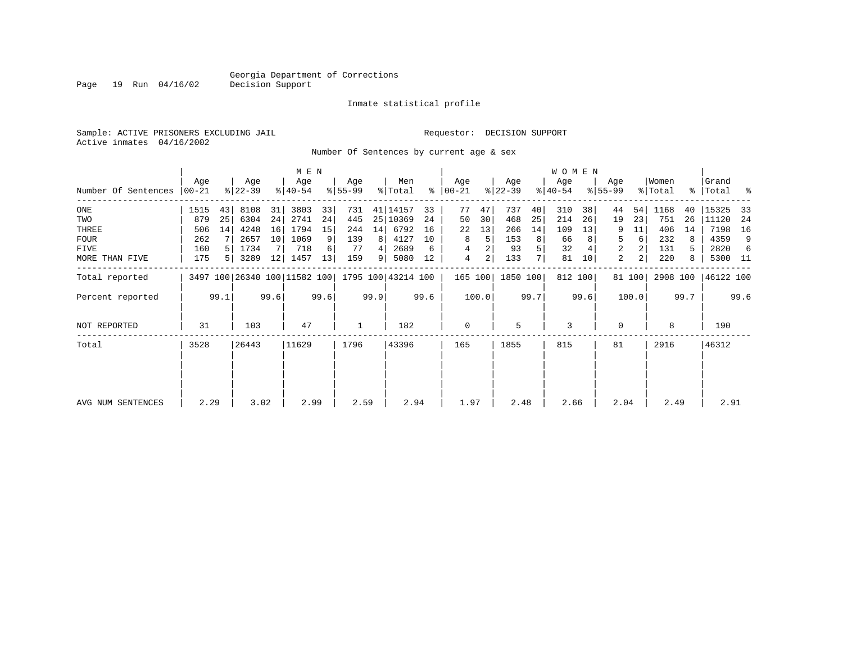Inmate statistical profile

Sample: ACTIVE PRISONERS EXCLUDING JAIL Requestor: DECISION SUPPORT Active inmates 04/16/2002

Number Of Sentences by current age & sex

|                     |           |      |                              |      | M E N       |      |           |      |                    |      |                |         |           |      | <b>WOMEN</b> |      |             |                |          |      |           |      |
|---------------------|-----------|------|------------------------------|------|-------------|------|-----------|------|--------------------|------|----------------|---------|-----------|------|--------------|------|-------------|----------------|----------|------|-----------|------|
|                     | Age       |      | Age                          |      | Age         |      | Age       |      | Men                |      | Age            |         | Age       |      | Age          |      | Age         |                | Women    |      | Grand     |      |
| Number Of Sentences | $ 00-21 $ |      | $8 22-39$                    |      | $8140 - 54$ |      | $8 55-99$ |      | % Total            |      | $8   00 - 21$  |         | $ 22-39 $ |      | $8 40-54$    |      | $8155 - 99$ |                | % Total  |      | %   Total | ႜ    |
| ONE                 | 1515      | 43   | 8108                         | 31   | 3803        | 33   | 731       |      | 41 14157           | 33   | 77             | 47      | 737       | 40   | 310          | 38   | 44          | 54             | 1168     | 40   | 15325     | 33   |
| TWO                 | 879       | 25   | 6304                         | 24   | 2741        | 24   | 445       |      | 25 10369           | 24   | 50             | 30      | 468       | 25   | 214          | 26   | 19          | 23             | 751      | 26   | 11120     | -24  |
| THREE               | 506       | 14   | 4248                         | 16   | 1794        | 15   | 244       | 14   | 6792               | 16   | 22             | 13      | 266       | 14   | 109          | 13   |             | 11             | 406      | 14   | 7198      | 16   |
| FOUR                | 262       |      | 2657                         | 10   | 1069        | 9    | 139       | 8    | 4127               | 10   | 8              | 5       | 153       | 8    | 66           |      | 5           | $6 \mid$       | 232      | 8    | 4359      | 9    |
| FIVE                | 160       |      | 1734                         |      | 718         | 6    | -77       |      | 2689               | 6    | 4              | 2       | 93        | 5    | 32           |      | 2           | $\overline{2}$ | 131      | 5.   | 2820      | 6    |
| MORE THAN FIVE      | 175       |      | 3289                         | 12   | 1457        | 13   | 159       | 9    | 5080               | 12   | $\overline{4}$ | 2       | 133       | 7    | 81           | 10   | 2           | 2              | 220      | 8    | 5300 11   |      |
| Total reported      |           |      | 3497 100 26340 100 11582 100 |      |             |      |           |      | 1795 100 43214 100 |      |                | 165 100 | 1850 100  |      | 812 100      |      |             | 81 100         | 2908 100 |      | 46122 100 |      |
| Percent reported    |           | 99.1 |                              | 99.6 |             | 99.6 |           | 99.9 |                    | 99.6 |                | 100.0   |           | 99.7 |              | 99.6 |             | 100.0          |          | 99.7 |           | 99.6 |
| <b>NOT REPORTED</b> | 31        |      | 103                          |      | 47          |      | 1         |      | 182                |      | $\mathbf 0$    |         | 5         |      | 3            |      | $\Omega$    |                | 8        |      | 190       |      |
| Total               | 3528      |      | 26443                        |      | 11629       |      | 1796      |      | 43396              |      | 165            |         | 1855      |      | 815          |      | 81          |                | 2916     |      | 46312     |      |
|                     |           |      |                              |      |             |      |           |      |                    |      |                |         |           |      |              |      |             |                |          |      |           |      |
| AVG NUM SENTENCES   | 2.29      |      | 3.02                         |      | 2.99        |      | 2.59      |      | 2.94               |      | 1.97           |         | 2.48      |      | 2.66         |      | 2.04        |                | 2.49     |      | 2.91      |      |

Page 19 Run 04/16/02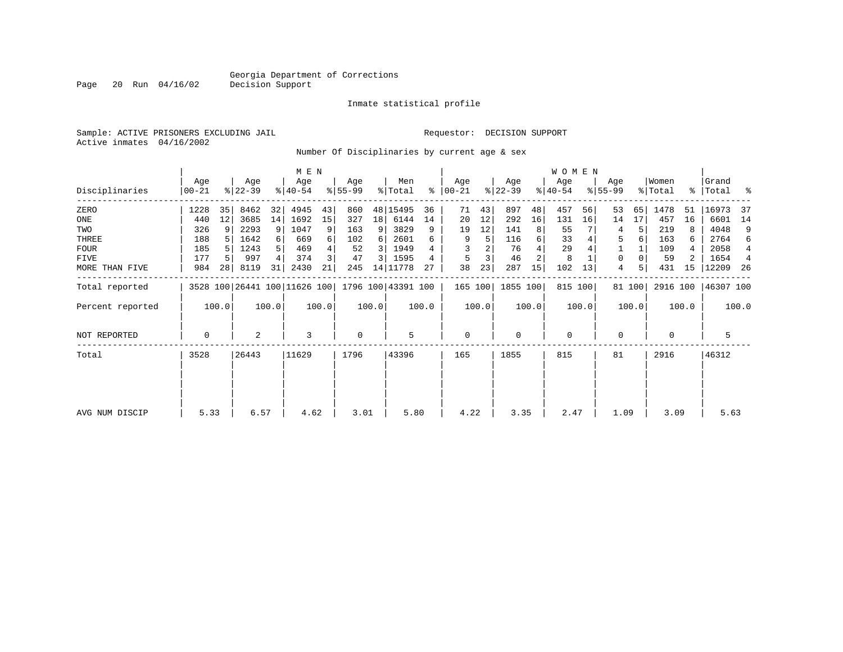Inmate statistical profile

Sample: ACTIVE PRISONERS EXCLUDING JAIL Requestor: DECISION SUPPORT Active inmates 04/16/2002

Page 20 Run 04/16/02

Number Of Disciplinaries by current age & sex

|                     |                |       |                  |       | M E N            |       |                 |                 |                                                 |       |                    |       |                  |                | W O M E N        |         |                    |        |                  |       |                    |                |
|---------------------|----------------|-------|------------------|-------|------------------|-------|-----------------|-----------------|-------------------------------------------------|-------|--------------------|-------|------------------|----------------|------------------|---------|--------------------|--------|------------------|-------|--------------------|----------------|
| Disciplinaries      | Age<br>  00-21 |       | Age<br>$ 22-39 $ |       | Age<br>$ 40-54 $ |       | Age<br>$ 55-99$ |                 | Men<br>% Total                                  | ႜ     | Age<br>$ 00 - 21 $ |       | Age<br>$ 22-39 $ |                | Age<br>$ 40-54 $ |         | Age<br>$8155 - 99$ |        | Women<br>% Total |       | Grand<br>% Total % |                |
| ZERO                | 1228           | 35    | 8462             | 32    | 4945             | 43    | 860             |                 | 48 15495                                        | 36    | 71                 | 43    | 897              | 48             | 457              | 56      | 53                 | 65     | 1478             | 51    | 16973              | -37            |
| ONE                 | 440            | 12    | 3685             | 14    | 1692             | 15    | 327             | 18 <sup>1</sup> | 6144                                            | 14    | 20                 | 12    | 292              | 16             | 131              | 16      | 14                 | 17     | 457              | 16    | 6601               | 14             |
| TWO                 | 326            |       | 2293             | 9     | 1047             | 9     | 163             | 9               | 3829                                            | 9     | 19                 | 12    | 141              | 8              | 55               |         | 4                  | 5      | 219              |       | 4048               | 9              |
| THREE               | 188            |       | 1642             |       | 669              | 6     | 102             | 6               | 2601                                            | 6     | 9                  | 5     | 116              | 6              | 33               |         | 5                  |        | 163              | 6     | 2764               | 6              |
| <b>FOUR</b>         | 185            |       | 1243             |       | 469              |       | 52              | 3               | 1949                                            |       |                    |       | 76               |                | 29               |         |                    |        | 109              | 4     | 2058               | 4              |
| <b>FIVE</b>         | 177            |       | 997              |       | 374              |       | 47              | 3               | 1595                                            |       | 5                  |       | 46               | $\overline{2}$ | 8                |         | 0                  |        | 59               |       | 1654               | $\overline{4}$ |
| MORE THAN FIVE      | 984            | 28    | 8119             | 31    | 2430             | 21    | 245             |                 | 14 11778                                        | 27    | 38                 | 23    | 287              | 15             | 102              | 13      | 4                  |        | 431              | 15    | 12209              | -26            |
| Total reported      |                |       |                  |       |                  |       |                 |                 | 3528 100 26441 100 11626 100 1796 100 43391 100 |       | 165 100            |       | 1855 100         |                |                  | 815 100 |                    | 81 100 | 2916 100         |       | 46307 100          |                |
| Percent reported    |                | 100.0 |                  | 100.0 |                  | 100.0 |                 | 100.0           |                                                 | 100.0 |                    | 100.0 |                  | 100.0          |                  | 100.0   |                    | 100.0  |                  | 100.0 |                    | 100.0          |
| <b>NOT REPORTED</b> | 0              |       | 2                |       | 3                |       | 0               |                 | 5                                               |       | 0                  |       | $\mathbf 0$      |                | $\mathbf 0$      |         | 0                  |        | 0                |       | 5                  |                |
| Total               | 3528           |       | 26443            |       | 11629            |       | 1796            |                 | 43396                                           |       | 165                |       | 1855             |                | 815              |         | 81                 |        | 2916             |       | 46312              |                |
|                     |                |       |                  |       |                  |       |                 |                 |                                                 |       |                    |       |                  |                |                  |         |                    |        |                  |       |                    |                |
| AVG NUM DISCIP      | 5.33           |       | 6.57             |       | 4.62             |       | 3.01            |                 | 5.80                                            |       | 4.22               |       | 3.35             |                | 2.47             |         | 1.09               |        | 3.09             |       | 5.63               |                |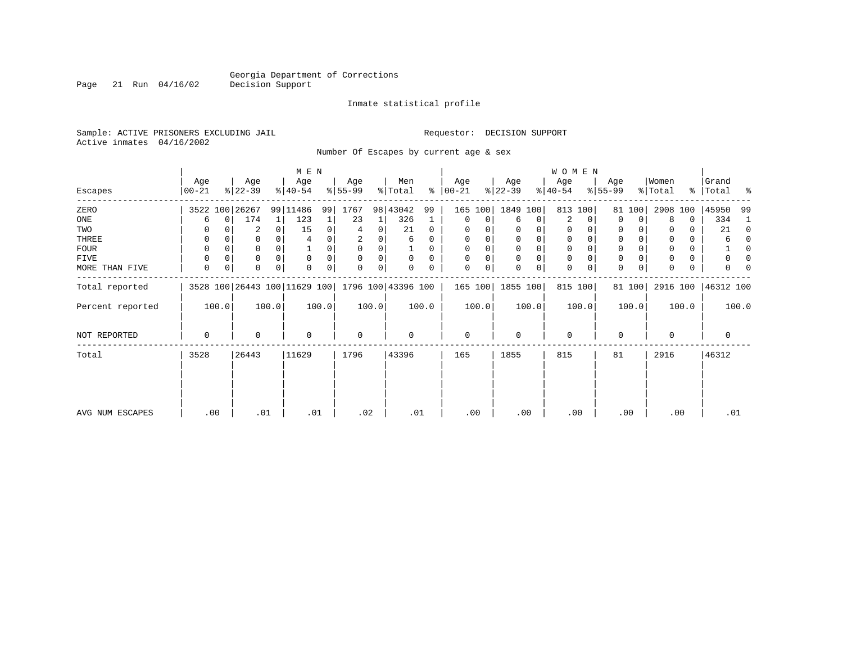Page 21 Run 04/16/02

#### Inmate statistical profile

Sample: ACTIVE PRISONERS EXCLUDING JAIL Requestor: DECISION SUPPORT Active inmates 04/16/2002

Number Of Escapes by current age & sex

|                  |                  |          |                  |          | M E N                                           |       |                 |          |                |          |                   |       |                  |          | WOMEN            |       |                  |        |                  |       |                |          |
|------------------|------------------|----------|------------------|----------|-------------------------------------------------|-------|-----------------|----------|----------------|----------|-------------------|-------|------------------|----------|------------------|-------|------------------|--------|------------------|-------|----------------|----------|
| Escapes          | Age<br>$00 - 21$ |          | Age<br>$ 22-39 $ |          | Age<br>$ 40-54 $                                |       | Age<br>$ 55-99$ |          | Men<br>% Total | ႜႂ       | Age<br>$ 00 - 21$ |       | Age<br>$ 22-39 $ |          | Age<br>$ 40-54 $ |       | Age<br>$ 55-99 $ |        | Women<br>% Total | ႜ     | Grand<br>Total | ႜ        |
| ZERO             |                  |          | 3522 100 26267   |          | 99 11486                                        | 99    | 1767            |          | 98 43042       | 99       | 165 100           |       | 1849 100         |          | 813              | 100   |                  | 81 100 | 2908             | 100   | 45950          | 99       |
| ONE              | 6                | $\Omega$ | 174              | 1        | 123                                             |       | 23              |          | 326            |          | $\mathbf 0$       | 0     | 6                | 0        | 2                | 0     | $\mathbf 0$      | 0      | 8                | 0     | 334            |          |
| TWO              |                  |          | 2                | $\Omega$ | 15                                              | 0     | 4               | 0        | 21             | $\Omega$ | 0                 |       |                  |          | 0                |       | 0                |        |                  | 0     | 21             | $\Omega$ |
| THREE            | 0                |          |                  |          |                                                 |       | 2               |          | 6              |          | 0                 |       |                  |          | 0                |       | 0                |        |                  | 0     | 6              | $\Omega$ |
| FOUR             | $\Omega$         |          |                  |          |                                                 | 0     | $\Omega$        | $\Omega$ |                | 0        | $\Omega$          | 0     | $\Omega$         | $\Omega$ | $\Omega$         |       | $\mathbf 0$      |        |                  | 0     |                | $\Omega$ |
| FIVE             |                  |          | 0                |          | $\mathbf 0$                                     | 0     | $\Omega$        | 0        | $\Omega$       | 0        | $\Omega$          | 0     |                  |          | 0                |       | $\mathbf 0$      |        |                  | 0     |                |          |
| MORE THAN FIVE   | $\mathbf 0$      | 0        | 0                | $\Omega$ | $\Omega$                                        | 0     | $\Omega$        | 0        |                |          | $\mathbf{0}$      | 0     |                  | $\Omega$ | $\Omega$         |       | $\mathbf 0$      | 0      |                  | 0     |                |          |
| Total reported   |                  |          |                  |          | 3528 100 26443 100 11629 100 1796 100 43396 100 |       |                 |          |                |          | 165 100           |       | 1855 100         |          | 815 100          |       |                  | 81 100 | 2916 100         |       | 46312 100      |          |
| Percent reported |                  | 100.0    |                  | 100.0    |                                                 | 100.0 |                 | 100.0    |                | 100.0    |                   | 100.0 |                  | 100.0    |                  | 100.0 |                  | 100.0  |                  | 100.0 |                | 100.0    |
| NOT REPORTED     | 0                |          | 0                |          | $\mathbf 0$                                     |       | 0               |          | 0              |          | $\mathbf 0$       |       | $\Omega$         |          | 0                |       | 0                |        | $\Omega$         |       | 0              |          |
| Total            | 3528             |          | 26443            |          | 11629                                           |       | 1796            |          | 43396          |          | 165               |       | 1855             |          | 815              |       | 81               |        | 2916             |       | 46312          |          |
|                  |                  |          |                  |          |                                                 |       |                 |          |                |          |                   |       |                  |          |                  |       |                  |        |                  |       |                |          |
|                  |                  |          |                  |          |                                                 |       |                 |          |                |          |                   |       |                  |          |                  |       |                  |        |                  |       |                |          |
| AVG NUM ESCAPES  |                  | .00      | .01              |          | .01                                             |       | .02             |          | .01            |          | .00               |       |                  | .00      | .00              |       |                  | .00    | .00              |       | .01            |          |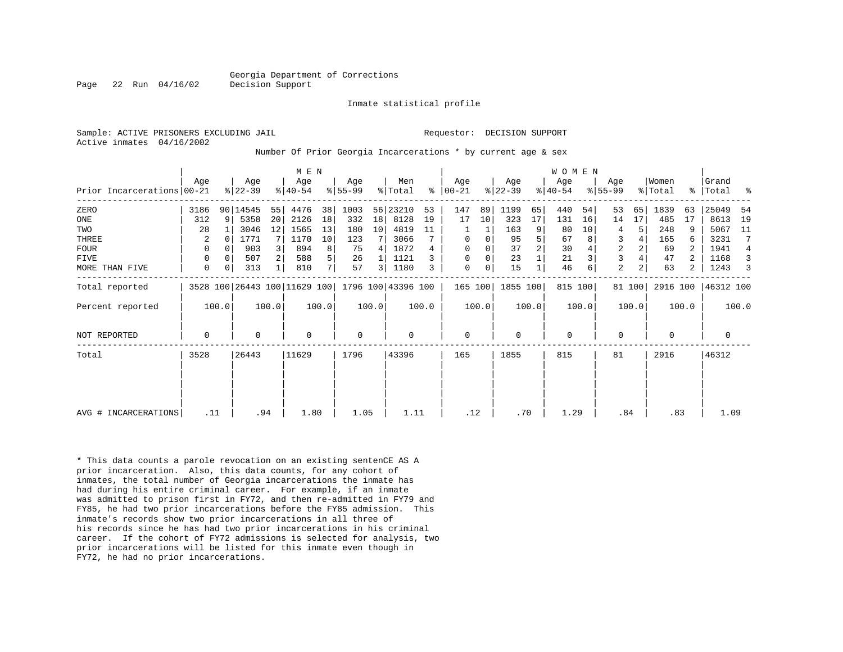Inmate statistical profile

Active inmates 04/16/2002

#### Sample: ACTIVE PRISONERS EXCLUDING JAIL **Requestor: DECISION SUPPORT**

Number Of Prior Georgia Incarcerations \* by current age & sex

|                            |             |                |                  |       | M E N                        |       |                  |       |                    |       |                      |       |                  |       | WOMEN           |       |                  |                |                  |       |                 |       |
|----------------------------|-------------|----------------|------------------|-------|------------------------------|-------|------------------|-------|--------------------|-------|----------------------|-------|------------------|-------|-----------------|-------|------------------|----------------|------------------|-------|-----------------|-------|
| Prior Incarcerations 00-21 | Aqe         |                | Age<br>$ 22-39 $ |       | Age<br>$ 40-54 $             |       | Age<br>$8 55-99$ |       | Men<br>% Total     |       | Age<br>$8   00 - 21$ |       | Age<br>$ 22-39 $ |       | Age<br>$ 40-54$ |       | Age<br>$8 55-99$ |                | Women<br>% Total | ႜ     | Grand<br> Total | ್ಠಿ   |
| ZERO                       | 3186        |                | 90 14545         | 55    | 4476                         | 38    | 1003             |       | 56 23210           | 53    | 147                  | 89    | 1199             | 65    | 440             | 54    | 53               | 65             | 1839             | 63    | 25049           | -54   |
| ONE                        | 312         | 9 <sup>1</sup> | 5358             | 20    | 2126                         | 18    | 332              | 18    | 8128               | 19    | 17                   | 10    | 323              | 17    | 131             | 16    | 14               | 17             | 485              | 17    | 8613            | 19    |
| TWO                        | 28          |                | 3046             | 12    | 1565                         | 13    | 180              | 10    | 4819               | 11    |                      | 1     | 163              | 9     | 80              | 10    | 4                | 5              | 248              | 9     | 5067            | 11    |
| THREE                      | 2           |                | 1771             |       | 1170                         | 10    | 123              |       | 3066               |       | $\mathbf 0$          | 0     | 95               | 5     | 67              |       | 3                |                | 165              | 6     | 3231            |       |
| FOUR                       | 0           |                | 903              |       | 894                          | 8     | 75               | 4     | 1872               | 4     | $\mathbf 0$          | 0     | 37               | 2     | 30              |       | $\overline{c}$   | $\overline{a}$ | 69               |       | 1941            | 4     |
| FIVE                       | 0           |                | 507              |       | 588                          | 5     | 26               |       | 1121               |       | 0                    | 0     | 23               |       | 21              |       | 3                |                | 47               |       | 1168            |       |
| MORE THAN FIVE             | 0           |                | 313              |       | 810                          | 7     | 57               | 3     | 1180               | 3     | 0                    | 0     | 15               |       | 46              |       | 2                | $\overline{a}$ | 63               | 2     | 1243            |       |
| Total reported             |             |                |                  |       | 3528 100 26443 100 11629 100 |       |                  |       | 1796 100 43396 100 |       | 165 100              |       | 1855 100         |       | 815 100         |       |                  | 81 100         | 2916 100         |       | 46312 100       |       |
| Percent reported           |             | 100.0          |                  | 100.0 |                              | 100.0 |                  | 100.0 |                    | 100.0 |                      | 100.0 |                  | 100.0 |                 | 100.0 |                  | 100.0          |                  | 100.0 |                 | 100.0 |
| NOT REPORTED               | $\mathbf 0$ |                | $\mathbf 0$      |       | $\Omega$                     |       | $\mathbf 0$      |       | $\mathbf 0$        |       | $\mathbf 0$          |       | $\Omega$         |       | $\mathbf 0$     |       | $\mathbf 0$      |                | $\Omega$         |       | 0               |       |
| Total                      | 3528        |                | 26443            |       | 11629                        |       | 1796             |       | 43396              |       | 165                  |       | 1855             |       | 815             |       | 81               |                | 2916             |       | 46312           |       |
|                            |             |                |                  |       |                              |       |                  |       |                    |       |                      |       |                  |       |                 |       |                  |                |                  |       |                 |       |
|                            |             |                |                  |       |                              |       |                  |       |                    |       |                      |       |                  |       |                 |       |                  |                |                  |       |                 |       |
| AVG # INCARCERATIONS       | .11         |                |                  | .94   | 1.80                         |       | 1.05             |       | 1.11               |       | .12                  |       | .70              |       | 1.29            |       | .84              |                | .83              |       | 1.09            |       |

\* This data counts a parole revocation on an existing sentenCE AS A prior incarceration. Also, this data counts, for any cohort of inmates, the total number of Georgia incarcerations the inmate has had during his entire criminal career. For example, if an inmate was admitted to prison first in FY72, and then re-admitted in FY79 and FY85, he had two prior incarcerations before the FY85 admission. This inmate's records show two prior incarcerations in all three of his records since he has had two prior incarcerations in his criminal career. If the cohort of FY72 admissions is selected for analysis, two prior incarcerations will be listed for this inmate even though in FY72, he had no prior incarcerations.

Page 22 Run 04/16/02 Decision Support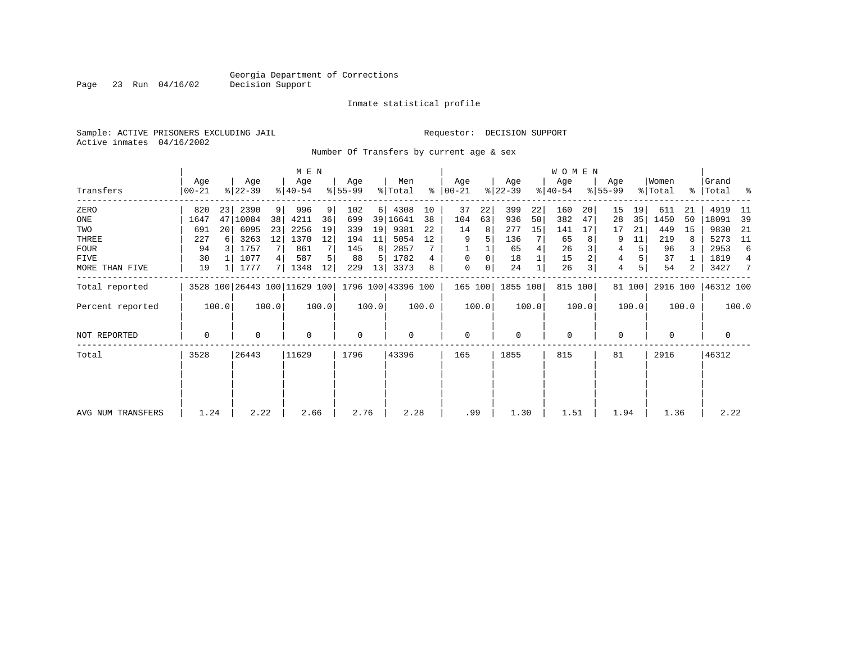Page 23 Run 04/16/02

#### Inmate statistical profile

Sample: ACTIVE PRISONERS EXCLUDING JAIL Requestor: DECISION SUPPORT Active inmates 04/16/2002

Number Of Transfers by current age & sex

|                   |                |       |                  |       | M E N                        |       |                 |          |                    |       |                |       |                  |       | W O M E N        |       |                    |        |                  |       |                       |                |
|-------------------|----------------|-------|------------------|-------|------------------------------|-------|-----------------|----------|--------------------|-------|----------------|-------|------------------|-------|------------------|-------|--------------------|--------|------------------|-------|-----------------------|----------------|
| Transfers         | Age<br>  00-21 |       | Age<br>$ 22-39 $ |       | Age<br>$ 40-54 $             |       | Age<br>$ 55-99$ |          | Men<br>% Total     | %     | Aqe<br>  00-21 |       | Age<br>$ 22-39 $ |       | Aqe<br>$ 40-54 $ |       | Age<br>$8155 - 99$ |        | Women<br>% Total | ႜၟ    | Grand<br>$ Total$ $ $ |                |
| ZERO              | 820            | 23    | 2390             | 9     | 996                          | 9     | 102             | $6 \mid$ | 4308               | 10    | 37             | 22    | 399              | 22    | 160              | 20    | 15                 | 19     | 611              | 21    | 4919                  | -11            |
| ONE               | 1647           | 47    | 10084            | 38    | 4211                         | 36    | 699             |          | 39 16641           | 38    | 104            | 63    | 936              | 50    | 382              | 47    | 28                 | 35     | 1450             | 50    | 18091                 | -39            |
| TWO               | 691            | 20    | 6095             | 23    | 2256                         | 19    | 339             | 19       | 9381               | 22    | 14             | 8     | 277              | 15    | 141              | 17    | 17                 | 21     | 449              | 15    | 9830                  | -21            |
| THREE             | 227            |       | 3263             | 12    | 1370                         | 12    | 194             | 11       | 5054               | 12    | 9              |       | 136              |       | 65               |       | 9                  | 11     | 219              | 8     | 5273                  | -11            |
| <b>FOUR</b>       | 94             | -3 I  | 1757             | 7     | 861                          |       | 145             | 8        | 2857               |       |                |       | 65               |       | 26               |       | 4                  | 5      | 96               |       | 2953                  | 6              |
| FIVE              | 30             |       | 1077             | 4     | 587                          |       | 88              | 5        | 1782               | 4     | 0              | 0     | 18               |       | 15               |       | 4                  |        | 37               |       | 1819                  | $\overline{4}$ |
| MORE THAN FIVE    | 19             |       | 1777             | 7     | 1348                         | 12    | 229             | 13       | 3373               |       | 0              | 0     | 24               |       | 26               |       | 4                  | 5      | 54               | 2     | 3427                  | 7              |
| Total reported    |                |       |                  |       | 3528 100 26443 100 11629 100 |       |                 |          | 1796 100 43396 100 |       | 165 100        |       | 1855 100         |       | 815 100          |       |                    | 81 100 | 2916 100         |       | 46312 100             |                |
| Percent reported  |                | 100.0 |                  | 100.0 |                              | 100.0 |                 | 100.0    |                    | 100.0 |                | 100.0 |                  | 100.0 |                  | 100.0 |                    | 100.0  |                  | 100.0 |                       | 100.0          |
| NOT REPORTED      | $\mathbf 0$    |       | $\Omega$         |       | $\mathbf 0$                  |       | $\mathbf 0$     |          | 0                  |       | $\mathbf{0}$   |       | $\Omega$         |       | $\mathbf 0$      |       | 0                  |        | $\Omega$         |       | 0                     |                |
| Total             | 3528           |       | 26443            |       | 11629                        |       | 1796            |          | 43396              |       | 165            |       | 1855             |       | 815              |       | 81                 |        | 2916             |       | 46312                 |                |
|                   |                |       |                  |       |                              |       |                 |          |                    |       |                |       |                  |       |                  |       |                    |        |                  |       |                       |                |
|                   |                |       |                  |       |                              |       |                 |          |                    |       |                |       |                  |       |                  |       |                    |        |                  |       |                       |                |
| AVG NUM TRANSFERS | 1.24           |       | 2.22             |       | 2.66                         |       | 2.76            |          | 2.28               |       | .99            |       | 1.30             |       | 1.51             |       | 1.94               |        | 1.36             |       | 2.22                  |                |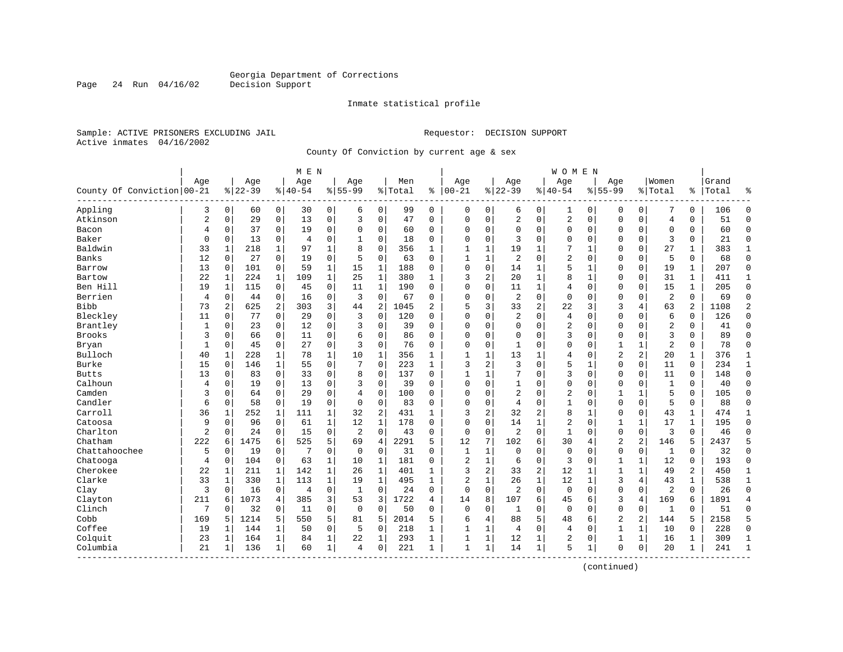Page 24 Run 04/16/02

#### Inmate statistical profile

Sample: ACTIVE PRISONERS EXCLUDING JAIL **Requestor: DECISION SUPPORT** Active inmates 04/16/2002

County Of Conviction by current age & sex

|                            |                |                |           |              | M E N    |              |                |                |         |                |              |              |                |              | W O M E N      |              |                |                |                |              |       |                |
|----------------------------|----------------|----------------|-----------|--------------|----------|--------------|----------------|----------------|---------|----------------|--------------|--------------|----------------|--------------|----------------|--------------|----------------|----------------|----------------|--------------|-------|----------------|
|                            | Age            |                | Age       |              | Age      |              | Age            |                | Men     |                | Age          |              | Age            |              | Age            |              | Age            |                | Women          |              | Grand |                |
| County Of Conviction 00-21 |                |                | $8 22-39$ |              | $ 40-54$ |              | $8155 - 99$    |                | % Total | ి              | $ 00-21$     |              | $ 22-39$       |              | $8140 - 54$    |              | $8155 - 99$    |                | % Total        | ి            | Total | န္             |
| Appling                    | 3              | $\mathbf 0$    | 60        | 0            | 30       | 0            | 6              | $\mathbf 0$    | 99      | 0              | 0            | 0            | 6              | 0            | 1              | 0            | 0              | 0              | 7              | 0            | 106   | $\Omega$       |
| Atkinson                   | $\overline{c}$ | $\mathbf 0$    | 29        | 0            | 13       | $\mathsf 0$  | 3              | $\mathbf 0$    | 47      | 0              | $\Omega$     | $\mathbf 0$  | 2              | 0            | 2              | $\mathbf 0$  | $\Omega$       | 0              | $\overline{4}$ | 0            | 51    | $\Omega$       |
| Bacon                      | 4              | 0              | 37        | 0            | 19       | $\mathbf 0$  | $\Omega$       | 0              | 60      | 0              | $\Omega$     | 0            | $\Omega$       | 0            | 0              | $\mathbf 0$  | $\Omega$       | 0              | $\mathbf 0$    | 0            | 60    | $\mathbf{0}$   |
| Baker                      | $\mathbf 0$    | 0              | 13        | 0            | 4        | $\mathbf 0$  | 1              | $\mathbf 0$    | 18      | 0              | $\Omega$     | 0            | 3              | 0            | 0              | $\Omega$     | $\Omega$       | 0              | 3              | 0            | 21    | $\mathbf 0$    |
| Baldwin                    | 33             | $\mathbf{1}$   | 218       | $\mathbf{1}$ | 97       | $\mathbf{1}$ | 8              | $\Omega$       | 356     | $\mathbf{1}$   | $\mathbf{1}$ | 1            | 19             | 1            | 7              | $\mathbf{1}$ | $\Omega$       | $\Omega$       | 27             | 1            | 383   | $\mathbf{1}$   |
| Banks                      | 12             | $\Omega$       | 27        | 0            | 19       | $\mathbf 0$  | 5              | $\mathbf 0$    | 63      | $\Omega$       | $\mathbf{1}$ | $\mathbf{1}$ | $\overline{2}$ | $\Omega$     | 2              | $\Omega$     | $\Omega$       | $\Omega$       | 5              | 0            | 68    | $\Omega$       |
| Barrow                     | 13             | $\mathbf 0$    | 101       | 0            | 59       | $\mathbf{1}$ | 15             | $1\,$          | 188     | 0              | $\Omega$     | 0            | 14             | 1            | 5              | $\mathbf{1}$ | $\Omega$       | 0              | 19             | 1            | 207   | $\Omega$       |
| Bartow                     | 22             | $\mathbf{1}$   | 224       | $\mathbf 1$  | 109      | $\mathbf{1}$ | 25             | $\mathbf 1$    | 380     | $\mathbf{1}$   | 3            | 2            | 20             | 1            | 8              | $\mathbf{1}$ | $\Omega$       | 0              | 31             | $\mathbf{1}$ | 411   | 1              |
| Ben Hill                   | 19             | $\mathbf{1}$   | 115       | 0            | 45       | $\mathbf 0$  | 11             | $\mathbf{1}$   | 190     | $\Omega$       | $\Omega$     | 0            | 11             | 1            | 4              | $\mathbf 0$  | $\Omega$       | 0              | 15             | $\mathbf{1}$ | 205   | $\mathbf{0}$   |
| Berrien                    | $\overline{4}$ | $\mathbf 0$    | 44        | $\mathbf 0$  | 16       | 0            | 3              | $\mathbf 0$    | 67      | 0              | $\Omega$     | 0            | $\overline{2}$ | $\Omega$     | $\mathbf 0$    | $\mathbf 0$  | $\Omega$       | $\Omega$       | $\overline{2}$ | 0            | 69    | $\Omega$       |
| <b>Bibb</b>                | 73             | $\overline{2}$ | 625       | 2            | 303      | 3            | 44             | 2              | 1045    | $\overline{a}$ | 5            | 3            | 33             | 2            | 22             | 3            | 3              | 4              | 63             | 2            | 1108  | $\overline{2}$ |
| Bleckley                   | 11             | $\Omega$       | 77        | 0            | 29       | $\mathbf 0$  | 3              | $\mathbf 0$    | 120     | $\Omega$       | $\Omega$     | 0            | $\overline{2}$ | $\Omega$     | $\overline{4}$ | $\Omega$     | $\Omega$       | $\Omega$       | 6              | 0            | 126   | $\Omega$       |
| Brantley                   | $\mathbf{1}$   | $\mathbf 0$    | 23        | $\mathbf 0$  | 12       | $\mathsf 0$  | 3              | $\mathbf 0$    | 39      | 0              | 0            | 0            | $\Omega$       | 0            | 2              | $\mathbf 0$  | $\Omega$       | $\Omega$       | $\overline{2}$ | 0            | 41    | $\Omega$       |
| <b>Brooks</b>              | 3              | $\Omega$       | 66        | $\mathbf 0$  | 11       | $\mathbf 0$  | 6              | $\mathbf 0$    | 86      | $\Omega$       | $\Omega$     | 0            | $\Omega$       | $\Omega$     | 3              | $\Omega$     | $\Omega$       | $\Omega$       | 3              | $\Omega$     | 89    | $\Omega$       |
| Bryan                      | 1              | 0              | 45        | 0            | 27       | 0            | 3              | 0              | 76      | 0              | $\Omega$     | 0            | 1              | 0            | 0              | $\Omega$     | 1              | 1              | $\overline{2}$ | 0            | 78    | $\mathbf 0$    |
| Bulloch                    | 40             | $\mathbf{1}$   | 228       | 1            | 78       | $\mathbf 1$  | 10             | 1              | 356     | 1              | $\mathbf{1}$ | 1            | 13             | 1            | 4              | $\Omega$     | $\overline{2}$ | 2              | 20             | 1            | 376   | 1              |
| <b>Burke</b>               | 15             | $\Omega$       | 146       | 1            | 55       | $\mathbf 0$  | 7              | $\mathbf 0$    | 223     | $\mathbf{1}$   | 3            | 2            | 3              | $\Omega$     | 5              | $\mathbf{1}$ | $\Omega$       | $\Omega$       | 11             | $\Omega$     | 234   | $\mathbf{1}$   |
| <b>Butts</b>               | 13             | $\Omega$       | 83        | 0            | 33       | $\mathbf 0$  | 8              | 0              | 137     | $\Omega$       | $\mathbf{1}$ | $\mathbf{1}$ | 7              | $\Omega$     | 3              | $\Omega$     | $\Omega$       | $\Omega$       | 11             | 0            | 148   | $\Omega$       |
| Calhoun                    | 4              | $\mathbf 0$    | 19        | $\mathbf 0$  | 13       | $\mathsf 0$  | 3              | $\mathbf 0$    | 39      | $\Omega$       | $\Omega$     | 0            | $\mathbf{1}$   | 0            | $\Omega$       | $\mathbf 0$  | $\Omega$       | 0              | $\mathbf{1}$   | 0            | 40    | $\Omega$       |
| Camden                     | 3              | 0              | 64        | $\mathbf 0$  | 29       | $\mathbf 0$  | $\overline{4}$ | $\mathbf 0$    | 100     | 0              | $\Omega$     | 0            | 2              | $\Omega$     | 2              | $\Omega$     | 1              | 1              | 5              | $\Omega$     | 105   | $\Omega$       |
| Candler                    | 6              | 0              | 58        | $\mathbf 0$  | 19       | $\mathbf 0$  | $\mathbf 0$    | 0              | 83      | 0              | $\Omega$     | 0            | 4              | 0            | 1              | $\mathbf 0$  | $\Omega$       | 0              | 5              | 0            | 88    | $\Omega$       |
| Carroll                    | 36             | 1              | 252       | 1            | 111      | $\mathbf 1$  | 32             | $\overline{2}$ | 431     | $\mathbf{1}$   | 3            | 2            | 32             | 2            | 8              | 1            | $\Omega$       | $\Omega$       | 43             | 1            | 474   | $\mathbf{1}$   |
| Catoosa                    | 9              | $\Omega$       | 96        | $\mathbf 0$  | 61       | $\mathbf{1}$ | 12             | $\mathbf{1}$   | 178     | $\Omega$       | $\Omega$     | 0            | 14             | $\mathbf{1}$ | $\overline{2}$ | $\Omega$     | $\mathbf{1}$   | $\mathbf{1}$   | 17             | $\mathbf{1}$ | 195   | $\Omega$       |
| Charlton                   | $\overline{2}$ | $\Omega$       | 24        | 0            | 15       | $\mathbf 0$  | $\overline{c}$ | $\mathbf 0$    | 43      | 0              | $\mathbf 0$  | 0            | $\overline{2}$ | $\Omega$     | $\mathbf{1}$   | $\Omega$     | $\mathbf 0$    | $\mathbf 0$    | 3              | 0            | 46    | $\Omega$       |
| Chatham                    | 222            | 6              | 1475      | 6            | 525      | 5            | 69             | 4              | 2291    | 5              | 12           | 7            | 102            | 6            | 30             | 4            | $\overline{2}$ | 2              | 146            | 5            | 2437  | 5              |
| Chattahoochee              | 5              | 0              | 19        | $\mathbf 0$  | 7        | $\mathbf 0$  | 0              | $\mathbf 0$    | 31      | $\Omega$       | $\mathbf{1}$ | 1            | $\mathbf 0$    | 0            | $\mathbf 0$    | $\Omega$     | $\mathbf 0$    | 0              | $\mathbf{1}$   | $\Omega$     | 32    | $\Omega$       |
| Chatooga                   | 4              | 0              | 104       | $\mathbf 0$  | 63       | $\mathbf{1}$ | 10             | 1              | 181     | 0              | 2            | 1            | 6              | 0            | 3              | $\mathbf 0$  | 1              | 1              | 12             | 0            | 193   | $\mathbf 0$    |
| Cherokee                   | 22             | 1              | 211       | 1            | 142      | $\mathbf 1$  | 26             | 1              | 401     | 1              | 3            | 2            | 33             | 2            | 12             | $\mathbf{1}$ | $\mathbf{1}$   | 1              | 49             | 2            | 450   | 1              |
| Clarke                     | 33             | 1              | 330       | $\mathbf{1}$ | 113      | $\mathbf{1}$ | 19             | $\mathbf{1}$   | 495     | $\mathbf{1}$   | 2            | 1            | 26             | $\mathbf{1}$ | 12             | 1            | 3              | 4              | 43             | $\mathbf 1$  | 538   | $\mathbf 1$    |
| Clay                       | 3              | 0              | 16        | 0            | 4        | 0            | 1              | 0              | 24      | 0              | $\mathbf 0$  | $\mathbf 0$  | $\overline{2}$ | 0            | $\mathbf 0$    | $\mathbf 0$  | $\mathbf 0$    | $\mathbf 0$    | $\overline{2}$ | 0            | 26    | $\Omega$       |
| Clayton                    | 211            | 6              | 1073      | 4            | 385      | 3            | 53             | 3              | 1722    | 4              | 14           | 8            | 107            | 6            | 45             | 6            | 3              | 4              | 169            | 6            | 1891  | $\overline{4}$ |
| Clinch                     | 7              | $\Omega$       | 32        | $\mathbf 0$  | 11       | $\mathbf 0$  | 0              | $\mathbf 0$    | 50      | 0              | $\Omega$     | 0            | 1              | 0            | $\mathbf 0$    | $\mathbf 0$  | $\Omega$       | 0              | 1              | $\Omega$     | 51    | $\Omega$       |
| Cobb                       | 169            | 5              | 1214      | 5            | 550      | 5            | 81             | 5              | 2014    | 5              | 6            | 4            | 88             | 5            | 48             | 6            | $\overline{a}$ | $\overline{2}$ | 144            | 5            | 2158  | 5              |
| Coffee                     | 19             | 1              | 144       | 1            | 50       | $\mathsf 0$  | 5              | 0              | 218     | 1              | $\mathbf{1}$ | 1            | 4              | $\Omega$     | 4              | $\mathbf 0$  | $\mathbf{1}$   | 1              | 10             | 0            | 228   | $\mathbf{0}$   |
| Colquit                    | 23             | 1              | 164       | 1            | 84       | $\mathbf 1$  | 22             | 1              | 293     | 1              | 1            | 1            | 12             | 1            | 2              | $\Omega$     | 1              | 1              | 16             | 1            | 309   | $\mathbf{1}$   |
| Columbia<br>----------     | 21             | 1              | 136       | 1            | 60       | $\mathbf 1$  | 4              | 0              | 221     | 1              | $\mathbf{1}$ | $\mathbf{1}$ | 14             | $\mathbf 1$  | 5              | 1            | $\mathbf 0$    | 0              | 20             | $\mathbf 1$  | 241   | $\mathbf{1}$   |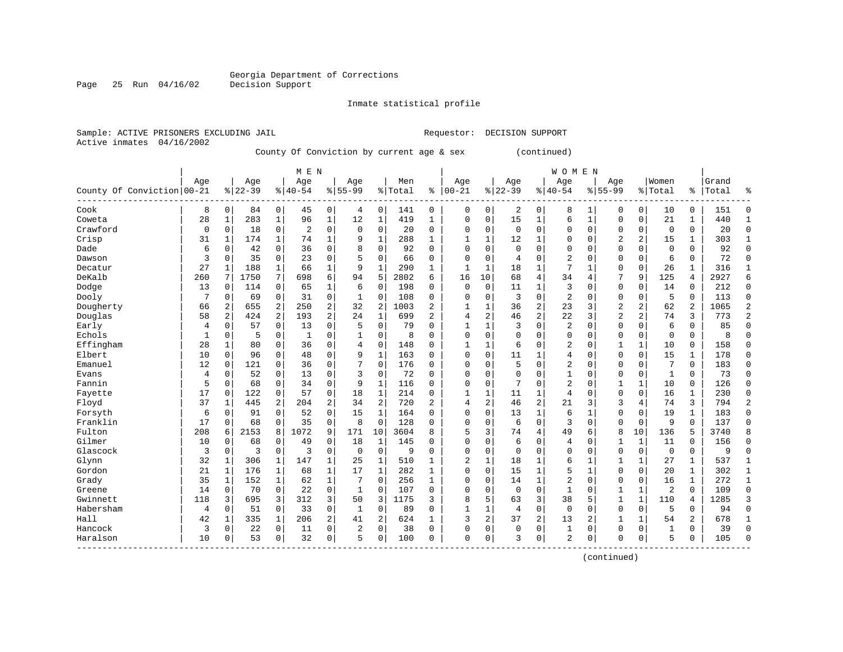Inmate statistical profile

Sample: ACTIVE PRISONERS EXCLUDING JAIL Requestor: DECISION SUPPORT Active inmates 04/16/2002

Page 25 Run 04/16/02

County Of Conviction by current age & sex (continued)

|                            |             |              |           |                | M E N          |                |                |              |         |                |              |          |             |                | <b>WOMEN</b>   |              |                |                |              |              |       |                |
|----------------------------|-------------|--------------|-----------|----------------|----------------|----------------|----------------|--------------|---------|----------------|--------------|----------|-------------|----------------|----------------|--------------|----------------|----------------|--------------|--------------|-------|----------------|
|                            | Age         |              | Age       |                | Age            |                | Age            |              | Men     |                | Age          |          | Age         |                | Age            |              | Age            |                | Women        |              | Grand |                |
| County Of Conviction 00-21 |             |              | $8 22-39$ |                | $ 40-54$       |                | $8155 - 99$    |              | % Total | နွ             | $ 00-21$     |          | $8 22-39$   |                | $ 40-54$       |              | $8155 - 99$    |                | % Total      | ႜ            | Total | န္             |
| Cook                       | 8           | 0            | 84        | 0              | 45             | 0              | 4              | 0            | 141     | 0              | 0            | 0        | 2           | 0              | 8              | 1            | 0              | 0              | 10           | 0            | 151   | $\Omega$       |
| Coweta                     | 28          | 1            | 283       | $\mathbf{1}$   | 96             | $\mathbf{1}$   | 12             | $\mathbf{1}$ | 419     | $\mathbf{1}$   | 0            | 0        | 15          | 1              | 6              | $\mathbf{1}$ | $\Omega$       | $\mathbf 0$    | 21           | 1            | 440   | -1             |
| Crawford                   | $\mathbf 0$ | $\Omega$     | 18        | $\mathbf 0$    | $\overline{2}$ | $\mathbf 0$    | $\mathbf 0$    | $\mathbf 0$  | 20      | 0              | 0            | 0        | $\Omega$    | $\Omega$       | 0              | $\mathbf 0$  | $\Omega$       | $\mathbf 0$    | $\mathbf 0$  | 0            | 20    | $\Omega$       |
| Crisp                      | 31          | 1            | 174       | $\mathbf 1$    | 74             | $\mathbf 1$    | 9              | $1\,$        | 288     | $\mathbf{1}$   | 1            | 1        | 12          | 1              | 0              | $\mathbf 0$  | $\overline{2}$ | 2              | 15           | 1            | 303   | $\mathbf{1}$   |
| Dade                       | 6           | 0            | 42        | 0              | 36             | 0              | 8              | 0            | 92      | $\Omega$       | $\Omega$     | 0        | $\Omega$    | $\Omega$       | 0              | $\Omega$     | $\Omega$       | $\Omega$       | $\mathbf 0$  | 0            | 92    | $\Omega$       |
| Dawson                     | 3           | 0            | 35        | $\mathbf 0$    | 23             | 0              | 5              | 0            | 66      | 0              | $\Omega$     | 0        | 4           | $\Omega$       | 2              | $\Omega$     | $\Omega$       | 0              | 6            | 0            | 72    | $\Omega$       |
| Decatur                    | 27          | 1            | 188       | 1              | 66             | 1              | 9              | 1            | 290     | 1              | $\mathbf{1}$ | 1        | 18          | 1              | 7              | 1            | $\Omega$       | $\Omega$       | 26           | 1            | 316   | $\mathbf{1}$   |
| DeKalb                     | 260         |              | 1750      | 7              | 698            | 6              | 94             | 5            | 2802    | 6              | 16           | 10       | 68          | 4              | 34             | 4            | 7              | 9              | 125          | 4            | 2927  | 6              |
| Dodge                      | 13          | 0            | 114       | 0              | 65             | 1              | 6              | $\mathbf 0$  | 198     | 0              | $\Omega$     | 0        | 11          | 1              | 3              | 0            | $\mathbf 0$    | 0              | 14           | 0            | 212   | $\mathbf{0}$   |
| Dooly                      | 7           | $\Omega$     | 69        | $\mathbf 0$    | 31             | $\mathbf 0$    | 1              | $\mathbf 0$  | 108     | 0              | 0            | 0        | 3           | $\Omega$       | 2              | $\Omega$     | $\Omega$       | $\Omega$       | 5            | $\Omega$     | 113   | $\Omega$       |
| Dougherty                  | 66          | 2            | 655       | 2              | 250            | $\overline{2}$ | 32             | 2            | 1003    | 2              | 1            | 1        | 36          | $\overline{2}$ | 23             | 3            | $\overline{2}$ | $\overline{2}$ | 62           | 2            | 1065  | $\overline{2}$ |
| Douglas                    | 58          | 2            | 424       | 2              | 193            | $\overline{c}$ | 24             | $\mathbf{1}$ | 699     | $\overline{a}$ | 4            | 2        | 46          | $\overline{c}$ | 22             | 3            | $\overline{c}$ | 2              | 74           | 3            | 773   | $\overline{2}$ |
| Early                      | 4           | 0            | 57        | 0              | 13             | 0              | 5              | $\mathbf 0$  | 79      | O              | $\mathbf{1}$ | 1        | 3           | $\Omega$       | 2              | $\Omega$     | $\Omega$       | 0              | 6            | 0            | 85    | $\Omega$       |
| Echols                     | 1           | 0            | 5         | $\mathbf 0$    | $\mathbf{1}$   | 0              | 1              | 0            | 8       | 0              | $\Omega$     | 0        | $\Omega$    | $\Omega$       | 0              | $\Omega$     | $\Omega$       | 0              | $\mathbf 0$  | $\Omega$     | 8     | $\Omega$       |
| Effingham                  | 28          | 1            | 80        | $\mathbf 0$    | 36             | 0              | 4              | 0            | 148     | $\Omega$       | $\mathbf{1}$ | 1        | 6           | $\Omega$       | 2              | $\Omega$     | 1              | 1              | 10           | 0            | 158   | $\Omega$       |
| Elbert                     | 10          | 0            | 96        | $\mathbf 0$    | 48             | $\mathbf 0$    | 9              | $\mathbf{1}$ | 163     | 0              | $\Omega$     | 0        | 11          | 1              | 4              | $\mathbf 0$  | $\Omega$       | 0              | 15           | 1            | 178   | $\Omega$       |
| Emanuel                    | 12          | 0            | 121       | $\mathbf 0$    | 36             | $\mathbf 0$    |                | $\mathbf 0$  | 176     | 0              | $\Omega$     | 0        | 5           | 0              | 2              | $\mathbf 0$  | 0              | 0              | 7            | 0            | 183   | $\mathbf 0$    |
| Evans                      | 4           | $\Omega$     | 52        | 0              | 13             | $\mathbf 0$    | 3              | $\mathbf 0$  | 72      | 0              | 0            | 0        | $\Omega$    | $\Omega$       | $\mathbf{1}$   | $\Omega$     | $\Omega$       | 0              | $\mathbf{1}$ | $\Omega$     | 73    | $\Omega$       |
| Fannin                     | 5           | $\Omega$     | 68        | $\Omega$       | 34             | $\mathbf 0$    | 9              | $\mathbf{1}$ | 116     | 0              | 0            | 0        | 7           | $\Omega$       | $\overline{2}$ | $\Omega$     | $\mathbf{1}$   | $\mathbf{1}$   | 10           | $\Omega$     | 126   | $\Omega$       |
| Fayette                    | 17          | $\Omega$     | 122       | $\mathbf 0$    | 57             | $\mathbf 0$    | 18             | 1            | 214     | $\Omega$       | 1            | 1        | 11          | 1              | $\overline{4}$ | $\Omega$     | $\Omega$       | $\Omega$       | 16           | 1            | 230   | $\Omega$       |
| Floyd                      | 37          | 1            | 445       | $\overline{a}$ | 204            | 2              | 34             | 2            | 720     | 2              | 4            | 2        | 46          | $\overline{c}$ | 21             | 3            | 3              | 4              | 74           | 3            | 794   | $\overline{2}$ |
| Forsyth                    | 6           | $\mathbf 0$  | 91        | $\mathbf 0$    | 52             | $\mathsf 0$    | 15             | $\mathbf{1}$ | 164     | 0              | 0            | 0        | 13          | 1              | 6              | $\mathbf{1}$ | $\Omega$       | $\mathbf 0$    | 19           | 1            | 183   | $\Omega$       |
| Franklin                   | 17          | $\mathbf 0$  | 68        | $\mathbf 0$    | 35             | $\mathbf 0$    | 8              | $\mathbf 0$  | 128     | 0              | 0            | 0        | 6           | 0              | 3              | $\mathbf 0$  | $\Omega$       | $\mathbf 0$    | 9            | 0            | 137   | $\Omega$       |
| Fulton                     | 208         | 6            | 2153      | 8              | 1072           | 9              | 171            | 10           | 3604    | 8              | 5            | 3        | 74          | 4              | 49             | 6            | 8              | 10             | 136          | 5            | 3740  |                |
| Gilmer                     | 10          | 0            | 68        | $\mathbf 0$    | 49             | $\mathbf 0$    | 18             | 1            | 145     | 0              | $\Omega$     | 0        | 6           | $\Omega$       | $\overline{4}$ | $\Omega$     | 1              | $\mathbf{1}$   | 11           | 0            | 156   | $\Omega$       |
| Glascock                   | 3           | 0            | 3         | $\mathbf 0$    | 3              | $\mathsf 0$    | $\mathbf 0$    | $\mathbf 0$  | 9       | 0              | $\Omega$     | 0        | $\Omega$    | $\Omega$       | 0              | $\Omega$     | $\Omega$       | 0              | $\mathbf 0$  | 0            | 9     | $\Omega$       |
| Glynn                      | 32          | $\mathbf{1}$ | 306       | 1              | 147            | $\mathbf 1$    | 25             | 1            | 510     | 1              | 2            | 1        | 18          | 1              | б              | $\mathbf{1}$ | $\mathbf{1}$   | 1              | 27           | 1            | 537   | $\mathbf{1}$   |
| Gordon                     | 21          | $\mathbf{1}$ | 176       | 1              | 68             | 1              | 17             | 1            | 282     | $\mathbf{1}$   | $\Omega$     | 0        | 15          | 1              | 5              | $\mathbf{1}$ | $\Omega$       | $\Omega$       | 20           | 1            | 302   | 1              |
| Grady                      | 35          | 1            | 152       | 1              | 62             | $\mathbf 1$    |                | $\mathbf 0$  | 256     | 1              | $\Omega$     | $\Omega$ | 14          | 1              | 2              | $\Omega$     | $\Omega$       | $\Omega$       | 16           | $\mathbf{1}$ | 272   | $\mathbf 1$    |
| Greene                     | 14          | 0            | 70        | 0              | 22             | 0              | $\mathbf{1}$   | $\mathbf 0$  | 107     | 0              | $\Omega$     | 0        | $\mathbf 0$ | $\Omega$       | $\mathbf{1}$   | $\Omega$     | $\mathbf{1}$   | 1              | 2            | 0            | 109   | $\Omega$       |
| Gwinnett                   | 118         | 3            | 695       | 3              | 312            | 3              | 50             | 3            | 1175    | 3              | 8            | 5        | 63          | 3              | 38             | 5            | $\mathbf{1}$   | 1              | 110          | 4            | 1285  | 3              |
| Habersham                  | 4           | 0            | 51        | 0              | 33             | $\mathsf 0$    | $\mathbf{1}$   | $\mathbf 0$  | 89      | 0              | $\mathbf{1}$ | 1        | 4           | 0              | $\mathbf{0}$   | $\mathbf 0$  | $\Omega$       | 0              | 5            | 0            | 94    | $\Omega$       |
| Hall                       | 42          | 1            | 335       | $\mathbf 1$    | 206            | 2              | 41             | 2            | 624     | $\mathbf{1}$   | 3            | 2        | 37          | $\overline{c}$ | 13             | 2            | $\mathbf{1}$   | 1              | 54           | 2            | 678   | 1              |
| Hancock                    | 3           | 0            | 22        | 0              | 11             | $\mathbf 0$    | $\overline{2}$ | $\mathbf 0$  | 38      | $\Omega$       | 0            | 0        | $\Omega$    | 0              | 1              | $\Omega$     | $\Omega$       | $\Omega$       | $\mathbf{1}$ | 0            | 39    | $\Omega$       |
| Haralson                   | 10          | 0            | 53        | 0              | 32             | 0              | 5              | $\mathbf 0$  | 100     | $\Omega$       | $\Omega$     | 0        | २           | 0              | 2              | $\Omega$     | $\Omega$       | 0              | 5            | 0            | 105   | $\Omega$       |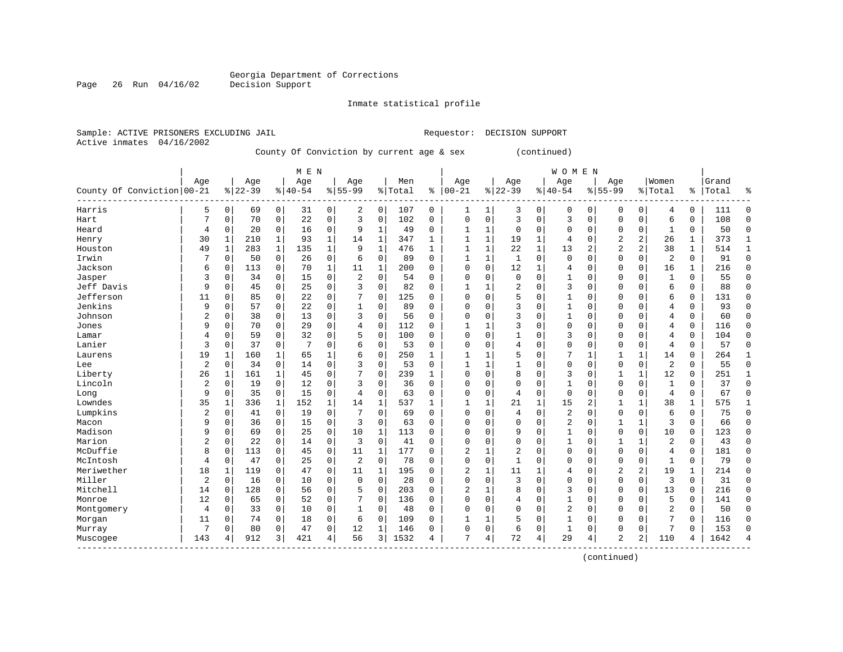Inmate statistical profile

Active inmates 04/16/2002

Sample: ACTIVE PRISONERS EXCLUDING JAIL Requestor: DECISION SUPPORT

County Of Conviction by current age & sex (continued)

|                            |                |              |           |                | M E N     |                |                |              |         |              |              |              |                |              | <b>WOMEN</b>   |                |                |              |                |              |       |                |
|----------------------------|----------------|--------------|-----------|----------------|-----------|----------------|----------------|--------------|---------|--------------|--------------|--------------|----------------|--------------|----------------|----------------|----------------|--------------|----------------|--------------|-------|----------------|
|                            | Age            |              | Age       |                | Age       |                | Age            |              | Men     |              | Age          |              | Age            |              | Age            |                | Age            |              | Women          |              | Grand |                |
| County Of Conviction 00-21 |                |              | $8 22-39$ |                | $8 40-54$ |                | $8 55-99$      |              | % Total | ႜ            | $ 00-21$     |              | $ 22-39$       |              | $ 40-54$       |                | $8155 - 99$    |              | % Total        | နွ           | Total | န္             |
| Harris                     | 5              | 0            | 69        | $\overline{0}$ | 31        | $\overline{0}$ | 2              | 0            | 107     | 0            | 1            | 1            | 3              | 0            | 0              | 0              | 0              | 0            | 4              | 0            | 111   | $\Omega$       |
| Hart                       | 7              | 0            | 70        | $\mathbf 0$    | 22        | 0              | 3              | $\mathbf 0$  | 102     | 0            | $\mathbf 0$  | 0            | 3              | 0            | 3              | $\mathbf 0$    | $\Omega$       | $\mathbf 0$  | 6              | 0            | 108   | $\Omega$       |
| Heard                      | 4              | 0            | 20        | $\mathbf 0$    | 16        | 0              | 9              | $\mathbf{1}$ | 49      | 0            | 1            | 1            | $\mathbf 0$    | 0            | 0              | $\mathbf 0$    | 0              | $\mathbf 0$  | 1              | 0            | 50    | $\Omega$       |
| Henry                      | 30             | $\mathbf{1}$ | 210       | $\mathbf{1}$   | 93        | $\mathbf{1}$   | 14             | $\mathbf 1$  | 347     | 1            | $\mathbf{1}$ | 1            | 19             | $\mathbf{1}$ | 4              | $\mathbf 0$    | $\overline{2}$ | 2            | 26             | $\mathbf{1}$ | 373   | 1              |
| Houston                    | 49             | $\mathbf{1}$ | 283       | $\mathbf{1}$   | 135       | $\mathbf 1$    | 9              | $\mathbf 1$  | 476     | $\mathbf{1}$ | $\mathbf{1}$ | 1            | 22             | 1            | 13             | $\overline{2}$ | $\overline{2}$ | 2            | 38             | $\mathbf 1$  | 514   | $\mathbf{1}$   |
| Irwin                      | 7              | $\Omega$     | 50        | $\mathbf 0$    | 26        | 0              | 6              | $\Omega$     | 89      | $\Omega$     | $\mathbf{1}$ | 1            | 1              | $\Omega$     | $\mathbf 0$    | $\Omega$       | $\mathbf{0}$   | $\Omega$     | $\overline{2}$ | 0            | 91    | $\Omega$       |
| Jackson                    | 6              | 0            | 113       | 0              | 70        | $\mathbf 1$    | 11             | 1            | 200     | 0            | $\Omega$     | 0            | 12             | 1            | 4              | $\Omega$       | $\Omega$       | $\Omega$     | 16             | 1            | 216   | $\Omega$       |
| Jasper                     | 3              | $\Omega$     | 34        | 0              | 15        | 0              | 2              | 0            | 54      | O            | $\Omega$     | 0            | $\mathbf 0$    | $\Omega$     | 1              | $\Omega$       | $\Omega$       | $\Omega$     | $\mathbf{1}$   | 0            | 55    | $\Omega$       |
| Jeff Davis                 | 9              | 0            | 45        | $\mathbf 0$    | 25        | 0              | 3              | $\Omega$     | 82      | $\Omega$     |              |              | $\overline{2}$ | $\Omega$     | 3              | $\Omega$       | $\Omega$       | $\Omega$     | 6              | 0            | 88    | $\Omega$       |
| Jefferson                  | 11             | $\Omega$     | 85        | $\Omega$       | 22        | 0              | 7              | $\Omega$     | 125     | $\Omega$     | $\Omega$     | $\Omega$     | 5              | $\Omega$     | $\mathbf{1}$   | $\Omega$       | $\Omega$       | $\Omega$     | 6              | 0            | 131   | ∩              |
| Jenkins                    | 9              | $\Omega$     | 57        | $\mathbf 0$    | 22        | 0              |                | $\Omega$     | 89      | $\Omega$     | $\Omega$     | $\Omega$     | 3              | $\Omega$     | $\mathbf{1}$   | $\Omega$       | $\Omega$       | $\Omega$     | 4              | 0            | 93    |                |
| Johnson                    | 2              | 0            | 38        | 0              | 13        | 0              | 3              | $\mathbf 0$  | 56      | $\Omega$     | 0            | O            | 3              | $\Omega$     | 1              | $\Omega$       | $\Omega$       | $\Omega$     | 4              | 0            | 60    | ∩              |
| Jones                      | 9              | 0            | 70        | $\mathbf 0$    | 29        | 0              | 4              | $\mathbf 0$  | 112     | 0            |              | 1            | 3              | $\Omega$     | 0              | 0              | $\Omega$       | 0            | 4              | 0            | 116   | U              |
| Lamar                      | 4              | 0            | 59        | 0              | 32        | 0              | 5              | $\mathbf 0$  | 100     | $\Omega$     | $\Omega$     | 0            | $\mathbf{1}$   | $\Omega$     | 3              | 0              | $\Omega$       | $\Omega$     | 4              | 0            | 104   | $\Omega$       |
| Lanier                     | 3              | 0            | 37        | $\mathbf 0$    | 7         | 0              | 6              | 0            | 53      | 0            | $\Omega$     | 0            | 4              | $\Omega$     | $\Omega$       | $\mathbf 0$    | $\mathbf 0$    | 0            | $\overline{4}$ | 0            | 57    | $\Omega$       |
| Laurens                    | 19             | 1            | 160       | 1              | 65        | 1              | 6              | 0            | 250     | 1            |              |              | 5              | $\Omega$     | 7              | 1              | 1              | 1            | 14             | 0            | 264   | 1              |
| Lee                        | 2              | 0            | 34        | 0              | 14        | 0              | 3              | $\Omega$     | 53      | $\Omega$     |              |              |                | $\Omega$     | 0              | $\Omega$       | $\Omega$       | $\mathbf 0$  | $\overline{c}$ | 0            | 55    | $\Omega$       |
| Liberty                    | 26             | 1            | 161       | 1              | 45        | 0              |                | $\Omega$     | 239     | $\mathbf{1}$ | $\Omega$     | O            | 8              | $\Omega$     | 3              | $\Omega$       | 1              | $\mathbf{1}$ | 12             | 0            | 251   | $\mathbf{1}$   |
| Lincoln                    | $\overline{c}$ | $\Omega$     | 19        | $\Omega$       | 12        | 0              | ζ              | $\Omega$     | 36      | $\Omega$     | $\Omega$     | O            | $\Omega$       | $\Omega$     | $\mathbf{1}$   | $\Omega$       | $\Omega$       | $\Omega$     | 1              | $\Omega$     | 37    | $\Omega$       |
| Long                       | 9              | $\Omega$     | 35        | $\mathbf 0$    | 15        | 0              | 4              | $\Omega$     | 63      | $\Omega$     | $\Omega$     | O            | 4              | 0            | $\mathbf{0}$   | $\Omega$       | $\Omega$       | $\Omega$     | $\overline{4}$ | 0            | 67    | $\Omega$       |
| Lowndes                    | 35             | 1            | 336       | $\mathbf 1$    | 152       | $\mathbf 1$    | 14             | $\mathbf 1$  | 537     | $\mathbf{1}$ | 1            | 1            | 21             | $\mathbf{1}$ | 15             | $\overline{2}$ | 1              | $\mathbf{1}$ | 38             | 1            | 575   | 1              |
| Lumpkins                   | 2              | 0            | 41        | $\mathbf 0$    | 19        | 0              | 7              | $\mathbf 0$  | 69      | 0            | 0            | 0            | 4              | 0            | 2              | 0              | 0              | 0            | 6              | 0            | 75    | $\Omega$       |
| Macon                      | 9              | 0            | 36        | $\mathbf 0$    | 15        | 0              | 3              | $\Omega$     | 63      | 0            | $\Omega$     | 0            | $\Omega$       | $\Omega$     | $\overline{2}$ | 0              | 1              | $\mathbf 1$  | 3              | 0            | 66    | $\Omega$       |
| Madison                    | 9              | 0            | 69        | $\mathbf 0$    | 25        | 0              | 10             | 1            | 113     | $\Omega$     | $\Omega$     | 0            | 9              | $\Omega$     | 1              | $\Omega$       | $\mathbf{0}$   | 0            | 10             | 0            | 123   | $\Omega$       |
| Marion                     | $\overline{2}$ | 0            | 22        | 0              | 14        | 0              | 3              | $\Omega$     | 41      | 0            | $\Omega$     | 0            | $\Omega$       | $\Omega$     | 1              | $\Omega$       | 1              | 1            | 2              | 0            | 43    | $\Omega$       |
| McDuffie                   | 8              | 0            | 113       | $\Omega$       | 45        | 0              | 11             | $\mathbf{1}$ | 177     | 0            | 2            |              | 2              | $\Omega$     | $\Omega$       | $\Omega$       | $\Omega$       | $\Omega$     | 4              | 0            | 181   | $\Omega$       |
| McIntosh                   | 4              | 0            | 47        | 0              | 25        | 0              | $\overline{2}$ | 0            | 78      | $\Omega$     | $\Omega$     | 0            | $\mathbf{1}$   | $\Omega$     | $\Omega$       | $\Omega$       | $\Omega$       | $\Omega$     | $\mathbf{1}$   | 0            | 79    | $\Omega$       |
| Meriwether                 | 18             | 1            | 119       | $\Omega$       | 47        | 0              | 11             | 1            | 195     | $\Omega$     | 2            | $\mathbf{1}$ | 11             | 1            | 4              | $\Omega$       | $\overline{2}$ | 2            | 19             | 1            | 214   | $\Omega$       |
| Miller                     | 2              | $\Omega$     | 16        | $\mathbf 0$    | 10        | 0              | $\Omega$       | $\Omega$     | 28      | $\Omega$     | $\Omega$     | $\Omega$     | 3              | $\Omega$     | $\Omega$       | $\Omega$       | $\Omega$       | $\Omega$     | 3              | $\Omega$     | 31    | ∩              |
| Mitchell                   | 14             | $\Omega$     | 128       | $\mathbf 0$    | 56        | 0              | 5              | $\mathbf 0$  | 203     | $\Omega$     | 2            | 1            | 8              | $\Omega$     | 3              | $\mathbf 0$    | $\Omega$       | $\Omega$     | 13             | 0            | 216   | $\Omega$       |
| Monroe                     | 12             | 0            | 65        | $\mathbf 0$    | 52        | 0              |                | $\mathbf 0$  | 136     | 0            | $\Omega$     | 0            | 4              | $\Omega$     | $\mathbf{1}$   | 0              | $\Omega$       | 0            | 5              | 0            | 141   | $\Omega$       |
| Montgomery                 | 4              | 0            | 33        | $\mathbf 0$    | 10        | 0              |                | 0            | 48      | $\Omega$     | $\Omega$     | 0            | $\Omega$       | $\Omega$     | 2              | 0              | $\Omega$       | $\Omega$     | $\overline{2}$ | 0            | 50    | $\Omega$       |
| Morgan                     | 11             | 0            | 74        | $\Omega$       | 18        | 0              | 6              | $\Omega$     | 109     | $\Omega$     | $\mathbf{1}$ | 1            | 5              | $\Omega$     | 1              | $\Omega$       | $\Omega$       | $\Omega$     | 7              | $\Omega$     | 116   | $\Omega$       |
| Murray                     | 7              | 0            | 80        | $\Omega$       | 47        | 0              | 12             | $\mathbf{1}$ | 146     | 0            | $\Omega$     | 0            | 6              | 0            | 1              | $\Omega$       | $\Omega$       | $\Omega$     | 7              | 0            | 153   | ∩              |
| Muscogee                   | 143            | 4            | 912       | 3              | 421       | 4              | 56             | 3            | 1532    | 4            | 7            | 4            | 72             | 4            | 29             | 4              | $\overline{c}$ | 2            | 110            | 4            | 1642  | $\overline{4}$ |

(continued)

Page 26 Run 04/16/02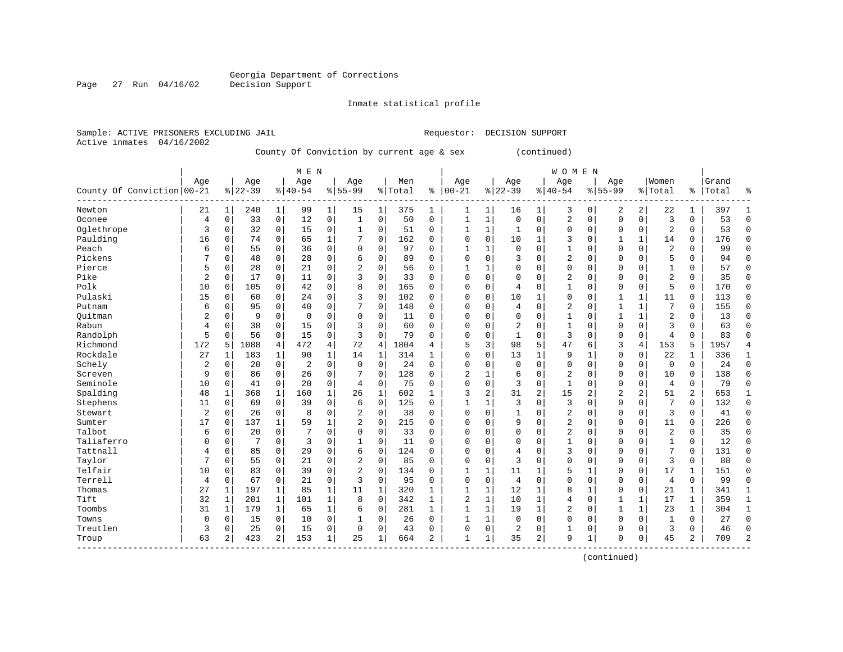Inmate statistical profile

Active inmates 04/16/2002

Sample: ACTIVE PRISONERS EXCLUDING JAIL Requestor: DECISION SUPPORT

County Of Conviction by current age & sex (continued)

|                            |                |              |           |              | M E N          |                |                |              |         |              |                |              |                |                | <b>WOMEN</b>   |                |                |                |                |              |       |              |
|----------------------------|----------------|--------------|-----------|--------------|----------------|----------------|----------------|--------------|---------|--------------|----------------|--------------|----------------|----------------|----------------|----------------|----------------|----------------|----------------|--------------|-------|--------------|
|                            | Age            |              | Age       |              | Age            |                | Age            |              | Men     |              | Age            |              | Age            |                | Age            |                | Age            |                | Women          |              | Grand |              |
| County Of Conviction 00-21 |                |              | $8 22-39$ |              | $8 40-54$      |                | $8155 - 99$    |              | % Total | နွ           | $00 - 21$      | %            | $22 - 39$      |                | $8 40-54$      | %              | $55 - 99$      |                | % Total        | ႜၟ           | Total | ႜ            |
| Newton                     | 21             | $\mathbf{1}$ | 240       | 1            | 99             | 1              | 15             | 1            | 375     | 1            | 1              | 1            | 16             | 1              | 3              | 0              | 2              | 2              | 22             | 1            | 397   | -1           |
| Oconee                     | $\overline{4}$ | $\mathbf 0$  | 33        | $\mathbf 0$  | 12             | $\mathbf 0$    | $\mathbf{1}$   | $\mathbf 0$  | 50      | $\mathbf 0$  | 1              | $\mathbf{1}$ | $\Omega$       | $\mathbf 0$    | $\overline{2}$ | $\Omega$       | $\mathbf 0$    | $\mathbf 0$    | 3              | 0            | 53    | $\mathbf 0$  |
| Oglethrope                 | 3              | $\Omega$     | 32        | 0            | 15             | $\mathbf 0$    | 1              | 0            | 51      | 0            |                | 1            | 1              | $\Omega$       | $\Omega$       | $\Omega$       | $\Omega$       | $\Omega$       | $\overline{2}$ | 0            | 53    | $\Omega$     |
| Paulding                   | 16             | $\Omega$     | 74        | $\mathbf 0$  | 65             | $\mathbf 1$    |                | $\mathbf 0$  | 162     | $\Omega$     | 0              | $\Omega$     | 10             | 1              | 3              | $\Omega$       |                | 1              | 14             | 0            | 176   | $\Omega$     |
| Peach                      | 6              | $\Omega$     | 55        | 0            | 36             | $\mathbf 0$    | $\Omega$       | 0            | 97      | $\Omega$     |                | 1            | $\Omega$       | $\Omega$       | 1              | $\Omega$       | $\Omega$       | $\Omega$       | 2              | 0            | 99    | $\bigcap$    |
| Pickens                    | 7              | $\Omega$     | 48        | $\Omega$     | 28             | $\mathbf 0$    | б              | $\mathbf 0$  | 89      | $\Omega$     | $\Omega$       | $\Omega$     | 3              | $\Omega$       | 2              | $\Omega$       | $\Omega$       | $\Omega$       | 5              | 0            | 94    | $\Omega$     |
| Pierce                     | 5              | 0            | 28        | 0            | 21             | $\mathbf 0$    | 2              | 0            | 56      | 0            | -1             | 1            | $\Omega$       | $\Omega$       | $\Omega$       | $\Omega$       | $\Omega$       | $\Omega$       | $\mathbf{1}$   | 0            | 57    | $\mathbf 0$  |
| Pike                       | $\overline{a}$ | 0            | 17        | 0            | 11             | 0              | 3              | $\mathbf 0$  | 33      | 0            | $\Omega$       | 0            | <sup>0</sup>   | $\Omega$       | 2              | 0              | $\Omega$       | $\Omega$       | 2              | 0            | 35    | $\mathbf 0$  |
| Polk                       | 10             | 0            | 105       | 0            | 42             | $\mathbf 0$    | 8              | $\mathbf 0$  | 165     | 0            | $\Omega$       | 0            |                | $\Omega$       |                | $\Omega$       | $\Omega$       | $\mathbf 0$    | 5              | 0            | 170   | $\mathbf 0$  |
| Pulaski                    | 15             | 0            | 60        | 0            | 24             | $\mathbf 0$    | 3              | $\mathbf 0$  | 102     | $\Omega$     | O              | $\Omega$     | 10             | 1              | $\Omega$       | C              | $\mathbf{1}$   | 1              | 11             | 0            | 113   | $\Omega$     |
| Putnam                     | 6              | $\Omega$     | 95        | 0            | 40             | $\mathbf 0$    | 7              | $\mathbf 0$  | 148     | 0            | O              | $\Omega$     | 4              | $\Omega$       | 2              | U              | $\mathbf{1}$   | $\mathbf{1}$   | 7              | 0            | 155   | $\Omega$     |
| Ouitman                    | 2              | $\Omega$     | 9         | 0            | $\mathbf 0$    | $\mathbf 0$    | $\Omega$       | 0            | 11      | 0            | 0              | $\Omega$     | $\Omega$       | $\Omega$       | 1              | O              |                | $\mathbf{1}$   | $\overline{2}$ | 0            | 13    | $\Omega$     |
| Rabun                      | 4              | $\Omega$     | 38        | 0            | 15             | $\mathbf 0$    | 3              | $\mathbf 0$  | 60      | $\Omega$     | 0              | $\Omega$     | 2              | $\Omega$       | 1              | 0              | $\Omega$       | $\Omega$       | 3              | $\Omega$     | 63    | $\Omega$     |
| Randolph                   | 5              | $\Omega$     | 56        | $\mathbf 0$  | 15             | $\mathbf 0$    | 3              | $\mathbf 0$  | 79      | $\Omega$     | $\Omega$       | 0            | $\mathbf{1}$   | $\Omega$       | 3              | $\Omega$       | $\Omega$       | $\mathbf 0$    | 4              | $\Omega$     | 83    | $\cap$       |
| Richmond                   | 172            | 5            | 1088      | 4            | 472            | $\overline{4}$ | 72             | 4            | 1804    | 4            | 5              | 3            | 98             | 5              | 47             | 6              | 3              | $\overline{4}$ | 153            | 5            | 1957  | 4            |
| Rockdale                   | 27             | 1            | 183       | 1            | 90             | $\mathbf 1$    | 14             | 1            | 314     | $\mathbf{1}$ | $\Omega$       | $\Omega$     | 13             | 1              | 9              | $\mathbf{1}$   | $\Omega$       | $\Omega$       | 22             | 1            | 336   | 1            |
| Schely                     | $\overline{2}$ | 0            | 20        | $\mathbf 0$  | $\overline{2}$ | 0              | $\mathbf 0$    | $\mathbf 0$  | 24      | $\Omega$     | $\Omega$       | 0            | $\Omega$       | $\Omega$       | $\Omega$       | $\Omega$       | $\Omega$       | $\mathbf 0$    | $\mathbf 0$    | 0            | 24    | $\Omega$     |
| Screven                    | 9              | 0            | 86        | 0            | 26             | 0              |                | $\mathbf 0$  | 128     | $\Omega$     | $\overline{a}$ | 1            | 6              | $\Omega$       | $\overline{2}$ | $\Omega$       | $\Omega$       | $\Omega$       | 10             | 0            | 138   | $\Omega$     |
| Seminole                   | 10             | $\Omega$     | 41        | $\mathbf 0$  | 20             | $\mathbf 0$    | 4              | $\mathbf 0$  | 75      | $\Omega$     | $\Omega$       | $\Omega$     | 3              | $\Omega$       | $\mathbf{1}$   | $\Omega$       | $\Omega$       | $\Omega$       | 4              | 0            | 79    | $\cap$       |
| Spalding                   | 48             | 1            | 368       | $\mathbf{1}$ | 160            | $\mathbf 1$    | 26             | $\mathbf{1}$ | 602     | $\mathbf{1}$ | 3              | 2            | 31             | $\overline{2}$ | 15             | $\overline{c}$ | $\overline{c}$ | 2              | 51             | 2            | 653   | $\mathbf{1}$ |
| Stephens                   | 11             | 0            | 69        | $\mathbf 0$  | 39             | $\mathbf 0$    | 6              | $\mathbf 0$  | 125     | 0            |                | 1            | 3              | $\Omega$       | 3              | $\Omega$       | $\Omega$       | $\mathbf 0$    | 7              | 0            | 132   | $\Omega$     |
| Stewart                    | $\overline{2}$ | $\Omega$     | 26        | 0            | 8              | $\mathbf 0$    | 2              | $\mathbf 0$  | 38      | $\Omega$     | 0              | $\Omega$     |                | $\Omega$       | 2              | 0              | 0              | $\Omega$       | 3              | $\Omega$     | 41    | $\Omega$     |
| Sumter                     | 17             | 0            | 137       | $\mathbf{1}$ | 59             | $\mathbf{1}$   | $\overline{c}$ | $\mathbf 0$  | 215     | $\Omega$     | 0              | $\Omega$     | 9              | $\Omega$       | $\overline{2}$ | $\Omega$       | $\Omega$       | $\Omega$       | 11             | $\Omega$     | 226   | $\cap$       |
| Talbot                     | 6              | $\Omega$     | 20        | 0            | 7              | $\mathbf 0$    | $\Omega$       | $\mathbf 0$  | 33      | $\Omega$     | 0              | $\Omega$     | $\Omega$       | $\Omega$       | $\overline{2}$ | 0              | $\Omega$       | $\Omega$       | 2              | $\Omega$     | 35    | $\Omega$     |
| Taliaferro                 | $\Omega$       | 0            | 7         | $\mathbf 0$  | 3              | 0              | 1              | 0            | 11      | $\Omega$     | $\Omega$       | $\Omega$     | $\Omega$       | $\Omega$       | 1              | $\Omega$       | $\Omega$       | $\Omega$       | $\mathbf{1}$   | 0            | 12    | $\Omega$     |
| Tattnall                   | 4              | 0            | 85        | 0            | 29             | 0              | 6              | 0            | 124     | $\Omega$     | $\Omega$       | 0            |                | $\Omega$       | 3              | $\Omega$       | $\Omega$       | $\Omega$       | 7              | 0            | 131   | $\mathbf 0$  |
| Taylor                     | 7              | $\Omega$     | 55        | 0            | 21             | 0              | 2              | $\mathbf 0$  | 85      | $\Omega$     | $\Omega$       | 0            | 3              | $\Omega$       | $\Omega$       | $\Omega$       | $\Omega$       | $\Omega$       | 3              | 0            | 88    | $\Omega$     |
| Telfair                    | 10             | 0            | 83        | 0            | 39             | $\mathbf 0$    | 2              | $\mathbf 0$  | 134     | $\Omega$     | -1             | 1            | 11             | 1              | 5              | -1             | $\Omega$       | $\Omega$       | 17             | 1            | 151   | $\Omega$     |
| Terrell                    | 4              | $\Omega$     | 67        | 0            | 21             | $\mathbf 0$    | 3              | $\mathbf 0$  | 95      | $\Omega$     | $\Omega$       | $\Omega$     | $\overline{4}$ | $\Omega$       | $\Omega$       | $\Omega$       | $\Omega$       | $\Omega$       | $\overline{4}$ | 0            | 99    | $\cap$       |
| Thomas                     | 27             | 1            | 197       | 1            | 85             | $\mathbf{1}$   | 11             | 1            | 320     | 1            | -1             | $\mathbf 1$  | 12             | 1              | 8              | -1             | $\Omega$       | $\mathbf 0$    | 21             | 1            | 341   | 1            |
| Tift                       | 32             | 1            | 201       | 1            | 101            | $\mathbf 1$    | 8              | $\mathbf 0$  | 342     | 1            | 2              | $\mathbf{1}$ | 10             | $\mathbf{1}$   | 4              | 0              |                | 1              | 17             | 1            | 359   | 1            |
| Toombs                     | 31             | 1            | 179       | $\mathbf{1}$ | 65             | $\mathbf 1$    | 6              | 0            | 281     | $\mathbf{1}$ | 1              | $\mathbf{1}$ | 19             | 1              | $\overline{2}$ | $\Omega$       | $\mathbf{1}$   | $\mathbf{1}$   | 23             | $\mathbf{1}$ | 304   | $\mathbf{1}$ |
| Towns                      | 0              | 0            | 15        | $\mathbf 0$  | 10             | $\mathbf 0$    |                | 0            | 26      | $\Omega$     | $\mathbf{1}$   | 1            | $\Omega$       | $\Omega$       | $\Omega$       | $\Omega$       | $\Omega$       | $\Omega$       | 1              | 0            | 27    | $\Omega$     |
| Treutlen                   | 3              | $\Omega$     | 25        | $\Omega$     | 15             | $\mathbf 0$    | 0              | $\mathbf 0$  | 43      | $\Omega$     | $\Omega$       | 0            | 2              | $\Omega$       | 1              | 0              | $\Omega$       | $\Omega$       | 3              | 0            | 46    | $\Omega$     |
| Troup                      | 63             | 2            | 423       | 2            | 153            | 1              | 25             | 1            | 664     | 2            | $\mathbf{1}$   | 1            | 35             | 2              | 9              | -1             | $\Omega$       | 0              | 45             | 2            | 709   | 2            |

(continued)

Page 27 Run  $04/16/02$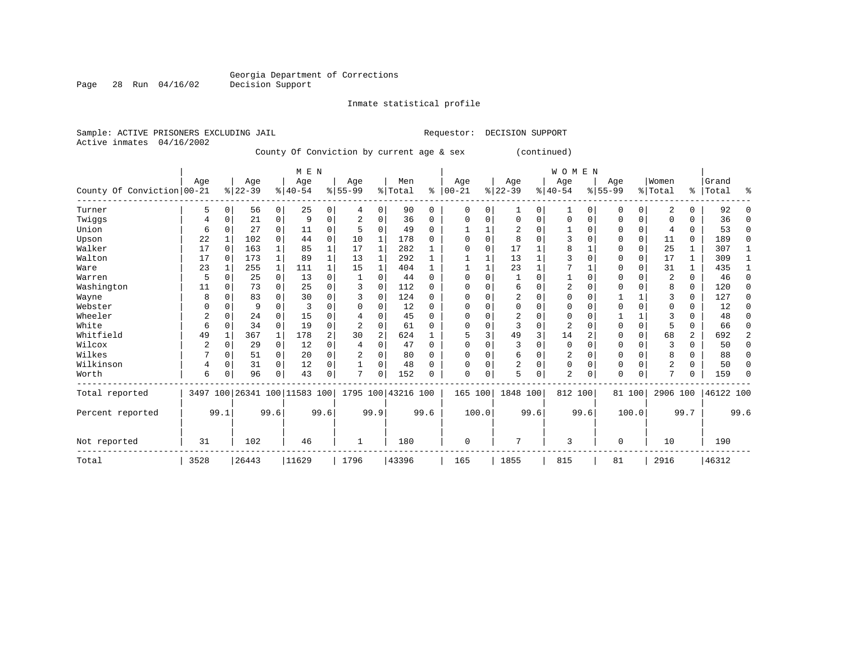#### Inmate statistical profile

|  | Sample: ACTIVE PRISONERS EXCLUDING JAIL |  |               |
|--|-----------------------------------------|--|---------------|
|  | Active inmates 04/16/2002               |  |               |
|  |                                         |  | $Answer of A$ |

Page 28 Run 04/16/02

Requestor: DECISION SUPPORT

#### County Of Conviction by current age & sex (continued)

|                            |      |          |           |              | M E N                        |          |           |                |                    |             |            |          |                |      | WOMEN          |          |           |             |                |             |           |          |
|----------------------------|------|----------|-----------|--------------|------------------------------|----------|-----------|----------------|--------------------|-------------|------------|----------|----------------|------|----------------|----------|-----------|-------------|----------------|-------------|-----------|----------|
|                            | Age  |          | Age       |              | Age                          |          | Age       |                | Men                |             | Age        |          | Age            |      | Age            |          | Age       |             | Women          |             | Grand     |          |
| County Of Conviction 00-21 |      |          | $ 22-39 $ |              | $ 40-54$                     |          | $8 55-99$ |                | % Total            | ႜ           | $ 00 - 21$ |          | $ 22-39 $      |      | $ 40-54$       |          | $8 55-99$ |             | % Total        | ి           | Total     | ႜ        |
| Turner                     | 5    | $\Omega$ | 56        | 0            | 25                           | 0        | 4         | 0              | 90                 | $\mathbf 0$ | 0          | $\Omega$ |                | 0    | 1              | 0        | 0         | 0           | 2              | 0           | 92        | $\Omega$ |
| Twiggs                     | 4    | $\Omega$ | 21        | 0            | 9                            | $\Omega$ |           | 0              | 36                 | $\Omega$    | $\Omega$   |          | $\Omega$       | 0    | $\Omega$       | 0        | 0         | 0           | $\Omega$       | 0           | 36        | $\Omega$ |
| Union                      | 6    | $\Omega$ | 27        | $\Omega$     | 11                           | 0        |           | $\Omega$       | 49                 | $\Omega$    |            |          | 2              | 0    |                | 0        | 0         | $\mathbf 0$ | 4              | 0           | 53        | 0        |
| Upson                      | 22   |          | 102       | $\Omega$     | 44                           | 0        | 10        | 1              | 178                | $\Omega$    |            |          | 8              | 0    |                | $\Omega$ | 0         | $\Omega$    | 11             | 0           | 189       | 0        |
| Walker                     | 17   | $\Omega$ | 163       | 1            | 85                           | 1        | 17        | 1              | 282                |             |            | $\Omega$ | 17             |      | 8              |          | 0         | 0           | 25             |             | 307       |          |
| Walton                     | 17   | $\Omega$ | 173       | 1            | 89                           |          | 13        | 1              | 292                |             |            |          | 13             |      |                | $\Omega$ | Ω         | $\mathbf 0$ | 17             | 1           | 309       |          |
| Ware                       | 23   | -1       | 255       | 1            | 111                          | 1        | 15        | 1              | 404                | 1           |            |          | 23             |      |                |          | O         | $\Omega$    | 31             | 1           | 435       |          |
| Warren                     | 5    | $\Omega$ | 25        | 0            | 13                           | 0        | 1         | 0              | 44                 | $\Omega$    | ∩          |          |                | 0    |                | 0        | 0         | $\Omega$    | 2              | 0           | 46        | 0        |
| Washington                 | 11   | $\Omega$ | 73        | $\Omega$     | 25                           | $\Omega$ |           | $\Omega$       | 112                | $\Omega$    |            |          | 6              | O    | 2              | $\Omega$ | Ω         | $\Omega$    | 8              | $\mathbf 0$ | 120       | $\Omega$ |
| Wayne                      | 8    | $\Omega$ | 83        | 0            | 30                           | $\Omega$ |           | 0              | 124                | $\Omega$    |            |          | 2              | O    | $\Omega$       | $\Omega$ |           |             | 3              | 0           | 127       | 0        |
| Webster                    |      | $\Omega$ | 9         | $\Omega$     | 3                            | O        | O         | $\Omega$       | 12                 | $\Omega$    |            |          | $\Omega$       | O    | $\Omega$       | $\Omega$ |           | $\Omega$    | $\Omega$       | 0           | 12        | $\Omega$ |
| Wheeler                    | 2    | $\Omega$ | 24        | $\Omega$     | 15                           | O        |           | $\Omega$       | 45                 | $\Omega$    | ∩          |          | 2              | O    | $\Omega$       | $\Omega$ |           |             | ζ              | $\Omega$    | 48        | 0        |
| White                      | 6    | $\Omega$ | 34        | $\Omega$     | 19                           | $\Omega$ | 2         | $\Omega$       | 61                 | $\Omega$    | ∩          |          | 3              | 0    | $\overline{2}$ | $\Omega$ | O         | $\Omega$    | 5              | $\Omega$    | 66        | 0        |
| Whitfield                  | 49   |          | 367       | $\mathbf{1}$ | 178                          | 2        | 30        | $\overline{2}$ | 624                |             |            |          | 49             | 3    | 14             | 2        |           | $\Omega$    | 68             | 2           | 692       | 2        |
| Wilcox                     | 2    | $\Omega$ | 29        | 0            | 12                           | $\Omega$ | 4         | $\Omega$       | 47                 | $\Omega$    | $\Omega$   |          | 3              | 0    | $\Omega$       | $\Omega$ | 0         | $\mathbf 0$ | 3              | $\Omega$    | 50        | $\Omega$ |
| Wilkes                     |      | $\Omega$ | 51        | 0            | 20                           | 0        |           | $\Omega$       | 80                 | $\Omega$    |            |          | 6              | 0    | 2              | $\Omega$ | 0         | $\mathbf 0$ | 8              | 0           | 88        | $\Omega$ |
| Wilkinson                  | 4    | $\Omega$ | 31        | $\Omega$     | 12                           | 0        | 1         | 0              | 48                 | $\Omega$    | ∩          |          | $\overline{2}$ | 0    | 0              | $\Omega$ | 0         | 0           | $\overline{2}$ | $\Omega$    | 50        | 0        |
| Worth                      | 6    | O        | 96        | 0            | 43                           | 0        | 7         | $\Omega$       | 152                | $\Omega$    | $\Omega$   | $\Omega$ | 5              | 0    | $\overline{a}$ | $\Omega$ | O         | 0           | $\mathbf{r}$   | 0           | 159       | $\Omega$ |
| Total reported             |      |          |           |              | 3497 100 26341 100 11583 100 |          |           |                | 1795 100 43216 100 |             | 165 100    |          | 1848 100       |      | 812 100        |          |           | 81 100      | 2906 100       |             | 46122 100 |          |
| Percent reported           |      | 99.1     |           | 99.6         |                              | 99.6     |           | 99.9           |                    | 99.6        |            | 100.0    |                | 99.6 |                | 99.6     |           | 100.0       |                | 99.7        |           | 99.6     |
| Not reported               | 31   |          | 102       |              | 46                           |          | 1         |                | 180                |             | $\Omega$   |          | 7              |      | 3              |          | $\Omega$  |             | 10             |             | 190       |          |
| Total                      | 3528 |          | 26443     |              | 11629                        |          | 1796      |                | 43396              |             | 165        |          | 1855           |      | 815            |          | 81        |             | 2916           |             | 46312     |          |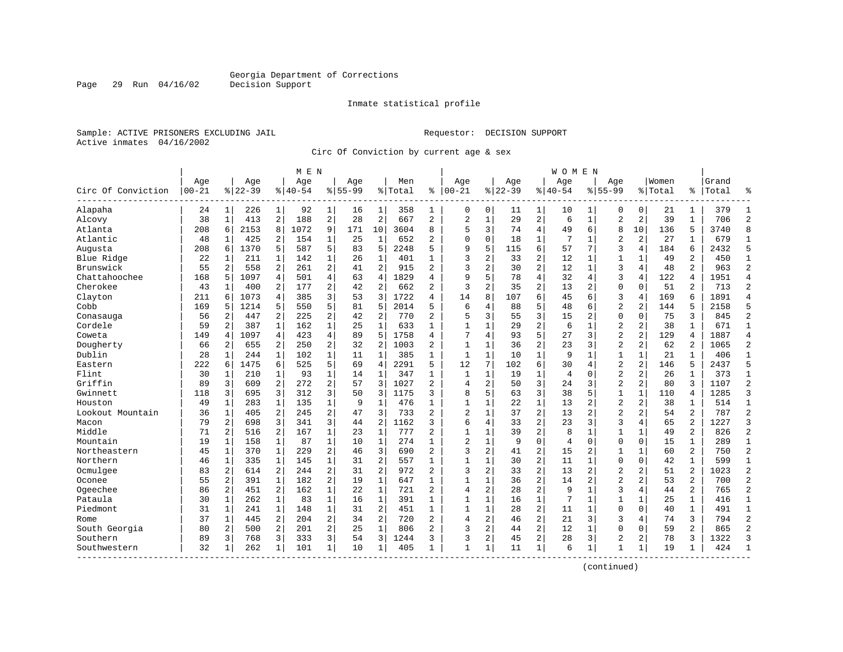Inmate statistical profile

Sample: ACTIVE PRISONERS EXCLUDING JAIL Requestor: DECISION SUPPORT Active inmates 04/16/2002

Page 29 Run 04/16/02

Circ Of Conviction by current age & sex

|                    |           |                |          |                | M E N    |                |           |                |         |                |                |                |          |                | W O M E N      |                |                |                         |         |                |       |                |
|--------------------|-----------|----------------|----------|----------------|----------|----------------|-----------|----------------|---------|----------------|----------------|----------------|----------|----------------|----------------|----------------|----------------|-------------------------|---------|----------------|-------|----------------|
|                    | Age       |                | Age      |                | Age      |                | Aqe       |                | Men     |                | Age            |                | Aqe      |                | Age            |                | Age            |                         | Women   |                | Grand |                |
| Circ Of Conviction | $00 - 21$ |                | $ 22-39$ |                | $ 40-54$ |                | $8 55-99$ |                | % Total | ి              | $ 00-21$       |                | $ 22-39$ |                | $8140 - 54$    |                | $8155 - 99$    |                         | % Total | %              | Total | န္             |
| Alapaha            | 24        | 1 <sup>1</sup> | 226      | 1              | 92       | $\mathbf 1$    | 16        | 1              | 358     | 1              | 0              | 0              | 11       | 1              | 10             | 1              | 0              | 0                       | 21      | 1              | 379   | -1             |
| Alcovy             | 38        | $\mathbf{1}$   | 413      | 2              | 188      | $\overline{a}$ | 28        | $\overline{2}$ | 667     | $\overline{2}$ | $\overline{a}$ | $\mathbf{1}$   | 29       | $\sqrt{2}$     | 6              | $1\,$          | $\overline{2}$ | $\mathbf{2}$            | 39      | $\mathbf{1}$   | 706   | $\overline{c}$ |
| Atlanta            | 208       | 6              | 2153     | 8              | 1072     | 9              | 171       | 10             | 3604    | 8              | 5              | 3              | 74       | $\overline{4}$ | 49             | 6              | 8              | 10                      | 136     | 5              | 3740  | 8              |
| Atlantic           | 48        |                | 425      | 2              | 154      | 1              | 25        | 1              | 652     | 2              | $\Omega$       | 0              | 18       | $\mathbf{1}$   |                | 1              | $\overline{2}$ | $\overline{a}$          | 27      | 1              | 679   | 1              |
| Augusta            | 208       | 6              | 1370     | 5              | 587      | 5              | 83        | 5              | 2248    | 5              | 9              | 5              | 115      | 6              | 57             | 7              | 3              | 4                       | 184     | 6              | 2432  | 5              |
| Blue Ridge         | 22        | $\mathbf{1}$   | 211      | $\mathbf{1}$   | 142      | $\mathbf{1}$   | 26        | $\mathbf{1}$   | 401     | $\mathbf{1}$   | 3              | 2              | 33       | $\overline{a}$ | 12             | 1              | $\mathbf{1}$   | $\mathbf{1}$            | 49      | $\overline{a}$ | 450   | $\mathbf{1}$   |
| Brunswick          | 55        | $\overline{2}$ | 558      | 2              | 261      | 2              | 41        | $\overline{2}$ | 915     | $\overline{2}$ | 3              | $\overline{c}$ | 30       | $\overline{c}$ | 12             | $\mathbf{1}$   | 3              | $\overline{4}$          | 48      | $\overline{a}$ | 963   | $\overline{2}$ |
| Chattahoochee      | 168       | 5              | 1097     | 4              | 501      | 4              | 63        | $\overline{4}$ | 1829    | 4              | 9              | 5              | 78       | $\overline{4}$ | 32             | $\overline{4}$ | 3              | 4                       | 122     | 4              | 1951  | $\overline{4}$ |
| Cherokee           | 43        | 1              | 400      | 2              | 177      | $\overline{2}$ | 42        | $\overline{2}$ | 662     | $\overline{a}$ | 3              | 2              | 35       | $\overline{2}$ | 13             | 2              | $\mathbf 0$    | $\Omega$                | 51      | 2              | 713   | $\overline{2}$ |
| Clayton            | 211       | 6              | 1073     | 4              | 385      | 3              | 53        | 3              | 1722    | 4              | 14             | 8              | 107      | 6              | 45             | 6              | 3              | 4                       | 169     | 6              | 1891  | $\overline{4}$ |
| Cobb               | 169       | 5              | 1214     | 5              | 550      | 5              | 81        | 5              | 2014    | 5              | 6              | 4              | 88       | 5              | 48             | 6              | $\overline{2}$ | $\overline{a}$          | 144     | 5              | 2158  | 5              |
| Conasauga          | 56        | 2              | 447      | $\overline{a}$ | 225      | 2              | 42        | $\overline{2}$ | 770     | $\overline{a}$ | 5              | 3              | 55       | 3              | 15             | $\overline{2}$ | $\mathbf 0$    | $\Omega$                | 75      | 3              | 845   | $\overline{2}$ |
| Cordele            | 59        | 2              | 387      | 1              | 162      | $\mathbf 1$    | 25        | $\mathbf{1}$   | 633     | $\mathbf{1}$   | $\mathbf{1}$   | $\mathbf{1}$   | 29       | $\overline{c}$ | 6              | $\mathbf{1}$   | $\overline{2}$ | $\overline{\mathbf{c}}$ | 38      | $\mathbf{1}$   | 671   | $\mathbf{1}$   |
| Coweta             | 149       | 4              | 1097     | $\overline{4}$ | 423      | 4              | 89        | 5              | 1758    | 4              | 7              | 4              | 93       | 5              | 27             | 3              | $\overline{2}$ | 2                       | 129     | 4              | 1887  | $\overline{4}$ |
| Dougherty          | 66        | 2              | 655      | 2              | 250      | 2              | 32        | $\overline{2}$ | 1003    | 2              | 1              | 1              | 36       | 2              | 23             | 3              | 2              | 2                       | 62      | 2              | 1065  | $\overline{2}$ |
| Dublin             | 28        | 1              | 244      | $\mathbf{1}$   | 102      | $\mathbf 1$    | 11        | $\mathbf{1}$   | 385     | $\mathbf{1}$   | $\mathbf{1}$   | $\mathbf{1}$   | 10       | $\mathbf 1$    | 9              | 1              | $\mathbf{1}$   | $\mathbf 1$             | 21      | 1              | 406   | $\mathbf{1}$   |
| Eastern            | 222       | 6              | 1475     | 6              | 525      | 5              | 69        | $\overline{4}$ | 2291    | 5              | 12             | 7              | 102      | 6              | 30             | 4              | $\overline{2}$ | $\overline{2}$          | 146     | 5              | 2437  | 5              |
| Flint              | 30        | -1             | 210      | 1              | 93       | $\mathbf{1}$   | 14        | $\mathbf{1}$   | 347     | $\mathbf{1}$   | 1              | $\mathbf 1$    | 19       | $\mathbf 1$    | $\overline{4}$ | $\mathbf 0$    | $\overline{2}$ | $\overline{2}$          | 26      | $\mathbf{1}$   | 373   | $\mathbf{1}$   |
| Griffin            | 89        | 3              | 609      | 2              | 272      | 2              | 57        | 3              | 1027    | $\overline{c}$ | $\overline{4}$ | $\overline{c}$ | 50       | 3              | 24             | 3              | $\overline{2}$ | $\overline{c}$          | 80      | 3              | 1107  | $\overline{c}$ |
| Gwinnett           | 118       | 3              | 695      | 3              | 312      | 3              | 50        | 3              | 1175    | 3              | 8              | 5              | 63       | 3              | 38             | 5              | $1\,$          | $\mathbf 1$             | 110     | 4              | 1285  | $\overline{3}$ |
| Houston            | 49        | 1              | 283      | 1              | 135      | 1              | 9         | 1              | 476     | $\mathbf{1}$   | 1              | 1              | 22       | $\mathbf{1}$   | 13             | 2              | $\overline{2}$ | 2                       | 38      | 1              | 514   | 1              |
| Lookout Mountain   | 36        | 1              | 405      | 2              | 245      | $\overline{a}$ | 47        | 3              | 733     | $\overline{a}$ | $\overline{c}$ | $\mathbf{1}$   | 37       | $\overline{c}$ | 13             | $\overline{c}$ | $\overline{2}$ | $\overline{c}$          | 54      | $\overline{a}$ | 787   | $\overline{2}$ |
| Macon              | 79        | 2              | 698      | 3              | 341      | 3              | 44        | $\overline{2}$ | 1162    | 3              | 6              | 4              | 33       | $\overline{c}$ | 23             | 3              | 3              | 4                       | 65      | $\overline{2}$ | 1227  | 3              |
| Middle             | 71        | 2              | 516      | $\overline{2}$ | 167      | $\mathbf{1}$   | 23        | $\mathbf{1}$   | 777     | $\overline{a}$ | 1              | 1              | 39       | $\overline{2}$ | 8              | 1              | $\mathbf{1}$   | $\mathbf{1}$            | 49      | 2              | 826   | $\overline{2}$ |
| Mountain           | 19        | 1              | 158      | $\mathbf 1$    | 87       | $\mathbf 1$    | 10        | $\mathbf{1}$   | 274     | 1              | $\overline{c}$ | $\mathbf 1$    | 9        | $\mathbf 0$    | $\overline{4}$ | $\mathbf 0$    | $\mathbf 0$    | $\mathbf 0$             | 15      | $\mathbf 1$    | 289   | $\mathbf{1}$   |
| Northeastern       | 45        | $\mathbf{1}$   | 370      | $\mathbf 1$    | 229      | 2              | 46        | 3              | 690     | $\overline{a}$ | 3              | 2              | 41       | $\overline{c}$ | 15             | 2              | 1              | $\mathbf{1}$            | 60      | 2              | 750   | $\overline{2}$ |
| Northern           | 46        | 1              | 335      | 1              | 145      | 1              | 31        | 2              | 557     | 1              | $\mathbf{1}$   | 1              | 30       | $\overline{2}$ | 11             | 1              | $\mathbf 0$    | 0                       | 42      | 1              | 599   | 1              |
| Ocmulgee           | 83        | 2              | 614      | $\overline{2}$ | 2.44     | 2              | 31        | $\overline{2}$ | 972     | $\overline{a}$ | 3              | 2              | 33       | $\overline{2}$ | 13             | 2              | $\overline{2}$ | $\overline{c}$          | 51      | $\overline{a}$ | 1023  | $\overline{c}$ |
| Oconee             | 55        | $\overline{2}$ | 391      | $\mathbf{1}$   | 182      | 2              | 19        | $\mathbf{1}$   | 647     | $\mathbf{1}$   | $\mathbf{1}$   | $\mathbf{1}$   | 36       | $\overline{c}$ | 14             | 2              | $\overline{2}$ | 2                       | 53      | $\overline{2}$ | 700   | $\overline{2}$ |
| Ogeechee           | 86        | 2              | 451      | $\overline{2}$ | 162      | $\mathbf{1}$   | 22        | $\mathbf{1}$   | 721     | $\overline{a}$ | 4              | 2              | 28       | $\overline{2}$ | 9              | 1              | 3              | 4                       | 44      | 2              | 765   | $\overline{2}$ |
| Pataula            | 30        | 1              | 262      | $\mathbf 1$    | 83       | $\mathbf{1}$   | 16        | $\mathbf{1}$   | 391     | 1              | 1              | $\mathbf 1$    | 16       | $\mathbf 1$    | 7              | 1              | $\mathbf{1}$   | $\mathbf 1$             | 25      | $\mathbf 1$    | 416   | 1              |
| Piedmont           | 31        | 1              | 241      | $\mathbf 1$    | 148      | $\mathbf{1}$   | 31        | $\overline{2}$ | 451     | $\mathbf{1}$   | $\mathbf{1}$   | 1              | 28       | 2              | 11             | 1              | $\mathbf{0}$   | 0                       | 40      | $\mathbf{1}$   | 491   | $\mathbf{1}$   |
| Rome               | 37        | 1              | 445      | $\overline{2}$ | 204      | $\overline{a}$ | 34        | $\overline{2}$ | 720     | $\overline{a}$ | $\overline{4}$ | $\overline{a}$ | 46       | $\overline{a}$ | 21             | 3              | 3              | 4                       | 74      | 3              | 794   | $\overline{2}$ |
| South Georgia      | 80        | 2              | 500      | 2              | 201      | $\overline{c}$ | 25        | $\mathbf{1}$   | 806     | $\overline{a}$ | 3              | $\overline{c}$ | 44       | $\overline{c}$ | 12             | 1              | $\Omega$       | $\Omega$                | 59      | 2              | 865   | $\overline{2}$ |
| Southern           | 89        | 3              | 768      | 3              | 333      | 3              | 54        | 3              | 1244    | 3              | 3              | 2              | 45       | $\overline{c}$ | 28             | 3              | $\overline{2}$ | 2                       | 78      | 3              | 1322  | 3              |
| Southwestern       | 32        | -1             | 262      | $\mathbf{1}$   | 101      | $\mathbf{1}$   | 10        | 1              | 405     | 1              | $\mathbf{1}$   | 1              | 11       | $\mathbf 1$    | 6              | 1              | 1              | 1                       | 19      | 1              | 424   |                |
|                    |           |                |          |                |          |                |           |                |         |                |                |                |          |                |                |                |                |                         |         |                |       |                |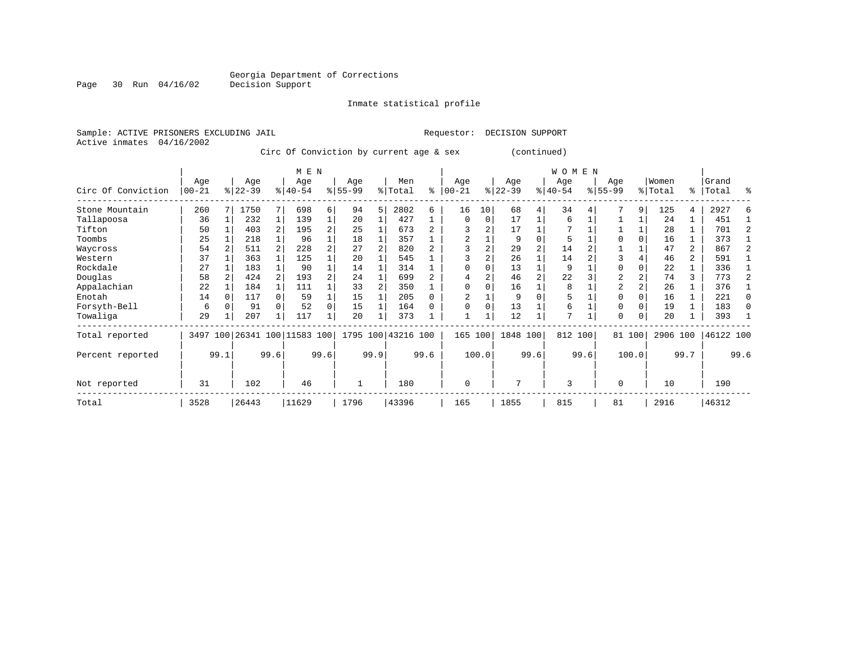Inmate statistical profile

Active inmates 04/16/2002

Sample: ACTIVE PRISONERS EXCLUDING JAIL Requestor: DECISION SUPPORT

Circ Of Conviction by current age & sex (continued)

|                    | M E N                                |              |       |  |                         |          |                  |      |                    |      |                 |               |                  |          | <b>WOMEN</b>     |      |                  |          |                  |                |                |              |
|--------------------|--------------------------------------|--------------|-------|--|-------------------------|----------|------------------|------|--------------------|------|-----------------|---------------|------------------|----------|------------------|------|------------------|----------|------------------|----------------|----------------|--------------|
| Circ Of Conviction | Age<br>Age<br>$ 00 - 21$<br>$ 22-39$ |              |       |  | Age<br>$ 40-54 $        |          | Age<br>$8 55-99$ |      | Men<br>% Total     | ి    | Age<br>$ 00-21$ | $\frac{1}{6}$ | Age<br>$22 - 39$ |          | Age<br>$ 40-54 $ |      | Age<br>$8 55-99$ |          | Women<br>% Total | ႜၟ             | Grand<br>Total | ႜ            |
| Stone Mountain     | 260                                  |              | 1750  |  | 698                     | 6        | 94               | 5    | 2802               | 6    | 16              | 10            | 68               | 4        | 34               |      |                  | 9        | 125              | 4              | 2927           |              |
| Tallapoosa         | 36                                   |              | 232   |  | 139                     |          | 20               |      | 427                |      | $\Omega$        | 0             | 17               |          | 6                |      |                  |          | 24               |                | 451            |              |
| Tifton             | 50                                   |              | 403   |  | 195                     | 2        | 25               |      | 673                |      |                 | 2             | 17               |          |                  |      |                  |          | 28               |                | 701            |              |
| Toombs             | 25                                   |              | 218   |  | 96                      |          | 18               |      | 357                |      |                 |               | 9                |          | 5                |      |                  |          | 16               |                | 373            |              |
| Waycross           | 54                                   |              | 511   |  | 228                     |          | 27               |      | 820                |      |                 |               | 29               |          | 14               |      |                  |          | 47               | 2              | 867            |              |
| Western            | 37                                   |              | 363   |  | 125                     |          | 20               |      | 545                |      |                 |               | 26               |          | 14               |      | 3                |          | 46               | $\overline{a}$ | 591            |              |
| Rockdale           | 27                                   |              | 183   |  | 90                      |          | 14               |      | 314                |      | $\Omega$        |               | 13               |          | 9                |      | O                |          | 22               |                | 336            |              |
| Douglas            | 58                                   |              | 424   |  | 193                     | 2        | 24               |      | 699                |      | 4               |               | 46               |          | 22               |      | 2                |          | 74               | 3              | 773            |              |
| Appalachian        | 22                                   |              | 184   |  | 111                     |          | 33               |      | 350                |      | $\Omega$        |               | 16               |          | 8                |      | $\overline{2}$   |          | 26               |                | 376            |              |
| Enotah             | 14                                   |              | 117   |  | 59                      |          | 15               |      | 205                |      |                 |               | 9                | $\Omega$ | 5                |      | $\Omega$         |          | 16               |                | 221            | $\Omega$     |
| Forsyth-Bell       | 6                                    |              | 91    |  | 52                      | $\Omega$ | 15               |      | 164                |      | $\Omega$        | $\Omega$      | 13               |          | 6                |      | $\Omega$         |          | 19               |                | 183            | <sup>0</sup> |
| Towaliga           | 29                                   |              | 207   |  | 117                     |          | 20               |      | 373                |      |                 |               | 12               |          | 7                |      | $\Omega$         | $\Omega$ | 20               |                | 393            |              |
| Total reported     | 3497                                 |              |       |  | 100 26341 100 11583 100 |          |                  |      | 1795 100 43216 100 |      | 165             | 100           | 1848 100         |          | 812 100          |      |                  | 81 100   | 2906 100         |                | 46122 100      |              |
| Percent reported   |                                      | 99.1<br>99.6 |       |  |                         | 99.6     |                  | 99.9 |                    | 99.6 |                 | 100.0         |                  | 99.6     |                  | 99.6 |                  | 100.0    |                  | 99.7           |                | 99.6         |
| Not reported       | 31                                   | 102          |       |  | 46                      |          |                  |      | 180                |      | $\mathbf 0$     |               | 7                |          | 3                |      | $\Omega$         |          | 10               |                | 190            |              |
| Total              | 3528                                 |              | 26443 |  | 11629                   |          | 1796             |      | 43396              |      | 165             |               | 1855             |          | 815              |      | 81               |          | 2916             |                | 46312          |              |

Page 30 Run 04/16/02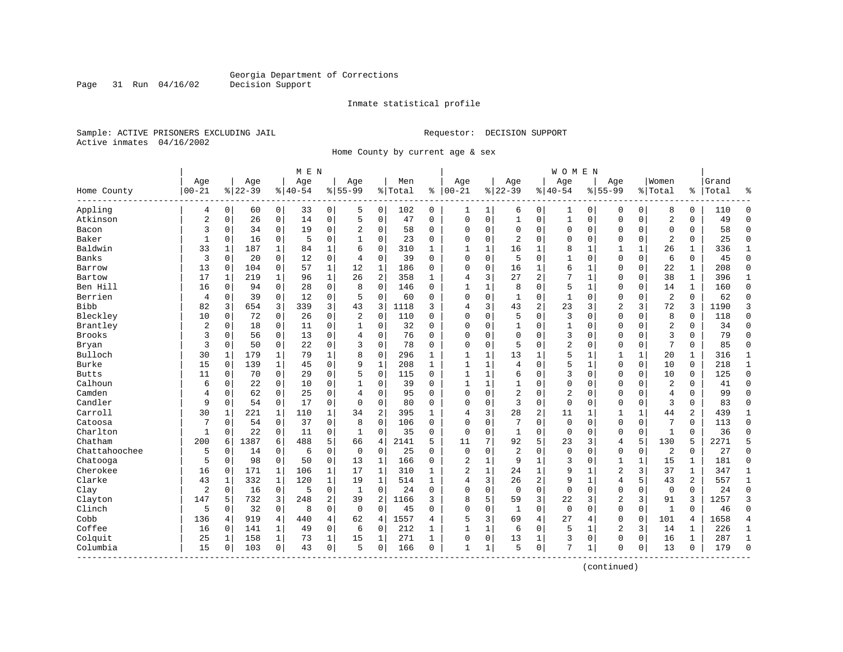Inmate statistical profile

Sample: ACTIVE PRISONERS EXCLUDING JAIL Requestor: DECISION SUPPORT Active inmates 04/16/2002

Page 31 Run 04/16/02

Home County by current age & sex

|                          |                |              |           |              | M E N     |              |                |              |         |              |                |   |                |                | <b>WOMEN</b>   |              |                |              |                |              |       |                |
|--------------------------|----------------|--------------|-----------|--------------|-----------|--------------|----------------|--------------|---------|--------------|----------------|---|----------------|----------------|----------------|--------------|----------------|--------------|----------------|--------------|-------|----------------|
|                          | Age            |              | Age       |              | Age       |              | Age            |              | Men     |              | Age            |   | Age            |                | Age            |              | Age            |              | Women          |              | Grand |                |
| Home County<br>--------- | $00 - 21$      |              | $8 22-39$ |              | $8 40-54$ |              | $8155 - 99$    |              | % Total | ి            | $ 00-21$       |   | $ 22-39$       |                | $ 40-54$       |              | $8155 - 99$    |              | % Total        | ႜ            | Total |                |
| Appling                  | 4              | 0            | 60        | 0            | 33        | 0            | 5              | 0            | 102     | 0            | 1              | 1 | 6              | 0              | 1              | 0            | 0              | 0            | 8              | 0            | 110   | $\Omega$       |
| Atkinson                 | $\overline{2}$ | $\mathbf 0$  | 26        | $\mathsf{O}$ | 14        | 0            | 5              | $\mathbf 0$  | 47      | 0            | $\Omega$       | 0 | $\mathbf{1}$   | 0              | $\mathbf{1}$   | $\mathbf 0$  | $\Omega$       | 0            | $\overline{2}$ | 0            | 49    | $\Omega$       |
| Bacon                    | 3              | 0            | 34        | $\mathbf 0$  | 19        | 0            | $\overline{2}$ | 0            | 58      | 0            | $\Omega$       | 0 | $\Omega$       | 0              | 0              | 0            | 0              | 0            | 0              | 0            | 58    | $\Omega$       |
| Baker                    | $\mathbf{1}$   | $\Omega$     | 16        | $\mathbf 0$  | 5         | $\mathbf 0$  | 1              | $\mathbf 0$  | 23      | $\Omega$     | $\Omega$       | 0 | 2              | $\Omega$       | 0              | $\mathbf 0$  | $\Omega$       | $\Omega$     | $\overline{2}$ | 0            | 25    | $\Omega$       |
| Baldwin                  | 33             | $\mathbf{1}$ | 187       | 1            | 84        | $\mathbf{1}$ | 6              | $\mathbf 0$  | 310     | 1            | $\mathbf{1}$   | 1 | 16             | 1              | 8              | $\mathbf{1}$ | $\mathbf{1}$   | $\mathbf{1}$ | 26             | $\mathbf{1}$ | 336   | $\mathbf{1}$   |
| Banks                    | 3              | $\Omega$     | 20        | $\mathbf 0$  | 12        | $\mathbf 0$  | 4              | $\mathbf 0$  | 39      | $\Omega$     | $\Omega$       | 0 | 5              | $\Omega$       | $\mathbf{1}$   | $\Omega$     | $\Omega$       | 0            | 6              | 0            | 45    | $\Omega$       |
| Barrow                   | 13             | 0            | 104       | $\mathbf 0$  | 57        | $\mathbf{1}$ | 12             | 1            | 186     | 0            | $\Omega$       | 0 | 16             | 1              | б              | 1            | $\Omega$       | $\mathbf 0$  | 22             | 1            | 208   | $\Omega$       |
| Bartow                   | 17             | 1            | 219       | 1            | 96        | $\mathbf{1}$ | 26             | 2            | 358     | 1            | 4              | 3 | 27             | $\overline{2}$ | 7              | 1            | 0              | 0            | 38             | $\mathbf{1}$ | 396   | $\mathbf{1}$   |
| Ben Hill                 | 16             | $\Omega$     | 94        | $\mathbf 0$  | 28        | $\mathbf 0$  | 8              | $\mathbf 0$  | 146     | $\Omega$     | $\mathbf{1}$   | 1 | 8              | $\Omega$       | 5              | $\mathbf{1}$ | $\Omega$       | $\Omega$     | 14             | $\mathbf{1}$ | 160   | $\Omega$       |
| Berrien                  | 4              | $\mathbf 0$  | 39        | $\mathbf 0$  | 12        | 0            | 5              | $\mathbf 0$  | 60      | $\Omega$     | $\Omega$       | 0 | $\mathbf{1}$   | 0              | $\mathbf{1}$   | $\mathbf 0$  | $\Omega$       | 0            | $\overline{2}$ | $\mathbf 0$  | 62    | $\Omega$       |
| <b>Bibb</b>              | 82             | 3            | 654       | 3            | 339       | 3            | 43             | 3            | 1118    | 3            | 4              | 3 | 43             | 2              | 23             | 3            | $\overline{2}$ | 3            | 72             | 3            | 1190  | 3              |
| Bleckley                 | 10             | 0            | 72        | $\mathbf 0$  | 26        | $\mathbf 0$  | $\overline{2}$ | $\mathbf 0$  | 110     | $\Omega$     | $\Omega$       | 0 | 5              | $\Omega$       | 3              | $\Omega$     | $\Omega$       | $\Omega$     | 8              | 0            | 118   | $\Omega$       |
| Brantley                 | $\overline{a}$ | 0            | 18        | 0            | 11        | $\mathsf 0$  | 1              | 0            | 32      | 0            | 0              | 0 |                | 0              | 1              | $\mathbf 0$  | 0              | $\Omega$     | $\overline{2}$ | 0            | 34    | $\Omega$       |
| <b>Brooks</b>            | 3              | 0            | 56        | $\mathbf 0$  | 13        | $\mathbf 0$  | 4              | $\mathbf 0$  | 76      | 0            | $\Omega$       | 0 | $\Omega$       | $\Omega$       | 3              | 0            | $\Omega$       | 0            | 3              | 0            | 79    | $\Omega$       |
| Bryan                    | 3              | 0            | 50        | $\mathbf 0$  | 22        | $\mathbf 0$  | 3              | 0            | 78      | 0            | $\Omega$       | 0 | 5              | 0              | 2              | $\Omega$     | $\Omega$       | 0            | 7              | 0            | 85    | $\Omega$       |
| Bulloch                  | 30             | 1            | 179       | 1            | 79        | $\mathbf 1$  | 8              | $\mathbf 0$  | 296     | 1            | $\mathbf{1}$   | 1 | 13             | 1              | 5              | $\mathbf{1}$ | 1              | 1            | 20             | 1            | 316   | 1              |
| <b>Burke</b>             | 15             | 0            | 139       | 1            | 45        | $\mathsf 0$  | 9              | $\mathbf{1}$ | 208     | $\mathbf{1}$ | $\mathbf{1}$   | 1 | 4              | $\Omega$       | 5              | $\mathbf{1}$ | $\Omega$       | 0            | 10             | 0            | 218   | 1              |
| <b>Butts</b>             | 11             | 0            | 70        | $\mathbf 0$  | 29        | $\mathbf 0$  | 5              | $\mathbf 0$  | 115     | $\Omega$     | $\mathbf{1}$   | 1 | 6              | $\Omega$       | 3              | $\Omega$     | $\Omega$       | $\Omega$     | 10             | 0            | 125   | $\Omega$       |
| Calhoun                  | 6              | 0            | 22        | $\mathbf 0$  | 10        | $\mathbf 0$  | 1              | 0            | 39      | $\Omega$     | $\mathbf{1}$   | 1 |                | 0              | 0              | $\mathbf 0$  | $\Omega$       | 0            | $\overline{2}$ | 0            | 41    | $\Omega$       |
| Camden                   | 4              | 0            | 62        | $\mathbf 0$  | 25        | 0            | 4              | $\mathbf 0$  | 95      | 0            | $\Omega$       | 0 | $\overline{2}$ | $\Omega$       | $\overline{2}$ | 0            | $\Omega$       | 0            | $\overline{4}$ | 0            | 99    | $\Omega$       |
| Candler                  | 9              | $\Omega$     | 54        | $\mathbf 0$  | 17        | $\mathbf 0$  | $\Omega$       | $\mathbf 0$  | 80      | $\Omega$     | $\Omega$       | 0 | 3              | $\Omega$       | $\mathbf 0$    | $\Omega$     | $\Omega$       | $\Omega$     | 3              | 0            | 83    | $\Omega$       |
| Carroll                  | 30             | $\mathbf{1}$ | 221       | 1            | 110       | $\mathbf 1$  | 34             | 2            | 395     | $\mathbf{1}$ | 4              | 3 | 28             | 2              | 11             | 1            | 1              | 1            | 44             | 2            | 439   | $\mathbf{1}$   |
| Catoosa                  | 7              | 0            | 54        | 0            | 37        | 0            | 8              | $\mathbf 0$  | 106     | 0            | $\Omega$       | 0 |                | $\Omega$       | $\mathbf{0}$   | $\Omega$     | $\Omega$       | 0            | 7              | 0            | 113   | $\Omega$       |
| Charlton                 | 1              | $\Omega$     | 22        | $\mathbf 0$  | 11        | $\mathbf 0$  | 1              | 0            | 35      | 0            | $\Omega$       | 0 | 1              | 0              | $\mathbf 0$    | $\Omega$     | $\Omega$       | 0            | $\mathbf{1}$   | 0            | 36    | ∩              |
| Chatham                  | 200            | 6            | 1387      | 6            | 488       | 5            | 66             | 4            | 2141    | 5            | 11             | 7 | 92             | 5              | 23             | 3            | 4              | 5            | 130            | 5            | 2271  | 5              |
| Chattahoochee            | 5              | $\mathbf 0$  | 14        | $\mathbf 0$  | 6         | 0            | $\mathbf 0$    | $\mathbf 0$  | 25      | $\Omega$     | $\Omega$       | 0 | $\overline{2}$ | 0              | $\Omega$       | $\Omega$     | $\Omega$       | 0            | 2              | 0            | 27    | $\Omega$       |
| Chatooga                 | 5              | $\Omega$     | 98        | $\mathbf 0$  | 50        | $\mathbf 0$  | 13             | 1            | 166     | $\Omega$     | $\overline{2}$ | 1 | 9              | 1              | 3              | $\Omega$     | $\mathbf{1}$   | 1            | 15             | 1            | 181   | $\Omega$       |
| Cherokee                 | 16             | 0            | 171       | $\mathbf{1}$ | 106       | $\mathbf 1$  | 17             | 1            | 310     | 1            | $\overline{2}$ | 1 | 24             | 1              | 9              | $\mathbf{1}$ | $\overline{2}$ | 3            | 37             | 1            | 347   | 1              |
| Clarke                   | 43             | $\mathbf{1}$ | 332       | 1            | 120       | $\mathbf 1$  | 19             | 1            | 514     | $\mathbf{1}$ | 4              | 3 | 26             | 2              | 9              | $\mathbf{1}$ | 4              | 5            | 43             | 2            | 557   | 1              |
| Clay                     | $\overline{2}$ | 0            | 16        | $\mathbf 0$  | 5         | $\mathbf 0$  | 1              | $\mathbf 0$  | 24      | 0            | $\Omega$       | 0 | $\mathbf 0$    | 0              | $\mathbf 0$    | $\Omega$     | $\Omega$       | 0            | $\mathbf 0$    | 0            | 24    | $\Omega$       |
| Clayton                  | 147            | 5            | 732       | 3            | 248       | 2            | 39             | 2            | 1166    | 3            | 8              | 5 | 59             | 3              | 22             | 3            | $\overline{2}$ | 3            | 91             | 3            | 1257  | 3              |
| Clinch                   | 5              | 0            | 32        | 0            | 8         | $\mathbf 0$  | $\mathbf 0$    | $\mathbf 0$  | 45      | 0            | 0              | 0 | $\mathbf{1}$   | 0              | $\mathbf{0}$   | $\Omega$     | $\Omega$       | 0            | $\mathbf{1}$   | $\Omega$     | 46    | $\Omega$       |
| Cobb                     | 136            | 4            | 919       | 4            | 440       | $\,4$        | 62             | 4            | 1557    | 4            | 5              | 3 | 69             | 4              | 27             | 4            | $\Omega$       | 0            | 101            | 4            | 1658  | $\overline{4}$ |
| Coffee                   | 16             | 0            | 141       | 1            | 49        | 0            | 6              | 0            | 212     | 1            | 1              | 1 | 6              | 0              | 5              | 1            | $\overline{2}$ | 3            | 14             | 1            | 226   | 1              |
| Colquit                  | 25             | 1            | 158       | 1            | 73        | $\mathbf 1$  | 15             | 1            | 271     | 1            | 0              | 0 | 13             | 1              | 3              | $\mathbf 0$  | $\Omega$       | 0            | 16             | 1            | 287   | $\mathbf{1}$   |
| Columbia<br>----------   | 15             | 0            | 103       | 0            | 43        | $\mathbf 0$  | 5              | $\mathbf 0$  | 166     | 0            | $\mathbf{1}$   | 1 | 5              | 0              | 7              | 1            | $\Omega$       | 0            | 13             | 0            | 179   | $\Omega$       |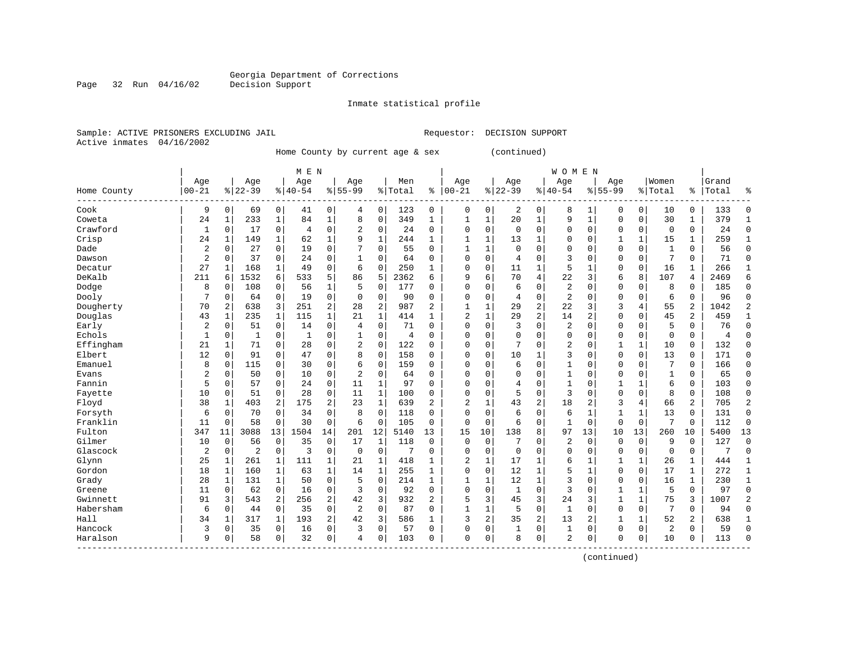Inmate statistical profile

Sample: ACTIVE PRISONERS EXCLUDING JAIL Requestor: DECISION SUPPORT Active inmates 04/16/2002

Page 32 Run 04/16/02

Home County by current age & sex (continued)

|                        |                |              |              |                | M E N          |                |                |              |         |                |              |                         |           |                | <b>WOMEN</b>   |              |              |                |              |                |       |              |
|------------------------|----------------|--------------|--------------|----------------|----------------|----------------|----------------|--------------|---------|----------------|--------------|-------------------------|-----------|----------------|----------------|--------------|--------------|----------------|--------------|----------------|-------|--------------|
|                        | Age            |              | Age          |                | Age            |                | Age            |              | Men     |                | Age          |                         | Age       |                | Age            |              | Age          |                | Women        |                | Grand |              |
| Home County<br>------- | $00 - 21$      |              | $8$   22-39  |                | $8 40-54$      |                | $8155 - 99$    |              | % Total | နွ             | $00 - 21$    | %                       | $22 - 39$ |                | $8140 - 54$    |              | $8155 - 99$  |                | % Total      | ి              | Total |              |
| Cook                   | 9              | 0            | 69           | 0              | 41             | 0              | 4              | 0            | 123     | 0              | 0            | 0                       | 2         | 0              | 8              | 1            | 0            | 0              | 10           | 0              | 133   | ſ            |
| Coweta                 | 24             | 1            | 233          | 1              | 84             | $\mathbf 1$    | 8              | $\mathbf 0$  | 349     | $\mathbf{1}$   | -1           | $\mathbf{1}$            | 20        | $\mathbf{1}$   | 9              | $\mathbf{1}$ | $\Omega$     | $\mathbf 0$    | 30           | $\mathbf{1}$   | 379   |              |
| Crawford               | 1              | $\Omega$     | 17           | $\mathbf 0$    | $\overline{4}$ | 0              | 2              | $\mathbf 0$  | 24      | $\Omega$       | $\Omega$     | $\Omega$                | $\Omega$  | $\Omega$       | $\Omega$       | $\Omega$     | $\Omega$     | $\mathbf 0$    | $\mathbf 0$  | 0              | 24    | $\Omega$     |
| Crisp                  | 24             | 1            | 149          | 1              | 62             | 1              | 9              | $\mathbf{1}$ | 244     | $\mathbf{1}$   |              | 1                       | 13        |                | $\Omega$       | $\Omega$     |              | 1              | 15           | 1              | 259   |              |
| Dade                   | $\overline{a}$ | 0            | 27           | $\mathbf 0$    | 19             | 0              |                | $\mathbf 0$  | 55      | 0              |              | $\mathbf{1}$            | $\Omega$  | $\Omega$       | $\Omega$       | $\Omega$     | $\Omega$     | $\mathbf 0$    | $\mathbf{1}$ | 0              | 56    | $\Omega$     |
| Dawson                 | $\overline{a}$ | 0            | 37           | $\mathbf 0$    | 24             | 0              |                | $\mathbf 0$  | 64      | 0              | $\Omega$     | 0                       | 4         | $\Omega$       | 3              | O            | $\Omega$     | $\Omega$       | 7            | 0              | 71    | $\Omega$     |
| Decatur                | 27             | 1            | 168          | 1              | 49             | 0              | 6              | $\mathbf 0$  | 250     | 1              | $\Omega$     | 0                       | 11        | 1              | 5              | 1            | $\Omega$     | $\mathbf 0$    | 16           | 1              | 266   | $\mathbf{1}$ |
| DeKalb                 | 211            | 6            | 1532         | 6              | 533            | 5              | 86             | 5            | 2362    | 6              | 9            | 6                       | 70        | $\overline{4}$ | 22             | 3            | 6            | 8              | 107          | 4              | 2469  | б            |
| Dodge                  | 8              | 0            | 108          | $\Omega$       | 56             | 1              | 5              | $\mathbf 0$  | 177     | U              | $\Omega$     | $\Omega$                | 6         | $\Omega$       | 2              |              | $\Omega$     | $\Omega$       | 8            | 0              | 185   | 0            |
| Dooly                  | 7              | 0            | 64           | 0              | 19             | 0              | $\Omega$       | 0            | 90      | O              | C            | $\Omega$                | 4         | $\Omega$       | $\overline{a}$ | O            | $\Omega$     | $\Omega$       | 6            | 0              | 96    | <sup>0</sup> |
| Dougherty              | 70             | 2            | 638          | 3              | 251            | 2              | 28             | 2            | 987     | $\overline{2}$ | $\mathbf{1}$ | 1                       | 29        | $\overline{2}$ | 22             | ς            | 3            | 4              | 55           | $\overline{2}$ | 1042  |              |
| Douglas                | 43             | $\mathbf{1}$ | 235          | 1              | 115            | $\mathbf 1$    | 21             | $\mathbf{1}$ | 414     | 1              | 2            | 1                       | 29        | $\overline{2}$ | 14             | 2            | $\Omega$     | $\Omega$       | 45           | 2              | 459   |              |
| Early                  | 2              | 0            | 51           | $\mathbf 0$    | 14             | 0              | $\overline{4}$ | $\mathbf 0$  | 71      | 0              | $\Omega$     | $\Omega$                | 3         | $\Omega$       | 2              | $\Omega$     | $\Omega$     | $\Omega$       | 5            | 0              | 76    | $\Omega$     |
| Echols                 | 1              | 0            | $\mathbf{1}$ | $\mathbf 0$    | $\mathbf{1}$   | 0              |                | $\mathbf 0$  | 4       | $\Omega$       | $\Omega$     | 0                       | $\Omega$  | $\Omega$       | 0              | $\Omega$     | $\Omega$     | $\mathbf 0$    | $\Omega$     | 0              | 4     | $\sqrt{ }$   |
| Effingham              | 21             | 1            | 71           | 0              | 28             | 0              | 2              | $\mathbf 0$  | 122     | 0              | $\cap$       | 0                       | 7         | $\Omega$       | 2              | 0            | $\mathbf{1}$ | $\mathbf{1}$   | 10           | 0              | 132   | $\Omega$     |
| Elbert                 | 12             | $\Omega$     | 91           | $\Omega$       | 47             | 0              | 8              | $\mathbf 0$  | 158     | $\Omega$       | $\Omega$     | $\Omega$                | 10        | 1              | 3              | 0            | $\Omega$     | $\Omega$       | 13           | $\Omega$       | 171   | $\Omega$     |
| Emanuel                | 8              | $\Omega$     | 115          | $\Omega$       | 30             | 0              | 6              | 0            | 159     | $\Omega$       | C            | $\Omega$                | 6         | $\Omega$       | 1              | 0            | $\Omega$     | $\Omega$       | 7            | 0              | 166   | <sup>0</sup> |
| Evans                  | $\overline{2}$ | $\Omega$     | 50           | $\Omega$       | 10             | 0              | $\overline{a}$ | 0            | 64      | O              | $\Omega$     | $\Omega$                |           | $\Omega$       | 1              | O            | $\Omega$     | $\Omega$       | 1            | 0              | 65    | $\Omega$     |
| Fannin                 | 5              | $\Omega$     | 57           | 0              | 24             | 0              | 11             | 1            | 97      | O              | $\Omega$     | $\Omega$                | 4         | $\Omega$       | $\mathbf{1}$   | $\Omega$     | $\mathbf{1}$ | $\mathbf{1}$   | 6            | 0              | 103   | $\Omega$     |
| Fayette                | 10             | $\Omega$     | 51           | 0              | 28             | 0              | 11             | 1            | 100     | 0              | $\cap$       | $\Omega$                | 5         | $\Omega$       | 3              | $\Omega$     | $\Omega$     | $\Omega$       | 8            | 0              | 108   | $\Omega$     |
| Floyd                  | 38             | -1           | 403          | 2              | 175            | 2              | 23             | $\mathbf{1}$ | 639     | 2              | 2            | 1                       | 43        | $\overline{2}$ | 18             | 2            | 3            | $\overline{4}$ | 66           | 2              | 705   | 2            |
| Forsyth                | 6              | 0            | 70           | $\mathbf 0$    | 34             | 0              | 8              | $\mathbf 0$  | 118     | 0              | C            | 0                       | 6         | $\Omega$       | 6              | 1            | 1            | 1              | 13           | 0              | 131   | $\Omega$     |
| Franklin               | 11             | $\Omega$     | 58           | $\Omega$       | 30             | 0              | 6              | $\mathbf 0$  | 105     | $\Omega$       | $\Omega$     | $\Omega$                | 6         | $\Omega$       | 1              | $\Omega$     | $\Omega$     | $\Omega$       | 7            | 0              | 112   | $\Omega$     |
| Fulton                 | 347            | 11           | 3088         | 13             | 1504           | 14             | 201            | 12           | 5140    | 13             | 15           | 10                      | 138       | 8              | 97             | 13           | 10           | 13             | 260          | 10             | 5400  | 13           |
| Gilmer                 | 10             | $\Omega$     | 56           | $\mathbf 0$    | 35             | 0              | 17             | 1            | 118     | $\Omega$       | $\Omega$     | $\Omega$                | 7         | $\Omega$       | 2              | 0            | $\mathbf 0$  | $\Omega$       | 9            | $\Omega$       | 127   | $\Omega$     |
| Glascock               | 2              | 0            | 2            | 0              | 3              | 0              | $\mathbf 0$    | $\mathbf 0$  | 7       | $\Omega$       | $\cap$       | 0                       | $\Omega$  | $\Omega$       | $\Omega$       | $\Omega$     | $\Omega$     | 0              | $\mathbf 0$  | 0              | 7     | $\Omega$     |
| Glynn                  | 25             | 1            | 261          | 1              | 111            | 1              | 21             | 1            | 418     | 1              | 2            | 1                       | 17        |                | 6              |              |              | 1              | 26           | 1              | 444   |              |
| Gordon                 | 18             | 1            | 160          | 1              | 63             | 1              | 14             | 1            | 255     | 1              | $\Omega$     | 0                       | 12        | 1              | 5              | $\mathbf{1}$ | $\Omega$     | $\mathbf 0$    | 17           | 1              | 272   | 1            |
| Grady                  | 28             | 1            | 131          | 1              | 50             | 0              | .5             | $\mathbf 0$  | 214     | $\mathbf{1}$   | $\mathbf{1}$ | 1                       | 12        | $\mathbf{1}$   | 3              | $\Omega$     | $\Omega$     | $\Omega$       | 16           | 1              | 230   | $\mathbf{1}$ |
| Greene                 | 11             | $\Omega$     | 62           | $\mathbf 0$    | 16             | 0              | 3              | $\mathbf 0$  | 92      | $\Omega$       | $\Omega$     | 0                       | 1         | $\Omega$       | 3              | O            | 1            | 1              | 5            | 0              | 97    | $\Omega$     |
| Gwinnett               | 91             | 3            | 543          | $\overline{a}$ | 256            | $\overline{a}$ | 42             | 3            | 932     | 2              | 5            | 3                       | 45        | $\overline{3}$ | 24             | 3            | 1            | $\mathbf{1}$   | 75           | 3              | 1007  |              |
| Habersham              | 6              | $\Omega$     | 44           | $\mathbf 0$    | 35             | 0              | $\overline{2}$ | $\mathbf 0$  | 87      | 0              | 1            | $\mathbf{1}$            | 5         | $\Omega$       | $\mathbf{1}$   | $\Omega$     | $\Omega$     | $\Omega$       | 7            | $\Omega$       | 94    | Ω            |
| Hall                   | 34             | 1            | 317          | 1              | 193            | $\overline{a}$ | 42             | 3            | 586     | $\mathbf{1}$   | 3            | $\overline{\mathbf{c}}$ | 35        | 2              | 13             | 2            |              | 1              | 52           | 2              | 638   |              |
| Hancock                | 3              | 0            | 35           | $\mathbf 0$    | 16             | 0              | 3              | $\mathbf 0$  | 57      | $\mathbf 0$    | $\Omega$     | 0                       |           | $\mathbf 0$    | $\mathbf{1}$   | 0            | $\Omega$     | $\mathbf 0$    | 2            | 0              | 59    | $\cap$       |
| Haralson               | 9              | 0            | 58           | 0              | 32             | 0              | 4              | 0            | 103     | 0              | $\Omega$     | 0                       | 8         | $\mathbf 0$    | 2              | 0            | $\Omega$     | 0              | 10           | 0              | 113   | $\cap$       |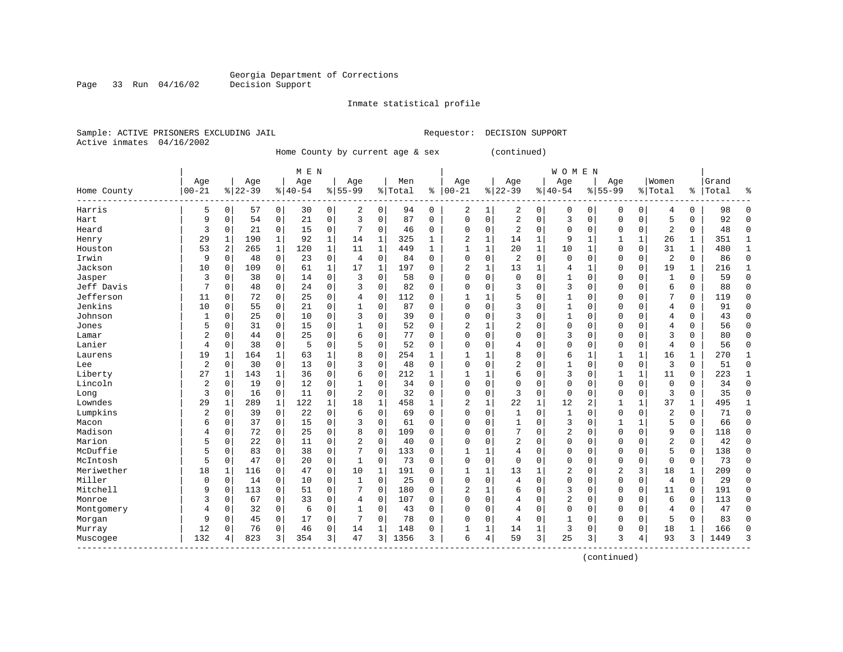Inmate statistical profile

Sample: ACTIVE PRISONERS EXCLUDING JAIL Requestor: DECISION SUPPORT Active inmates 04/16/2002

Page 33 Run 04/16/02

Home County by current age & sex (continued)

|                         | M E N          |              |           |             |           |             |                |              |         |              |                |   |                |              | <b>WOMEN</b>   |              |                |              |                |              |       |              |
|-------------------------|----------------|--------------|-----------|-------------|-----------|-------------|----------------|--------------|---------|--------------|----------------|---|----------------|--------------|----------------|--------------|----------------|--------------|----------------|--------------|-------|--------------|
|                         | Age            |              | Age       |             | Age       |             | Age            |              | Men     |              | Age            |   | Age            |              | Age            |              | Age            |              | Women          |              | Grand |              |
| Home County<br>-------- | $00 - 21$      |              | $8 22-39$ |             | $8 40-54$ |             | $8155 - 99$    |              | % Total | ి            | $ 00 - 21$     |   | $8 22-39$      |              | $8 40-54$      |              | $8155 - 99$    |              | % Total        | ႜ            | Total | ٩,           |
| Harris                  | 5              | $\mathbf 0$  | 57        | 0           | 30        | 0           | 2              | 0            | 94      | 0            | 2              | 1 | 2              | 0            | 0              | 0            | $\Omega$       | 0            | 4              | 0            | 98    | ∩            |
| Hart                    | 9              | $\Omega$     | 54        | $\Omega$    | 21        | 0           | 3              | $\Omega$     | 87      | $\Omega$     | $\Omega$       | 0 | 2              | $\Omega$     | 3              | $\Omega$     | $\Omega$       | $\mathbf 0$  | 5              | $\Omega$     | 92    | ſ            |
| Heard                   | 3              | $\mathbf 0$  | 21        | 0           | 15        | 0           | 7              | $\Omega$     | 46      | 0            | $\Omega$       | 0 | $\overline{2}$ | $\Omega$     | $\Omega$       | $\Omega$     | $\Omega$       | 0            | 2              | 0            | 48    | ſ            |
| Henry                   | 29             | 1            | 190       | 1           | 92        | $\mathbf 1$ | 14             | 1            | 325     | $\mathbf{1}$ | 2              | 1 | 14             | $\mathbf{1}$ | 9              |              |                | 1            | 26             | 1            | 351   |              |
| Houston                 | 53             | 2            | 265       | $\mathbf 1$ | 120       | $\mathbf 1$ | 11             | $\mathbf 1$  | 449     | $\mathbf{1}$ | $\mathbf{1}$   | 1 | 20             | 1            | 10             |              | $\Omega$       | $\mathbf 0$  | 31             | 1            | 480   |              |
| Irwin                   | 9              | $\mathbf 0$  | 48        | 0           | 23        | 0           | 4              | $\mathbf 0$  | 84      | $\Omega$     | $\Omega$       | 0 | $\overline{2}$ | $\mathbf 0$  | $\Omega$       | $\Omega$     | $\Omega$       | $\mathbf 0$  | 2              | 0            | 86    | $\Omega$     |
| Jackson                 | 10             | $\Omega$     | 109       | $\mathbf 0$ | 61        | $\mathbf 1$ | 17             | 1            | 197     | $\Omega$     | $\overline{2}$ | 1 | 13             | $\mathbf{1}$ | 4              | -1           | $\Omega$       | $\mathbf 0$  | 19             | $\mathbf{1}$ | 216   | $\mathbf{1}$ |
| Jasper                  | 3              | $\mathbf 0$  | 38        | $\mathbf 0$ | 14        | 0           | 3              | $\mathbf 0$  | 58      | $\Omega$     | $\Omega$       | 0 | $\Omega$       | $\Omega$     | 1              | $\Omega$     | $\Omega$       | 0            | $\mathbf{1}$   | 0            | 59    | $\Omega$     |
| Jeff Davis              | 7              | $\mathbf 0$  | 48        | $\Omega$    | 24        | 0           | 3              | $\Omega$     | 82      | $\Omega$     | $\Omega$       | 0 | 3              | $\Omega$     | 3              | 0            | $\Omega$       | $\Omega$     | 6              | 0            | 88    | $\Omega$     |
| Jefferson               | 11             | 0            | 72        | $\Omega$    | 25        | 0           | 4              | $\Omega$     | 112     | 0            | -1             |   | 5              | $\Omega$     | 1              | C            | $\Omega$       | $\Omega$     | 7              | 0            | 119   | 0            |
| Jenkins                 | 10             | 0            | 55        | $\Omega$    | 21        | 0           |                | $\Omega$     | 87      | $\Omega$     | $\Omega$       | 0 | 3              | $\Omega$     | 1              | C            | $\Omega$       | O            | 4              | 0            | 91    | $\Omega$     |
| Johnson                 | 1              | $\Omega$     | 25        | $\Omega$    | 10        | 0           | 3              | $\Omega$     | 39      | $\Omega$     | 0              | 0 | 3              | $\Omega$     | 1              | O            | $\Omega$       | $\Omega$     | 4              | $\Omega$     | 43    | ∩            |
| Jones                   | 5              | $\mathbf 0$  | 31        | $\Omega$    | 15        | 0           |                | $\Omega$     | 52      | $\Omega$     | 2              |   | 2              | $\Omega$     | 0              | $\Omega$     | $\Omega$       | $\Omega$     | 4              | 0            | 56    | $\Omega$     |
| Lamar                   | 2              | $\mathbf 0$  | 44        | 0           | 25        | 0           |                | $\mathbf 0$  | 77      | O            | O              | 0 |                | $\Omega$     | 3              | $\Omega$     | $\Omega$       | $\Omega$     | 3              | 0            | 80    | $\Omega$     |
| Lanier                  | 4              | $\Omega$     | 38        | 0           | 5         | 0           |                | 0            | 52      | O            | $\Omega$       | 0 | 4              | $\Omega$     | $\Omega$       | $\Omega$     | $\Omega$       | $\Omega$     | 4              | 0            | 56    | $\Omega$     |
| Laurens                 | 19             | $\mathbf{1}$ | 164       | 1           | 63        | 1           |                | $\mathbf 0$  | 254     | 1            | $\mathbf{1}$   | 1 | 8              | $\Omega$     | 6              | $\mathbf{1}$ | $\mathbf{1}$   | $\mathbf{1}$ | 16             | $\mathbf{1}$ | 270   | $\mathbf{1}$ |
| Lee                     | $\overline{2}$ | $\mathbf 0$  | 30        | $\mathbf 0$ | 13        | 0           | 3              | $\mathbf 0$  | 48      | 0            | $\Omega$       | 0 | 2              | $\Omega$     | 1              | 0            | $\Omega$       | $\mathbf 0$  | 3              | 0            | 51    | $\Omega$     |
| Liberty                 | 27             | $\mathbf{1}$ | 143       | 1           | 36        | 0           | 6              | 0            | 212     | 1            |                |   | 6              | $\Omega$     | 3              | 0            |                | 1            | 11             | 0            | 223   | -1           |
| Lincoln                 | 2              | 0            | 19        | 0           | 12        | 0           |                | $\mathbf 0$  | 34      | $\Omega$     | $\Omega$       | 0 | $\Omega$       | $\Omega$     | $\Omega$       | C            | $\Omega$       | $\mathbf 0$  | $\mathbf 0$    | 0            | 34    | $\Omega$     |
| Long                    | 3              | $\mathbf 0$  | 16        | 0           | 11        | 0           | $\overline{2}$ | $\Omega$     | 32      | $\Omega$     | $\Omega$       | 0 | 3              | $\Omega$     | 0              | O            | $\Omega$       | 0            | 3              | 0            | 35    | ∩            |
| Lowndes                 | 29             | 1            | 289       | 1           | 122       | 1           | 18             | $\mathbf{1}$ | 458     | 1            | 2              | 1 | 22             | 1            | 12             | 2            |                | 1            | 37             | 1            | 495   |              |
| Lumpkins                | 2              | $\mathbf 0$  | 39        | $\mathbf 0$ | 22        | 0           | 6              | $\Omega$     | 69      | $\Omega$     | 0              | 0 | 1              | $\Omega$     | $\mathbf{1}$   | $\Omega$     | $\Omega$       | $\Omega$     | $\overline{c}$ | 0            | 71    | $\Omega$     |
| Macon                   | б              | $\mathbf 0$  | 37        | $\mathbf 0$ | 15        | 0           | 3              | $\mathbf 0$  | 61      | $\Omega$     | 0              | 0 |                | $\Omega$     | 3              | $\Omega$     |                | 1            | 5              | 0            | 66    | ſ            |
| Madison                 | 4              | 0            | 72        | 0           | 25        | 0           | 8              | $\mathbf 0$  | 109     | $\Omega$     | O              | O |                | $\Omega$     | $\overline{2}$ | $\Omega$     | $\Omega$       | $\mathbf 0$  | 9              | 0            | 118   | ſ            |
| Marion                  | 5              | $\mathbf 0$  | 22        | $\mathbf 0$ | 11        | 0           | $\overline{2}$ | $\mathbf 0$  | 40      | $\Omega$     | O              | O | $\overline{2}$ | $\Omega$     | $\Omega$       | O            | $\Omega$       | $\Omega$     | 2              | 0            | 42    | $\Omega$     |
| McDuffie                | 5              | $\mathbf 0$  | 83        | $\mathbf 0$ | 38        | 0           |                | 0            | 133     | $\Omega$     | $\mathbf{1}$   |   | 4              | $\Omega$     | $\Omega$       | O            | $\Omega$       | 0            | 5              | 0            | 138   | $\Omega$     |
| McIntosh                | 5              | 0            | 47        | 0           | 20        | 0           | 1              | 0            | 73      | O            | $\Omega$       | 0 | $\Omega$       | $\Omega$     | 0              | 0            | $\Omega$       | 0            | $\Omega$       | 0            | 73    | $\mathbf 0$  |
| Meriwether              | 18             | 1            | 116       | $\Omega$    | 47        | 0           | 10             | 1            | 191     | U            | 1              | 1 | 13             |              | 2              | 0            | $\overline{2}$ | 3            | 18             | 1            | 209   | $\Omega$     |
| Miller                  | $\Omega$       | $\Omega$     | 14        | $\Omega$    | 10        | 0           | 1              | $\Omega$     | 25      | $\Omega$     | $\Omega$       | 0 | 4              | $\Omega$     | $\Omega$       | C            | $\Omega$       | $\Omega$     | 4              | 0            | 29    | ∩            |
| Mitchell                | 9              | $\Omega$     | 113       | $\Omega$    | 51        | $\Omega$    | 7              | $\Omega$     | 180     | $\Omega$     | 2              | 1 | 6              | $\Omega$     | 3              | C            | $\Omega$       | $\Omega$     | 11             | $\Omega$     | 191   | ∩            |
| Monroe                  | 3              | $\mathbf 0$  | 67        | $\Omega$    | 33        | 0           | 4              | $\Omega$     | 107     | $\Omega$     | 0              | 0 | 4              | $\Omega$     | $\overline{2}$ | 0            | $\Omega$       | $\Omega$     | 6              | 0            | 113   | <sup>0</sup> |
| Montgomery              | 4              | 0            | 32        | $\Omega$    | 6         | 0           |                | 0            | 43      | O            | 0              | 0 | 4              | $\Omega$     | $\Omega$       | O            | $\Omega$       | $\Omega$     | 4              | 0            | 47    | <sup>0</sup> |
| Morgan                  | 9              | $\Omega$     | 45        | $\mathbf 0$ | 17        | 0           |                | $\mathbf 0$  | 78      | O            | 0              | 0 | 4              | $\mathbf 0$  |                | O            | $\Omega$       | $\mathbf 0$  | 5              | 0            | 83    | ſ            |
| Murray                  | 12             | 0            | 76        | $\mathbf 0$ | 46        | 0           | 14             | 1            | 148     | 0            |                | 1 | 14             | 1            | 3              | $\Omega$     | $\Omega$       | $\mathbf 0$  | 18             | 1            | 166   | ſ            |
| Muscogee<br>------      | 132            |              | 823       | 3           | 354       | 3           | 47             | 3            | 1356    | 3            | 6              | 4 | 59             | 3            | 25             | 3            | 3              | 4            | 93             | 3            | 1449  | p            |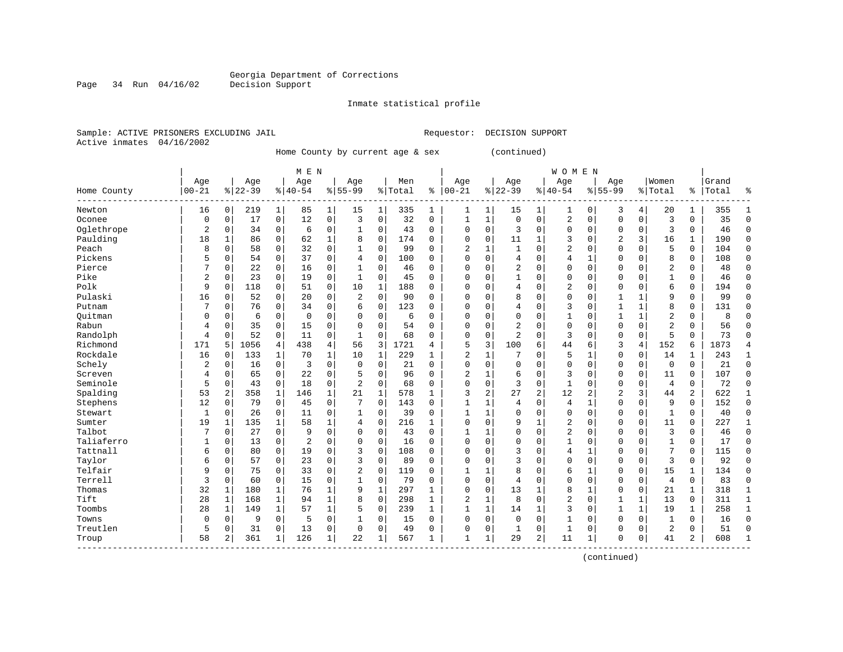Inmate statistical profile

Sample: ACTIVE PRISONERS EXCLUDING JAIL Requestor: DECISION SUPPORT Active inmates 04/16/2002

Page 34 Run 04/16/02

Home County by current age & sex (continued)

|                        |                |                |           |              | M E N          |              |                |             |         |              |              |                |                |              | WOMEN          |          |                |              |                |                |       |              |
|------------------------|----------------|----------------|-----------|--------------|----------------|--------------|----------------|-------------|---------|--------------|--------------|----------------|----------------|--------------|----------------|----------|----------------|--------------|----------------|----------------|-------|--------------|
|                        | Age            |                | Age       |              | Age            |              | Age            |             | Men     |              | Age          |                | Age            |              | Age            |          | Age            |              | Women          |                | Grand |              |
| Home County<br>------- | $00 - 21$      |                | $8 22-39$ |              | $8 40-54$      |              | $8155 - 99$    |             | % Total | ి            | $00 - 21$    |                | $8 22-39$      |              | $8140 - 54$    |          | $8155 - 99$    |              | % Total        | ႜ              | Total | 우            |
| Newton                 | 16             | 0              | 219       | 1            | 85             | 1            | 15             | 1           | 335     | 1            | 1            | 1              | 15             | 1            | $\mathbf{1}$   | 0        | 3              | 4            | 20             | 1              | 355   |              |
| Oconee                 | 0              | $\Omega$       | 17        | 0            | 12             | $\mathbf 0$  | 3              | $\Omega$    | 32      | $\Omega$     | 1            | 1              | $\Omega$       | $\Omega$     | 2              | $\Omega$ | $\Omega$       | $\Omega$     | 3              | $\Omega$       | 35    | $\Omega$     |
| Oglethrope             | $\overline{2}$ | $\Omega$       | 34        | 0            | 6              | 0            | 1              | 0           | 43      | 0            | $\Omega$     | $\Omega$       | 3              | $\Omega$     | 0              | $\Omega$ | $\mathbf 0$    | $\mathbf 0$  | 3              | $\Omega$       | 46    | $\cap$       |
| Paulding               | 18             | $\mathbf{1}$   | 86        | $\mathbf 0$  | 62             | $\mathbf 1$  | 8              | 0           | 174     | 0            | $\Omega$     | 0              | 11             | $\mathbf{1}$ | 3              | $\Omega$ | 2              | 3            | 16             | 1              | 190   | $\Omega$     |
| Peach                  | 8              | $\mathbf 0$    | 58        | $\mathbf 0$  | 32             | 0            | $\mathbf{1}$   | $\mathbf 0$ | 99      | $\Omega$     | 2            | $\mathbf 1$    | $\mathbf{1}$   | $\Omega$     | 2              | $\Omega$ | $\Omega$       | $\Omega$     | 5              | 0              | 104   | $\cap$       |
| Pickens                | 5              | $\mathbf 0$    | 54        | $\mathbf 0$  | 37             | $\mathbf 0$  | $\overline{4}$ | $\mathbf 0$ | 100     | $\Omega$     | $\Omega$     | 0              | $\overline{4}$ | $\Omega$     | 4              | 1        | $\Omega$       | $\Omega$     | 8              | 0              | 108   | $\cap$       |
| Pierce                 | 7              | 0              | 22        | 0            | 16             | 0            | 1              | $\mathbf 0$ | 46      | $\mathbf 0$  | $\Omega$     | 0              | $\overline{2}$ | $\Omega$     | 0              | $\Omega$ | $\Omega$       | $\Omega$     | 2              | 0              | 48    | $\Omega$     |
| Pike                   | 2              | 0              | 23        | $\mathbf 0$  | 19             | $\mathbf 0$  | 1              | 0           | 45      | 0            | $\Omega$     | 0              |                | $\Omega$     | 0              | 0        | $\mathbf 0$    | 0            | $\mathbf{1}$   | 0              | 46    | $\Omega$     |
| Polk                   | 9              | $\Omega$       | 118       | 0            | 51             | 0            | 10             | 1           | 188     | $\Omega$     | 0            | $\Omega$       | 4              | O            | $\overline{2}$ | 0        | $\Omega$       | $\Omega$     | 6              | 0              | 194   | $\Omega$     |
| Pulaski                | 16             | $\Omega$       | 52        | 0            | 20             | 0            | 2              | $\mathbf 0$ | 90      | 0            | O            | $\Omega$       | 8              | $\Omega$     | 0              | 0        | 1              | 1            | 9              | 0              | 99    | <sup>0</sup> |
| Putnam                 | 7              | $\Omega$       | 76        | $\Omega$     | 34             | $\mathbf 0$  | 6              | $\Omega$    | 123     | 0            | O            | O              | $\overline{4}$ | $\Omega$     | 3              | O        | $\mathbf{1}$   | $\mathbf{1}$ | 8              | 0              | 131   | ∩            |
| Ouitman                | 0              | $\Omega$       | 6         | $\Omega$     | $\Omega$       | $\Omega$     | $\Omega$       | $\Omega$    | 6       | $\Omega$     | 0            | $\Omega$       | $\Omega$       | $\Omega$     | 1              | U        | 1              | $\mathbf{1}$ | 2              | $\Omega$       | 8     |              |
| Rabun                  | 4              | $\Omega$       | 35        | $\mathbf 0$  | 15             | $\mathbf 0$  | $\Omega$       | 0           | 54      | $\Omega$     | $\Omega$     | $\Omega$       | 2              | $\Omega$     | 0              | O        | $\Omega$       | $\Omega$     | $\overline{2}$ | 0              | 56    | ∩            |
| Randolph               | 4              | 0              | 52        | $\mathbf 0$  | 11             | 0            | 1              | $\mathbf 0$ | 68      | $\Omega$     | O            | 0              | $\overline{a}$ | $\Omega$     | 3              | O        | $\Omega$       | $\mathbf 0$  | 5              | O              | 73    | ſ            |
| Richmond               | 171            | 5              | 1056      | 4            | 438            | $\,4$        | 56             | 3           | 1721    | 4            | 5            | 3              | 100            | 6            | 44             | 6        | 3              | 4            | 152            | 6              | 1873  |              |
| Rockdale               | 16             | 0              | 133       | $\mathbf 1$  | 70             | $\mathbf 1$  | 10             | 1           | 229     | $\mathbf{1}$ | 2            | 1              |                | O            | 5              | 1        | $\mathbf 0$    | $\mathbf 0$  | 14             | 1              | 243   | $\mathbf{1}$ |
| Schely                 | 2              | 0              | 16        | $\mathbf 0$  | 3              | $\mathbf 0$  | $\mathbf 0$    | 0           | 21      | 0            | $\cap$       | 0              | $\Omega$       | $\Omega$     | 0              | 0        | $\mathbf 0$    | $\mathbf 0$  | $\mathbf 0$    | 0              | 21    | $\Omega$     |
| Screven                | 4              | 0              | 65        | $\mathbf 0$  | 22             | $\mathbf 0$  | 5              | $\mathbf 0$ | 96      | 0            | 2            | 1              | 6              | $\Omega$     | 3              | U        | $\mathbf 0$    | 0            | 11             | 0              | 107   | $\Omega$     |
| Seminole               | 5              | 0              | 43        | $\mathbf 0$  | 18             | $\mathbf 0$  | $\overline{2}$ | $\mathbf 0$ | 68      | $\Omega$     | $\Omega$     | 0              | 3              | $\Omega$     | $\mathbf{1}$   | $\Omega$ | $\mathbf{0}$   | 0            | 4              | 0              | 72    | <sup>0</sup> |
| Spalding               | 53             | 2              | 358       | $\mathbf{1}$ | 146            | $\mathbf{1}$ | 21             | 1           | 578     | 1            | 3            | $\overline{2}$ | 27             | 2            | 12             | 2        | $\overline{c}$ | 3            | 44             | $\overline{a}$ | 622   | -1           |
| Stephens               | 12             | $\Omega$       | 79        | 0            | 45             | $\mathbf 0$  | 7              | $\Omega$    | 143     | $\Omega$     | -1           | $\mathbf{1}$   | $\overline{4}$ | $\Omega$     | 4              | -1       | $\Omega$       | $\Omega$     | 9              | $\Omega$       | 152   | $\Omega$     |
| Stewart                | 1              | $\Omega$       | 26        | $\mathbf 0$  | 11             | $\mathbf 0$  | $\mathbf{1}$   | 0           | 39      | 0            |              | 1              | $\Omega$       | $\Omega$     | 0              | $\Omega$ | $\Omega$       | $\mathbf 0$  | 1              | 0              | 40    | ſ            |
| Sumter                 | 19             | 1              | 135       | 1            | 58             | $\mathbf 1$  | 4              | $\mathbf 0$ | 216     | 1            | $\Omega$     | $\Omega$       | 9              | $\mathbf{1}$ | 2              | O        | $\Omega$       | $\Omega$     | 11             | 0              | 227   |              |
| Talbot                 | 7              | 0              | 27        | 0            | 9              | 0            | $\Omega$       | $\mathbf 0$ | 43      | 0            | $\mathbf{1}$ | 1              |                | $\Omega$     | 2              | 0        | $\Omega$       | 0            | 3              | 0              | 46    | $\Omega$     |
| Taliaferro             | $\mathbf{1}$   | 0              | 13        | $\mathbf 0$  | $\overline{2}$ | $\mathbf 0$  | $\Omega$       | $\mathbf 0$ | 16      | $\Omega$     | $\Omega$     | $\Omega$       | $\cap$         | $\cap$       | $\mathbf{1}$   | O        | $\Omega$       | $\Omega$     | $\mathbf{1}$   | 0              | 17    | $\Omega$     |
| Tattnall               | 6              | 0              | 80        | $\mathbf 0$  | 19             | 0            | 3              | $\mathbf 0$ | 108     | 0            | $\Omega$     | 0              | 3              | O            | 4              | 1        | $\mathbf{0}$   | 0            | 7              | 0              | 115   | $\Omega$     |
| Taylor                 | 6              | 0              | 57        | $\mathbf 0$  | 23             | $\mathsf 0$  | 3              | $\mathbf 0$ | 89      | $\Omega$     | $\Omega$     | 0              | 3              | $\Omega$     | 0              | $\Omega$ | $\mathbf 0$    | 0            | 3              | 0              | 92    | $\Omega$     |
| Telfair                | 9              | $\Omega$       | 75        | 0            | 33             | $\mathsf 0$  | $\overline{2}$ | 0           | 119     | 0            |              | 1              | 8              | O            | 6              | 1        | $\Omega$       | $\Omega$     | 15             | 1              | 134   | <sup>0</sup> |
| Terrell                | 3              | $\Omega$       | 60        | 0            | 15             | $\mathbf 0$  | $\mathbf{1}$   | $\mathbf 0$ | 79      | $\Omega$     | $\Omega$     | $\Omega$       | $\overline{4}$ | $\Omega$     | $\Omega$       | $\Omega$ | $\Omega$       | $\Omega$     | 4              | 0              | 83    | <sup>0</sup> |
| Thomas                 | 32             | $\mathbf{1}$   | 180       | $\mathbf{1}$ | 76             | $\mathbf{1}$ | 9              | 1           | 297     | $\mathbf{1}$ | $\Omega$     | $\Omega$       | 13             | 1            | 8              | 1        | $\Omega$       | $\Omega$     | 21             | $\mathbf{1}$   | 318   | -1           |
| Tift                   | 28             | 1              | 168       | 1            | 94             | $\mathbf{1}$ | 8              | $\mathbf 0$ | 298     | $\mathbf{1}$ | 2            | $\mathbf{1}$   | 8              | $\Omega$     | 2              | $\Omega$ | 1              | $\mathbf{1}$ | 13             | 0              | 311   | -1           |
| Toombs                 | 28             | $\mathbf{1}$   | 149       | $\mathbf{1}$ | 57             | $\mathbf 1$  | 5              | $\mathbf 0$ | 239     | $\mathbf{1}$ | 1            | 1              | 14             | 1            | 3              | O        | 1              | $\mathbf{1}$ | 19             | 1              | 258   | $\mathbf{1}$ |
| Towns                  | $\mathsf 0$    | $\mathbf 0$    | 9         | $\mathbf 0$  | 5              | 0            | 1              | 0           | 15      | $\mathbf 0$  | $\Omega$     | 0              | $\Omega$       | $\Omega$     | $\mathbf{1}$   | U        | $\mathbf{0}$   | $\mathbf 0$  | $\mathbf{1}$   | 0              | 16    | $\Omega$     |
| Treutlen               | 5              | 0              | 31        | 0            | 13             | 0            | $\mathbf 0$    | $\mathbf 0$ | 49      | $\mathbf 0$  | $\Omega$     | 0              | $\mathbf{1}$   | $\mathbf 0$  | $\mathbf{1}$   | 0        | $\mathbf 0$    | 0            | $\overline{2}$ | 0              | 51    | $\sqrt{ }$   |
| Troup                  | 58             | $\overline{a}$ | 361       | 1            | 126            | $\mathbf 1$  | 22             | 1           | 567     | 1            | $\mathbf{1}$ | 1              | 29             | 2            | 11             | 1        | $\Omega$       | 0            | 41             | 2              | 608   | -1           |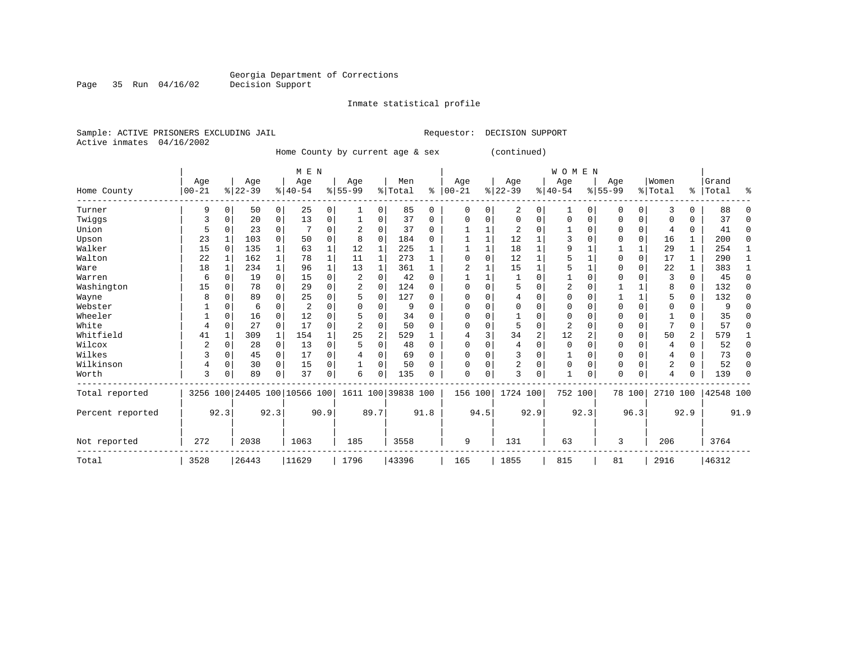Inmate statistical profile

Sample: ACTIVE PRISONERS EXCLUDING JAIL Requestor: DECISION SUPPORT Active inmates 04/16/2002

Page 35 Run 04/16/02

Home County by current age & sex (continued)

|                  |                |              |           |              | M E N                        |          |              |                |                    |          |                         |          |          |              | <b>WOMEN</b>   |             |             |             |                |   |           |          |
|------------------|----------------|--------------|-----------|--------------|------------------------------|----------|--------------|----------------|--------------------|----------|-------------------------|----------|----------|--------------|----------------|-------------|-------------|-------------|----------------|---|-----------|----------|
|                  | Age            |              | Age       |              | Age                          |          | Age          |                | Men                |          | Age                     |          | Age      |              | Age            |             | Age         |             | Women          |   | Grand     |          |
| Home County      | $00 - 21$      |              | $8 22-39$ |              | $8 40-54$                    |          | $8 55-99$    |                | % Total            | ႜ        | $ 00-21$                |          | $ 22-39$ |              | $ 40-54$       |             | $8155 - 99$ |             | %   Total      |   | %   Total | ႜ        |
| Turner           | 9              | 0            | 50        | 0            | 25                           | 0        | $\mathbf{1}$ | 0              | 85                 | 0        | $\Omega$                | $\Omega$ | 2        | 0            | $\mathbf{1}$   | 0           | $\Omega$    | $\Omega$    | 3              | 0 | 88        | $\Omega$ |
| Twiggs           | 3              | 0            | 20        | 0            | 13                           | 0        |              | $\Omega$       | 37                 | $\Omega$ | $\Omega$                | 0        | $\Omega$ | 0            | $\Omega$       | 0           | 0           | $\Omega$    | $\Omega$       | 0 | 37        | $\Omega$ |
| Union            |                | $\Omega$     | 23        | 0            |                              | 0        |              | $\Omega$       | 37                 | $\Omega$ |                         |          | 2        | U            |                | $\Omega$    | O           | $\Omega$    | 4              | 0 | 41        | $\Omega$ |
| Upson            | 23             |              | 103       | $\Omega$     | 50                           | 0        | 8            | $\Omega$       | 184                | 0        |                         |          | 12       |              |                | $\Omega$    | 0           | 0           | 16             | 1 | 200       | $\Omega$ |
| Walker           | 15             | $\Omega$     | 135       | $\mathbf{1}$ | 63                           | 1        | 12           | 1              | 225                |          |                         |          | 18       |              | 9              |             |             | 1           | 29             | 1 | 254       |          |
| Walton           | 22             |              | 162       | $\mathbf{1}$ | 78                           |          | 11           | 1              | 273                |          |                         | $\Omega$ | 12       | 1            |                |             | 0           | $\mathbf 0$ | 17             | 1 | 290       |          |
| Ware             | 18             | 1            | 234       | $\mathbf{1}$ | 96                           | 1        | 13           | $\mathbf 1$    | 361                | 1        | $\overline{\mathbf{c}}$ |          | 15       | $\mathbf{1}$ |                |             | $\Omega$    | $\Omega$    | 22             | 1 | 383       | -1       |
| Warren           | 6              | 0            | 19        | $\mathbf 0$  | 15                           | 0        |              | 0              | 42                 | $\Omega$ |                         |          |          | 0            |                | $\mathbf 0$ | 0           | $\Omega$    | 3              | 0 | 45        | $\Omega$ |
| Washington       | 15             | $\Omega$     | 78        | $\Omega$     | 29                           | 0        |              | $\Omega$       | 124                | $\Omega$ | <sup>0</sup>            | $\cap$   | 5        | O            | 2              | $\Omega$    |             |             | 8              | 0 | 132       | $\Omega$ |
| Wayne            | 8              | $\Omega$     | 89        | 0            | 25                           | 0        |              | 0              | 127                | 0        |                         |          | 4        | O            |                | $\Omega$    |             | 1           | 5              | 0 | 132       | ∩        |
| Webster          |                |              | 6         | 0            | 2                            |          |              | O              | 9                  | U        |                         |          |          | O            |                | $\Omega$    | 0           | $\Omega$    | O              | 0 |           |          |
| Wheeler          |                | $\Omega$     | 16        | $\Omega$     | 12                           | 0        |              | $\Omega$       | 34                 | O        | ∩                       | O        |          | 0            | $\Omega$       | $\Omega$    | $\Omega$    | O           |                | 0 | 35        |          |
| White            | 4              | $\mathbf 0$  | 27        | 0            | 17                           | $\Omega$ |              | $\Omega$       | 50                 | $\Omega$ |                         | O        | 5        | 0            | $\overline{2}$ | $\Omega$    | O           | 0           |                | 0 | 57        | ∩        |
| Whitfield        | 41             |              | 309       | 1            | 154                          |          | 25           | $\overline{2}$ | 529                |          |                         | 3        | 34       | 2            | 12             | 2           | 0           | $\Omega$    | 50             | 2 | 579       |          |
| Wilcox           | $\overline{2}$ | 0            | 28        | 0            | 13                           | 0        |              | $\Omega$       | 48                 | 0        | ∩                       |          | 4        | 0            | $\Omega$       | $\Omega$    | $\Omega$    | $\Omega$    | 4              | 0 | 52        | $\Omega$ |
| Wilkes           | 3              | 0            | 45        | 0            | 17                           | 0        |              | $\Omega$       | 69                 | 0        |                         | O        | 3        | 0            |                | $\Omega$    | 0           |             | 4              | 0 | 73        | ∩        |
| Wilkinson        | 4              | 0            | 30        | $\mathbf 0$  | 15                           | 0        |              | $\Omega$       | 50                 | O        | <sup>0</sup>            | 0        | 2        | 0            | $\Omega$       | 0           | 0           | $\Omega$    | $\overline{2}$ | 0 | 52        | $\Omega$ |
| Worth            | 3              | $\Omega$     | 89        | 0            | 37                           | 0        | 6            | 0              | 135                | O        | $\Omega$                | 0        | 3        | 0            |                | 0           | $\Omega$    | $\Omega$    | 4              | 0 | 139       | $\Omega$ |
| Total reported   |                |              |           |              | 3256 100 24405 100 10566 100 |          |              |                | 1611 100 39838 100 |          | 156                     | 100      | 1724 100 |              | 752 100        |             |             | 78 100      | 2710 100       |   | 42548 100 |          |
| Percent reported |                | 92.3<br>92.3 |           |              | 90.9                         |          | 89.7         |                | 91.8               |          | 94.5                    |          | 92.9     |              | 92.3           |             | 96.3        |             | 92.9           |   | 91.9      |          |
| Not reported     | 272            |              | 2038      |              | 1063                         |          | 185          |                | 3558               |          | 9                       |          | 131      |              | 63             |             | 3           |             | 206            |   | 3764      |          |
| Total            | 3528           |              | 26443     |              | 11629                        |          | 1796         |                | 43396              |          | 165                     |          | 1855     |              | 815            |             | 81          |             | 2916           |   | 46312     |          |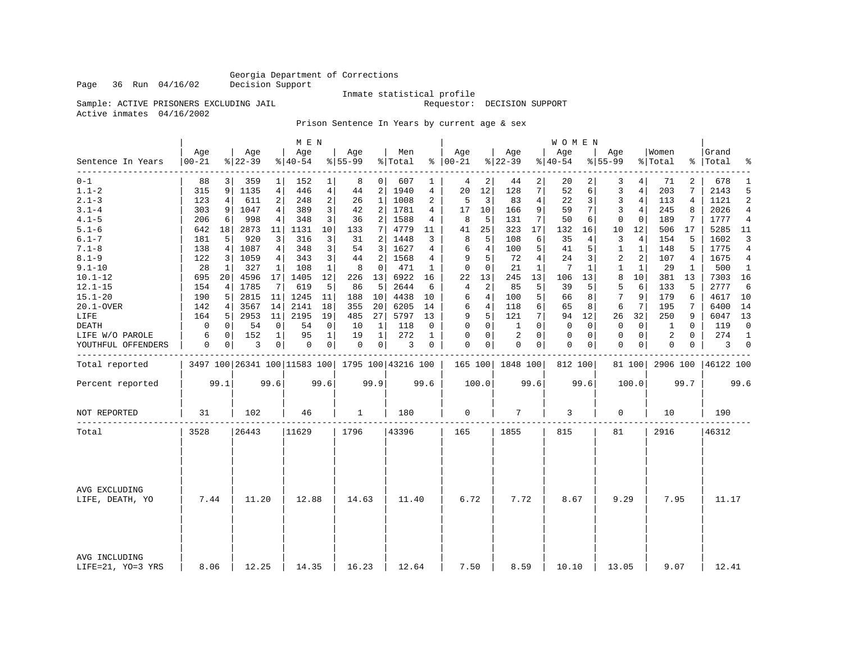Page 36 Run 04/16/02

### Inmate statistical profile<br>Requestor: DECISION SUPPORT

Sample: ACTIVE PRISONERS EXCLUDING JAIL Active inmates 04/16/2002

#### Prison Sentence In Years by current age & sex

|                                    |                  |      |                 |                | M E N                                               |                |                 |                 |                |              |                   |                |                    |                | W O M E N        |      |                    |                |                  |          |                    |                |
|------------------------------------|------------------|------|-----------------|----------------|-----------------------------------------------------|----------------|-----------------|-----------------|----------------|--------------|-------------------|----------------|--------------------|----------------|------------------|------|--------------------|----------------|------------------|----------|--------------------|----------------|
| Sentence In Years                  | Age<br>$00 - 21$ |      | Age<br>$ 22-39$ |                | Age<br>$ 40-54$                                     |                | Age<br>$ 55-99$ |                 | Men<br>% Total |              | Age<br>$% 100-21$ |                | Age<br>$8$   22-39 |                | Age<br>$8 40-54$ |      | Age<br>$8155 - 99$ |                | Women<br>% Total |          | Grand<br>%   Total | ್ಠಿ            |
| $0 - 1$                            | 88               | 3    | 359             | 1              | 152                                                 | $\mathbf{1}$   | 8               | 0               | 607            | 1            | 4                 | 2              | 44                 | 2              | 20               |      | 3                  | 4 <sup>1</sup> | 71               | 2        | 678                | 1              |
| $1.1 - 2$                          | 315              | 9    | 1135            | $\overline{4}$ | 446                                                 | $\overline{4}$ | 44              | 2               | 1940           | 4            | 20                | 12             | 128                | 7              | 52               | 6    | 3                  | 4              | 203              | 7        | 2143               | 5              |
| $2.1 - 3$                          | 123              | 4    | 611             | $\overline{a}$ | 248                                                 | $\sqrt{2}$     | 26              | $\mathbf{1}$    | 1008           | 2            | 5                 | 3              | 83                 | $\,4$          | 22               | 3    | $\overline{3}$     | 4 <sup>1</sup> | 113              | 4        | 1121               | $\overline{c}$ |
| $3.1 - 4$                          | 303              | 9    | 1047            | 4              | 389                                                 | 3              | 42              | 2               | 1781           | 4            | 17                | 10             | 166                | 9              | 59               | 7    | 3                  | 4              | 245              | 8        | 2026               | 4              |
| $4.1 - 5$                          | 206              | 6    | 998             | 4              | 348                                                 | 3              | 36              | $\overline{2}$  | 1588           | 4            | 8                 | 5              | 131                | 7              | 50               | 6    | 0                  | $\mathbf 0$    | 189              | 7        | 1777               | $\overline{4}$ |
| $5.1 - 6$                          | 642              | 18   | 2873            | 11             | 1131                                                | 10             | 133             | 7 <sup>1</sup>  | 4779           | 11           | 41                | 25             | 323                | 17             | 132              | 16   | 10                 | 12             | 506              | 17       | 5285               | 11             |
| $6.1 - 7$                          | 181              | 5    | 920             | 3              | 316                                                 | 3              | 31              | 2               | 1448           | 3            | 8                 | 5              | 108                | 6              | 35               | 4    | 3                  | 4              | 154              | 5        | 1602               | 3              |
| $7.1 - 8$                          | 138              | 4    | 1087            | 4              | 348                                                 | 3              | 54              | 3               | 1627           | 4            | 6                 | 4              | 100                | 5              | 41               | 5    | 1                  | $\mathbf{1}$   | 148              | 5        | 1775               | $\overline{4}$ |
| $8.1 - 9$                          | 122              | 3    | 1059            | 4              | 343                                                 | 3              | 44              | $\overline{a}$  | 1568           | 4            | 9                 | 5              | 72                 | $\overline{4}$ | 24               | 3    | $\overline{2}$     | 2              | 107              | 4        | 1675               | 4              |
| $9.1 - 10$                         | 28               | 1    | 327             | 1              | 108                                                 | 1              | 8               | 0               | 471            | 1            | 0                 | 0              | 21                 | 1              | 7                | 1    | 1                  | 1              | 29               | 1        | 500                | 1              |
| $10.1 - 12$                        | 695              | 20   | 4596            | 17             | 1405                                                | 12             | 226             | 13              | 6922           | 16           | 22                | 13             | 245                | 13             | 106              | 13   | 8                  | 10             | 381              | 13       | 7303               | 16             |
| $12.1 - 15$                        | 154              | 4    | 1785            | 7              | 619                                                 | 5              | 86              | 5               | 2644           | 6            | $\overline{4}$    | $\overline{c}$ | 85                 | 5              | 39               | 5    | 5                  | 6              | 133              | 5        | 2777               | 6              |
| $15.1 - 20$                        | 190              | 5    | 2815            | 11             | 1245                                                | 11             | 188             | 10              | 4438           | 10           | 6                 | 4              | 100                | 5              | 66               | 8    | 7                  | 9              | 179              | 6        | 4617               | 10             |
| 20.1-OVER                          | 142              | 4    | 3567            | 14             | 2141                                                | 18             | 355             | 20 <sup>1</sup> | 6205           | 14           | 6                 | 4              | 118                | 6              | 65               | 8    | 6                  | 7              | 195              | 7        | 6400               | 14             |
| LIFE                               | 164              | 5    | 2953            | 11             | 2195                                                | 19             | 485             | 27              | 5797           | 13           | 9                 | 5              | 121                | 7              | 94               | 12   | 26                 | 32             | 250              | 9        | 6047               | 13             |
| DEATH                              | 0                | 0    | 54              | 0              | 54                                                  | 0              | 10              | 1               | 118            | 0            | 0                 | 0              | 1                  | $\Omega$       | 0                | 0    | $\mathbf 0$        | $\overline{0}$ | 1                | 0        | 119                | $\mathbf 0$    |
| LIFE W/O PAROLE                    | 6                | 0    | 152             | $\mathbf{1}$   | 95                                                  | $\mathbf{1}$   | 19              | $\mathbf{1}$    | 272            | $\mathbf{1}$ | $\Omega$          | $\Omega$       | 2                  | $\Omega$       | 0                | 0    | $\Omega$           | $\overline{0}$ | 2                | $\Omega$ | 274                | $\mathbf{1}$   |
| YOUTHFUL OFFENDERS                 | 0                | 0    | 3               | 0              | 0                                                   | 0              | $\mathbf 0$     | 0 <sup>1</sup>  | 3              | $\mathbf 0$  | $\Omega$          | 0              | $\mathbf{0}$       | $\mathbf 0$    | 0                | 0    | $\mathbf 0$        | $\circ$        | 0                | 0        | 3                  | $\mathbf 0$    |
| Total reported                     |                  |      |                 |                | 3497 100 26341 100 11583 100   1795 100   43216 100 |                |                 |                 |                |              |                   |                | 165 100 1848 100   |                | 812 100          |      |                    | 81 100         | 2906 100         |          | 46122 100          |                |
| Percent reported                   |                  | 99.1 |                 | 99.6           |                                                     | 99.6           |                 | 99.9            |                | 99.6         |                   | 100.0          |                    | 99.6           |                  | 99.6 |                    | 100.0          |                  | 99.7     |                    | 99.6           |
| NOT REPORTED                       | 31               |      | 102             |                | 46                                                  |                | 1               |                 | 180            |              | $\mathbf 0$       |                | 7                  |                | 3                |      | $\mathbf 0$        |                | 10               |          | 190                |                |
| Total                              | 3528             |      | 26443           |                | 11629                                               |                | 1796            |                 | 43396          |              | 165               |                | 1855               |                | 815              |      | 81                 |                | 2916             |          | 46312              |                |
|                                    |                  |      |                 |                |                                                     |                |                 |                 |                |              |                   |                |                    |                |                  |      |                    |                |                  |          |                    |                |
| AVG EXCLUDING<br>LIFE, DEATH, YO   | 7.44             |      | 11.20           |                | 12.88                                               |                | 14.63           |                 | 11.40          |              | 6.72              |                | 7.72               |                | 8.67             |      | 9.29               |                | 7.95             |          | 11.17              |                |
|                                    |                  |      |                 |                |                                                     |                |                 |                 |                |              |                   |                |                    |                |                  |      |                    |                |                  |          |                    |                |
| AVG INCLUDING<br>LIFE=21, YO=3 YRS | 8.06             |      | 12.25           |                | 14.35                                               |                | 16.23           |                 | 12.64          |              | 7.50              |                | 8.59               |                | 10.10            |      | 13.05              |                | 9.07             |          | 12.41              |                |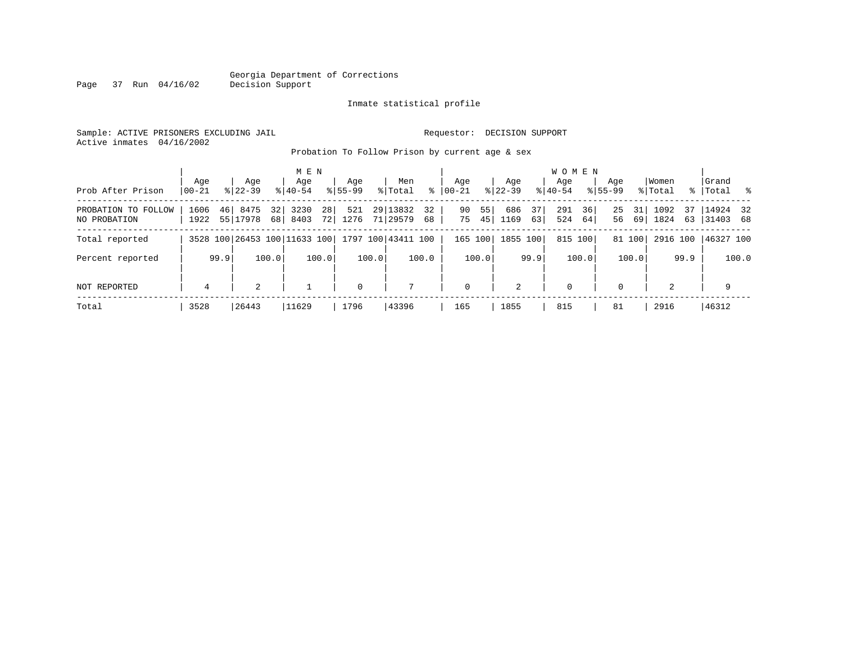#### Georgia Department of Corrections Page 37 Run 04/16/02

#### Inmate statistical profile

Sample: ACTIVE PRISONERS EXCLUDING JAIL Requestor: DECISION SUPPORT Active inmates 04/16/2002

Probation To Follow Prison by current age & sex

| Prob After Prison                   | Age<br>$00 - 21$ |      | Age<br>$8122 - 39$           |                       | M E N<br>Age<br>$8140 - 54$ |                       | Aqe<br>$8155 - 99$ |       | Men<br>% Total       | ွေ       | Age<br>$ 00-21$ |          | Aqe<br>$8122 - 39$ |          | <b>WOMEN</b><br>Aqe<br>$8140 - 54$ |          | Age<br>$8155 - 99$ |          | Women<br>% Total |          | Grand<br>% Total %      |       |
|-------------------------------------|------------------|------|------------------------------|-----------------------|-----------------------------|-----------------------|--------------------|-------|----------------------|----------|-----------------|----------|--------------------|----------|------------------------------------|----------|--------------------|----------|------------------|----------|-------------------------|-------|
| PROBATION TO FOLLOW<br>NO PROBATION | 1606<br>1922     | 46   | 8475<br>55 17978             | 32 <sub>1</sub><br>68 | 3230<br>8403                | 28 <sup>1</sup><br>72 | 521<br>1276        |       | 29 13832<br>71 29579 | 32<br>68 | 90<br>75        | 55<br>45 | 686<br>1169        | 37<br>63 | 291<br>524                         | 36<br>64 | 25<br>56           | 31<br>69 | 1092<br>1824     | 37<br>63 | $14924$ 32<br> 31403 68 |       |
| Total reported                      |                  |      | 3528 100 26453 100 11633 100 |                       |                             |                       |                    |       | 1797 100 43411 100   |          | 165 100         |          | 1855 100           |          | 815 100                            |          |                    | 81 100   | 2916 100         |          | $146327$ 100            |       |
| Percent reported                    |                  | 99.9 |                              | 100.0                 |                             | 100.0                 |                    | 100.0 |                      | 100.0    |                 | 100.0    |                    | 99.9     |                                    | 100.0    |                    | 100.0    |                  | 99.9     |                         | 100.0 |
| NOT REPORTED                        | $\overline{4}$   |      | $\overline{2}$               |                       |                             |                       | $\mathbf 0$        |       | $\mathcal{L}$        |          | $\mathbf 0$     |          | 2                  |          | $\mathbf 0$                        |          | $\Omega$           |          | $\overline{a}$   |          | 9                       |       |
| Total                               | 3528             |      | 26443                        |                       | 11629                       |                       | 1796               |       | 43396                |          | 165             |          | 1855               |          | 815                                |          | 81                 |          | 2916             |          | 46312                   |       |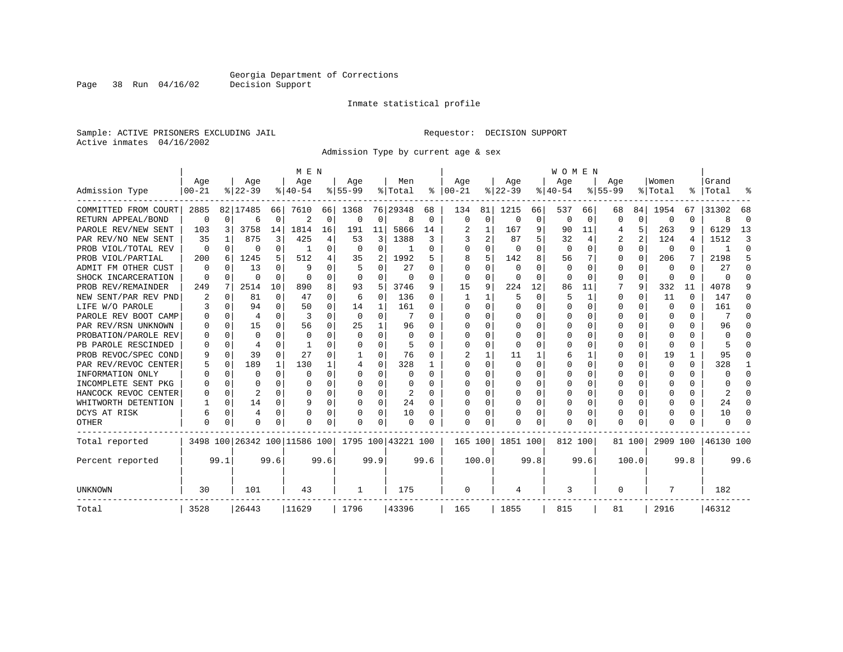Inmate statistical profile

Sample: ACTIVE PRISONERS EXCLUDING JAIL Requestor: DECISION SUPPORT Active inmates 04/16/2002

Admission Type by current age & sex

|                      |           |             |                |          | M E N                        |          |          |             |                    |          |              |             |          |      | <b>WOMEN</b> |          |           |          |              |              |           |          |
|----------------------|-----------|-------------|----------------|----------|------------------------------|----------|----------|-------------|--------------------|----------|--------------|-------------|----------|------|--------------|----------|-----------|----------|--------------|--------------|-----------|----------|
|                      | Age       |             | Age            |          | Age                          |          | Age      |             | Men                |          | Age          |             | Age      |      | Age          |          | Age       |          | Women        |              | Grand     |          |
| Admission Type       | $00 - 21$ |             | $ 22-39$       |          | $8 40-54$                    |          | $ 55-99$ |             | % Total            | ႜ        | $ 00-21$     |             | $ 22-39$ |      | $ 40-54$     |          | $8 55-99$ |          | % Total      |              | %   Total |          |
| COMMITTED FROM COURT | 2885      |             | 82 17485       | 66       | 7610                         | 66       | 1368     |             | 76 29348           | 68       | 134          | 81          | 1215     | 66   | 537          | 66       | 68        | 84       | 1954         | 67           | 31302     | 68       |
| RETURN APPEAL/BOND   | 0         | $\mathbf 0$ | 6              | 0        | $\overline{2}$               | 0        | $\Omega$ | 0           | 8                  | 0        | $\Omega$     | $\mathbf 0$ | $\Omega$ | 0    | $\Omega$     | 0        | O         | $\Omega$ | 0            | O            |           | $\Omega$ |
| PAROLE REV/NEW SENT  | 103       | 3           | 3758           | 14       | 1814                         | 16       | 191      | 11          | 5866               | 14       |              | 1           | 167      | 9    | 90           | 11       | 4         | 5        | 263          | q            | 6129      | 13       |
| PAR REV/NO NEW SENT  | 35        |             | 875            | 3        | 425                          | 4        | 53       | 3           | 1388               | 3        |              | 2           | 87       | 5    | 32           | 4        | 2         | 2        | 124          |              | 1512      | 3        |
| PROB VIOL/TOTAL REV  | 0         | $\Omega$    | 0              | $\Omega$ |                              | 0        | 0        | 0           |                    | 0        |              | U           | 0        | O    | $\Omega$     | 0        | 0         | $\Omega$ | 0            | 0            |           | ∩        |
| PROB VIOL/PARTIAL    | 200       | 6           | 1245           | 5        | 512                          | 4        | 35       | 2           | 1992               | 5        | 8            | 5           | 142      | 8    | 56           |          | 0         | $\Omega$ | 206          |              | 2198      | 5        |
| ADMIT FM OTHER CUST  | 0         | $\Omega$    | 13             | $\Omega$ | 9                            | 0        |          | 0           | 27                 | O        | <sup>0</sup> | 0           | $\Omega$ | U    | 0            | 0        | 0         | $\Omega$ | 0            | <sup>0</sup> | 27        | ∩        |
| SHOCK INCARCERATION  | $\Omega$  | $\Omega$    | $\Omega$       | $\Omega$ | $\Omega$                     | $\Omega$ | $\Omega$ | $\Omega$    | $\Omega$           | O        | $\Omega$     | $\Omega$    | $\Omega$ | O    | $\Omega$     | $\Omega$ | $\Omega$  | $\Omega$ | $\Omega$     | $\Omega$     | n         | ∩        |
| PROB REV/REMAINDER   | 249       | 7           | 2514           | 10       | 890                          | 8        | 93       | 5           | 3746               | 9        | 15           | 9           | 224      | 12   | 86           | 11       |           | 9        | 332          | 11           | 4078      | 9        |
| NEW SENT/PAR REV PND | 2         | $\mathbf 0$ | 81             | 0        | 47                           | O        | 6        | $\mathbf 0$ | 136                | 0        |              |             | 5        | O    | 5            | 1        | 0         | 0        | 11           | $\Omega$     | 147       |          |
| LIFE W/O PAROLE      | 3         | $\Omega$    | 94             | $\Omega$ | 50                           | $\Omega$ | 14       | 1           | 161                | 0        | <sup>0</sup> | $\Omega$    | $\Omega$ | O    |              | $\Omega$ | 0         | 0        | $\Omega$     | $\Omega$     | 161       |          |
| PAROLE REV BOOT CAMP |           | $\Omega$    | $\overline{4}$ | 0        | 3                            | O        | $\Omega$ | 0           |                    | O        |              | O           | $\Omega$ | O    |              | 0        | 0         | 0        | 0            | 0            |           | ∩        |
| PAR REV/RSN UNKNOWN  |           | $\Omega$    | 15             | U        | 56                           | 0        | 25       | 1           | 96                 | U        |              | 0           | $\Omega$ | U    |              | $\Omega$ | U         | 0        | $\Omega$     | 0            | 96        |          |
| PROBATION/PAROLE REV | ∩         | $\Omega$    | $\Omega$       | U        | $\Omega$                     | O        | $\Omega$ | $\Omega$    | $\Omega$           | U        | ∩            | U           | $\Omega$ | U    | ∩            | $\Omega$ | ∩         | U        | $\Omega$     | 0            | n         |          |
| PB PAROLE RESCINDED  | U         | 0           | 4              | U        |                              | 0        | O        | $\Omega$    | 5                  | O        | <sup>0</sup> | $\Omega$    | $\Omega$ | 0    | $\Omega$     | 0        | 0         | $\Omega$ | $\Omega$     | 0            |           |          |
| PROB REVOC/SPEC COND | 9         | 0           | 39             | $\Omega$ | 27                           | O        |          | O           | 76                 | O        |              |             | 11       | 1    | 6            | 1        | U         | 0        | 19           | 1            | 95        |          |
| PAR REV/REVOC CENTER |           | 0           | 189            | 1        | 130                          |          |          | 0           | 328                |          |              | U           | $\Omega$ | U    | O            | 0        | 0         | 0        | 0            | 0            | 328       |          |
| INFORMATION ONLY     |           | $\mathbf 0$ | $\Omega$       | $\Omega$ | $\Omega$                     | 0        | U        | 0           | 0                  | 0        | ∩            | 0           | 0        | O    | O            | 0        | 0         | $\Omega$ | 0            | 0            |           | $\Omega$ |
| INCOMPLETE SENT PKG  |           | $\Omega$    | O              | 0        | O                            | 0        | O        | $\Omega$    | 0                  | O        | ∩            | $\Omega$    | 0        | O    | O            | $\Omega$ | O         | $\Omega$ | O            | 0            |           | $\cap$   |
| HANCOCK REVOC CENTER |           | $\Omega$    | 2              | 0        | $\Omega$                     | 0        | O        | $\Omega$    | 2                  | $\Omega$ |              | $\Omega$    | $\Omega$ | 0    | $\Omega$     | $\Omega$ | O         | 0        | <sup>0</sup> | 0            |           | $\cap$   |
| WHITWORTH DETENTION  |           | $\mathbf 0$ | 14             | $\Omega$ | q                            | 0        | O        | 0           | 24                 | $\Omega$ |              | $\Omega$    | $\Omega$ | 0    | $\Omega$     | 0        | 0         | $\Omega$ | <sup>0</sup> | 0            | 24        | ∩        |
| DCYS AT RISK         | 6         | 0           | 4              | 0        | $\Omega$                     | 0        |          | 0           | 10                 | 0        |              | $\Omega$    |          | 0    | C            | 0        | 0         | 0        | 0            | 0            | 10        | ∩        |
| OTHER                | $\Omega$  | $\Omega$    | $\Omega$       | 0        | $\Omega$                     | 0        | U        | $\Omega$    | 0                  | O        | $\cap$       | O           | U        | 0    | $\Omega$     | $\Omega$ | $\Omega$  | $\Omega$ | <sup>0</sup> | 0            |           |          |
| Total reported       |           |             |                |          | 3498 100 26342 100 11586 100 |          |          |             | 1795 100 43221 100 |          | 165 100      |             | 1851 100 |      | 812 100      |          |           | 81 100   | 2909 100     |              | 46130 100 |          |
| Percent reported     |           | 99.1        |                | 99.6     |                              | 99.6     |          | 99.9        |                    | 99.6     |              | 100.0       |          | 99.8 |              | 99.6     |           | 100.0    |              | 99.8         |           | 99.6     |
| <b>UNKNOWN</b>       | 30        |             | 101            |          | 43                           |          | 1        |             | 175                |          | 0            |             | 4        |      | 3            |          | 0         |          | 7            |              | 182       |          |
| Total                | 3528      |             | 26443          |          | 11629                        |          | 1796     |             | 43396              |          | 165          |             | 1855     |      | 815          |          | 81        |          | 2916         |              | 46312     |          |

Page 38 Run 04/16/02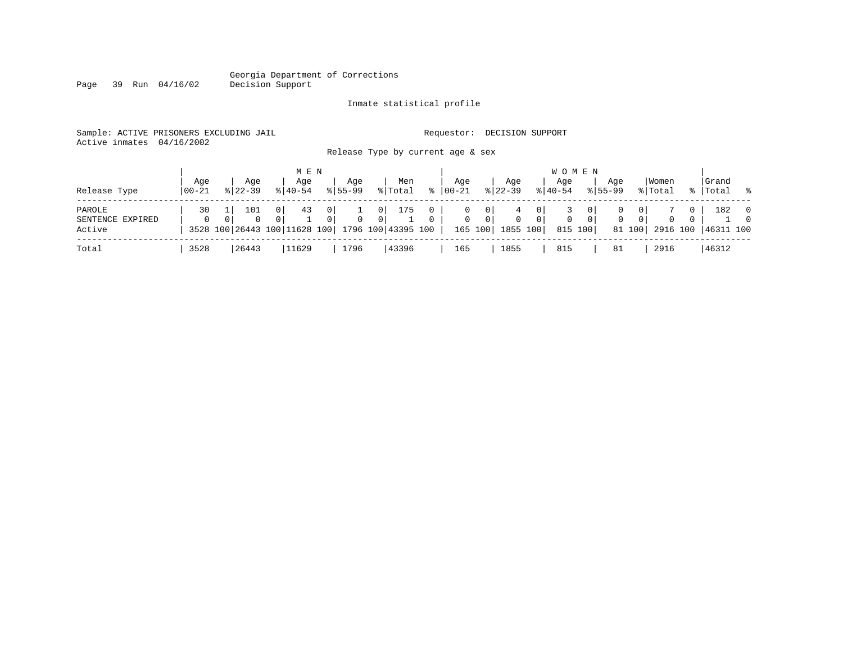# Georgia Department of Corrections<br>Decision Support

Page 39 Run 04/16/02

#### Inmate statistical profile

|  | Sample: ACTIVE PRISONERS EXCLUDING JAIL | Requestor: DECISION SUPPORT |  |
|--|-----------------------------------------|-----------------------------|--|
|  | Active inmates 04/16/2002               |                             |  |

Release Type by current age & sex

| Release Type                         | Age<br>$100 - 21$ | Age<br>$8122 - 39$ | M E N<br>Aqe<br>$8140 - 54$                                | Aqe<br>$8155 - 99$                           | Men<br>% Total                 | $\approx$ | Aqe<br>00-21      | Aqe<br>$8 \mid 22 - 39$              |                                                   | W O M E N<br>Age<br>$8 40-54$ |                           | Aqe<br>$8155 - 99$ |                                            | Women<br>% Total           |                      | Grand<br>%   Total | $\sim$ 8                         |
|--------------------------------------|-------------------|--------------------|------------------------------------------------------------|----------------------------------------------|--------------------------------|-----------|-------------------|--------------------------------------|---------------------------------------------------|-------------------------------|---------------------------|--------------------|--------------------------------------------|----------------------------|----------------------|--------------------|----------------------------------|
| PAROLE<br>SENTENCE EXPIRED<br>Active | 30                | 101<br>$\Omega$    | 43<br>0<br>3528 100 26443 100 11628 100 1796 100 43395 100 | $\overline{0}$<br>0 <sup>1</sup><br>$\Omega$ | 175<br>- 0 I<br>0 <sup>1</sup> | $\Omega$  | 0<br>$\mathbf{0}$ | $\circ$<br>$\overline{0}$<br>165 100 | 4<br>0 <sup>1</sup><br>$\overline{0}$<br>1855 100 | $\mathbf 0$                   | 0 <sup>1</sup><br>815 100 | $\mathbf{0}$       | 0 <sup>1</sup><br>0 <sup>1</sup><br>81 100 | $\overline{0}$<br>2916 100 | $\Omega$<br>$\Omega$ | 182<br> 46311 100  | $\overline{0}$<br>$\overline{0}$ |
| Total                                | 3528              | 26443              | 11629                                                      | 1796                                         | 43396                          |           | 165               | 1855                                 |                                                   | 815                           |                           | 81                 |                                            | 2916                       |                      | 46312              |                                  |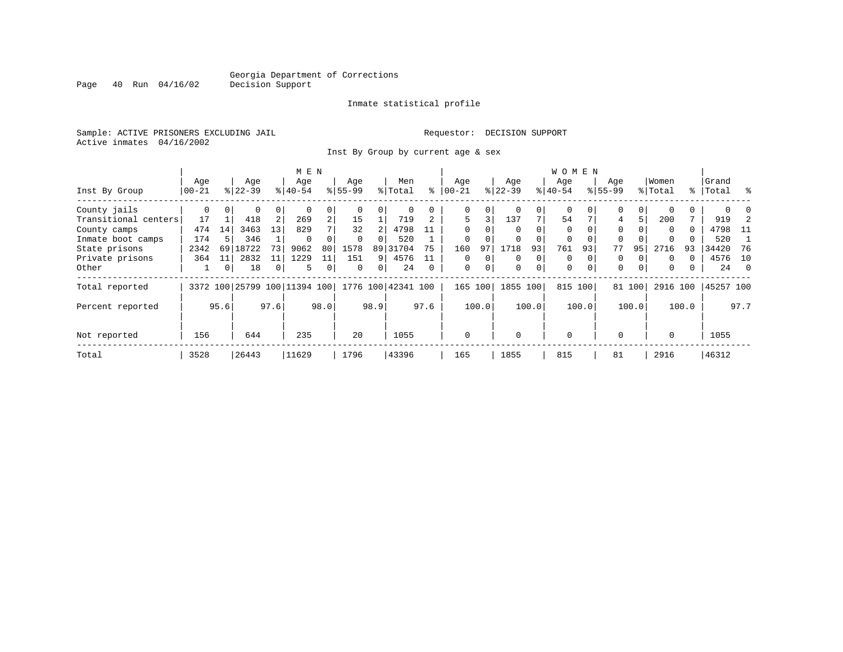Inmate statistical profile

Sample: ACTIVE PRISONERS EXCLUDING JAIL **Requestor: DECISION SUPPORT** Active inmates 04/16/2002

Inst By Group by current age & sex

|                      |           |          |                              |                | M E N     |                |           |          |                    |          |             |          |          |       | <b>WOMEN</b> |          |             |          |          |       |           |      |
|----------------------|-----------|----------|------------------------------|----------------|-----------|----------------|-----------|----------|--------------------|----------|-------------|----------|----------|-------|--------------|----------|-------------|----------|----------|-------|-----------|------|
|                      | Age       |          | Age                          |                | Age       |                | Age       |          | Men                |          | Age         |          | Age      |       | Age          |          | Age         |          | Women    |       | Grand     |      |
| Inst By Group        | $00 - 21$ |          | $8 22-39$                    |                | $ 40-54 $ |                | $8 55-99$ |          | % Total            | ి        | $ 00 - 21$  |          | $ 22-39$ |       | $ 40-54$     |          | $8155 - 99$ |          | % Total  |       | %   Total | ွေ   |
| County jails         | 0         | $\Omega$ | 0                            | 0              |           | 0              |           |          | 0                  |          | 0           | 0        |          | 0     | $\mathbf 0$  |          | 0           | 0        |          |       |           |      |
| Transitional centers | 17        |          | 418                          | 2              | 269       | $\overline{a}$ | 15        |          | 719                |          | 5           | 3        | 137      | 7     | 54           |          | 4           | 5        | 200      |       | 919       |      |
| County camps         | 474       | 14       | 3463                         | 13             | 829       |                | 32        |          | 4798               |          | $\Omega$    |          |          |       | $\Omega$     |          | $\Omega$    |          | $\Omega$ | 0     | 4798      | - 11 |
| Inmate boot camps    | 174       |          | 346                          |                | $\Omega$  |                | $\Omega$  |          | 520                |          | $\mathbf 0$ |          |          |       | 0            |          | 0           |          |          |       | 520       |      |
| State prisons        | 2342      | 69       | 18722                        | 73             | 9062      | 80             | 1578      | 89       | 31704              | 75       | 160         | 97       | 1718     | 93    | 761          | 93       | 77          | 95       | 2716     | 93    | 34420     | 76   |
| Private prisons      | 364       | 11       | 2832                         | 11             | 1229      | 11             | 151       | 9        | 4576               |          | $\Omega$    | $\Omega$ | $\Omega$ | 0     | $\Omega$     |          | 0           |          | $\Omega$ |       | 4576      | 10   |
| Other                |           | 0        | 18                           | $\overline{0}$ | 5.        | 0              | $\Omega$  | $\Omega$ | 24                 | $\Omega$ | $\mathbf 0$ | 0        | $\Omega$ | 0     | $\mathbf 0$  | $\Omega$ | $\Omega$    | $\Omega$ | 0        |       | 24        | - 0  |
| Total reported       |           |          | 3372 100 25799 100 11394 100 |                |           |                |           |          | 1776 100 42341 100 |          | 165 100     |          | 1855     | 100   | 815 100      |          |             | 81 100   | 2916 100 |       | 45257 100 |      |
| Percent reported     |           | 95.6     |                              | 97.6           |           | 98.0           |           | 98.9     |                    | 97.6     |             | 100.0    |          | 100.0 |              | 100.0    |             | 100.0    |          | 100.0 |           | 97.7 |
| Not reported         | 156       |          | 644                          |                | 235       |                | 20        |          | 1055               |          | $\mathbf 0$ |          | $\Omega$ |       | $\mathbf 0$  |          | $\Omega$    |          | $\Omega$ |       | 1055      |      |
| Total                | 3528      |          | 26443                        |                | 11629     |                | 1796      |          | 43396              |          | 165         |          | 1855     |       | 815          |          | 81          |          | 2916     |       | 46312     |      |

Page 40 Run 04/16/02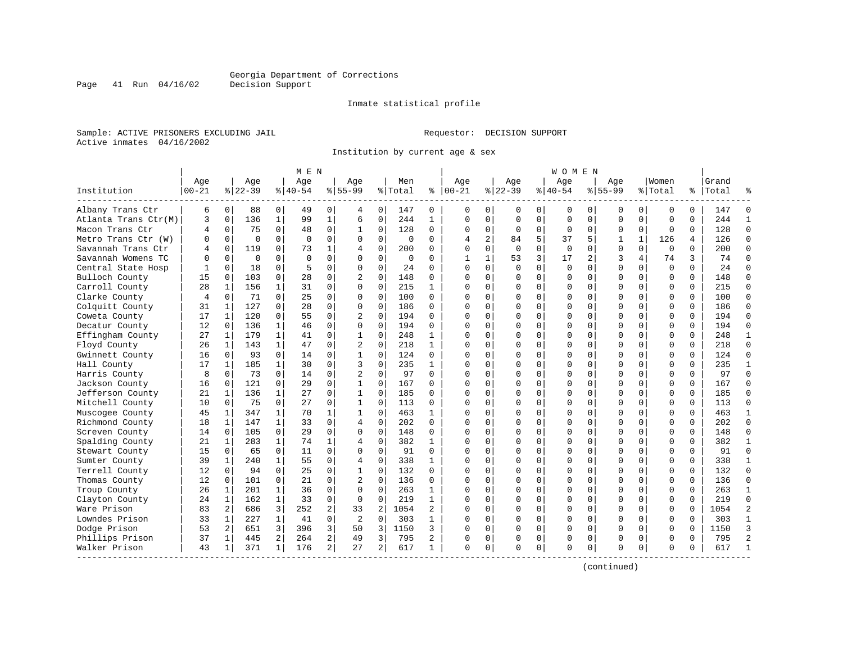Inmate statistical profile

Sample: ACTIVE PRISONERS EXCLUDING JAIL **Requestor: DECISION SUPPORT** Active inmates 04/16/2002

Institution by current age & sex

|                      |                   |             |                  |              | M E N            |                |                    |                |                |              |                   |                |                  |                | W O M E N          |             |                    |              |                  |          |                    |                |
|----------------------|-------------------|-------------|------------------|--------------|------------------|----------------|--------------------|----------------|----------------|--------------|-------------------|----------------|------------------|----------------|--------------------|-------------|--------------------|--------------|------------------|----------|--------------------|----------------|
| Institution          | Age<br>$ 00 - 21$ |             | Age<br>$8 22-39$ |              | Aqe<br>$8 40-54$ |                | Aqe<br>$8155 - 99$ |                | Men<br>% Total | ి            | Aqe<br>$ 00 - 21$ |                | Aqe<br>$8 22-39$ |                | Aqe<br>$8140 - 54$ |             | Aqe<br>$8155 - 99$ |              | Women<br>% Total |          | Grand<br>%   Total |                |
| Albany Trans Ctr     | 6                 | $\mathbf 0$ | 88               | 0            | 49               | 0              | 4                  | 0              | 147            | 0            | $\Omega$          | 0              | 0                | 0              | 0                  | 0           | 0                  | 0            | $\mathbf 0$      | $\Omega$ | 147                |                |
| Atlanta Trans Ctr(M) | 3                 | $\mathbf 0$ | 136              | $\mathbf{1}$ | 99               | $\mathbf{1}$   | 6                  | $\mathbf 0$    | 244            | 1            | $\Omega$          | $\mathbf 0$    | $\mathbf 0$      | $\mathbf 0$    | $\Omega$           | $\mathbf 0$ | $\mathbf 0$        | $\Omega$     | $\mathbf 0$      | $\Omega$ | 244                | $\mathbf{1}$   |
| Macon Trans Ctr      | 4                 | $\mathbf 0$ | 75               | $\Omega$     | 48               | 0              | 1                  | 0              | 128            | 0            | $\mathbf 0$       | 0              | $\mathbf 0$      | 0              | $\mathbf 0$        | $\mathbf 0$ | 0                  | 0            | $\mathbf 0$      | 0        | 128                | $\Omega$       |
| Metro Trans Ctr (W)  | O                 | $\Omega$    | $\Omega$         | $\Omega$     | $\Omega$         | 0              | $\Omega$           | $\Omega$       | $\Omega$       | 0            | $\overline{4}$    | $\overline{a}$ | 84               | 5              | 37                 | 5           | 1                  | $\mathbf{1}$ | 126              | 4        | 126                | $\Omega$       |
| Savannah Trans Ctr   | 4                 | $\Omega$    | 119              | $\Omega$     | 73               | $\mathbf 1$    | $\overline{4}$     | $\Omega$       | 200            | 0            | $\Omega$          | $\Omega$       | $\Omega$         | $\Omega$       | $\Omega$           | $\Omega$    | $\Omega$           | $\Omega$     | $\Omega$         | $\Omega$ | 200                | $\Omega$       |
| Savannah Womens TC   | U                 | $\Omega$    | $\Omega$         | $\Omega$     | $\Omega$         | 0              | $\Omega$           | $\Omega$       | 0              | 0            | $\mathbf{1}$      | $\mathbf{1}$   | 53               | $\overline{3}$ | 17                 | 2           | 3                  | 4            | 74               | 3        | 74                 | $\Omega$       |
| Central State Hosp   |                   | $\mathbf 0$ | 18               | 0            | 5                | 0              | $\Omega$           | $\mathbf 0$    | 24             | 0            | $\Omega$          | $\mathbf 0$    | 0                | $\mathbf 0$    | $\mathbf 0$        | $\mathbf 0$ | $\mathbf 0$        | $\mathbf 0$  | $\mathbf 0$      | $\Omega$ | 24                 | $\Omega$       |
| Bulloch County       | 15                | $\Omega$    | 103              | 0            | 28               | $\Omega$       | $\overline{2}$     | 0              | 148            | $\Omega$     | $\cap$            | $\Omega$       | $\Omega$         | $\Omega$       | $\Omega$           | $\Omega$    | $\Omega$           | $\Omega$     | $\Omega$         | $\Omega$ | 148                | $\Omega$       |
| Carroll County       | 28                | 1           | 156              | 1            | 31               | 0              | $\Omega$           | $\Omega$       | 215            | $\mathbf{1}$ | $\Omega$          | 0              | $\Omega$         | 0              | $\Omega$           | 0           | $\Omega$           | $\Omega$     | $\Omega$         | $\Omega$ | 215                | $\Omega$       |
| Clarke County        | 4                 | $\mathbf 0$ | 71               | $\Omega$     | 25               | 0              | $\Omega$           | 0              | 100            | 0            | $\cap$            | 0              | U                | $\Omega$       | $\Omega$           | 0           | $\Omega$           | $\Omega$     | $\Omega$         | $\Omega$ | 100                | $\Omega$       |
| Colquitt County      | 31                | 1           | 127              | $\Omega$     | 28               | 0              | $\Omega$           | $\Omega$       | 186            | 0            | $\cap$            | $\Omega$       | $\Omega$         | $\Omega$       | $\Omega$           | $\Omega$    | $\Omega$           | $\Omega$     | $\Omega$         | $\Omega$ | 186                | $\Omega$       |
| Coweta County        | 17                | 1           | 120              | $\Omega$     | 55               | $\Omega$       | $\overline{2}$     | $\Omega$       | 194            | 0            | $\cap$            | $\Omega$       | $\Omega$         | $\Omega$       | $\Omega$           | $\Omega$    | $\Omega$           | $\Omega$     | $\Omega$         | $\Omega$ | 194                | $\Omega$       |
| Decatur County       | 12                | $\Omega$    | 136              | $\mathbf{1}$ | 46               | 0              | $\Omega$           | $\mathbf 0$    | 194            | 0            | $\cap$            | $\Omega$       | $\Omega$         | $\mathbf 0$    | $\Omega$           | $\mathbf 0$ | $\Omega$           | $\Omega$     | $\mathbf 0$      | $\Omega$ | 194                | $\Omega$       |
| Effingham County     | 27                | 1           | 179              | $\mathbf{1}$ | 41               | $\Omega$       | 1                  | $\Omega$       | 248            | $\mathbf{1}$ | $\Omega$          | $\Omega$       | $\Omega$         | $\Omega$       | U                  | $\Omega$    | $\Omega$           | $\Omega$     | $\Omega$         | $\Omega$ | 248                | $\mathbf{1}$   |
| Floyd County         | 26                | 1           | 143              | $\mathbf{1}$ | 47               | 0              | $\overline{2}$     | $\Omega$       | 218            | 1            | $\Omega$          | $\Omega$       | $\Omega$         | 0              | $\Omega$           | 0           | $\Omega$           | $\Omega$     | $\Omega$         | 0        | 218                | $\Omega$       |
| Gwinnett County      | 16                | $\Omega$    | 93               | $\Omega$     | 14               | 0              |                    | $\Omega$       | 124            | $\Omega$     | $\cap$            | $\Omega$       | $\Omega$         | $\Omega$       | $\Omega$           | $\Omega$    | $\Omega$           | $\Omega$     | $\Omega$         | $\Omega$ | 124                | $\Omega$       |
| Hall County          | 17                | 1           | 185              | $\mathbf{1}$ | 30               | 0              | 3                  | $\Omega$       | 235            | $\mathbf{1}$ | $\cap$            | $\Omega$       | $\Omega$         | $\Omega$       | $\Omega$           | $\Omega$    | $\Omega$           | $\Omega$     | $\Omega$         | $\Omega$ | 235                | $\mathbf{1}$   |
| Harris County        | 8                 | $\Omega$    | 73               | $\Omega$     | 14               | $\Omega$       | $\overline{2}$     | $\Omega$       | 97             | $\Omega$     | n                 | $\Omega$       | $\Omega$         | $\Omega$       | $\Omega$           | $\Omega$    | $\Omega$           | $\Omega$     | $\Omega$         | $\Omega$ | 97                 | $\Omega$       |
| Jackson County       | 16                | $\mathbf 0$ | 121              | 0            | 29               | 0              | $\mathbf{1}$       | 0              | 167            | 0            | $\cap$            | $\mathbf 0$    | $\Omega$         | $\mathbf 0$    | $\Omega$           | $\mathbf 0$ | $\Omega$           | $\Omega$     | $\mathbf 0$      | $\Omega$ | 167                | $\Omega$       |
| Jefferson County     | 21                | 1           | 136              | $\mathbf{1}$ | 27               | 0              | 1                  | 0              | 185            | $\Omega$     | $\cap$            | $\Omega$       | $\Omega$         | 0              | $\Omega$           | $\mathbf 0$ | $\Omega$           | $\Omega$     | $\Omega$         | $\Omega$ | 185                | $\Omega$       |
| Mitchell County      | 10                | $\Omega$    | 75               | $\Omega$     | 27               | 0              | 1                  | $\Omega$       | 113            | $\Omega$     | $\Omega$          | $\Omega$       | $\Omega$         | $\Omega$       | $\Omega$           | $\Omega$    | $\Omega$           | $\Omega$     | $\Omega$         | $\Omega$ | 113                | $\Omega$       |
| Muscogee County      | 45                | 1           | 347              | 1            | 70               | 1              |                    | 0              | 463            | 1            | $\Omega$          | $\Omega$       | U                | $\Omega$       | $\Omega$           | 0           | $\Omega$           | $\Omega$     | $\Omega$         | $\Omega$ | 463                | 1              |
| Richmond County      | 18                | 1           | 147              | 1            | 33               | 0              | 4                  | $\Omega$       | 202            | 0            | $\cap$            | $\Omega$       | $\Omega$         | $\Omega$       | $\Omega$           | $\Omega$    | $\Omega$           | $\Omega$     | $\Omega$         | $\Omega$ | 202                | $\Omega$       |
| Screven County       | 14                | $\Omega$    | 105              | 0            | 29               | 0              | 0                  | 0              | 148            | 0            | $\Omega$          | $\Omega$       | $\Omega$         | $\mathbf 0$    | $\Omega$           | 0           | $\Omega$           | $\Omega$     | $\mathbf 0$      | $\Omega$ | 148                | $\Omega$       |
| Spalding County      | 21                | 1           | 283              | $\mathbf{1}$ | 74               | $\mathbf 1$    | $\overline{4}$     | $\mathbf 0$    | 382            | $\mathbf{1}$ | $\Omega$          | $\Omega$       | $\Omega$         | $\Omega$       | $\Omega$           | $\Omega$    | $\Omega$           | $\Omega$     | $\Omega$         | $\Omega$ | 382                | $\mathbf{1}$   |
| Stewart County       | 15                | $\Omega$    | 65               | $\Omega$     | 11               | $\Omega$       | $\Omega$           | $\Omega$       | 91             | $\Omega$     | $\bigcap$         | $\Omega$       | $\Omega$         | $\Omega$       | $\Omega$           | $\Omega$    | $\Omega$           | $\Omega$     | $\mathbf 0$      | $\Omega$ | 91                 | $\Omega$       |
| Sumter County        | 39                | 1           | 240              | $\mathbf{1}$ | 55               | 0              | 4                  | 0              | 338            | 1            | $\Omega$          | 0              | $\Omega$         | 0              | U                  | 0           | $\Omega$           | $\Omega$     | $\mathbf 0$      | $\Omega$ | 338                | $\mathbf{1}$   |
| Terrell County       | 12                | $\Omega$    | 94               | 0            | 25               | 0              |                    | $\Omega$       | 132            | $\Omega$     | $\cap$            | $\Omega$       | $\Omega$         | $\Omega$       | $\Omega$           | $\Omega$    | $\Omega$           | $\Omega$     | $\Omega$         | $\Omega$ | 132                | $\Omega$       |
| Thomas County        | 12                | $\Omega$    | 101              | 0            | 21               | 0              | $\overline{2}$     | $\Omega$       | 136            | 0            | $\cap$            | $\Omega$       | $\Omega$         | $\Omega$       | $\Omega$           | $\Omega$    | $\Omega$           | $\Omega$     | $\Omega$         | $\Omega$ | 136                | $\Omega$       |
| Troup County         | 26                | 1           | 201              | $\mathbf{1}$ | 36               | 0              | $\Omega$           | $\Omega$       | 263            | 1            | ∩                 | $\Omega$       | $\Omega$         | $\Omega$       | $\Omega$           | $\Omega$    | $\Omega$           | $\Omega$     | $\Omega$         | $\Omega$ | 263                | -1             |
| Clayton County       | 24                | 1           | 162              | $\mathbf 1$  | 33               | 0              | $\mathbf 0$        | $\mathbf 0$    | 219            | $\mathbf{1}$ | C                 | $\Omega$       | $\Omega$         | $\mathbf 0$    | $\Omega$           | 0           | $\Omega$           | $\Omega$     | $\mathbf 0$      | $\Omega$ | 219                | $\Omega$       |
| Ware Prison          | 83                | 2           | 686              | 3            | 252              | 2              | 33                 | $\overline{2}$ | 1054           | 2            | $\cap$            | 0              | $\Omega$         | 0              | $\Omega$           | 0           | $\Omega$           | $\Omega$     | $\mathbf 0$      | $\Omega$ | 1054               | $\overline{c}$ |
| Lowndes Prison       | 33                | 1           | 227              | $\mathbf{1}$ | 41               | 0              | $\overline{2}$     | $\mathbf 0$    | 303            | $\mathbf{1}$ | $\cap$            | $\Omega$       | $\Omega$         | $\Omega$       | $\Omega$           | $\mathbf 0$ | $\Omega$           | $\Omega$     | $\Omega$         | $\Omega$ | 303                | $\mathbf{1}$   |
| Dodge Prison         | 53                | 2           | 651              | 3            | 396              | 3              | 50                 | 3              | 1150           | 3            | $\Omega$          | 0              | $\Omega$         | 0              | $\Omega$           | $\mathbf 0$ | $\Omega$           | $\Omega$     | $\mathbf 0$      | $\Omega$ | 1150               | 3              |
| Phillips Prison      | 37                | 1           | 445              | 2            | 264              | $\overline{a}$ | 49                 | 3              | 795            | 2            | O                 | 0              | 0                | 0              | 0                  | 0           | $\Omega$           | 0            | 0                | $\Omega$ | 795                | $\overline{2}$ |
| Walker Prison        | 43                | 1           | 371              | 1            | 176              | $\overline{a}$ | 27                 | 2              | 617            | $\mathbf{1}$ | $\Omega$          | 0              | $\Omega$         | 0              | $\Omega$           | 0           | $\Omega$           | 0            | $\Omega$         | $\Omega$ | 617                | $\mathbf{1}$   |

(continued)

Page 41 Run 04/16/02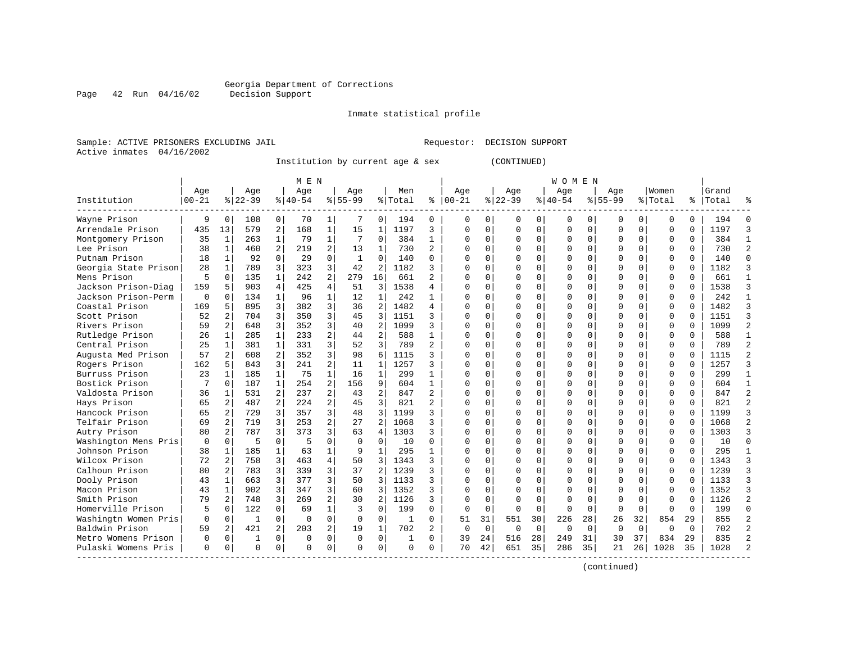Page 42 Run 04/16/02

#### Inmate statistical profile

Sample: ACTIVE PRISONERS EXCLUDING JAIL Requestor: DECISION SUPPORT Active inmates 04/16/2002

Institution by current age & sex (CONTINUED)

|                      |          |                |           |                | M E N     |                         |             |                |          |              |               |             |             |             | W O M E N   |             |           |             |          |           |       |  |
|----------------------|----------|----------------|-----------|----------------|-----------|-------------------------|-------------|----------------|----------|--------------|---------------|-------------|-------------|-------------|-------------|-------------|-----------|-------------|----------|-----------|-------|--|
|                      | Age      |                | Age       |                | Age       |                         | Age         |                | Men      |              | Age           |             | Age         |             | Age         |             | Age       |             | Women    |           | Grand |  |
| Institution          | 00-21    |                | $8 22-39$ |                | $8 40-54$ |                         | $8 55-99$   |                | % Total  |              | $8   00 - 21$ |             | $ 22-39$    |             | $8140 - 54$ |             | $8 55-99$ |             | % Total  | $\approx$ | Total |  |
| Wayne Prison         | 9        | $\Omega$       | 108       | 0              | 70        | 1                       | 7           | $\Omega$       | 194      | $\Omega$     | $\Omega$      | 0           | $\Omega$    | $\Omega$    | $\mathbf 0$ | $\Omega$    | 0         | 0           | $\Omega$ | $\Omega$  | 194   |  |
| Arrendale Prison     | 435      | 13             | 579       | 2              | 168       | $\mathbf 1$             | 15          | 1              | 1197     | 3            | O             | $\mathbf 0$ | $\Omega$    | $\mathbf 0$ | $\Omega$    | O           | 0         | 0           | $\Omega$ | $\Omega$  | 1197  |  |
| Montgomery Prison    | 35       | 1              | 263       | 1              | 79        | $\mathbf{1}$            | 7           | $\mathbf 0$    | 384      | 1            | O             | $\mathbf 0$ | $\Omega$    | $\mathbf 0$ | $\Omega$    | O           | C         | 0           | ∩        | $\Omega$  | 384   |  |
| Lee Prison           | 38       | $\mathbf{1}$   | 460       | 2              | 219       | $\overline{2}$          | 13          | $\mathbf{1}$   | 730      | 2            | U             | $\Omega$    | $\cap$      | $\Omega$    | $\cap$      | U           | U         | 0           | $\Omega$ | $\cap$    | 730   |  |
| Putnam Prison        | 18       | $\mathbf{1}$   | 92        | $\Omega$       | 29        | $\Omega$                | 1           | $\Omega$       | 140      | $\Omega$     | U             | $\Omega$    | $\Omega$    | $\Omega$    | $\Omega$    | O           | O         | 0           | $\Omega$ | $\Omega$  | 140   |  |
| Georgia State Prison | 28       | $\mathbf{1}$   | 789       | 3              | 323       | 3                       | 42          | $\overline{2}$ | 1182     | 3            | U             | $\Omega$    | $\Omega$    | $\mathbf 0$ | $\Omega$    | O           | O         | 0           | $\Omega$ | $\Omega$  | 1182  |  |
| Mens Prison          | 5        | $\Omega$       | 135       | $\mathbf 1$    | 242       | $\overline{\mathbf{c}}$ | 279         | 16             | 661      | 2            |               | 0           |             | $\mathbf 0$ | $\Omega$    | O           | C         | 0           | $\Omega$ | $\Omega$  | 661   |  |
| Jackson Prison-Diag  | 159      | 5              | 903       | $\overline{4}$ | 425       | $\overline{4}$          | 51          | 3              | 1538     | 4            | O             | $\Omega$    | $\Omega$    | $\Omega$    | $\Omega$    | O           | $\Omega$  | 0           | $\Omega$ | $\Omega$  | 1538  |  |
| Jackson Prison-Perm  | $\Omega$ | 0              | 134       | $\mathbf{1}$   | 96        | $\mathbf{1}$            | 12          | 1              | 242      | 1            | U             | $\Omega$    | U           | $\Omega$    | $\Omega$    | n           | $\cap$    | 0           | $\Omega$ | $\Omega$  | 242   |  |
| Coastal Prison       | 169      | 5.             | 895       | 3              | 382       | 3                       | 36          | $\overline{2}$ | 1482     | 4            | U             | $\Omega$    | $\Omega$    | $\Omega$    | $\Omega$    | U           | O         | 0           | $\Omega$ | $\Omega$  | 1482  |  |
| Scott Prison         | 52       |                | 704       | 3              | 350       | 3                       | 45          | 3              | 1151     | 3            | U             | $\Omega$    |             | $\Omega$    | $\Omega$    | O           | O         | 0           | $\Omega$ | $\Omega$  | 1151  |  |
| Rivers Prison        | 59       |                | 648       | 3              | 352       | 3                       | 40          | 2              | 1099     | ς            | U             | $\Omega$    | $\cap$      | $\Omega$    | $\cap$      | n           | O         | 0           | $\Omega$ | $\cap$    | 1099  |  |
| Rutledge Prison      | 26       | 1              | 285       | $\mathbf{1}$   | 233       | 2                       | 44          | 2              | 588      | 1            | U             | $\Omega$    | $\Omega$    | $\Omega$    | $\Omega$    | O           | O         | 0           | $\Omega$ | $\Omega$  | 588   |  |
| Central Prison       | 25       | $\mathbf{1}$   | 381       | $\mathbf{1}$   | 331       | 3                       | 52          | 3              | 789      | 2            | U             | $\Omega$    | $\Omega$    | $\Omega$    | $\Omega$    | O           | O         | 0           | $\Omega$ | $\Omega$  | 789   |  |
| Augusta Med Prison   | 57       | $\overline{a}$ | 608       | 2              | 352       | 3                       | 98          | 6              | 1115     | ς            | U             | $\Omega$    | U           | 0           | 0           | O           | 0         | 0           | $\Omega$ | $\Omega$  | 1115  |  |
| Rogers Prison        | 162      | 5.             | 843       | 3              | 241       | 2                       | 11          | 1              | 1257     | 3            |               | $\mathbf 0$ |             | $\mathbf 0$ | $\Omega$    | O           | 0         | 0           | $\Omega$ | $\Omega$  | 1257  |  |
| Burruss Prison       | 23       | 1              | 185       | $\mathbf{1}$   | 75        | $\mathbf{1}$            | 16          | 1              | 299      | 1            | U             | $\Omega$    | U           | 0           | $\Omega$    | O           | $\Omega$  | 0           | $\Omega$ | $\Omega$  | 299   |  |
| Bostick Prison       | 7        | $\Omega$       | 187       | $\mathbf{1}$   | 254       | 2                       | 156         | 9              | 604      | $\mathbf{1}$ | U             | $\mathbf 0$ | $\Omega$    | $\Omega$    | $\Omega$    | 0           | U         | 0           | ∩        | $\Omega$  | 604   |  |
| Valdosta Prison      | 36       | 1              | 531       | 2              | 237       | $\overline{a}$          | 43          | 2              | 847      | 2            | U             | 0           | U           | $\mathbf 0$ | $\Omega$    | O           | O         | 0           | $\Omega$ | $\Omega$  | 847   |  |
| Hays Prison          | 65       | 2              | 487       | 2              | 224       | $\overline{a}$          | 45          | 3              | 821      | 2            | U             | $\Omega$    | U           | $\Omega$    | $\Omega$    | U           | O         | 0           | $\Omega$ | $\Omega$  | 821   |  |
| Hancock Prison       | 65       |                | 729       | 3              | 357       | 3                       | 48          | 3              | 1199     | ς            | U             | $\Omega$    | U           | $\Omega$    | $\Omega$    | U           | O         | 0           | $\Omega$ | $\Omega$  | 1199  |  |
| Telfair Prison       | 69       | $\overline{a}$ | 719       | 3              | 253       | $\overline{a}$          | 27          | $\mathfrak{D}$ | 1068     | 3            | U             | $\Omega$    | $\Omega$    | $\Omega$    | $\Omega$    | U           | O         | 0           | $\Omega$ | $\Omega$  | 1068  |  |
| Autry Prison         | 80       | $\overline{a}$ | 787       | 3              | 373       | 3                       | 63          | 4              | 1303     | 3            | U             | $\Omega$    | $\Omega$    | $\Omega$    | $\Omega$    | U           | O         | 0           | $\Omega$ | $\Omega$  | 1303  |  |
| Washington Mens Pris | 0        | $\Omega$       | 5         | $\mathbf 0$    | 5         | $\mathbf 0$             | $\Omega$    | $\Omega$       | 10       | $\Omega$     | U             | $\mathbf 0$ | 0           | $\mathbf 0$ | $\Omega$    | O           | O         | 0           | $\Omega$ | $\Omega$  | 10    |  |
| Johnson Prison       | 38       | $\mathbf{1}$   | 185       | $\mathbf{1}$   | 63        | $\mathbf 1$             | 9           | $\mathbf{1}$   | 295      |              | U             | $\Omega$    | U           | $\Omega$    | $\Omega$    | O           | 0         | 0           | $\Omega$ | $\Omega$  | 295   |  |
| Wilcox Prison        | 72       | $\overline{a}$ | 758       | 3              | 463       | $\overline{4}$          | 50          | 3              | 1343     | 3            | U             | $\Omega$    | U           | $\Omega$    | $\Omega$    | 0           | $\Omega$  | 0           | $\Omega$ | $\Omega$  | 1343  |  |
| Calhoun Prison       | 80       | 2              | 783       | 3              | 339       | 3                       | 37          | 2              | 1239     | 3            | ∩             | $\Omega$    | $\Omega$    | $\Omega$    | $\Omega$    | 0           | O         | 0           | $\Omega$ | $\Omega$  | 1239  |  |
| Dooly Prison         | 43       | 1              | 663       | 3              | 377       | 3                       | 50          | 3              | 1133     | 3            | U             | 0           | U           | $\Omega$    | $\Omega$    | O           | 0         | 0           | $\Omega$ | $\Omega$  | 1133  |  |
| Macon Prison         | 43       | 1              | 902       | 3              | 347       | 3                       | 60          | 3              | 1352     | ς            | U             | $\Omega$    |             | $\Omega$    | $\Omega$    |             | O         | 0           | $\Omega$ | $\Omega$  | 1352  |  |
| Smith Prison         | 79       | 2              | 748       | 3              | 269       | 2                       | 30          | 2              | 1126     | 3            | U             | $\Omega$    | ∩           | $\Omega$    | $\Omega$    | U           | $\Omega$  | O           | ∩        | $\cap$    | 1126  |  |
| Homerville Prison    | 5        | <sup>0</sup>   | 122       | $\Omega$       | 69        | $\mathbf{1}$            | 3           | $\Omega$       | 199      | $\Omega$     | $\Omega$      | $\mathbf 0$ | $\Omega$    | $\Omega$    | $\mathbf 0$ | U           | $\Omega$  | 0           | ∩        | $\Omega$  | 199   |  |
| Washingtn Women Pris | 0        | 0              | 1         | 0              | $\Omega$  | $\mathbf 0$             | $\mathbf 0$ | $\Omega$       | 1        | 0            | 51            | 31          | 551         | 30          | 226         | 28          | 26        | 32          | 854      | 29        | 855   |  |
| Baldwin Prison       | 59       | $\overline{a}$ | 421       | $\overline{a}$ | 203       | 2                       | 19          | 1              | 702      | 2            | 0             | $\mathbf 0$ | $\mathbf 0$ | $\mathbf 0$ | $\mathbf 0$ | $\mathbf 0$ | $\Omega$  | $\mathbf 0$ | $\Omega$ | $\Omega$  | 702   |  |
| Metro Womens Prison  | 0        | 0              | 1         | 0              | 0         | $\mathbf 0$             | 0           | $\mathbf 0$    | 1        | $\Omega$     | 39            | 24          | 516         | 28          | 249         | 31          | 30        | 37          | 834      | 29        | 835   |  |
| Pulaski Womens Pris  | $\Omega$ | 0              | $\Omega$  | 0              | $\Omega$  | 0                       | $\Omega$    | $\Omega$       | $\Omega$ | 0            | 70            | 42          | 651         | 35          | 286         | 35          | 21        | 26          | 1028     | 35        | 1028  |  |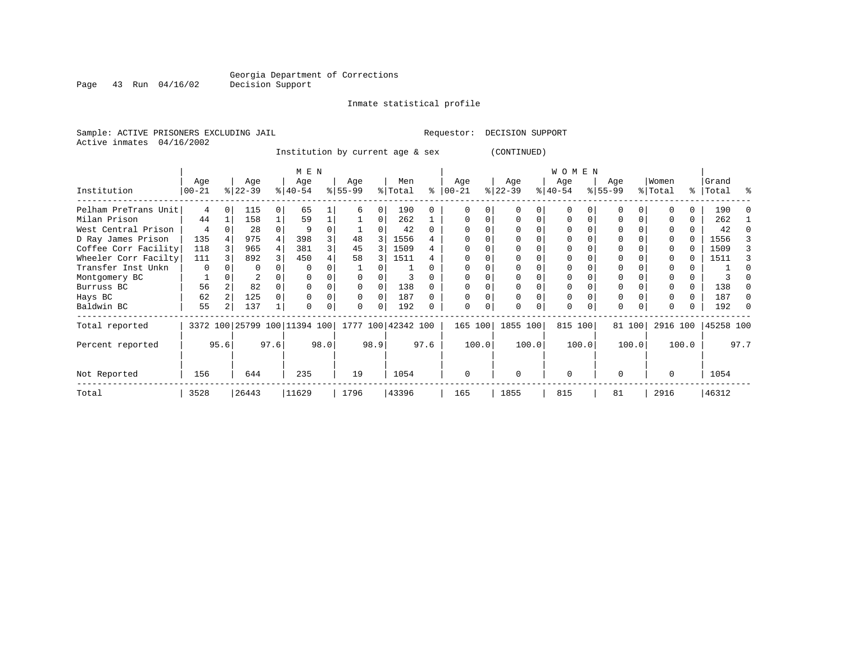Inmate statistical profile

Sample: ACTIVE PRISONERS EXCLUDING JAIL **Requestor: DECISION SUPPORT** Active inmates 04/16/2002

Institution by current age & sex (CONTINUED)

|                      |            |      |           |      | M E N                                           |      |           |      |         |      |           |       |           |       | <b>WOMEN</b> |       |          |        |          |       |           |      |
|----------------------|------------|------|-----------|------|-------------------------------------------------|------|-----------|------|---------|------|-----------|-------|-----------|-------|--------------|-------|----------|--------|----------|-------|-----------|------|
|                      | Age        |      | Age       |      | Age                                             |      | Age       |      | Men     |      | Age       |       | Age       |       | Age          |       | Age      |        | Women    |       | Grand     |      |
| Institution          | $ 00 - 21$ |      | $ 22-39 $ |      | $8 40-54$                                       |      | $8 55-99$ |      | % Total | ႜ    | $00 - 21$ |       | $ 22-39 $ |       | $ 40-54 $    |       | $ 55-99$ |        | % Total  |       | %   Total | ႜ    |
| Pelham PreTrans Unit | 4          |      | 115       |      | 65                                              |      | h         | 0    | 190     |      |           |       |           |       |              |       |          |        |          |       | 190       |      |
| Milan Prison         | 44         |      | 158       |      | 59                                              |      |           | 0    | 262     |      |           |       |           |       | $\Omega$     |       |          |        |          | 0     | 262       |      |
| West Central Prison  | 4          |      | 28        |      | 9                                               |      |           |      | 42      | U    |           |       |           |       |              |       |          |        |          |       | 42        |      |
| D Ray James Prison   | 135        |      | 975       |      | 398                                             |      | 48        |      | 1556    |      |           |       |           |       | $\Omega$     |       |          |        |          | 0     | 1556      |      |
| Coffee Corr Facility | 118        |      | 965       |      | 381                                             |      | 45        | 3    | 1509    | 4    |           |       |           |       |              |       |          |        |          |       | 1509      |      |
| Wheeler Corr Facilty | 111        |      | 892       |      | 450                                             |      | 58        | 3    | 1511    |      |           |       |           |       | 0            |       |          |        |          |       | 1511      |      |
| Transfer Inst Unkn   | 0          |      | O         |      | $\Omega$                                        |      |           |      |         |      |           |       |           |       |              |       |          |        |          |       |           |      |
| Montgomery BC        |            |      |           |      |                                                 |      |           |      |         |      |           |       |           |       |              |       |          |        |          |       |           |      |
| Burruss BC           | 56         |      | 82        |      |                                                 |      |           |      | 138     |      |           |       |           |       |              |       | 0        |        |          | 0     | 138       |      |
| Hays BC              | 62         |      | 125       |      |                                                 |      |           | 0    | 187     |      |           |       |           |       | 0            |       | $\Omega$ |        |          |       | 187       | O    |
| Baldwin BC           | 55         |      | 137       |      | $\Omega$                                        |      | 0         | 0    | 192     |      | $\Omega$  |       | U         |       | 0            |       | $\Omega$ |        |          |       | 192       |      |
| Total reported       |            |      |           |      | 3372 100 25799 100 11394 100 1777 100 42342 100 |      |           |      |         |      | 165 100   |       | 1855 100  |       | 815 100      |       |          | 81 100 | 2916 100 |       | 45258 100 |      |
| Percent reported     |            | 95.6 |           | 97.6 |                                                 | 98.0 |           | 98.9 |         | 97.6 |           | 100.0 |           | 100.0 |              | 100.0 |          | 100.0  |          | 100.0 |           | 97.7 |
| Not Reported         | 156        |      | 644       |      | 235                                             |      | 19        |      | 1054    |      | 0         |       | $\Omega$  |       | $\mathbf 0$  |       | $\Omega$ |        | $\Omega$ |       | 1054      |      |
| Total                | 3528       |      | 26443     |      | 11629                                           |      | 1796      |      | 43396   |      | 165       |       | 1855      |       | 815          |       | 81       |        | 2916     |       | 46312     |      |

Page 43 Run 04/16/02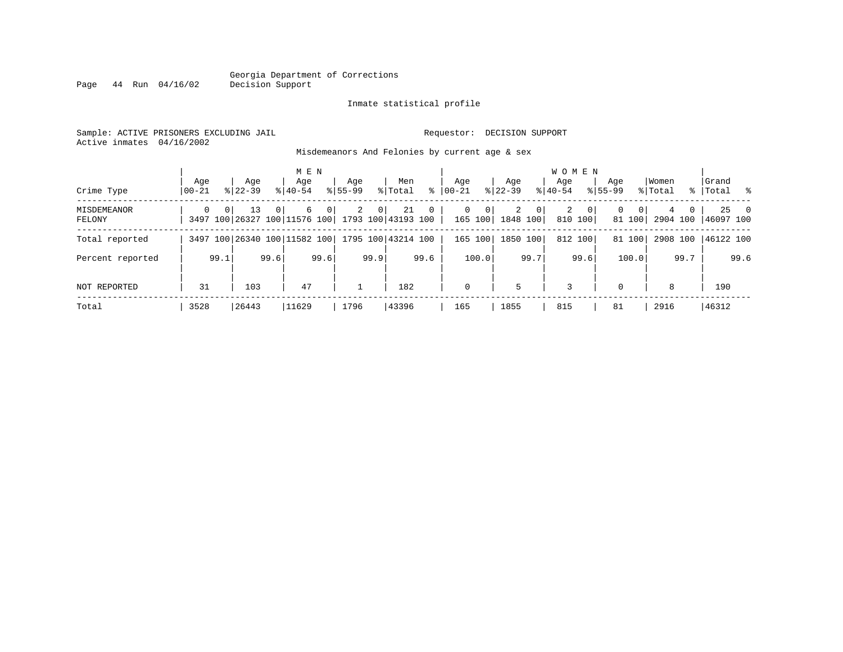#### Inmate statistical profile

Sample: ACTIVE PRISONERS EXCLUDING JAIL Requestor: DECISION SUPPORT Active inmates 04/16/2002

Page 44 Run 04/16/02

Misdemeanors And Felonies by current age & sex

| Crime Type            | Age<br>  00-21 |                | Age<br>$8 22-39$                                          |       | M E N<br>Age<br>$8 40-54$ |                | Age<br>$8155 - 99$ |                | Men<br>% Total | ွေ             | Age<br>$00 - 21$ |                         | Age<br>$ 22-39 $ |                | <b>WOMEN</b><br>Aqe<br>$8 40-54$ |                           | Age<br>$8155 - 99$ |                          | Women<br>% Total |      | Grand<br>%   Total % |               |
|-----------------------|----------------|----------------|-----------------------------------------------------------|-------|---------------------------|----------------|--------------------|----------------|----------------|----------------|------------------|-------------------------|------------------|----------------|----------------------------------|---------------------------|--------------------|--------------------------|------------------|------|----------------------|---------------|
| MISDEMEANOR<br>FELONY | $\Omega$       | 0 <sup>1</sup> | 13<br>3497 100 26327 100 11576 100   1793 100   43193 100 | - 0 I | 6                         | $\overline{0}$ | 2                  | 0 <sup>1</sup> | 21             | $\overline{0}$ | $\mathbf{0}$     | $\mathbf{0}$<br>165 100 | 2<br>1848 100    | 0 <sup>1</sup> | 2                                | $\overline{0}$<br>810 100 | 0                  | 0 <sup>1</sup><br>81 100 | 4                | 0    | 2904 100 46097 100   | $25 \qquad 0$ |
| Total reported        |                |                | 3497 100 26340 100 11582 100 1795 100 43214 100           |       |                           |                |                    |                |                |                |                  | 165 100                 | 1850 100         |                |                                  | 812 100                   |                    | 81 100                   |                  |      | 2908 100 46122 100   |               |
| Percent reported      |                | 99.1           |                                                           | 99.6  |                           | 99.6           |                    | 99.9           |                | 99.6           |                  | 100.0                   |                  | 99.7           |                                  | 99.6                      |                    | 100.0                    |                  | 99.7 |                      | 99.6          |
| NOT REPORTED          | 31             |                | 103                                                       |       | 47                        |                |                    |                | 182            |                | $\mathbf 0$      |                         | 5                |                | 3                                |                           | $\Omega$           |                          | 8                |      | 190                  |               |
| Total                 | 3528           |                | 26443                                                     |       | 11629                     |                | 1796               |                | 43396          |                | 165              |                         | 1855             |                | 815                              |                           | 81                 |                          | 2916             |      | 46312                |               |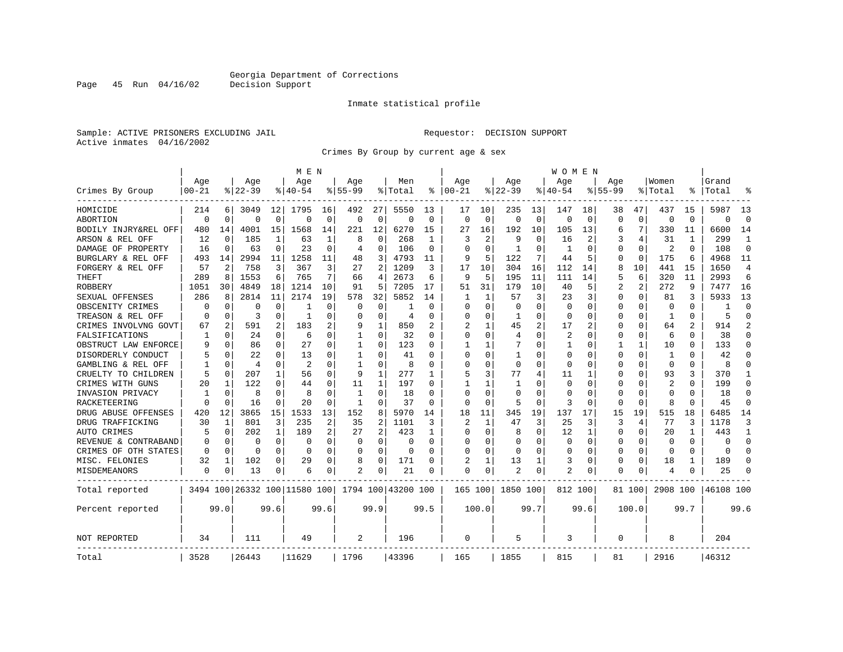Page 45 Run 04/16/02

#### Inmate statistical profile

Sample: ACTIVE PRISONERS EXCLUDING JAIL Requestor: DECISION SUPPORT Active inmates 04/16/2002

Crimes By Group by current age & sex

|                      |             |             |           |              | M E N                        |             |              |                |                    |             |                         |              |              |             | W O M E N      |             |             |              |                |          |           |                |
|----------------------|-------------|-------------|-----------|--------------|------------------------------|-------------|--------------|----------------|--------------------|-------------|-------------------------|--------------|--------------|-------------|----------------|-------------|-------------|--------------|----------------|----------|-----------|----------------|
|                      | Age         |             | Age       |              | Age                          |             | Aqe          |                | Men                |             | Aqe                     |              | Aqe          |             | Aqe            |             | Aqe         |              | Women          |          | Grand     |                |
| Crimes By Group      | $00 - 21$   |             | $8 22-39$ |              | % 40-54                      |             | $8155 - 99$  |                | % Total            | ႜ           | $ 00-21$                |              | $ 22-39$     |             | $8140 - 54$    |             | $8155 - 99$ |              | % Total        | ⊱        | Total     |                |
| HOMICIDE             | 214         | 6           | 3049      | 12           | 1795                         | 16          | 492          | 27             | 5550               | 13          | 17                      | 10           | 235          | 13          | 147            | 18          | 38          | 47           | 437            | 15       | 5987      | 13             |
| ABORTION             | $\Omega$    | $\mathbf 0$ | $\Omega$  | $\mathbf 0$  | $\Omega$                     | $\mathbf 0$ | $\Omega$     | $\mathbf 0$    | $\Omega$           | $\mathbf 0$ | $\Omega$                | $\mathbf 0$  | $\Omega$     | $\mathbf 0$ | $\Omega$       | $\mathbf 0$ | $\Omega$    | $\Omega$     | $\mathbf 0$    | $\Omega$ | $\Omega$  | $\Omega$       |
| BODILY INJRY&REL OFF | 480         | 14          | 4001      | 15           | 1568                         | 14          | 221          | 12             | 6270               | 15          | 27                      | 16           | 192          | 10          | 105            | 13          | 6           | 7            | 330            | 11       | 6600      | 14             |
| ARSON & REL OFF      | 12          | 0           | 185       | 1            | 63                           | 1           | 8            | 0              | 268                | 1           | 3                       | 2            | 9            | 0           | 16             | 2           |             | 4            | 31             | 1        | 299       | 1              |
| DAMAGE OF PROPERTY   | 16          | $\mathbf 0$ | 63        | 0            | 23                           | 0           | 4            | 0              | 106                | 0           | $\Omega$                | $\Omega$     | $\mathbf{1}$ | $\Omega$    | $\mathbf{1}$   | 0           | $\Omega$    | $\Omega$     | 2              | $\Omega$ | 108       | $\Omega$       |
| BURGLARY & REL OFF   | 493         | 14          | 2994      | 11           | 1258                         | 11          | 48           | 3              | 4793               | 11          | 9                       | 5            | 122          | 7           | 44             | 5           | $\Omega$    | $\mathbf 0$  | 175            | 6        | 4968      | 11             |
| FORGERY & REL OFF    | 57          | 2           | 758       | 3            | 367                          | 3           | 27           | 2              | 1209               | 3           | 17                      | 10           | 304          | 16          | 112            | 14          | 8           | 10           | 441            | 15       | 1650      | $\overline{4}$ |
| THEFT                | 289         | 8           | 1553      | 6            | 765                          | 7           | 66           | 4              | 2673               | 6           | 9                       | 5            | 195          | 11          | 111            | 14          | 5           | 6            | 320            | 11       | 2993      | 6              |
| ROBBERY              | 1051        | 30          | 4849      | 18           | 1214                         | 10          | 91           | 5              | 7205               | 17          | 51                      | 31           | 179          | 10          | 40             | 5           | 2           | 2            | 272            | 9        | 7477      | 16             |
| SEXUAL OFFENSES      | 286         | 8           | 2814      | 11           | 2174                         | 19          | 578          | 32             | 5852               | 14          |                         | 1            | 57           | 3           | 23             | 3           | $\Omega$    | $\Omega$     | 81             | 3        | 5933      | 13             |
| OBSCENITY CRIMES     | 0           | 0           | $\Omega$  | 0            |                              | $\Omega$    | 0            | 0              |                    | $\Omega$    | $\Omega$                | $\Omega$     | $\mathbf 0$  | O           | 0              | 0           | $\Omega$    | $\Omega$     | $\Omega$       | $\Omega$ | -1        | $\Omega$       |
| TREASON & REL OFF    | $\Omega$    | 0           | 3         | $\Omega$     | 1                            | $\Omega$    | O            | $\Omega$       | $\overline{4}$     | $\Omega$    | 0                       | $\Omega$     | -1           | 0           | $\Omega$       | $\Omega$    | $\Omega$    | $\Omega$     | 1              | $\Omega$ | 5         | $\Omega$       |
| CRIMES INVOLVNG GOVT | 67          | 2           | 591       | 2            | 183                          | 2           | 9            | $\mathbf{1}$   | 850                |             | $\overline{\mathbf{c}}$ | $\mathbf{1}$ | 45           | 2           | 17             | 2           | $\Omega$    | $\Omega$     | 64             |          | 914       | $\mathfrak{D}$ |
| FALSIFICATIONS       | 1           | $\mathbf 0$ | 24        | $\Omega$     | 6                            | $\Omega$    | 1            | 0              | 32                 | 0           | $\Omega$                | $\Omega$     | 4            | O           | 2              | 0           | 0           | $\Omega$     | 6              | 0        | 38        | $\Omega$       |
| OBSTRUCT LAW ENFORCE | 9           | 0           | 86        | $\Omega$     | 27                           | $\Omega$    | 1            | 0              | 123                | O           | -1                      | 1            | 7            | U           | 1              | 0           | 1           | $\mathbf{1}$ | 10             | 0        | 133       | ∩              |
| DISORDERLY CONDUCT   |             | $\mathbf 0$ | 22        | O            | 13                           | 0           | 1            | $\Omega$       | 41                 | O           | $\Omega$                | 0            | -1           | 0           | $\Omega$       | 0           | $\Omega$    | $\Omega$     | -1             |          | 42        |                |
| GAMBLING & REL OFF   |             | $\Omega$    | 4         | O            | $\mathfrak{D}$               | O           | $\mathbf{1}$ | $\Omega$       | 8                  | O           | $\Omega$                | $\Omega$     | $\Omega$     | O           | $\Omega$       | $\Omega$    | $\Omega$    | $\Omega$     | $\Omega$       | $\Omega$ | 8         |                |
| CRUELTY TO CHILDREN  | 5           | 0           | 207       | $\mathbf{1}$ | 56                           | $\Omega$    | 9            | 1              | 277                | 1           | 5                       | 3            | 77           | 4           | 11             | 1           | $\Omega$    | $\Omega$     | 93             | 3        | 370       | -1             |
| CRIMES WITH GUNS     | 20          | 1           | 122       | 0            | 44                           | 0           | 11           | $\mathbf 1$    | 197                | O           |                         | $\mathbf{1}$ | $\mathbf{1}$ | O           | 0              | $\mathbf 0$ | $\Omega$    | 0            | $\overline{c}$ | $\Omega$ | 199       | $\Omega$       |
| INVASION PRIVACY     | 1           | 0           | 8         | $\Omega$     | 8                            | 0           | 1            | $\mathbf 0$    | 18                 | $\Omega$    | $\Omega$                | $\Omega$     | $\Omega$     | U           | $\Omega$       | 0           | 0           | $\Omega$     | $\Omega$       | $\Omega$ | 18        | $\Omega$       |
| RACKETEERING         | $\Omega$    | 0           | 16        | 0            | 20                           | $\Omega$    | 1            | 0              | 37                 | $\Omega$    | ∩                       | $\Omega$     | 5            | 0           | 3              | 0           | $\Omega$    | $\Omega$     | 8              | $\Omega$ | 45        | ∩              |
| DRUG ABUSE OFFENSES  | 420         | 12          | 3865      | 15           | 1533                         | 13          | 152          | 8              | 5970               | 14          | 18                      | 11           | 345          | 19          | 137            | 17          | 15          | 19           | 515            | 18       | 6485      | 14             |
| DRUG TRAFFICKING     | 30          | 1           | 801       | 3            | 235                          | 2           | 35           | $\overline{2}$ | 1101               | 3           | $\overline{\mathbf{c}}$ | $\mathbf{1}$ | 47           | 3           | 25             | 3           | 3           | 4            | 77             | 3        | 1178      | 3              |
| AUTO CRIMES          | 5           | $\mathbf 0$ | 202       | 1            | 189                          | 2           | 27           | $\overline{2}$ | 423                | 1           | <sup>0</sup>            | $\Omega$     | 8            | $\Omega$    | 12             | 1           | $\Omega$    | $\Omega$     | 20             | 1        | 443       | -1             |
| REVENUE & CONTRABAND | $\Omega$    | 0           | 0         | 0            | 0                            | 0           | 0            | $\mathbf 0$    | 0                  | $\Omega$    | 0                       | 0            | $\Omega$     | 0           | O              | 0           | $\Omega$    | 0            | 0              | $\Omega$ | $\Omega$  | $\Omega$       |
| CRIMES OF OTH STATES | 0           | 0           | 0         | $\Omega$     | $\Omega$                     | 0           | $\Omega$     | 0              | 0                  | $\Omega$    | $\Omega$                | 0            | $\Omega$     | $\Omega$    | $\Omega$       | 0           | 0           | $\Omega$     | $\Omega$       | $\Omega$ | $\Omega$  | ∩              |
| MISC. FELONIES       | 32          | 1           | 102       | 0            | 29                           | 0           | 8            | 0              | 171                | O           | 2                       | 1            | 13           | 1           | 3              | 0           | 0           | 0            | 18             | 1        | 189       | ∩              |
| <b>MISDEMEANORS</b>  | $\mathbf 0$ | 0           | 13        | 0            | 6                            | 0           | 2            | 0              | 21                 | 0           | $\Omega$                | 0            | 2            | 0           | $\overline{a}$ | 0           | $\Omega$    | 0            | 4              | 0        | 25        |                |
| Total reported       |             |             |           |              | 3494 100 26332 100 11580 100 |             |              |                | 1794 100 43200 100 |             | 165 100                 |              | 1850 100     |             | 812 100        |             |             | 81 100       | 2908 100       |          | 46108 100 |                |
| Percent reported     |             | 99.0        |           | 99.6         |                              | 99.6        |              | 99.9           |                    | 99.5        |                         | 100.0        |              | 99.7        |                | 99.6        |             | 100.0        |                | 99.7     |           | 99.6           |
| NOT REPORTED         | 34          |             | 111       |              | 49                           |             | 2            |                | 196                |             | $\Omega$                |              | 5            |             | 3              |             | $\Omega$    |              | 8              |          | 204       |                |
| Total                | 3528        |             | 26443     |              | 11629                        |             | 1796         |                | 43396              |             | 165                     |              | 1855         |             | 815            |             | 81          |              | 2916           |          | 46312     |                |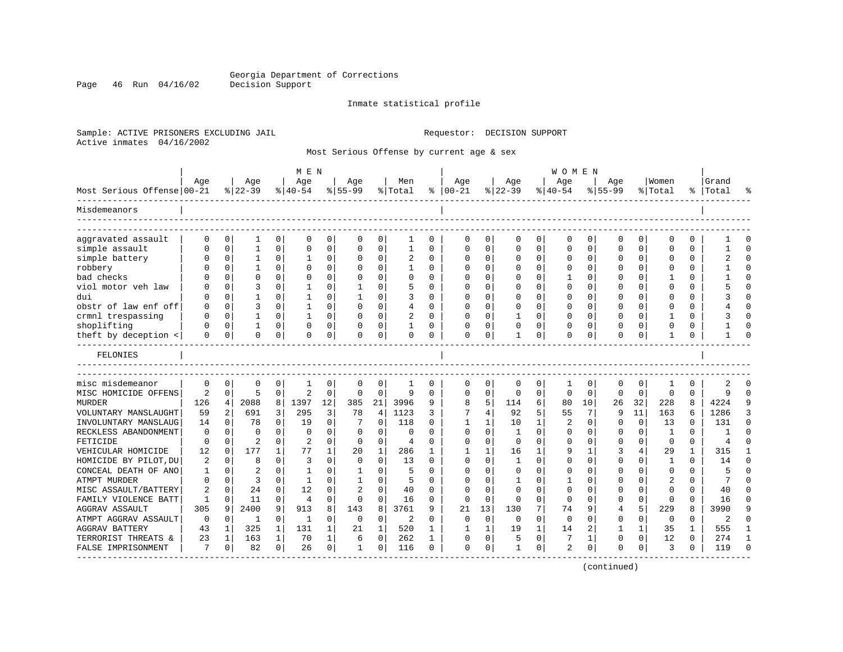Page 46 Run 04/16/02

#### Inmate statistical profile

Sample: ACTIVE PRISONERS EXCLUDING JAIL Requestor: DECISION SUPPORT Active inmates 04/16/2002

Most Serious Offense by current age & sex

|                            |             |                |                |              | M E N          |             |              |             |                |          |              |             |              |              | <b>WOMEN</b>          |             |             |              |              |      |       |          |
|----------------------------|-------------|----------------|----------------|--------------|----------------|-------------|--------------|-------------|----------------|----------|--------------|-------------|--------------|--------------|-----------------------|-------------|-------------|--------------|--------------|------|-------|----------|
|                            | Age         |                | Age            |              | Age            |             | Age          |             | Men            |          | Age          |             | Age          |              | Age                   |             | Age         |              | Women        |      | Grand |          |
| Most Serious Offense 00-21 |             |                | $ 22-39$       |              | $ 40-54$       |             | $8 55-99$    |             | % Total        |          | $% 100 - 21$ |             | $ 22-39$     |              | $\frac{1}{6}$   40-54 |             | $8155 - 99$ |              | % Total      | °ຮ ∣ | Total |          |
| Misdemeanors               |             |                |                |              |                |             |              |             |                |          |              |             |              |              |                       |             |             |              |              |      |       |          |
| aggravated assault         | $\cap$      | $\Omega$       |                | $\Omega$     | $\mathbf 0$    | 0           | $\Omega$     | 0           |                | 0        | $\Omega$     | 0           | $\Omega$     | 0            | 0                     | 0           | 0           | 0            | <sup>0</sup> | 0    |       |          |
| simple assault             |             | $\mathbf 0$    | 1              | 0            | $\mathbf 0$    | 0           | O            | $\mathbf 0$ | $\mathbf{1}$   | $\Omega$ | $\Omega$     | $\mathbf 0$ | $\Omega$     | $\mathbf 0$  | 0                     | $\mathbf 0$ | $\Omega$    | 0            | $\Omega$     | O    |       | $\Omega$ |
| simple battery             |             | $\Omega$       |                | 0            |                | $\Omega$    |              | $\Omega$    |                | $\Omega$ | <sup>0</sup> | 0           | $\Omega$     | O            | 0                     | $\Omega$    | U           | 0            | n            | 0    |       | $\Omega$ |
| robbery                    |             | $\Omega$       |                | 0            | $\Omega$       | $\Omega$    |              | $\Omega$    | 1              | 0        | n            | $\Omega$    | $\Omega$     | $\Omega$     | 0                     | $\Omega$    | U           | 0            | ∩            | 0    |       | $\cap$   |
| bad checks                 |             | $\Omega$       | U              | $\Omega$     | $\mathbf 0$    | 0           | O            | $\mathbf 0$ | $\Omega$       | O        |              | $\Omega$    | $\Omega$     | 0            | 1                     | $\mathbf 0$ | U           | $\Omega$     |              | U    |       | $\cap$   |
| viol motor veh law         |             | $\Omega$       |                | 0            |                | 0           |              | $\Omega$    | 5              | $\Omega$ | $\Omega$     | $\Omega$    | $\Omega$     | $\Omega$     | $\Omega$              | $\mathbf 0$ | $\cap$      | $\Omega$     | $\Omega$     | 0    |       | $\cap$   |
| dui                        |             | $\Omega$       |                | 0            |                | 0           |              | $\Omega$    | 3              | $\Omega$ | <sup>0</sup> | $\Omega$    | $\Omega$     | $\Omega$     | $\Omega$              | $\Omega$    | U           | 0            | <sup>0</sup> | 0    |       | $\Omega$ |
| obstr of law enf off       |             | $\Omega$       | 3              | 0            |                | 0           | O            | $\Omega$    | 4              | 0        | 0            | $\Omega$    | $\Omega$     | $\Omega$     | $\Omega$              | 0           | U           | 0            | $\Omega$     | 0    |       | $\cap$   |
| crmnl trespassing          |             | $\Omega$       | 1              | O            | -1             | $\Omega$    | O            | $\Omega$    | 2              | $\Omega$ | <sup>0</sup> | $\Omega$    | $\mathbf{1}$ | $\Omega$     | $\Omega$              | $\Omega$    | U           | <sup>0</sup> |              | U    |       |          |
| shoplifting                |             | $\Omega$       |                | 0            | $\Omega$       | 0           |              | 0           |                | O        | <sup>0</sup> | $\Omega$    | $\Omega$     | $\Omega$     | 0                     | $\Omega$    | U           | <sup>0</sup> | $\Omega$     | 0    |       | $\cap$   |
| theft by deception <       | O           | 0              | 0              | 0            | 0              | 0           | 0            | 0           | 0              | 0        | 0            | 0           | $\mathbf{1}$ | 0            | 0                     | 0           | $\Omega$    | 0            | $\mathbf{1}$ | 0    |       | $\cap$   |
| FELONIES                   |             |                |                |              |                |             |              |             |                |          |              |             |              |              |                       |             |             |              |              |      |       |          |
| misc misdemeanor           | $\mathbf 0$ | 0              | 0              | 0            | 1              | 0           | 0            | 0           | 1              | 0        | 0            | 0           | 0            | 0            | 1                     | 0           | 0           | 0            | -1           | 0    | 2     |          |
| MISC HOMICIDE OFFENS       | 2           | $\mathbf 0$    | 5              | 0            | $\overline{2}$ | $\mathbf 0$ | 0            | 0           | 9              | $\Omega$ | $\Omega$     | $\mathbf 0$ | 0            | 0            | $\mathbf 0$           | 0           | $\mathbf 0$ | $\mathbf 0$  | $\Omega$     | 0    | 9     | $\cap$   |
| <b>MURDER</b>              | 126         | $\overline{4}$ | 2088           | 8            | 1397           | 12          | 385          | 21          | 3996           | 9        | 8            | 5           | 114          | 6            | 80                    | 10          | 26          | 32           | 228          | 8    | 4224  | q        |
| VOLUNTARY MANSLAUGHT       | 59          | 2              | 691            | 3            | 295            | 3           | 78           | 4           | 1123           | 3        | 7            | 4           | 92           | 5            | 55                    | 7           | 9           | 11           | 163          | 6    | 1286  |          |
| INVOLUNTARY MANSLAUG       | 14          | $\Omega$       | 78             | 0            | 19             | 0           |              | $\Omega$    | 118            | O        | 1            | 1           | 10           | $\mathbf{1}$ | 2                     | $\Omega$    | $\Omega$    | $\Omega$     | 13           | U    | 131   | $\cap$   |
| RECKLESS ABANDONMENT       | $\Omega$    | $\Omega$       | 0              | O            | $\Omega$       | $\Omega$    | $\Omega$     | $\Omega$    | $\Omega$       | U        | $\Omega$     | $\Omega$    | $\mathbf{1}$ | $\Omega$     | $\Omega$              | $\Omega$    | U           | $\Omega$     | $\mathbf{1}$ | 0    |       | $\cap$   |
| FETICIDE                   | $\Omega$    | $\Omega$       | $\overline{2}$ | $\Omega$     | 2              | $\Omega$    | $\Omega$     | $\Omega$    | $\overline{4}$ | 0        | <sup>0</sup> | $\Omega$    | $\Omega$     | $\Omega$     | <sup>0</sup>          | $\Omega$    | U           | $\Omega$     | $\Omega$     | 0    | 4     |          |
| VEHICULAR HOMICIDE         | 12          | $\Omega$       | 177            | $\mathbf{1}$ | 77             | 1           | 20           | $\mathbf 1$ | 286            | 1        |              | 1           | 16           | 1            | 9                     | 1           |             | 4            | 29           | 1    | 315   |          |
| HOMICIDE BY PILOT, DU      | 2           | 0              | 8              | 0            | 3              | $\Omega$    | $\Omega$     | $\Omega$    | 13             | $\Omega$ | $\Omega$     | 0           | 1            | $\Omega$     | $\Omega$              | 0           | $\Omega$    | 0            | -1           | 0    | 14    | $\Omega$ |
| CONCEAL DEATH OF ANO       | -1          | $\Omega$       | 2              | $\Omega$     | -1             | 0           | 1            | 0           | 5              | U        | $\cap$       | $\Omega$    | 0            | $\Omega$     | 0                     | $\Omega$    | U           | 0            | $\Omega$     | 0    | 5     | $\Omega$ |
| ATMPT MURDER               |             | $\Omega$       | 3              | 0            | -1             | 0           |              | 0           | 5              | U        |              | $\Omega$    | 1            | $\Omega$     |                       | 0           |             |              |              | U    |       | $\cap$   |
| MISC ASSAULT/BATTERY       | 2           | $\Omega$       | 24             | $\Omega$     | 12             | $\Omega$    | 2            | $\Omega$    | 40             | O        | ∩            | $\Omega$    | $\Omega$     | $\Omega$     | $\Omega$              | $\Omega$    | U           | <sup>0</sup> | $\Omega$     | 0    | 40    | $\cap$   |
| FAMILY VIOLENCE BATT       | 1           | $\Omega$       | 11             | $\Omega$     | $\overline{4}$ | $\Omega$    | $\Omega$     | $\mathbf 0$ | 16             | O        | $\Omega$     | $\Omega$    | $\Omega$     | $\Omega$     | $\Omega$              | $\Omega$    | 0           | $\Omega$     | $\Omega$     | 0    | 16    | -C       |
| <b>AGGRAV ASSAULT</b>      | 305         | 9              | 2400           | 9            | 913            | 8           | 143          | 8           | 3761           | 9        | 21           | 13          | 130          | 7            | 74                    | 9           | 4           | 5            | 229          | 8    | 3990  | q        |
| ATMPT AGGRAV ASSAULT       | $\mathbf 0$ | 0              | 1              | 0            | 1              | $\Omega$    | $\mathbf 0$  | 0           | 2              | $\Omega$ | 0            | $\mathbf 0$ | 0            | 0            | 0                     | $\Omega$    | U           | 0            | 0            | 0    | 2     | $\cap$   |
| <b>AGGRAV BATTERY</b>      | 43          | 1              | 325            | 1            | 131            | 1           | 21           | 1           | 520            | 1        | -1           | 1           | 19           | 1            | 14                    | 2           | 1           | 1            | 35           | 1    | 555   | -1       |
| TERRORIST THREATS &        | 23          | 1              | 163            | $\mathbf 1$  | 70             | 1           | 6            | 0           | 262            |          | 0            | 0           | 5            | 0            | 7                     | 1           | $\Omega$    | 0            | 12           | 0    | 274   |          |
| FALSE IMPRISONMENT         | 7           | $\Omega$       | 82             | $\Omega$     | 26             | $\Omega$    | $\mathbf{1}$ | $\Omega$    | 116            | $\Omega$ | $\Omega$     | $\Omega$    | $\mathbf{1}$ | $\Omega$     | $\overline{2}$        | $\Omega$    | $\Omega$    | $\Omega$     | 3            | 0    | 119   |          |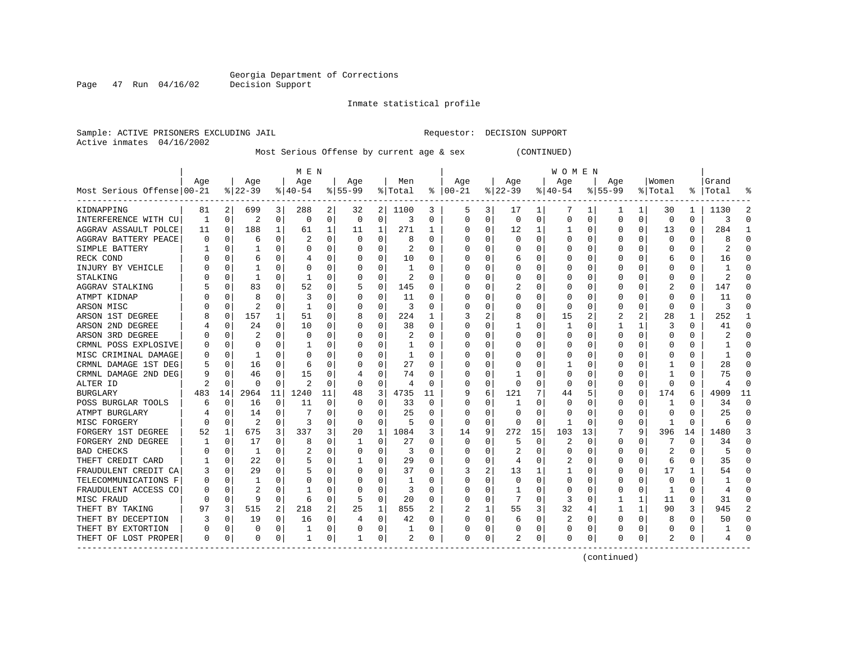Inmate statistical profile

Active inmates 04/16/2002

Sample: ACTIVE PRISONERS EXCLUDING JAIL Requestor: DECISION SUPPORT

Most Serious Offense by current age & sex (CONTINUED)

|                            | M E N |          |                |              |                |    |           |          |         |    | W O M E N     |   |          |          |           |    |             |          |         |          |       |          |
|----------------------------|-------|----------|----------------|--------------|----------------|----|-----------|----------|---------|----|---------------|---|----------|----------|-----------|----|-------------|----------|---------|----------|-------|----------|
|                            | Age   |          | Age            |              | Age            |    | Age       |          | Men     |    | Age           |   | Age      |          | Age       |    | Age         |          | Women   |          | Grand |          |
| Most Serious Offense 00-21 |       |          | $ 22-39$       |              | $ 40-54$       |    | $8 55-99$ |          | % Total |    | $8   00 - 21$ |   | $ 22-39$ |          | $8 40-54$ |    | $8155 - 99$ |          | % Total | ိ        | Total |          |
| KIDNAPPING                 | 81    | 2        | 699            | 3            | 288            | 2  | 32        | 2        | 1100    | 3  | 5             | 3 | 17       | ı        | 7         | 1  | -1          | 1        | 30      | 1        | 1130  |          |
| INTERFERENCE WITH CU       | 1     | 0        | $\overline{2}$ | 0            | 0              | 0  | 0         | 0        | 3       | U  | 0             | 0 | $\Omega$ | 0        | O         | O  | $\Omega$    | 0        | 0       | $\Omega$ | 3     | ſ        |
| AGGRAV ASSAULT POLCE       | 11    | 0        | 188            | 1            | 61             | 1  | 11        | 1        | 271     | 1  | 0             | 0 | 12       |          |           | O  | O           | 0        | 13      | 0        | 284   |          |
| AGGRAV BATTERY PEACE       | 0     | 0        | 6              | $\Omega$     | 2              | 0  |           | $\Omega$ | 8       | U  | 0             | 0 | O        | $\Omega$ | 0         | O  |             | $\Omega$ | O       | 0        | 8     | ſ        |
| SIMPLE BATTERY             |       | 0        |                | $\Omega$     | $\Omega$       | 0  |           | 0        | 2       | U  |               | 0 |          | 0        |           | 0  |             | O        | 0       | 0        | 2     |          |
| RECK COND                  |       | O        | 6              | ∩            |                | 0  |           | $\Omega$ | 10      | U  | ſ             | 0 |          | O        |           | C  |             |          | 6       | 0        | 16    | ſ        |
| INJURY BY VEHICLE          |       | O        |                | O            | C              | 0  |           | 0        | 1       | U  | U             | 0 |          | O        | $\left($  | C  |             | U        | Ω       | 0        |       | ſ        |
| STALKING                   |       | 0        |                | 0            |                | 0  |           | 0        | 2       | U  | Ω             | 0 |          | 0        | 0         | C  |             | O        | 0       | 0        | 2     | n        |
| AGGRAV STALKING            |       | 0        | 83             |              | 52             | 0  |           | 0        | 145     | U  | Ω             | 0 |          |          | 0         | C  |             |          | 2       | 0        | 147   | n        |
| ATMPT KIDNAP               |       | O        | 8              |              | 3              | 0  |           | $\Omega$ | 11      | U  | 0             | 0 |          | O        | C         |    |             |          | 0       | 0        | 11    |          |
| ARSON MISC                 |       | $\Omega$ | $\overline{2}$ | $\Omega$     |                | 0  |           | $\Omega$ | 3       | U  | Ω             | 0 |          | $\Omega$ | 0         | C  |             | O        | O       | U        | 3     |          |
| ARSON 1ST DEGREE           |       | 0        | 157            |              | 51             | 0  |           | $\Omega$ | 224     | 1  | 3             | 2 | 8        | 0        | 15        |    | 2           | 2        | 28      | 1        | 252   |          |
| ARSON 2ND DEGREE           |       | 0        | 24             | 0            | 10             | 0  |           | 0        | 38      | U  | 0             | 0 |          | $\Omega$ |           | O  |             |          | 3       | 0        | 41    | n        |
| ARSON 3RD DEGREE           |       | $\Omega$ |                | $\Omega$     | 0              | 0  |           | $\Omega$ | 2       | U  |               | 0 |          | $\Omega$ | 0         |    |             | 0        | Ω       | 0        |       | ſ        |
| CRMNL POSS EXPLOSIVE       |       | $\Omega$ | $\Omega$       | $\Omega$     |                | 0  |           | $\Omega$ | -1      | U  | ſ             | 0 |          | O        | O         | C  |             | O        | U       | 0        |       | ∩        |
| MISC CRIMINAL DAMAGE       | Ω     | 0        | -1             | $\Omega$     | C              | 0  |           | 0        | 1       | 0  | U             | 0 |          | O        | 0         | C  |             | O        |         | 0        |       | n        |
| CRMNL DAMAGE 1ST DEG       | 5     | 0        | 16             | 0            | 6              | 0  |           | 0        | 27      | U  | 0             | 0 |          | 0        |           | O  |             | U        |         | 0        | 28    | O        |
| CRMNL DAMAGE 2ND DEG       | 9     | 0        | 46             |              | 15             | 0  |           | $\Omega$ | 74      | O  | 0             | 0 |          | 0        | 0         |    |             |          |         | 0        | 75    |          |
| ALTER ID                   |       | $\Omega$ | ∩              | ∩            | $\overline{c}$ | 0  | n         | $\Omega$ | 4       | U  | 0             | 0 | $\Omega$ | $\Omega$ | 0         | C  |             | O        | O       | U        | 4     | C        |
| <b>BURGLARY</b>            | 483   | 14       | 2964           | 11           | 1240           | 11 | 48        | 3        | 4735    | 11 | 9             | 6 | 121      | 7        | 44        |    | O           | 0        | 174     | 6        | 4909  | 11       |
| POSS BURGLAR TOOLS         | 6     | 0        | 16             | 0            | 11             | 0  |           | $\Omega$ | 33      | 0  | 0             | 0 |          | $\Omega$ | 0         | O  |             | O        |         | 0        | 34    | $\Omega$ |
| ATMPT BURGLARY             |       | 0        | 14             | 0            |                | 0  |           | $\Omega$ | 25      | U  | C             | 0 | O        | $\Omega$ | 0         | O  |             | 0        |         | U        | 25    | O        |
| MISC FORGERY               |       | O        | 2              | $\Omega$     | 3              | 0  |           | 0        | 5       | O  | 0             | 0 | O        | $\Omega$ | 1         | C  |             | $\Omega$ | -1      | 0        | 6     | ſ        |
| FORGERY 1ST DEGREE         | 52    | 1        | 675            | 3            | 337            | 3  | 20        | 1        | 1084    | 3  | 14            | 9 | 272      | 15       | 103       | 13 |             | 9        | 396     | 14       | 1480  |          |
| FORGERY 2ND DEGREE         |       | 0        | 17             | 0            | 8              | 0  |           | 0        | 27      | U  | 0             | 0 | 5        | $\Omega$ | 2         | O  | 0           | O        |         | 0        | 34    | n        |
| <b>BAD CHECKS</b>          |       | 0        |                | 0            | 2              | 0  |           | 0        | 3       | U  | 0             | 0 | 2        | 0        | 0         | C  |             | O        | 2       | 0        | 5     | n        |
| THEFT CREDIT CARD          |       | 0        | 22             |              | 5              | 0  |           | $\Omega$ | 29      | U  | 0             | 0 | 4        | 0        | 2         |    |             | O        | 6       | 0        | 35    |          |
| FRAUDULENT CREDIT CA       | 3     | 0        | 29             | $\Omega$     | 5              | 0  |           | $\Omega$ | 37      | U  | 3             | 2 | 13       |          |           | C  |             | 0        | 17      | 1        | 54    |          |
| TELECOMMUNICATIONS F       | 0     | O        |                | <sup>0</sup> | O              | 0  |           | ∩        | 1       | U  | Ω             | 0 | O        | $\Omega$ | 0         | U  |             | 0        | 0       | 0        |       |          |
| FRAUDULENT ACCESS CO       |       | O        | 2              | 0            |                | 0  |           | $\Omega$ | 3       | U  | 0             | 0 |          | $\Omega$ | 0         | O  |             | $\Omega$ | -1      | U        | 4     |          |
| MISC FRAUD                 |       | 0        | 9              | 0            | 6              | 0  |           | 0        | 20      | 0  |               | 0 |          | $\Omega$ | 3         | 0  |             | 1        | 11      | 0        | 31    |          |
| THEFT BY TAKING            | 97    | 3        | 515            | 2            | 218            | 2  | 25        | 1        | 855     | 2  |               | 1 | 55       | 3        | 32        | 4  |             | 1        | 90      | 3        | 945   |          |
| THEFT BY DECEPTION         |       | $\Omega$ | 19             | $\Omega$     | 16             | 0  | 4         | $\Omega$ | 42      | U  | C             | 0 | 6        | $\Omega$ | 2         | O  |             | 0        | 8       | 0        | 50    | ∩        |
| THEFT BY EXTORTION         | 0     | $\Omega$ | 0              | $\Omega$     |                | 0  |           | 0        | 1       | 0  | 0             | 0 |          | 0        | 0         | 0  |             | 0        | 0       | 0        |       | ∩        |
| THEFT OF LOST PROPER       | 0     | 0        | $\Omega$       | 0            | -1             | 0  |           | 0        | 2       | 0  | $\Omega$      | 0 | 2        | 0        | 0         | 0  | O           | 0        | 2       | 0        |       | ſ        |

(continued)

Page 47 Run 04/16/02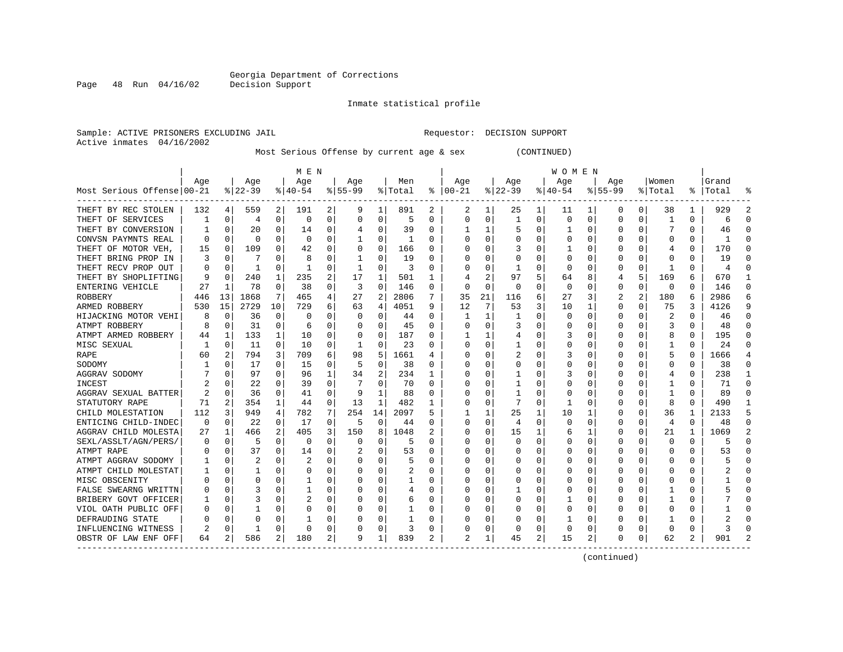Inmate statistical profile

Active inmates 04/16/2002

Page 48 Run 04/16/02

Sample: ACTIVE PRISONERS EXCLUDING JAIL Requestor: DECISION SUPPORT

Most Serious Offense by current age & sex (CONTINUED)

|                            | M E N |          |                |                |              |          |           |              |         |   | W O M E N      |                |             |          |          |   |             |              |              |                |       |              |
|----------------------------|-------|----------|----------------|----------------|--------------|----------|-----------|--------------|---------|---|----------------|----------------|-------------|----------|----------|---|-------------|--------------|--------------|----------------|-------|--------------|
|                            | Age   |          | Age            |                | Age          |          | Age       |              | Men     |   | Age            |                | Age         |          | Age      |   | Age         |              | Women        |                | Grand |              |
| Most Serious Offense 00-21 |       |          | $ 22-39$       |                | $8 40-54$    |          | $8 55-99$ |              | % Total | ႜ | $ 00-21$       |                | $8$   22-39 |          | $ 40-54$ |   | $8155 - 99$ |              | % Total      | ႜၟ             | Total |              |
| THEFT BY REC STOLEN        | 132   | 4        | 559            | 2              | 191          | 2        | 9         | 1            | 891     | 2 | 2              |                | 25          | ı        | 11       |   | 0           | 0            | 38           | 1              | 929   |              |
| THEFT OF SERVICES          | 1     | 0        | $\overline{4}$ | 0              | 0            | 0        | 0         | 0            | 5       | U | C              | 0              |             | $\Omega$ | 0        | 0 | O           | 0            | -1           | 0              | 6     | ſ            |
| THEFT BY CONVERSION        |       | O        | 20             | $\Omega$       | 14           | 0        | 4         | $\Omega$     | 39      | U |                | 1              |             | $\Omega$ |          | O |             | $\Omega$     | 7            | O              | 46    |              |
| CONVSN PAYMNTS REAL        | 0     | O        | n              | $\Omega$       | $\Omega$     | 0        |           | $\Omega$     | -1      | U | C              | $\Omega$       |             | $\Omega$ | O        | O |             | $\Omega$     | O            | U              |       |              |
| THEFT OF MOTOR VEH,        | 15    | O        | 109            | $\Omega$       | 42           | O        | O         | 0            | 166     | U |                | $\Omega$       | 3           | O        |          | U |             | $\Omega$     | 4            | 0              | 170   | ſ            |
| THEFT BRING PROP IN        | 3     | O        |                | O              | 8            | 0        |           | $\mathbf 0$  | 19      | O |                | 0              |             |          | 0        |   |             | $\Omega$     | 0            | 0              | 19    | ſ            |
| THEFT RECV PROP OUT        | U     | O        | -1             | 0              | $\mathbf{1}$ | 0        |           | 0            | 3       | O |                | 0              |             | ∩        | O        |   |             | $\Omega$     | -1           | O              | 4     | ſ            |
| THEFT BY SHOPLIFTING       | 9     | O        | 240            | 1              | 235          | 2        | 17        | 1            | 501     | 1 |                | $\overline{a}$ | 97          | 5        | 64       | 8 |             | 5            | 169          | 6              | 670   | -1           |
| ENTERING VEHICLE           | 27    | 1        | 78             | 0              | 38           | 0        | 3         | 0            | 146     | 0 | C              | 0              | 0           | $\Omega$ | 0        | O | $\Omega$    | 0            | 0            | 0              | 146   | $\Omega$     |
| <b>ROBBERY</b>             | 446   | 13       | 1868           | 7              | 465          | 4        | 27        | 2            | 2806    | 7 | 35             | 21             | 116         | 6        | 27       | 3 | 2           | 2            | 180          | 6              | 2986  | б            |
| ARMED ROBBERY              | 530   | 15       | 2729           | 10             | 729          | 6        | 63        | 4            | 4051    | 9 | 12             | 7              | 53          | 3        | 10       |   | O           | $\Omega$     | 75           | 3              | 4126  | q            |
| HIJACKING MOTOR VEHI       | 8     | O        | 36             | 0              | O            | 0        | O         | $\Omega$     | 44      | U |                | 1              |             | $\Omega$ | O        |   | O           | U            | 2            | U              | 46    | ∩            |
| ATMPT ROBBERY              | 8     | $\Omega$ | 31             | $\Omega$       | 6            | 0        | 0         | $\Omega$     | 45      | U | C              | 0              |             | $\Omega$ | 0        | U |             | <sup>0</sup> | 3            | 0              | 48    | r            |
| ATMPT ARMED ROBBERY        | 44    | -1       | 133            | 1              | 10           | 0        |           | $\Omega$     | 187     | U |                |                |             | 0        | 3        |   |             | 0            | 8            | 0              | 195   | ∩            |
| MISC SEXUAL                | -1    | 0        | 11             | $\Omega$       | 10           | 0        |           | $\mathbf 0$  | 23      | O |                | 0              |             | $\Omega$ | 0        |   |             | 0            | $\mathbf{1}$ | 0              | 24    | ſ            |
| RAPE                       | 60    |          | 794            | 3              | 709          | 6        | 98        | 5            | 1661    | 4 |                | $\Omega$       |             | $\Omega$ | 3        | U |             | U            | 5            | $\Omega$       | 1666  |              |
| SODOMY                     |       | O        | 17             | $\Omega$       | 15           | $\Omega$ | .5        | 0            | 38      | U | C              | $\Omega$       |             | $\Omega$ | U        | O | U           | <sup>0</sup> | U            | $\Omega$       | 38    | ∩            |
| AGGRAV SODOMY              |       | O        | 97             | 0              | 96           | 1        | 34        | 2            | 234     | 1 | C              | 0              |             | O        | 3        | O |             | <sup>0</sup> | 4            | O              | 238   |              |
| INCEST                     |       |          | 22             | 0              | 39           | 0        |           | 0            | 70      | U | C              | 0              |             |          | Ω        |   |             | O            |              | O              | 71    | <sup>0</sup> |
| AGGRAV SEXUAL BATTER       | 2     | O        | 36             | O              | 41           | $\Omega$ | q         | $\mathbf{1}$ | 88      | U |                | $\Omega$       |             | O        | 0        |   |             | $\Omega$     | -1           | O              | 89    |              |
| STATUTORY RAPE             | 71    | 2        | 354            | 1              | 44           | $\Omega$ | 13        | 1            | 482     | 1 | C              | $\Omega$       |             | $\Omega$ |          | U |             | $\Omega$     | 8            | U              | 490   |              |
| CHILD MOLESTATION          | 112   | 3        | 949            | 4              | 782          | 7        | 254       | 14           | 2097    | 5 |                | 1              | 25          | 1        | 10       |   |             | $\Omega$     | 36           | 1              | 2133  |              |
| ENTICING CHILD-INDEC       | 0     | 0        | 22             | 0              | 17           | 0        | 5         | $\mathbf 0$  | 44      | U | C              | 0              | 4           | $\Omega$ | O        | O |             | $\Omega$     | 4            | 0              | 48    | n            |
| AGGRAV CHILD MOLESTA       | 27    | 1        | 466            | $\overline{a}$ | 405          | 3        | 150       | 8            | 1048    | 2 | C              | 0              | 15          |          | 6        | 1 |             | 0            | 21           | 1              | 1069  |              |
| SEXL/ASSLT/AGN/PERS/       | Ω     | 0        | .5             | 0              | 0            | $\Omega$ | O         | $\mathbf 0$  | 5       | U |                | 0              |             | $\Omega$ |          | O |             | O            | $\Omega$     | $\Omega$       | 5     | ſ            |
| ATMPT RAPE                 |       | 0        | 37             | 0              | 14           | 0        |           | 0            | 53      | U | C              | 0              |             | O        | 0        | O | n           | 0            | 0            | 0              | 53    | ∩            |
| ATMPT AGGRAV SODOMY        |       | 0        | 2              | O              |              | 0        |           | 0            | 5       | U | C              | 0              |             |          | 0        | O |             | O            | 0            | 0              |       | n            |
| ATMPT CHILD MOLESTAT       |       | N        |                | O              | O            | 0        |           | 0            | 2       | U | C              | O              |             |          | Ω        |   |             | U            |              | U              |       | <sup>0</sup> |
| MISC OBSCENITY             |       |          |                |                |              | O        |           | $\mathbf 0$  | 1       | U |                | O              |             |          |          |   |             |              |              | O              |       |              |
| FALSE SWEARNG WRITTN       |       | C        |                |                | -1           | O        |           | $\Omega$     | 4       | U | C              | $\Omega$       |             |          | Ω        |   |             | U            |              | O              |       |              |
| BRIBERY GOVT OFFICER       |       | O        |                | 0              |              | 0        |           | $\Omega$     | 6       | U | C              | $\Omega$       |             | $\Omega$ |          | O |             | $\Omega$     |              | U              |       |              |
| VIOL OATH PUBLIC OFF       |       | N        |                | $\Omega$       |              | 0        |           | 0            | 1       | U |                | $\Omega$       |             | $\Omega$ | Ω        |   |             | $\Omega$     | ſ            | O              |       |              |
| DEFRAUDING STATE           |       | U        |                | O              |              | 0        |           | 0            | 1       | U |                | 0              |             | O        |          |   |             | $\Omega$     |              | U              |       |              |
| INFLUENCING WITNESS        |       | O        |                | $\Omega$       | U            | 0        |           | $\mathbf 0$  | 3       | O |                | 0              |             | $\Omega$ | 0        | 0 |             | 0            | U            | O              | 3     |              |
| OBSTR OF LAW ENF OFF       | 64    | 2        | 586            | 2              | 180          | 2        | 9         | 1            | 839     | 2 | $\mathfrak{D}$ | 1              | 45          | 2        | 15       | 2 | ∩           | 0            | 62           | $\overline{2}$ | 901   |              |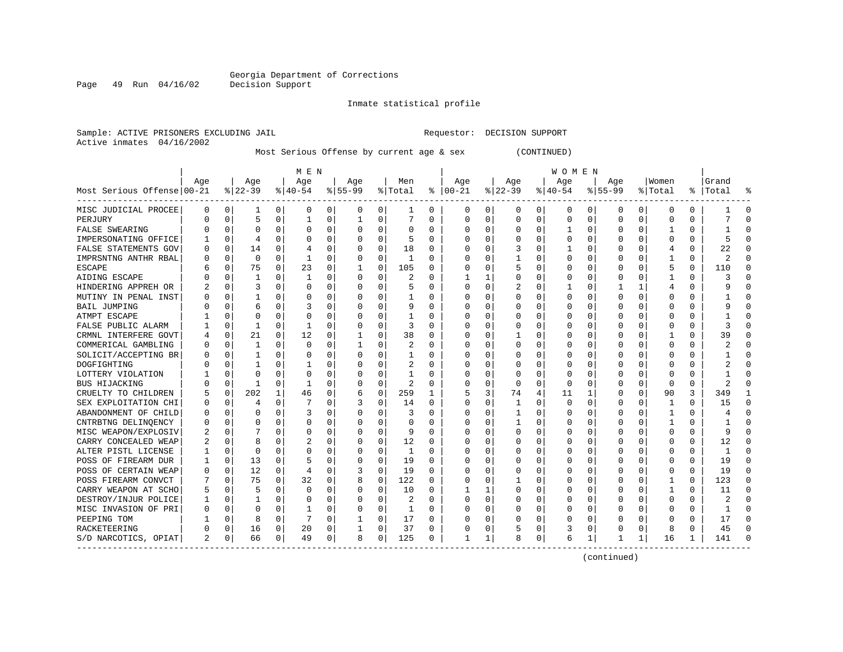Inmate statistical profile

Sample: ACTIVE PRISONERS EXCLUDING JAIL Requestor: DECISION SUPPORT Active inmates 04/16/2002

Most Serious Offense by current age & sex (CONTINUED)

|                            | M E N |             |             |              |          |          |           |             |          |              | W O M E N    |   |          |          |          |          |             |          |          |          |       |              |
|----------------------------|-------|-------------|-------------|--------------|----------|----------|-----------|-------------|----------|--------------|--------------|---|----------|----------|----------|----------|-------------|----------|----------|----------|-------|--------------|
|                            | Aqe   |             | Age         |              | Age      |          | Aqe       |             | Men      |              | Age          |   | Age      |          | Age      |          | Aqe         |          | Women    |          | Grand |              |
| Most Serious Offense 00-21 |       |             | $ 22-39$    |              | $ 40-54$ |          | $8 55-99$ |             | % Total  | ႜ            | $ 00-21$     |   | $ 22-39$ |          | $ 40-54$ |          | $8155 - 99$ |          | % Total  | ႜၟ       | Total |              |
| MISC JUDICIAL PROCEE       | 0     | 0           | 1           | 0            | 0        | 0        | 0         | 0           | 1        | 0            | 0            | 0 | 0        | 0        | 0        | 0        | 0           | 0        | 0        | 0        |       | O            |
| PERJURY                    | U     | $\Omega$    | 5           | $\Omega$     | ำ        | 0        |           | $\Omega$    | 7        | 0            | 0            | 0 | $\Omega$ | 0        | 0        | 0        | $\Omega$    | $\Omega$ | U        | 0        |       | ∩            |
| <b>FALSE SWEARING</b>      |       | $\Omega$    | $\Omega$    | $\Omega$     | $\Omega$ | 0        |           | $\Omega$    | $\Omega$ | $\Omega$     | 0            | 0 | $\Omega$ | 0        |          | $\Omega$ | O           | $\Omega$ |          | 0        |       | ſ            |
| IMPERSONATING OFFICE       |       | $\mathbf 0$ | 4           | $\Omega$     | C        | 0        |           | $\Omega$    | 5        | $\Omega$     | 0            | 0 |          | 0        | O        | $\Omega$ |             | $\Omega$ | O        | O        | 5     | ſ            |
| FALSE STATEMENTS GOV       | 0     | $\Omega$    | 14          | $\Omega$     |          | $\Omega$ |           | $\mathbf 0$ | 18       | 0            |              | 0 |          | $\Omega$ |          | 0        |             | $\Omega$ | 4        | 0        | 22    |              |
| IMPRSNTNG ANTHR RBAL       | Ω     | $\Omega$    | $\mathbf 0$ | $\Omega$     | 1        | 0        |           | $\Omega$    | 1        | $\Omega$     | Ω            | 0 |          | $\Omega$ | U        | O        |             | U        | 1        | 0        | 2     | $\Omega$     |
| <b>ESCAPE</b>              |       | 0           | 75          | $\Omega$     | 23       | 0        |           | 0           | 105      | 0            | <sup>0</sup> | 0 |          | $\Omega$ | 0        | 0        | n           | 0        | 5        | 0        | 110   | ∩            |
| AIDING ESCAPE              |       | 0           | 1           | $\Omega$     | 1        | 0        |           | $\Omega$    | 2        | 0            |              | 1 | 0        | $\Omega$ | 0        | 0        | $\Omega$    | 0        |          | 0        | 3     | $\Omega$     |
| HINDERING APPREH OR        |       | 0           | 3           | $\Omega$     | $\Omega$ | 0        |           | $\Omega$    | 5        | U            | 0            | 0 | 2        | $\Omega$ |          | 0        |             |          | 4        | 0        | q     | <sup>0</sup> |
| MUTINY IN PENAL INST       |       | O           |             |              |          | O        |           | $\Omega$    | 1        | U            | <sup>0</sup> | U |          | $\Omega$ | U        | C        |             | 0        | Ω        | 0        |       |              |
| <b>BAIL JUMPING</b>        |       | O           |             | $\Omega$     | Р        | $\Omega$ |           | $\Omega$    |          | O            | <sup>0</sup> | O |          | $\Omega$ | U        | O        |             | U        | O        | O        |       |              |
| ATMPT ESCAPE               |       | O           | $\Omega$    | <sup>0</sup> | C        | 0        |           | $\Omega$    | 1        | U            | Ω            | 0 | O        | $\Omega$ | O        | O        |             | 0        | O        | 0        |       | C            |
| FALSE PUBLIC ALARM         |       | 0           |             | $\Omega$     |          | 0        |           | $\Omega$    | 3        | U            | 0            | 0 |          | $\Omega$ | 0        | O        |             | 0        | O        | O        | 3     | ſ            |
| CRMNL INTERFERE GOVT       |       | 0           | 21          | 0            | 12       | 0        |           | 0           | 38       | U            | Ω            | 0 |          | $\Omega$ | Ω        | 0        |             | 0        |          | 0        | 39    | ∩            |
| COMMERICAL GAMBLING        | 0     | $\Omega$    | 1           | $\Omega$     | $\Omega$ | 0        |           | $\Omega$    | 2        | 0            | 0            | 0 |          | $\Omega$ | 0        | O        |             | 0        | O        | 0        |       | ∩            |
| SOLICIT/ACCEPTING BR       | U     | $\Omega$    |             | $\Omega$     | C        | 0        |           | $\Omega$    | 1        | 0            | 0            | 0 |          | $\Omega$ | 0        | O        |             | 0        | O        | 0        |       | ∩            |
| DOGFIGHTING                |       | 0           |             | $\Omega$     |          | 0        |           | $\Omega$    | 2        | 0            | <sup>0</sup> | 0 |          | $\Omega$ | 0        | 0        | n           | 0        | 0        | 0        |       | ∩            |
| LOTTERY VIOLATION          |       | $\Omega$    | $\Omega$    | $\Omega$     | C        | $\Omega$ |           | $\Omega$    |          | U            | <sup>0</sup> | 0 | O        | $\Omega$ | 0        | O        |             | $\Omega$ | O        | O        |       | <sup>0</sup> |
| <b>BUS HIJACKING</b>       |       | 0           | 1           | $\Omega$     |          | $\Omega$ |           | $\Omega$    | 2        | O            | <sup>0</sup> | 0 | O        | $\Omega$ | $\Omega$ |          |             | $\Omega$ | $\Omega$ | 0        | 2     |              |
| CRUELTY TO CHILDREN        | 5     | $\Omega$    | 202         |              | 46       | 0        | 6         | $\Omega$    | 259      | $\mathbf{1}$ | 5            | 3 | 74       | 4        | 11       | -1       | $\Omega$    | $\Omega$ | 90       | 3        | 349   |              |
| SEX EXPLOITATION CHI       | Ω     | 0           |             | $\Omega$     | 7        | 0        |           | $\Omega$    | 14       | 0            | 0            | 0 |          | $\Omega$ | O        | n        |             | 0        | -1       | 0        | 15    | ∩            |
| ABANDONMENT OF CHILD       | Ω     | O           | O           | $\Omega$     | 3        | 0        |           | $\Omega$    | 3        | U            | 0            | 0 |          | $\Omega$ | 0        | 0        |             | 0        | -1       | 0        |       | C            |
| CNTRBTNG DELINOENCY        | Ω     | $\Omega$    |             | $\Omega$     | C        | 0        |           | $\Omega$    | 0        | U            | 0            | 0 |          | $\Omega$ | Ω        | 0        |             | 0        | 1        | 0        |       | ſ            |
| MISC WEAPON/EXPLOSIV       |       | 0           |             | $\Omega$     | C        | 0        |           | $\Omega$    | 9        | 0            |              | 0 |          | $\Omega$ | Ω        | 0        |             | O        | 0        | $\Omega$ | 9     | ſ            |
| CARRY CONCEALED WEAP       |       | 0           | 8           | $\Omega$     | 2        | 0        |           | $\Omega$    | 12       | 0            | 0            | 0 |          | $\Omega$ | 0        | 0        |             | O        | 0        | 0        | 12    | $\Omega$     |
| ALTER PISTL LICENSE        |       | $\Omega$    | $\Omega$    | $\Omega$     | C        | 0        |           | $\Omega$    | 1        | $\Omega$     | <sup>0</sup> | 0 |          | $\Omega$ | O        | O        | n           | 0        | U        | 0        | -1    | $\Omega$     |
| POSS OF FIREARM DUR        |       | 0           | 13          | $\Omega$     | 5        | 0        |           | 0           | 19       | 0            | <sup>0</sup> | 0 | O        | $\Omega$ | 0        | O        |             | 0        | O        | 0        | 19    | $\Omega$     |
| POSS OF CERTAIN WEAP       | 0     | 0           | 12          | $\Omega$     | 4        | 0        | 3         | 0           | 19       | U            | Ω            | 0 |          | $\Omega$ | 0        | 0        |             | U        | 0        | 0        | 19    | $\Omega$     |
| POSS FIREARM CONVCT        |       | O           | 75          | $\Omega$     | 32       | 0        |           | $\Omega$    | 122      | O            | O            | 0 |          | $\Omega$ | Ω        | C        |             |          | 1        | 0        | 123   | ∩            |
| CARRY WEAPON AT SCHO       | 5     | O           |             | <sup>0</sup> | $\Omega$ | 0        |           | $\Omega$    | 10       | 0            |              | 1 | O        | $\Omega$ | O        | n        |             | U        | -1       | 0        | 11    | n            |
| DESTROY/INJUR POLICE       |       | O           |             | $\Omega$     | 0        | 0        |           | $\Omega$    | 2        | 0            | 0            | 0 | O        | $\Omega$ | 0        | O        |             | 0        | 0        | $\Omega$ | 2     | C            |
| MISC INVASION OF PRI       | 0     | 0           | $\Omega$    | $\Omega$     |          | 0        |           | $\Omega$    | 1        | 0            | 0            | 0 |          | $\Omega$ | 0        | 0        |             | 0        | 0        | 0        |       | ſ            |
| PEEPING TOM                |       | $\Omega$    | 8           | $\Omega$     |          | 0        |           | 0           | 17       | U            | Ω            | 0 |          | $\Omega$ | ი        | O        |             | $\Omega$ | Ω        | 0        | 17    | <sup>0</sup> |
| RACKETEERING               | U     | 0           | 16          | 0            | 20       | 0        |           | 0           | 37       | 0            | 0            | 0 |          | $\Omega$ | 3        | 0        |             | 0        | 8        | 0        | 45    | $\sqrt{ }$   |
| S/D NARCOTICS, OPIAT       | 2     | 0           | 66          | 0            | 49       | 0        | 8         | 0           | 125      | 0            | $\mathbf{1}$ | 1 | 8        | 0        | 6        | 1        |             | 1        | 16       | 1        | 141   | ſ            |

(continued)

Page 49 Run 04/16/02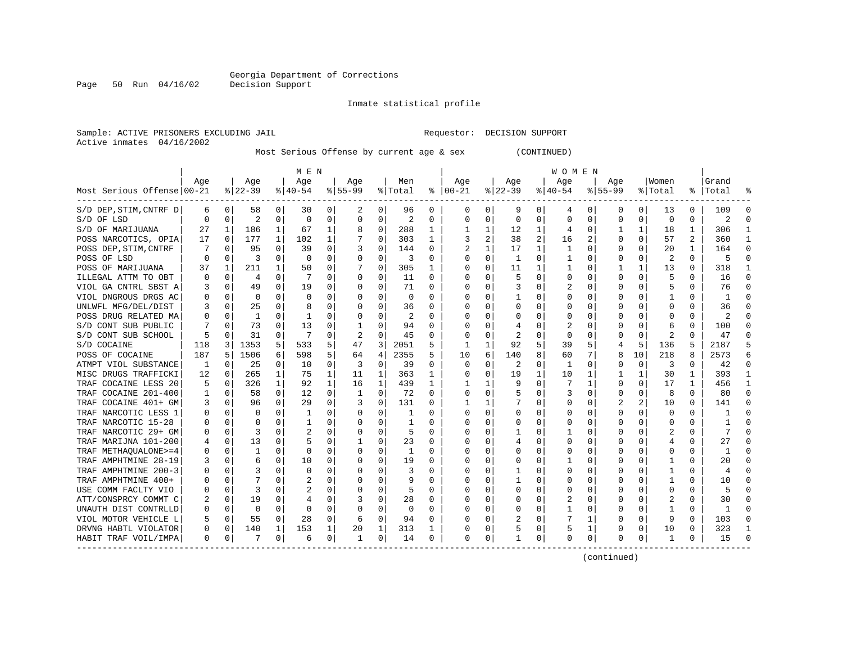Inmate statistical profile

Sample: ACTIVE PRISONERS EXCLUDING JAIL Requestor: DECISION SUPPORT Active inmates 04/16/2002

Most Serious Offense by current age & sex (CONTINUED)

|                            | M E N |          |          |              |           |          |           |                |                |              |          | W O M E N |              |          |           |                  |             |              |         |              |       |              |
|----------------------------|-------|----------|----------|--------------|-----------|----------|-----------|----------------|----------------|--------------|----------|-----------|--------------|----------|-----------|------------------|-------------|--------------|---------|--------------|-------|--------------|
|                            | Age   |          | Age      |              | Age       |          | Age       |                | Men            |              | Age      |           | Age          |          | Age       |                  | Age         |              | Women   |              | Grand |              |
| Most Serious Offense 00-21 |       |          | $ 22-39$ |              | $8 40-54$ |          | $8 55-99$ |                | % Total        | ៖            | $ 00-21$ |           | $8$   22-39  |          | $8 40-54$ |                  | $8155 - 99$ |              | % Total | ိ            | Total |              |
| S/D DEP, STIM, CNTRF D     | 6     | 0        | 58       | 0            | 30        | 0        | 2         | 0              | 96             | 0            | 0        | 0         | 9            | 0        | 4         | 0                | 0           | 0            | 13      | 0            | 109   |              |
| S/D OF LSD                 | 0     | O        | 2        | 0            | 0         | 0        | 0         | 0              | $\overline{2}$ | U            | C        | 0         | $\Omega$     | 0        | 0         | 0                | O           | 0            | 0       | 0            | 2     |              |
| S/D OF MARIJUANA           | 27    | -1       | 186      | 1            | 67        | 1        | 8         | 0              | 288            | 1            |          | 1         | 12           | 1        | 4         | 0                |             | 1            | 18      | 1            | 306   |              |
| POSS NARCOTICS, OPIA       | 17    | 0        | 177      | 1            | 102       | 1        |           | 0              | 303            | 1            | 3        | 2         | 38           | 2        | 16        | 2                |             | 0            | 57      | 2            | 360   |              |
| POSS DEP, STIM, CNTRF      |       | 0        | 95       | $\Omega$     | 39        | 0        | 3         | 0              | 144            | U            |          | 1         | 17           | 1        | 1         | 0                |             | $\Omega$     | 20      | $\mathbf{1}$ | 164   | Λ            |
| POSS OF LSD                | O     | $\Omega$ | 3        | $\Omega$     | $\Omega$  | $\Omega$ | $\Omega$  | 0              | 3              | O            |          | $\Omega$  | 1            | $\Omega$ | 1         | O                |             | $\Omega$     | 2       | $\Omega$     | 5     | $\sqrt{ }$   |
| POSS OF MARIJUANA          | 37    | 1        | 211      | $\mathbf{1}$ | 50        | 0        | 7         | 0              | 305            | 1            | C        | $\Omega$  | 11           | 1        |           | O                |             | 1            | 13      | 0            | 318   | -1           |
| ILLEGAL ATTM TO OBT        | 0     | 0        | 4        | 0            | 7         | 0        | O         | 0              | 11             | $\Omega$     | C        | 0         |              | $\Omega$ | 0         | O                | O           | 0            | 5       | 0            | 16    | $\Omega$     |
| VIOL GA CNTRL SBST A       | 3     | 0        | 49       | 0            | 19        | 0        | O         | 0              | 71             | U            | O        | 0         | 3            | O        | 2         | O                |             | 0            | 5       | 0            | 76    | $\Omega$     |
| VIOL DNGROUS DRGS AC       | 0     | 0        | $\Omega$ |              | 0         | 0        |           | 0              | 0              | U            | $\Box$   | 0         |              |          | 0         |                  |             |              |         | 0            |       |              |
| UNLWFL MFG/DEL/DIST        |       | O        | 25       | 0            | 8         | 0        |           | 0              | 36             | U            |          | O         |              | O        | Ω         |                  |             |              | O       | 0            | 36    |              |
| POSS DRUG RELATED MA       | 0     | O        | -1       | 0            | -1        | 0        |           | $\Omega$       | 2              | U            | $\Box$   | 0         |              | ∩        | $^{(1)}$  | $\Omega$         |             | 0            | Ω       | U            | 2     |              |
| S/D CONT SUB PUBLIC        |       | O        | 73       | 0            | 13        | 0        |           | 0              | 94             | U            | C        | 0         | 4            | $\Omega$ | 2         |                  |             | <sup>0</sup> | 6       | 0            | 100   | U            |
| S/D CONT SUB SCHOOL        | 5     | O        | 31       | 0            | 7         | 0        | 2         | 0              | 45             | 0            |          | 0         | 2            | $\Omega$ | 0         | 0                |             | 0            | 2       | 0            | 47    |              |
| S/D COCAINE                | 118   | 3        | 1353     | 5            | 533       | 5        | 47        | $\overline{3}$ | 2051           | 5            | 1        | 1         | 92           | 5        | 39        | 5                | 4           | 5            | 136     | 5            | 2187  |              |
| POSS OF COCAINE            | 187   | 5        | 1506     | 6            | 598       | 5        | 64        | 4              | 2355           | 5            | 10       | 6         | 140          | 8        | 60        |                  |             | 10           | 218     | 8            | 2573  | 6            |
| ATMPT VIOL SUBSTANCE       | 1     | $\Omega$ | 25       | 0            | 10        | 0        | 3         | 0              | 39             | 0            | 0        | 0         | 2            | $\Omega$ | 1         | O                | $\Omega$    | 0            | 3       | 0            | 42    | <sup>0</sup> |
| MISC DRUGS TRAFFICKI       | 12    | 0        | 265      | 1            | 75        | 1        | 11        | 1              | 363            | 1            | 0        | 0         | 19           | 1        | 10        |                  |             | 1            | 30      | 1            | 393   |              |
| TRAF COCAINE LESS 20       | 5     | 0        | 326      | $\mathbf{1}$ | 92        | 1        | 16        | 1              | 439            | 1            |          |           | 9            | $\Omega$ | 7         | 1                |             | 0            | 17      | 1            | 456   |              |
| COCAINE 201-400<br>TRAF    |       | 0        | 58       | $\Omega$     | 12        | 0        | 1         | $\Omega$       | 72             | 0            | O        | 0         |              | $\Omega$ | 3         | O                | O           | 0            | 8       | 0            | 80    | ∩            |
| TRAF COCAINE 401+ GM       | 3     | O        | 96       | 0            | 29        | $\Omega$ | 3         | 0              | 131            | U            |          | 1         |              | $\Omega$ | U         | O                |             | 2            | 10      | $\Omega$     | 141   |              |
| TRAF NARCOTIC LESS 1       | U     | O        | O        | 0            | -1        | 0        | O         | 0              | 1              | U            | O        | 0         | 0            | $\Omega$ | O         | U                |             | $\Omega$     | 0       | 0            |       | ſ            |
| TRAF NARCOTIC 15-28        |       | 0        | 0        | 0            | 1         | 0        |           | 0              | 1              | U            | O        | 0         |              | $\Omega$ | O         | O                |             | 0            | 0       | O            |       |              |
| TRAF NARCOTIC 29+ GM       | 0     | 0        | 3        | 0            |           | 0        |           | 0              | 5              | U            |          | 0         |              | $\Omega$ |           | O                |             |              |         | 0            |       | ſ            |
| TRAF MARIJNA 101-200       | 4     | 0        | 13       | 0            |           | 0        |           | 0              | 23             | U            | C        | 0         |              | $\Omega$ | O         | O                |             | 0            | 4       | 0            | 27    | ∩            |
| TRAF METHAOUALONE>=4       | 0     | 0        | -1       | 0            | 0         | 0        | O         | 0              | 1              | U            | C        | 0         |              | 0        | 0         | $\left( \right)$ | O           | 0            | 0       | 0            | E.    | O            |
| TRAF AMPHTMINE 28-19       | 3     | 0        | 6        | O            | 10        | 0        |           | 0              | 19             | U            | O        | 0         |              |          |           |                  |             |              |         | 0            | 20    | n            |
| TRAF AMPHTMINE 200-3       | 0     | 0        |          |              | 0         | 0        |           | 0              | 3              |              | C        | 0         |              |          | 0         |                  |             |              |         | 0            | 4     | C            |
| TRAF AMPHTMINE 400+        | U     | O        |          |              |           | 0        |           | $\Omega$       | 9              | U            | C        | O         |              | O        | 0         | U                |             |              |         | 0            | 10    |              |
| USE COMM FACLTY VIO        | 0     | O        | 3        |              |           | 0        |           | $\Omega$       | 5              | U            | C        | 0         | <sup>0</sup> | $\Omega$ | 0         | O                |             | <sup>0</sup> | O       | 0            | 5     |              |
| ATT/CONSPRCY COMMT C       | 2     | 0        | 19       | 0            |           | 0        | 3         | $\Omega$       | 28             | U            | 0        | 0         | 0            | $\Omega$ | 2         | O                |             | 0            |         | 0            | 30    | U            |
| UNAUTH DIST CONTRLLD       | 0     | 0        | $\Omega$ | 0            | 0         | 0        |           | 0              | 0              | 0            | C        | 0         |              | $\Omega$ |           | 0                |             | 0            | 1       | 0            |       |              |
| VIOL MOTOR VEHICLE L       | 5     | 0        | 55       | 0            | 28        | 0        | 6         | 0              | 94             | O            |          | 0         |              | $\Omega$ |           | -1               |             | $\Omega$     | 9       | $\Omega$     | 103   |              |
| DRVNG HABTL VIOLATOR       | 0     | 0        | 140      | 1            | 153       | 1        | 20        | $\mathbf 1$    | 313            | $\mathbf{1}$ | C        | 0         |              | 0        | 5         | 1                | O           | 0            | 10      | 0            | 323   |              |
| HABIT TRAF VOIL/IMPA       | 0     | 0        | 7        | 0            | 6         | 0        | -1        | 0              | 14             | 0            | $\Omega$ | 0         |              | 0        | 0         | 0                | $\Omega$    | 0            | -1      | 0            | 15    | ſ            |

(continued)

Page 50 Run 04/16/02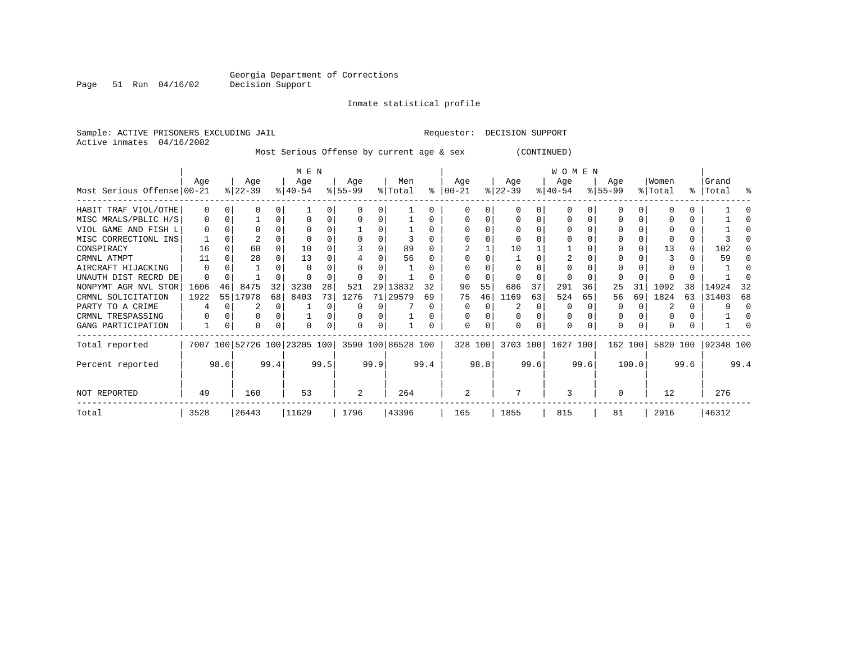#### Inmate statistical profile

Active inmates 04/16/2002

Sample: ACTIVE PRISONERS EXCLUDING JAIL Requestor: DECISION SUPPORT

Most Serious Offense by current age & sex (CONTINUED)

|                            | M E N        |      |                  |      |                                                 |      |                  |      |                |      |                      | <b>WOMEN</b> |                  |          |                  |      |                  |       |                  |          |                 |      |
|----------------------------|--------------|------|------------------|------|-------------------------------------------------|------|------------------|------|----------------|------|----------------------|--------------|------------------|----------|------------------|------|------------------|-------|------------------|----------|-----------------|------|
| Most Serious Offense 00-21 | Age          |      | Age<br>$ 22-39 $ |      | Age<br>$8 40-54$                                |      | Age<br>$8 55-99$ |      | Men<br>% Total |      | Age<br>$8   00 - 21$ |              | Age<br>$ 22-39 $ |          | Age<br>$ 40-54 $ |      | Age<br>$ 55-99 $ |       | Women<br>% Total | ႜႜ       | Grand<br> Total | ႜ    |
| HABIT TRAF VIOL/OTHE       |              | n    |                  |      |                                                 | 0    |                  |      |                |      |                      | 0            |                  |          | U                |      |                  |       |                  | 0        |                 |      |
| MISC MRALS/PBLIC H/S       |              | 0    |                  |      |                                                 | 0    |                  |      |                |      |                      |              |                  |          |                  |      |                  | 0     |                  | 0        |                 |      |
| VIOL GAME AND FISH L       |              |      |                  |      |                                                 |      |                  |      |                |      |                      |              |                  |          |                  |      |                  |       |                  | 0        |                 |      |
| MISC CORRECTIONL INS       |              |      |                  |      |                                                 |      |                  |      |                |      |                      |              |                  |          |                  |      |                  |       |                  | 0        |                 |      |
| CONSPIRACY                 | 16           |      | 60               |      | 10                                              |      |                  |      | 89             |      |                      |              | 10               |          |                  |      |                  |       | 13               | $\Omega$ | 102             |      |
| CRMNL ATMPT                |              |      | 28               |      | 13                                              |      |                  |      | 56             |      |                      |              |                  |          |                  |      |                  |       |                  |          | 59              |      |
| AIRCRAFT HIJACKING         | 0            |      |                  |      |                                                 |      |                  |      |                |      |                      |              |                  |          |                  |      |                  |       |                  |          |                 |      |
| UNAUTH DIST RECRD DE       | <sup>0</sup> |      |                  |      |                                                 |      |                  |      |                |      |                      |              |                  |          |                  |      |                  |       |                  |          |                 |      |
| NONPYMT AGR NVL STOR       | 1606         | 46   | 8475             | 32   | 3230                                            | 28   | 521              | 29   | 13832          | 32   | 90                   | 55           | 686              | 37       | 291              | 36   | 25               | 31    | 1092             | 38       | 14924           | 32   |
| CRMNL SOLICITATION         | 1922         |      | 55 17978         | 68   | 8403                                            | 73   | 1276             | 71   | 29579          | 69   | 75                   | 46           | 1169             | 63       | 524              | 65   | 56               | 69    | 1824             | 63       | 31403           | 68   |
| PARTY TO A CRIME           |              |      |                  |      |                                                 | 0    |                  |      |                |      | O                    | O            |                  | $\Omega$ | $\Omega$         |      | $\Omega$         |       |                  | $\Omega$ |                 |      |
| CRMNL TRESPASSING          |              |      |                  |      |                                                 |      |                  |      |                |      |                      |              |                  |          | O                |      |                  |       |                  | 0        |                 |      |
| GANG PARTICIPATION         |              |      | O                |      |                                                 |      |                  |      |                |      | $\Omega$             |              |                  |          | 0                |      | $\Omega$         |       |                  |          |                 |      |
| Total reported             |              |      |                  |      | 7007 100 52726 100 23205 100 3590 100 86528 100 |      |                  |      |                |      |                      | 328 100      | 3703 100         |          | 1627 100         |      | 162 100          |       | 5820 100         |          | 92348 100       |      |
| Percent reported           |              | 98.6 |                  | 99.4 |                                                 | 99.5 |                  | 99.9 |                | 99.4 |                      | 98.8         |                  | 99.6     |                  | 99.6 |                  | 100.0 |                  | 99.6     |                 | 99.4 |
| NOT REPORTED               | 49           |      | 160              |      | 53                                              |      | 2                |      | 264            |      | 2                    |              |                  |          | ζ                |      |                  |       | 12               |          | 276             |      |
| Total                      | 3528         |      | 26443            |      | 11629                                           |      | 1796             |      | 43396          |      | 165                  |              | 1855             |          | 815              |      | 81               |       | 2916             |          | 46312           |      |

Page 51 Run 04/16/02